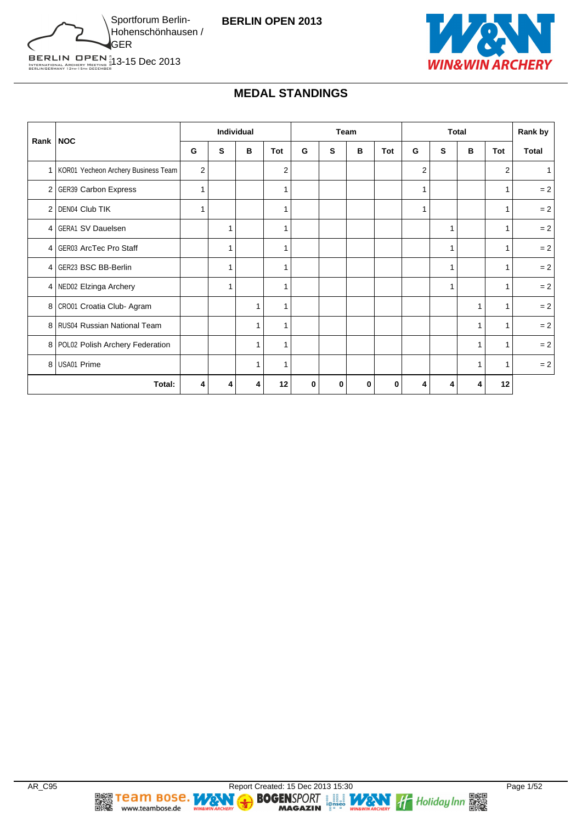



## **MEDAL STANDINGS**

|                 |                                         |              | Individual |   |                |   |   | Team |            |                |              | <b>Total</b> |                | Rank by      |
|-----------------|-----------------------------------------|--------------|------------|---|----------------|---|---|------|------------|----------------|--------------|--------------|----------------|--------------|
|                 | Rank   NOC                              | G            | s          | в | Tot            | G | s | в    | <b>Tot</b> | G              | s            | B            | Tot            | <b>Total</b> |
|                 | 1   KOR01 Yecheon Archery Business Team | $\mathbf{2}$ |            |   | $\overline{2}$ |   |   |      |            | $\overline{2}$ |              |              | $\overline{2}$ |              |
|                 | 2 GER39 Carbon Express                  | 1            |            |   | -1             |   |   |      |            | 1              |              |              |                | $= 2$        |
| $\overline{2}$  | DEN04 Club TIK                          | 1            |            |   | -1             |   |   |      |            | 1              |              |              | 1              | $= 2$        |
| 4               | <b>GERA1 SV Dauelsen</b>                |              |            |   | 1              |   |   |      |            |                | 1            |              | 1              | $= 2$        |
| $\vert 4 \vert$ | GER03 ArcTec Pro Staff                  |              |            |   |                |   |   |      |            |                | 1            |              |                | $= 2$        |
| 4               | <b>GER23 BSC BB-Berlin</b>              |              |            |   |                |   |   |      |            |                | 1            |              | 1              | $= 2$        |
|                 | 4 NED02 Elzinga Archery                 |              | 1          |   | -1             |   |   |      |            |                | $\mathbf{1}$ |              | 1              | $= 2$        |
|                 | 8 CR001 Croatia Club-Agram              |              |            | 1 |                |   |   |      |            |                |              | 1            | 1              | $= 2$        |
|                 | 8 RUS04 Russian National Team           |              |            | 1 | 1              |   |   |      |            |                |              | 1            | 1              | $= 2$        |
|                 | 8   POL02 Polish Archery Federation     |              |            | 1 | 1              |   |   |      |            |                |              | 1            | 1              | $= 2$        |
| 8 <sup>1</sup>  | USA01 Prime                             |              |            | 1 | 1              |   |   |      |            |                |              | 1            | 1              | $= 2$        |
|                 | Total:                                  | 4            | 4          | 4 | 12             | 0 | 0 | 0    | 0          | 4              | 4            | 4            | 12             |              |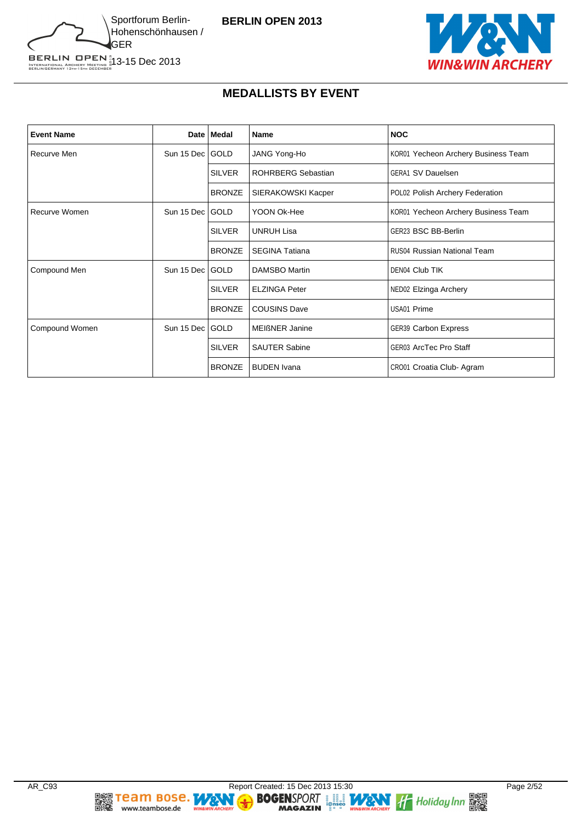



# **MEDALLISTS BY EVENT**

| <b>Event Name</b> |                   | Date   Medal  | <b>Name</b>               | <b>NOC</b>                          |
|-------------------|-------------------|---------------|---------------------------|-------------------------------------|
| Recurve Men       | Sun 15 Dec   GOLD |               | JANG Yong-Ho              | KOR01 Yecheon Archery Business Team |
|                   |                   | <b>SILVER</b> | <b>ROHRBERG Sebastian</b> | <b>GERA1 SV Dauelsen</b>            |
|                   |                   | <b>BRONZE</b> | SIERAKOWSKI Kacper        | POL02 Polish Archery Federation     |
| Recurve Women     | Sun 15 Dec GOLD   |               | YOON Ok-Hee               | KOR01 Yecheon Archery Business Team |
|                   |                   | <b>SILVER</b> | <b>UNRUH Lisa</b>         | GER23 BSC BB-Berlin                 |
|                   |                   | <b>BRONZE</b> | <b>SEGINA Tatiana</b>     | <b>RUS04 Russian National Team</b>  |
| Compound Men      | Sun 15 Dec GOLD   |               | DAMSBO Martin             | DEN04 Club TIK                      |
|                   |                   | <b>SILVER</b> | <b>ELZINGA Peter</b>      | NED02 Elzinga Archery               |
|                   |                   | <b>BRONZE</b> | <b>COUSINS Dave</b>       | USA01 Prime                         |
| Compound Women    | Sun 15 Dec        | GOLD          | <b>MEIßNER Janine</b>     | <b>GER39 Carbon Express</b>         |
|                   |                   | <b>SILVER</b> | <b>SAUTER Sabine</b>      | <b>GER03 ArcTec Pro Staff</b>       |
|                   |                   | <b>BRONZE</b> | <b>BUDEN</b> Ivana        | CRO01 Croatia Club-Agram            |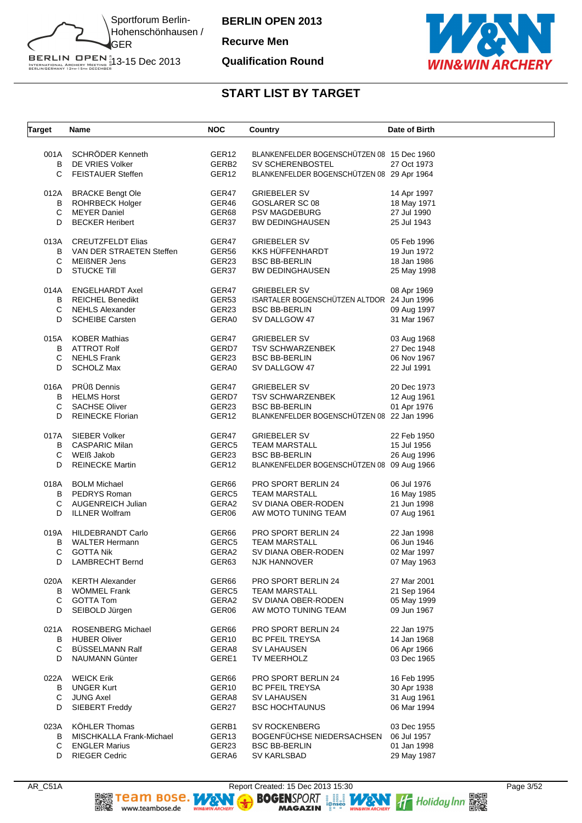

**Recurve Men**

#### **Qualification Round**



| SCHRÖDER Kenneth<br>BLANKENFELDER BOGENSCHÜTZEN 08 15 Dec 1960<br>001A<br>GER <sub>12</sub><br>DE VRIES Volker<br>GERB2<br>SV SCHERENBOSTEL<br>27 Oct 1973<br>B<br>C<br>GER <sub>12</sub><br><b>FEISTAUER Steffen</b><br>BLANKENFELDER BOGENSCHÜTZEN 08 29 Apr 1964<br><b>BRACKE Bengt Ole</b><br>GER47<br>012A<br><b>GRIEBELER SV</b><br>14 Apr 1997<br>GER46<br>в<br><b>ROHRBECK Holger</b><br>GOSLARER SC 08<br>18 May 1971<br>C<br><b>MEYER Daniel</b><br>GER68<br>27 Jul 1990<br><b>PSV MAGDEBURG</b><br>D<br><b>BECKER Heribert</b><br>GER37<br><b>BW DEDINGHAUSEN</b><br>25 Jul 1943<br><b>CREUTZFELDT Elias</b><br>GER47<br><b>GRIEBELER SV</b><br>013A<br>05 Feb 1996<br>GER56<br><b>KKS HÜFFENHARDT</b><br>B<br>VAN DER STRAETEN Steffen<br>19 Jun 1972<br>С<br>GER23<br><b>BSC BB-BERLIN</b><br>MEIßNER Jens<br>18 Jan 1986<br>GER37<br>D<br><b>STUCKE Till</b><br><b>BW DEDINGHAUSEN</b><br>25 May 1998<br><b>ENGELHARDT Axel</b><br>GER47<br><b>GRIEBELER SV</b><br>014A<br>08 Apr 1969<br>GER53<br>ISARTALER BOGENSCHÜTZEN ALTDOR 24 Jun 1996<br>B<br><b>REICHEL Benedikt</b><br>С<br><b>NEHLS Alexander</b><br>GER23<br><b>BSC BB-BERLIN</b><br>09 Aug 1997<br>D<br><b>SCHEIBE Carsten</b><br>GERA0<br>31 Mar 1967<br>SV DALLGOW 47<br><b>KOBER Mathias</b><br>GER47<br><b>GRIEBELER SV</b><br>015A<br>03 Aug 1968<br><b>ATTROT Rolf</b><br>GERD7<br>B<br><b>TSV SCHWARZENBEK</b><br>27 Dec 1948<br>С<br><b>NEHLS Frank</b><br>GER23<br><b>BSC BB-BERLIN</b><br>06 Nov 1967<br>D<br><b>SCHOLZ Max</b><br>GERA0<br>SV DALLGOW 47<br>22 Jul 1991<br>PRÜß Dennis<br>016A<br>GER47<br><b>GRIEBELER SV</b><br>20 Dec 1973<br><b>HELMS Horst</b><br>GERD7<br>B<br><b>TSV SCHWARZENBEK</b><br>12 Aug 1961<br>GER23<br>C<br><b>SACHSE Oliver</b><br><b>BSC BB-BERLIN</b><br>01 Apr 1976<br>GER <sub>12</sub><br>BLANKENFELDER BOGENSCHÜTZEN 08 22 Jan 1996<br>D<br><b>REINECKE Florian</b><br>017A<br>SIEBER Volker<br>GER47<br><b>GRIEBELER SV</b><br>22 Feb 1950<br><b>CASPARIC Milan</b><br>GERC5<br>B<br><b>TEAM MARSTALL</b><br>15 Jul 1956<br>WEIß Jakob<br>GER23<br>С<br><b>BSC BB-BERLIN</b><br>26 Aug 1996<br>D<br><b>REINECKE Martin</b><br>GER <sub>12</sub><br>BLANKENFELDER BOGENSCHÜTZEN 08 09 Aug 1966<br>018A<br><b>BOLM Michael</b><br>GER66<br>PRO SPORT BERLIN 24<br>06 Jul 1976<br>В<br>PEDRYS Roman<br>GERC5<br><b>TEAM MARSTALL</b><br>16 May 1985<br>GERA2<br>C<br><b>AUGENREICH Julian</b><br>SV DIANA OBER-RODEN<br>21 Jun 1998<br>D<br><b>ILLNER Wolfram</b><br>GER06<br>AW MOTO TUNING TEAM<br>07 Aug 1961<br><b>HILDEBRANDT Carlo</b><br>GER66<br>PRO SPORT BERLIN 24<br>22 Jan 1998<br>019A<br>В<br><b>WALTER Hermann</b><br>GERC5<br>06 Jun 1946<br><b>TEAM MARSTALL</b><br>С<br><b>GOTTA Nik</b><br>GERA2<br>SV DIANA OBER-RODEN<br>02 Mar 1997<br>D<br><b>LAMBRECHT Bernd</b><br>GER63<br><b>NJK HANNOVER</b><br>07 May 1963<br>020A<br><b>KERTH Alexander</b><br>GER66<br>PRO SPORT BERLIN 24<br>27 Mar 2001<br><b>WOMMEL Frank</b><br>В<br>GERC5<br><b>TEAM MARSTALL</b><br>21 Sep 1964<br>C<br><b>GOTTA Tom</b><br>GERA2<br>SV DIANA OBER-RODEN<br>05 May 1999<br>D<br>SEIBOLD Jürgen<br>GER06<br>AW MOTO TUNING TEAM<br>09 Jun 1967<br>021A<br><b>ROSENBERG Michael</b><br>GER66<br>PRO SPORT BERLIN 24<br>22 Jan 1975<br>B<br><b>HUBER Oliver</b><br>GER <sub>10</sub><br>14 Jan 1968<br><b>BC PFEIL TREYSA</b><br>C<br>BÜSSELMANN Ralf<br>GERA8<br>SV LAHAUSEN<br>06 Apr 1966<br>D<br>NAUMANN Günter<br>GERE1<br>TV MEERHOLZ<br>03 Dec 1965<br><b>WEICK Erik</b><br>GER66<br>PRO SPORT BERLIN 24<br>16 Feb 1995<br>022A<br><b>UNGER Kurt</b><br>GER <sub>10</sub><br><b>BC PFEIL TREYSA</b><br>В<br>30 Apr 1938<br>С<br><b>JUNG Axel</b><br>GERA8<br>SV LAHAUSEN<br>31 Aug 1961<br>D<br>SIEBERT Freddy<br>GER27<br><b>BSC HOCHTAUNUS</b><br>06 Mar 1994<br><b>KÖHLER Thomas</b><br><b>SV ROCKENBERG</b><br>023A<br>GERB1<br>03 Dec 1955<br>BOGENFÜCHSE NIEDERSACHSEN<br>в<br>MISCHKALLA Frank-Michael<br>GER <sub>13</sub><br>06 Jul 1957<br>C<br><b>ENGLER Marius</b><br>GER23<br><b>BSC BB-BERLIN</b><br>01 Jan 1998<br><b>RIEGER Cedric</b><br>GERA6<br>SV KARLSBAD<br>29 May 1987<br>D | <b>Target</b> | Name | <b>NOC</b> | Country | Date of Birth |
|-----------------------------------------------------------------------------------------------------------------------------------------------------------------------------------------------------------------------------------------------------------------------------------------------------------------------------------------------------------------------------------------------------------------------------------------------------------------------------------------------------------------------------------------------------------------------------------------------------------------------------------------------------------------------------------------------------------------------------------------------------------------------------------------------------------------------------------------------------------------------------------------------------------------------------------------------------------------------------------------------------------------------------------------------------------------------------------------------------------------------------------------------------------------------------------------------------------------------------------------------------------------------------------------------------------------------------------------------------------------------------------------------------------------------------------------------------------------------------------------------------------------------------------------------------------------------------------------------------------------------------------------------------------------------------------------------------------------------------------------------------------------------------------------------------------------------------------------------------------------------------------------------------------------------------------------------------------------------------------------------------------------------------------------------------------------------------------------------------------------------------------------------------------------------------------------------------------------------------------------------------------------------------------------------------------------------------------------------------------------------------------------------------------------------------------------------------------------------------------------------------------------------------------------------------------------------------------------------------------------------------------------------------------------------------------------------------------------------------------------------------------------------------------------------------------------------------------------------------------------------------------------------------------------------------------------------------------------------------------------------------------------------------------------------------------------------------------------------------------------------------------------------------------------------------------------------------------------------------------------------------------------------------------------------------------------------------------------------------------------------------------------------------------------------------------------------------------------------------------------------------------------------------------------------------------------------------------------------------------------------------------------------------------------------------------------------------------------------------------------------------------------------------------------------------------------------------------------------------------------------------------------------------------------------------------------------------------------------------------------------------------------------------------------------------------------------------------------------------------------------------------------|---------------|------|------------|---------|---------------|
|                                                                                                                                                                                                                                                                                                                                                                                                                                                                                                                                                                                                                                                                                                                                                                                                                                                                                                                                                                                                                                                                                                                                                                                                                                                                                                                                                                                                                                                                                                                                                                                                                                                                                                                                                                                                                                                                                                                                                                                                                                                                                                                                                                                                                                                                                                                                                                                                                                                                                                                                                                                                                                                                                                                                                                                                                                                                                                                                                                                                                                                                                                                                                                                                                                                                                                                                                                                                                                                                                                                                                                                                                                                                                                                                                                                                                                                                                                                                                                                                                                                                                                                                         |               |      |            |         |               |
|                                                                                                                                                                                                                                                                                                                                                                                                                                                                                                                                                                                                                                                                                                                                                                                                                                                                                                                                                                                                                                                                                                                                                                                                                                                                                                                                                                                                                                                                                                                                                                                                                                                                                                                                                                                                                                                                                                                                                                                                                                                                                                                                                                                                                                                                                                                                                                                                                                                                                                                                                                                                                                                                                                                                                                                                                                                                                                                                                                                                                                                                                                                                                                                                                                                                                                                                                                                                                                                                                                                                                                                                                                                                                                                                                                                                                                                                                                                                                                                                                                                                                                                                         |               |      |            |         |               |
|                                                                                                                                                                                                                                                                                                                                                                                                                                                                                                                                                                                                                                                                                                                                                                                                                                                                                                                                                                                                                                                                                                                                                                                                                                                                                                                                                                                                                                                                                                                                                                                                                                                                                                                                                                                                                                                                                                                                                                                                                                                                                                                                                                                                                                                                                                                                                                                                                                                                                                                                                                                                                                                                                                                                                                                                                                                                                                                                                                                                                                                                                                                                                                                                                                                                                                                                                                                                                                                                                                                                                                                                                                                                                                                                                                                                                                                                                                                                                                                                                                                                                                                                         |               |      |            |         |               |
|                                                                                                                                                                                                                                                                                                                                                                                                                                                                                                                                                                                                                                                                                                                                                                                                                                                                                                                                                                                                                                                                                                                                                                                                                                                                                                                                                                                                                                                                                                                                                                                                                                                                                                                                                                                                                                                                                                                                                                                                                                                                                                                                                                                                                                                                                                                                                                                                                                                                                                                                                                                                                                                                                                                                                                                                                                                                                                                                                                                                                                                                                                                                                                                                                                                                                                                                                                                                                                                                                                                                                                                                                                                                                                                                                                                                                                                                                                                                                                                                                                                                                                                                         |               |      |            |         |               |
|                                                                                                                                                                                                                                                                                                                                                                                                                                                                                                                                                                                                                                                                                                                                                                                                                                                                                                                                                                                                                                                                                                                                                                                                                                                                                                                                                                                                                                                                                                                                                                                                                                                                                                                                                                                                                                                                                                                                                                                                                                                                                                                                                                                                                                                                                                                                                                                                                                                                                                                                                                                                                                                                                                                                                                                                                                                                                                                                                                                                                                                                                                                                                                                                                                                                                                                                                                                                                                                                                                                                                                                                                                                                                                                                                                                                                                                                                                                                                                                                                                                                                                                                         |               |      |            |         |               |
|                                                                                                                                                                                                                                                                                                                                                                                                                                                                                                                                                                                                                                                                                                                                                                                                                                                                                                                                                                                                                                                                                                                                                                                                                                                                                                                                                                                                                                                                                                                                                                                                                                                                                                                                                                                                                                                                                                                                                                                                                                                                                                                                                                                                                                                                                                                                                                                                                                                                                                                                                                                                                                                                                                                                                                                                                                                                                                                                                                                                                                                                                                                                                                                                                                                                                                                                                                                                                                                                                                                                                                                                                                                                                                                                                                                                                                                                                                                                                                                                                                                                                                                                         |               |      |            |         |               |
|                                                                                                                                                                                                                                                                                                                                                                                                                                                                                                                                                                                                                                                                                                                                                                                                                                                                                                                                                                                                                                                                                                                                                                                                                                                                                                                                                                                                                                                                                                                                                                                                                                                                                                                                                                                                                                                                                                                                                                                                                                                                                                                                                                                                                                                                                                                                                                                                                                                                                                                                                                                                                                                                                                                                                                                                                                                                                                                                                                                                                                                                                                                                                                                                                                                                                                                                                                                                                                                                                                                                                                                                                                                                                                                                                                                                                                                                                                                                                                                                                                                                                                                                         |               |      |            |         |               |
|                                                                                                                                                                                                                                                                                                                                                                                                                                                                                                                                                                                                                                                                                                                                                                                                                                                                                                                                                                                                                                                                                                                                                                                                                                                                                                                                                                                                                                                                                                                                                                                                                                                                                                                                                                                                                                                                                                                                                                                                                                                                                                                                                                                                                                                                                                                                                                                                                                                                                                                                                                                                                                                                                                                                                                                                                                                                                                                                                                                                                                                                                                                                                                                                                                                                                                                                                                                                                                                                                                                                                                                                                                                                                                                                                                                                                                                                                                                                                                                                                                                                                                                                         |               |      |            |         |               |
|                                                                                                                                                                                                                                                                                                                                                                                                                                                                                                                                                                                                                                                                                                                                                                                                                                                                                                                                                                                                                                                                                                                                                                                                                                                                                                                                                                                                                                                                                                                                                                                                                                                                                                                                                                                                                                                                                                                                                                                                                                                                                                                                                                                                                                                                                                                                                                                                                                                                                                                                                                                                                                                                                                                                                                                                                                                                                                                                                                                                                                                                                                                                                                                                                                                                                                                                                                                                                                                                                                                                                                                                                                                                                                                                                                                                                                                                                                                                                                                                                                                                                                                                         |               |      |            |         |               |
|                                                                                                                                                                                                                                                                                                                                                                                                                                                                                                                                                                                                                                                                                                                                                                                                                                                                                                                                                                                                                                                                                                                                                                                                                                                                                                                                                                                                                                                                                                                                                                                                                                                                                                                                                                                                                                                                                                                                                                                                                                                                                                                                                                                                                                                                                                                                                                                                                                                                                                                                                                                                                                                                                                                                                                                                                                                                                                                                                                                                                                                                                                                                                                                                                                                                                                                                                                                                                                                                                                                                                                                                                                                                                                                                                                                                                                                                                                                                                                                                                                                                                                                                         |               |      |            |         |               |
|                                                                                                                                                                                                                                                                                                                                                                                                                                                                                                                                                                                                                                                                                                                                                                                                                                                                                                                                                                                                                                                                                                                                                                                                                                                                                                                                                                                                                                                                                                                                                                                                                                                                                                                                                                                                                                                                                                                                                                                                                                                                                                                                                                                                                                                                                                                                                                                                                                                                                                                                                                                                                                                                                                                                                                                                                                                                                                                                                                                                                                                                                                                                                                                                                                                                                                                                                                                                                                                                                                                                                                                                                                                                                                                                                                                                                                                                                                                                                                                                                                                                                                                                         |               |      |            |         |               |
|                                                                                                                                                                                                                                                                                                                                                                                                                                                                                                                                                                                                                                                                                                                                                                                                                                                                                                                                                                                                                                                                                                                                                                                                                                                                                                                                                                                                                                                                                                                                                                                                                                                                                                                                                                                                                                                                                                                                                                                                                                                                                                                                                                                                                                                                                                                                                                                                                                                                                                                                                                                                                                                                                                                                                                                                                                                                                                                                                                                                                                                                                                                                                                                                                                                                                                                                                                                                                                                                                                                                                                                                                                                                                                                                                                                                                                                                                                                                                                                                                                                                                                                                         |               |      |            |         |               |
|                                                                                                                                                                                                                                                                                                                                                                                                                                                                                                                                                                                                                                                                                                                                                                                                                                                                                                                                                                                                                                                                                                                                                                                                                                                                                                                                                                                                                                                                                                                                                                                                                                                                                                                                                                                                                                                                                                                                                                                                                                                                                                                                                                                                                                                                                                                                                                                                                                                                                                                                                                                                                                                                                                                                                                                                                                                                                                                                                                                                                                                                                                                                                                                                                                                                                                                                                                                                                                                                                                                                                                                                                                                                                                                                                                                                                                                                                                                                                                                                                                                                                                                                         |               |      |            |         |               |
|                                                                                                                                                                                                                                                                                                                                                                                                                                                                                                                                                                                                                                                                                                                                                                                                                                                                                                                                                                                                                                                                                                                                                                                                                                                                                                                                                                                                                                                                                                                                                                                                                                                                                                                                                                                                                                                                                                                                                                                                                                                                                                                                                                                                                                                                                                                                                                                                                                                                                                                                                                                                                                                                                                                                                                                                                                                                                                                                                                                                                                                                                                                                                                                                                                                                                                                                                                                                                                                                                                                                                                                                                                                                                                                                                                                                                                                                                                                                                                                                                                                                                                                                         |               |      |            |         |               |
|                                                                                                                                                                                                                                                                                                                                                                                                                                                                                                                                                                                                                                                                                                                                                                                                                                                                                                                                                                                                                                                                                                                                                                                                                                                                                                                                                                                                                                                                                                                                                                                                                                                                                                                                                                                                                                                                                                                                                                                                                                                                                                                                                                                                                                                                                                                                                                                                                                                                                                                                                                                                                                                                                                                                                                                                                                                                                                                                                                                                                                                                                                                                                                                                                                                                                                                                                                                                                                                                                                                                                                                                                                                                                                                                                                                                                                                                                                                                                                                                                                                                                                                                         |               |      |            |         |               |
|                                                                                                                                                                                                                                                                                                                                                                                                                                                                                                                                                                                                                                                                                                                                                                                                                                                                                                                                                                                                                                                                                                                                                                                                                                                                                                                                                                                                                                                                                                                                                                                                                                                                                                                                                                                                                                                                                                                                                                                                                                                                                                                                                                                                                                                                                                                                                                                                                                                                                                                                                                                                                                                                                                                                                                                                                                                                                                                                                                                                                                                                                                                                                                                                                                                                                                                                                                                                                                                                                                                                                                                                                                                                                                                                                                                                                                                                                                                                                                                                                                                                                                                                         |               |      |            |         |               |
|                                                                                                                                                                                                                                                                                                                                                                                                                                                                                                                                                                                                                                                                                                                                                                                                                                                                                                                                                                                                                                                                                                                                                                                                                                                                                                                                                                                                                                                                                                                                                                                                                                                                                                                                                                                                                                                                                                                                                                                                                                                                                                                                                                                                                                                                                                                                                                                                                                                                                                                                                                                                                                                                                                                                                                                                                                                                                                                                                                                                                                                                                                                                                                                                                                                                                                                                                                                                                                                                                                                                                                                                                                                                                                                                                                                                                                                                                                                                                                                                                                                                                                                                         |               |      |            |         |               |
|                                                                                                                                                                                                                                                                                                                                                                                                                                                                                                                                                                                                                                                                                                                                                                                                                                                                                                                                                                                                                                                                                                                                                                                                                                                                                                                                                                                                                                                                                                                                                                                                                                                                                                                                                                                                                                                                                                                                                                                                                                                                                                                                                                                                                                                                                                                                                                                                                                                                                                                                                                                                                                                                                                                                                                                                                                                                                                                                                                                                                                                                                                                                                                                                                                                                                                                                                                                                                                                                                                                                                                                                                                                                                                                                                                                                                                                                                                                                                                                                                                                                                                                                         |               |      |            |         |               |
|                                                                                                                                                                                                                                                                                                                                                                                                                                                                                                                                                                                                                                                                                                                                                                                                                                                                                                                                                                                                                                                                                                                                                                                                                                                                                                                                                                                                                                                                                                                                                                                                                                                                                                                                                                                                                                                                                                                                                                                                                                                                                                                                                                                                                                                                                                                                                                                                                                                                                                                                                                                                                                                                                                                                                                                                                                                                                                                                                                                                                                                                                                                                                                                                                                                                                                                                                                                                                                                                                                                                                                                                                                                                                                                                                                                                                                                                                                                                                                                                                                                                                                                                         |               |      |            |         |               |
|                                                                                                                                                                                                                                                                                                                                                                                                                                                                                                                                                                                                                                                                                                                                                                                                                                                                                                                                                                                                                                                                                                                                                                                                                                                                                                                                                                                                                                                                                                                                                                                                                                                                                                                                                                                                                                                                                                                                                                                                                                                                                                                                                                                                                                                                                                                                                                                                                                                                                                                                                                                                                                                                                                                                                                                                                                                                                                                                                                                                                                                                                                                                                                                                                                                                                                                                                                                                                                                                                                                                                                                                                                                                                                                                                                                                                                                                                                                                                                                                                                                                                                                                         |               |      |            |         |               |
|                                                                                                                                                                                                                                                                                                                                                                                                                                                                                                                                                                                                                                                                                                                                                                                                                                                                                                                                                                                                                                                                                                                                                                                                                                                                                                                                                                                                                                                                                                                                                                                                                                                                                                                                                                                                                                                                                                                                                                                                                                                                                                                                                                                                                                                                                                                                                                                                                                                                                                                                                                                                                                                                                                                                                                                                                                                                                                                                                                                                                                                                                                                                                                                                                                                                                                                                                                                                                                                                                                                                                                                                                                                                                                                                                                                                                                                                                                                                                                                                                                                                                                                                         |               |      |            |         |               |
|                                                                                                                                                                                                                                                                                                                                                                                                                                                                                                                                                                                                                                                                                                                                                                                                                                                                                                                                                                                                                                                                                                                                                                                                                                                                                                                                                                                                                                                                                                                                                                                                                                                                                                                                                                                                                                                                                                                                                                                                                                                                                                                                                                                                                                                                                                                                                                                                                                                                                                                                                                                                                                                                                                                                                                                                                                                                                                                                                                                                                                                                                                                                                                                                                                                                                                                                                                                                                                                                                                                                                                                                                                                                                                                                                                                                                                                                                                                                                                                                                                                                                                                                         |               |      |            |         |               |
|                                                                                                                                                                                                                                                                                                                                                                                                                                                                                                                                                                                                                                                                                                                                                                                                                                                                                                                                                                                                                                                                                                                                                                                                                                                                                                                                                                                                                                                                                                                                                                                                                                                                                                                                                                                                                                                                                                                                                                                                                                                                                                                                                                                                                                                                                                                                                                                                                                                                                                                                                                                                                                                                                                                                                                                                                                                                                                                                                                                                                                                                                                                                                                                                                                                                                                                                                                                                                                                                                                                                                                                                                                                                                                                                                                                                                                                                                                                                                                                                                                                                                                                                         |               |      |            |         |               |
|                                                                                                                                                                                                                                                                                                                                                                                                                                                                                                                                                                                                                                                                                                                                                                                                                                                                                                                                                                                                                                                                                                                                                                                                                                                                                                                                                                                                                                                                                                                                                                                                                                                                                                                                                                                                                                                                                                                                                                                                                                                                                                                                                                                                                                                                                                                                                                                                                                                                                                                                                                                                                                                                                                                                                                                                                                                                                                                                                                                                                                                                                                                                                                                                                                                                                                                                                                                                                                                                                                                                                                                                                                                                                                                                                                                                                                                                                                                                                                                                                                                                                                                                         |               |      |            |         |               |
|                                                                                                                                                                                                                                                                                                                                                                                                                                                                                                                                                                                                                                                                                                                                                                                                                                                                                                                                                                                                                                                                                                                                                                                                                                                                                                                                                                                                                                                                                                                                                                                                                                                                                                                                                                                                                                                                                                                                                                                                                                                                                                                                                                                                                                                                                                                                                                                                                                                                                                                                                                                                                                                                                                                                                                                                                                                                                                                                                                                                                                                                                                                                                                                                                                                                                                                                                                                                                                                                                                                                                                                                                                                                                                                                                                                                                                                                                                                                                                                                                                                                                                                                         |               |      |            |         |               |
|                                                                                                                                                                                                                                                                                                                                                                                                                                                                                                                                                                                                                                                                                                                                                                                                                                                                                                                                                                                                                                                                                                                                                                                                                                                                                                                                                                                                                                                                                                                                                                                                                                                                                                                                                                                                                                                                                                                                                                                                                                                                                                                                                                                                                                                                                                                                                                                                                                                                                                                                                                                                                                                                                                                                                                                                                                                                                                                                                                                                                                                                                                                                                                                                                                                                                                                                                                                                                                                                                                                                                                                                                                                                                                                                                                                                                                                                                                                                                                                                                                                                                                                                         |               |      |            |         |               |
|                                                                                                                                                                                                                                                                                                                                                                                                                                                                                                                                                                                                                                                                                                                                                                                                                                                                                                                                                                                                                                                                                                                                                                                                                                                                                                                                                                                                                                                                                                                                                                                                                                                                                                                                                                                                                                                                                                                                                                                                                                                                                                                                                                                                                                                                                                                                                                                                                                                                                                                                                                                                                                                                                                                                                                                                                                                                                                                                                                                                                                                                                                                                                                                                                                                                                                                                                                                                                                                                                                                                                                                                                                                                                                                                                                                                                                                                                                                                                                                                                                                                                                                                         |               |      |            |         |               |
|                                                                                                                                                                                                                                                                                                                                                                                                                                                                                                                                                                                                                                                                                                                                                                                                                                                                                                                                                                                                                                                                                                                                                                                                                                                                                                                                                                                                                                                                                                                                                                                                                                                                                                                                                                                                                                                                                                                                                                                                                                                                                                                                                                                                                                                                                                                                                                                                                                                                                                                                                                                                                                                                                                                                                                                                                                                                                                                                                                                                                                                                                                                                                                                                                                                                                                                                                                                                                                                                                                                                                                                                                                                                                                                                                                                                                                                                                                                                                                                                                                                                                                                                         |               |      |            |         |               |
|                                                                                                                                                                                                                                                                                                                                                                                                                                                                                                                                                                                                                                                                                                                                                                                                                                                                                                                                                                                                                                                                                                                                                                                                                                                                                                                                                                                                                                                                                                                                                                                                                                                                                                                                                                                                                                                                                                                                                                                                                                                                                                                                                                                                                                                                                                                                                                                                                                                                                                                                                                                                                                                                                                                                                                                                                                                                                                                                                                                                                                                                                                                                                                                                                                                                                                                                                                                                                                                                                                                                                                                                                                                                                                                                                                                                                                                                                                                                                                                                                                                                                                                                         |               |      |            |         |               |
|                                                                                                                                                                                                                                                                                                                                                                                                                                                                                                                                                                                                                                                                                                                                                                                                                                                                                                                                                                                                                                                                                                                                                                                                                                                                                                                                                                                                                                                                                                                                                                                                                                                                                                                                                                                                                                                                                                                                                                                                                                                                                                                                                                                                                                                                                                                                                                                                                                                                                                                                                                                                                                                                                                                                                                                                                                                                                                                                                                                                                                                                                                                                                                                                                                                                                                                                                                                                                                                                                                                                                                                                                                                                                                                                                                                                                                                                                                                                                                                                                                                                                                                                         |               |      |            |         |               |
|                                                                                                                                                                                                                                                                                                                                                                                                                                                                                                                                                                                                                                                                                                                                                                                                                                                                                                                                                                                                                                                                                                                                                                                                                                                                                                                                                                                                                                                                                                                                                                                                                                                                                                                                                                                                                                                                                                                                                                                                                                                                                                                                                                                                                                                                                                                                                                                                                                                                                                                                                                                                                                                                                                                                                                                                                                                                                                                                                                                                                                                                                                                                                                                                                                                                                                                                                                                                                                                                                                                                                                                                                                                                                                                                                                                                                                                                                                                                                                                                                                                                                                                                         |               |      |            |         |               |
|                                                                                                                                                                                                                                                                                                                                                                                                                                                                                                                                                                                                                                                                                                                                                                                                                                                                                                                                                                                                                                                                                                                                                                                                                                                                                                                                                                                                                                                                                                                                                                                                                                                                                                                                                                                                                                                                                                                                                                                                                                                                                                                                                                                                                                                                                                                                                                                                                                                                                                                                                                                                                                                                                                                                                                                                                                                                                                                                                                                                                                                                                                                                                                                                                                                                                                                                                                                                                                                                                                                                                                                                                                                                                                                                                                                                                                                                                                                                                                                                                                                                                                                                         |               |      |            |         |               |
|                                                                                                                                                                                                                                                                                                                                                                                                                                                                                                                                                                                                                                                                                                                                                                                                                                                                                                                                                                                                                                                                                                                                                                                                                                                                                                                                                                                                                                                                                                                                                                                                                                                                                                                                                                                                                                                                                                                                                                                                                                                                                                                                                                                                                                                                                                                                                                                                                                                                                                                                                                                                                                                                                                                                                                                                                                                                                                                                                                                                                                                                                                                                                                                                                                                                                                                                                                                                                                                                                                                                                                                                                                                                                                                                                                                                                                                                                                                                                                                                                                                                                                                                         |               |      |            |         |               |
|                                                                                                                                                                                                                                                                                                                                                                                                                                                                                                                                                                                                                                                                                                                                                                                                                                                                                                                                                                                                                                                                                                                                                                                                                                                                                                                                                                                                                                                                                                                                                                                                                                                                                                                                                                                                                                                                                                                                                                                                                                                                                                                                                                                                                                                                                                                                                                                                                                                                                                                                                                                                                                                                                                                                                                                                                                                                                                                                                                                                                                                                                                                                                                                                                                                                                                                                                                                                                                                                                                                                                                                                                                                                                                                                                                                                                                                                                                                                                                                                                                                                                                                                         |               |      |            |         |               |
|                                                                                                                                                                                                                                                                                                                                                                                                                                                                                                                                                                                                                                                                                                                                                                                                                                                                                                                                                                                                                                                                                                                                                                                                                                                                                                                                                                                                                                                                                                                                                                                                                                                                                                                                                                                                                                                                                                                                                                                                                                                                                                                                                                                                                                                                                                                                                                                                                                                                                                                                                                                                                                                                                                                                                                                                                                                                                                                                                                                                                                                                                                                                                                                                                                                                                                                                                                                                                                                                                                                                                                                                                                                                                                                                                                                                                                                                                                                                                                                                                                                                                                                                         |               |      |            |         |               |
|                                                                                                                                                                                                                                                                                                                                                                                                                                                                                                                                                                                                                                                                                                                                                                                                                                                                                                                                                                                                                                                                                                                                                                                                                                                                                                                                                                                                                                                                                                                                                                                                                                                                                                                                                                                                                                                                                                                                                                                                                                                                                                                                                                                                                                                                                                                                                                                                                                                                                                                                                                                                                                                                                                                                                                                                                                                                                                                                                                                                                                                                                                                                                                                                                                                                                                                                                                                                                                                                                                                                                                                                                                                                                                                                                                                                                                                                                                                                                                                                                                                                                                                                         |               |      |            |         |               |
|                                                                                                                                                                                                                                                                                                                                                                                                                                                                                                                                                                                                                                                                                                                                                                                                                                                                                                                                                                                                                                                                                                                                                                                                                                                                                                                                                                                                                                                                                                                                                                                                                                                                                                                                                                                                                                                                                                                                                                                                                                                                                                                                                                                                                                                                                                                                                                                                                                                                                                                                                                                                                                                                                                                                                                                                                                                                                                                                                                                                                                                                                                                                                                                                                                                                                                                                                                                                                                                                                                                                                                                                                                                                                                                                                                                                                                                                                                                                                                                                                                                                                                                                         |               |      |            |         |               |
|                                                                                                                                                                                                                                                                                                                                                                                                                                                                                                                                                                                                                                                                                                                                                                                                                                                                                                                                                                                                                                                                                                                                                                                                                                                                                                                                                                                                                                                                                                                                                                                                                                                                                                                                                                                                                                                                                                                                                                                                                                                                                                                                                                                                                                                                                                                                                                                                                                                                                                                                                                                                                                                                                                                                                                                                                                                                                                                                                                                                                                                                                                                                                                                                                                                                                                                                                                                                                                                                                                                                                                                                                                                                                                                                                                                                                                                                                                                                                                                                                                                                                                                                         |               |      |            |         |               |
|                                                                                                                                                                                                                                                                                                                                                                                                                                                                                                                                                                                                                                                                                                                                                                                                                                                                                                                                                                                                                                                                                                                                                                                                                                                                                                                                                                                                                                                                                                                                                                                                                                                                                                                                                                                                                                                                                                                                                                                                                                                                                                                                                                                                                                                                                                                                                                                                                                                                                                                                                                                                                                                                                                                                                                                                                                                                                                                                                                                                                                                                                                                                                                                                                                                                                                                                                                                                                                                                                                                                                                                                                                                                                                                                                                                                                                                                                                                                                                                                                                                                                                                                         |               |      |            |         |               |
|                                                                                                                                                                                                                                                                                                                                                                                                                                                                                                                                                                                                                                                                                                                                                                                                                                                                                                                                                                                                                                                                                                                                                                                                                                                                                                                                                                                                                                                                                                                                                                                                                                                                                                                                                                                                                                                                                                                                                                                                                                                                                                                                                                                                                                                                                                                                                                                                                                                                                                                                                                                                                                                                                                                                                                                                                                                                                                                                                                                                                                                                                                                                                                                                                                                                                                                                                                                                                                                                                                                                                                                                                                                                                                                                                                                                                                                                                                                                                                                                                                                                                                                                         |               |      |            |         |               |
|                                                                                                                                                                                                                                                                                                                                                                                                                                                                                                                                                                                                                                                                                                                                                                                                                                                                                                                                                                                                                                                                                                                                                                                                                                                                                                                                                                                                                                                                                                                                                                                                                                                                                                                                                                                                                                                                                                                                                                                                                                                                                                                                                                                                                                                                                                                                                                                                                                                                                                                                                                                                                                                                                                                                                                                                                                                                                                                                                                                                                                                                                                                                                                                                                                                                                                                                                                                                                                                                                                                                                                                                                                                                                                                                                                                                                                                                                                                                                                                                                                                                                                                                         |               |      |            |         |               |
|                                                                                                                                                                                                                                                                                                                                                                                                                                                                                                                                                                                                                                                                                                                                                                                                                                                                                                                                                                                                                                                                                                                                                                                                                                                                                                                                                                                                                                                                                                                                                                                                                                                                                                                                                                                                                                                                                                                                                                                                                                                                                                                                                                                                                                                                                                                                                                                                                                                                                                                                                                                                                                                                                                                                                                                                                                                                                                                                                                                                                                                                                                                                                                                                                                                                                                                                                                                                                                                                                                                                                                                                                                                                                                                                                                                                                                                                                                                                                                                                                                                                                                                                         |               |      |            |         |               |
|                                                                                                                                                                                                                                                                                                                                                                                                                                                                                                                                                                                                                                                                                                                                                                                                                                                                                                                                                                                                                                                                                                                                                                                                                                                                                                                                                                                                                                                                                                                                                                                                                                                                                                                                                                                                                                                                                                                                                                                                                                                                                                                                                                                                                                                                                                                                                                                                                                                                                                                                                                                                                                                                                                                                                                                                                                                                                                                                                                                                                                                                                                                                                                                                                                                                                                                                                                                                                                                                                                                                                                                                                                                                                                                                                                                                                                                                                                                                                                                                                                                                                                                                         |               |      |            |         |               |
|                                                                                                                                                                                                                                                                                                                                                                                                                                                                                                                                                                                                                                                                                                                                                                                                                                                                                                                                                                                                                                                                                                                                                                                                                                                                                                                                                                                                                                                                                                                                                                                                                                                                                                                                                                                                                                                                                                                                                                                                                                                                                                                                                                                                                                                                                                                                                                                                                                                                                                                                                                                                                                                                                                                                                                                                                                                                                                                                                                                                                                                                                                                                                                                                                                                                                                                                                                                                                                                                                                                                                                                                                                                                                                                                                                                                                                                                                                                                                                                                                                                                                                                                         |               |      |            |         |               |
|                                                                                                                                                                                                                                                                                                                                                                                                                                                                                                                                                                                                                                                                                                                                                                                                                                                                                                                                                                                                                                                                                                                                                                                                                                                                                                                                                                                                                                                                                                                                                                                                                                                                                                                                                                                                                                                                                                                                                                                                                                                                                                                                                                                                                                                                                                                                                                                                                                                                                                                                                                                                                                                                                                                                                                                                                                                                                                                                                                                                                                                                                                                                                                                                                                                                                                                                                                                                                                                                                                                                                                                                                                                                                                                                                                                                                                                                                                                                                                                                                                                                                                                                         |               |      |            |         |               |
|                                                                                                                                                                                                                                                                                                                                                                                                                                                                                                                                                                                                                                                                                                                                                                                                                                                                                                                                                                                                                                                                                                                                                                                                                                                                                                                                                                                                                                                                                                                                                                                                                                                                                                                                                                                                                                                                                                                                                                                                                                                                                                                                                                                                                                                                                                                                                                                                                                                                                                                                                                                                                                                                                                                                                                                                                                                                                                                                                                                                                                                                                                                                                                                                                                                                                                                                                                                                                                                                                                                                                                                                                                                                                                                                                                                                                                                                                                                                                                                                                                                                                                                                         |               |      |            |         |               |
|                                                                                                                                                                                                                                                                                                                                                                                                                                                                                                                                                                                                                                                                                                                                                                                                                                                                                                                                                                                                                                                                                                                                                                                                                                                                                                                                                                                                                                                                                                                                                                                                                                                                                                                                                                                                                                                                                                                                                                                                                                                                                                                                                                                                                                                                                                                                                                                                                                                                                                                                                                                                                                                                                                                                                                                                                                                                                                                                                                                                                                                                                                                                                                                                                                                                                                                                                                                                                                                                                                                                                                                                                                                                                                                                                                                                                                                                                                                                                                                                                                                                                                                                         |               |      |            |         |               |
|                                                                                                                                                                                                                                                                                                                                                                                                                                                                                                                                                                                                                                                                                                                                                                                                                                                                                                                                                                                                                                                                                                                                                                                                                                                                                                                                                                                                                                                                                                                                                                                                                                                                                                                                                                                                                                                                                                                                                                                                                                                                                                                                                                                                                                                                                                                                                                                                                                                                                                                                                                                                                                                                                                                                                                                                                                                                                                                                                                                                                                                                                                                                                                                                                                                                                                                                                                                                                                                                                                                                                                                                                                                                                                                                                                                                                                                                                                                                                                                                                                                                                                                                         |               |      |            |         |               |
|                                                                                                                                                                                                                                                                                                                                                                                                                                                                                                                                                                                                                                                                                                                                                                                                                                                                                                                                                                                                                                                                                                                                                                                                                                                                                                                                                                                                                                                                                                                                                                                                                                                                                                                                                                                                                                                                                                                                                                                                                                                                                                                                                                                                                                                                                                                                                                                                                                                                                                                                                                                                                                                                                                                                                                                                                                                                                                                                                                                                                                                                                                                                                                                                                                                                                                                                                                                                                                                                                                                                                                                                                                                                                                                                                                                                                                                                                                                                                                                                                                                                                                                                         |               |      |            |         |               |
|                                                                                                                                                                                                                                                                                                                                                                                                                                                                                                                                                                                                                                                                                                                                                                                                                                                                                                                                                                                                                                                                                                                                                                                                                                                                                                                                                                                                                                                                                                                                                                                                                                                                                                                                                                                                                                                                                                                                                                                                                                                                                                                                                                                                                                                                                                                                                                                                                                                                                                                                                                                                                                                                                                                                                                                                                                                                                                                                                                                                                                                                                                                                                                                                                                                                                                                                                                                                                                                                                                                                                                                                                                                                                                                                                                                                                                                                                                                                                                                                                                                                                                                                         |               |      |            |         |               |
|                                                                                                                                                                                                                                                                                                                                                                                                                                                                                                                                                                                                                                                                                                                                                                                                                                                                                                                                                                                                                                                                                                                                                                                                                                                                                                                                                                                                                                                                                                                                                                                                                                                                                                                                                                                                                                                                                                                                                                                                                                                                                                                                                                                                                                                                                                                                                                                                                                                                                                                                                                                                                                                                                                                                                                                                                                                                                                                                                                                                                                                                                                                                                                                                                                                                                                                                                                                                                                                                                                                                                                                                                                                                                                                                                                                                                                                                                                                                                                                                                                                                                                                                         |               |      |            |         |               |
|                                                                                                                                                                                                                                                                                                                                                                                                                                                                                                                                                                                                                                                                                                                                                                                                                                                                                                                                                                                                                                                                                                                                                                                                                                                                                                                                                                                                                                                                                                                                                                                                                                                                                                                                                                                                                                                                                                                                                                                                                                                                                                                                                                                                                                                                                                                                                                                                                                                                                                                                                                                                                                                                                                                                                                                                                                                                                                                                                                                                                                                                                                                                                                                                                                                                                                                                                                                                                                                                                                                                                                                                                                                                                                                                                                                                                                                                                                                                                                                                                                                                                                                                         |               |      |            |         |               |
|                                                                                                                                                                                                                                                                                                                                                                                                                                                                                                                                                                                                                                                                                                                                                                                                                                                                                                                                                                                                                                                                                                                                                                                                                                                                                                                                                                                                                                                                                                                                                                                                                                                                                                                                                                                                                                                                                                                                                                                                                                                                                                                                                                                                                                                                                                                                                                                                                                                                                                                                                                                                                                                                                                                                                                                                                                                                                                                                                                                                                                                                                                                                                                                                                                                                                                                                                                                                                                                                                                                                                                                                                                                                                                                                                                                                                                                                                                                                                                                                                                                                                                                                         |               |      |            |         |               |
|                                                                                                                                                                                                                                                                                                                                                                                                                                                                                                                                                                                                                                                                                                                                                                                                                                                                                                                                                                                                                                                                                                                                                                                                                                                                                                                                                                                                                                                                                                                                                                                                                                                                                                                                                                                                                                                                                                                                                                                                                                                                                                                                                                                                                                                                                                                                                                                                                                                                                                                                                                                                                                                                                                                                                                                                                                                                                                                                                                                                                                                                                                                                                                                                                                                                                                                                                                                                                                                                                                                                                                                                                                                                                                                                                                                                                                                                                                                                                                                                                                                                                                                                         |               |      |            |         |               |
|                                                                                                                                                                                                                                                                                                                                                                                                                                                                                                                                                                                                                                                                                                                                                                                                                                                                                                                                                                                                                                                                                                                                                                                                                                                                                                                                                                                                                                                                                                                                                                                                                                                                                                                                                                                                                                                                                                                                                                                                                                                                                                                                                                                                                                                                                                                                                                                                                                                                                                                                                                                                                                                                                                                                                                                                                                                                                                                                                                                                                                                                                                                                                                                                                                                                                                                                                                                                                                                                                                                                                                                                                                                                                                                                                                                                                                                                                                                                                                                                                                                                                                                                         |               |      |            |         |               |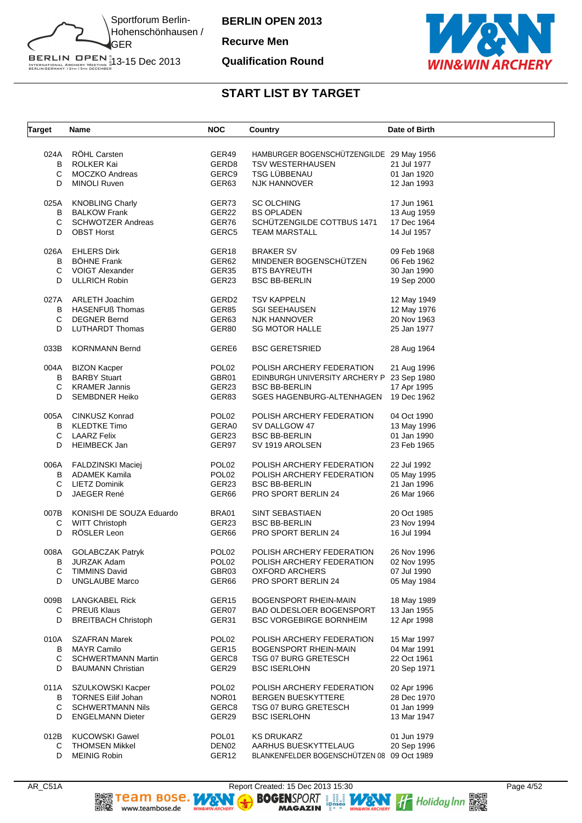

**Recurve Men**

#### **Qualification Round**



| <b>Target</b>       | Name                                                                                        | <b>NOC</b>                                                  | Country                                                                                                                      | Date of Birth                                            |
|---------------------|---------------------------------------------------------------------------------------------|-------------------------------------------------------------|------------------------------------------------------------------------------------------------------------------------------|----------------------------------------------------------|
| B<br>С              | 024A RÖHL Carsten<br>ROLKER Kai<br>MOCZKO Andreas                                           | GER49<br>GERD <sub>8</sub><br>GERC9                         | HAMBURGER BOGENSCHÜTZENGILDE 29 May 1956<br><b>TSV WESTERHAUSEN</b><br><b>TSG LÜBBENAU</b>                                   | 21 Jul 1977<br>01 Jan 1920                               |
| D                   | <b>MINOLI Ruven</b>                                                                         | GER63                                                       | <b>NJK HANNOVER</b>                                                                                                          | 12 Jan 1993                                              |
| 025A                | <b>KNOBLING Charly</b>                                                                      | GER73                                                       | <b>SC OLCHING</b>                                                                                                            | 17 Jun 1961                                              |
| В                   | <b>BALKOW Frank</b>                                                                         | GER22                                                       | <b>BS OPLADEN</b>                                                                                                            | 13 Aug 1959                                              |
| С                   | <b>SCHWOTZER Andreas</b>                                                                    | GER76                                                       | SCHÜTZENGILDE COTTBUS 1471                                                                                                   | 17 Dec 1964                                              |
| D                   | <b>OBST Horst</b>                                                                           | GERC5                                                       | <b>TEAM MARSTALL</b>                                                                                                         | 14 Jul 1957                                              |
| 026A                | <b>EHLERS Dirk</b>                                                                          | GER18                                                       | <b>BRAKER SV</b>                                                                                                             | 09 Feb 1968                                              |
| В                   | <b>BÖHNE Frank</b>                                                                          | GER62                                                       | MINDENER BOGENSCHUTZEN                                                                                                       | 06 Feb 1962                                              |
| C                   | VOIGT Alexander                                                                             | GER35                                                       | <b>BTS BAYREUTH</b>                                                                                                          | 30 Jan 1990                                              |
| D                   | <b>ULLRICH Robin</b>                                                                        | GER23                                                       | <b>BSC BB-BERLIN</b>                                                                                                         | 19 Sep 2000                                              |
| 027A                | <b>ARLETH Joachim</b>                                                                       | GERD2                                                       | <b>TSV KAPPELN</b>                                                                                                           | 12 May 1949                                              |
| B                   | <b>HASENFUß Thomas</b>                                                                      | GER85                                                       | <b>SGI SEEHAUSEN</b>                                                                                                         | 12 May 1976                                              |
| С                   | <b>DEGNER Bernd</b>                                                                         | GER63                                                       | NJK HANNOVER                                                                                                                 | 20 Nov 1963                                              |
| D                   | <b>LUTHARDT Thomas</b>                                                                      | GER80                                                       | <b>SG MOTOR HALLE</b>                                                                                                        | 25 Jan 1977                                              |
| 033B                | <b>KORNMANN Bernd</b>                                                                       | GERE6                                                       | <b>BSC GERETSRIED</b>                                                                                                        | 28 Aug 1964                                              |
| 004A<br>В<br>С<br>D | <b>BIZON Kacper</b><br><b>BARBY Stuart</b><br><b>KRAMER Jannis</b><br><b>SEMBDNER Heiko</b> | POL <sub>02</sub><br>GBR01<br>GER23<br>GER83                | POLISH ARCHERY FEDERATION<br>EDINBURGH UNIVERSITY ARCHERY P 23 Sep 1980<br><b>BSC BB-BERLIN</b><br>SGES HAGENBURG-ALTENHAGEN | 21 Aug 1996<br>17 Apr 1995<br>19 Dec 1962                |
| 005A                | <b>CINKUSZ Konrad</b>                                                                       | POL <sub>02</sub>                                           | POLISH ARCHERY FEDERATION                                                                                                    | 04 Oct 1990                                              |
| В                   | <b>KLEDTKE Timo</b>                                                                         | GERA0                                                       | SV DALLGOW 47                                                                                                                | 13 May 1996                                              |
| C                   | <b>LAARZ Felix</b>                                                                          | GER23                                                       | <b>BSC BB-BERLIN</b>                                                                                                         | 01 Jan 1990                                              |
| D                   | <b>HEIMBECK Jan</b>                                                                         | GER97                                                       | SV 1919 AROLSEN                                                                                                              | 23 Feb 1965                                              |
| B<br>С<br>D         | 006A FALDZINSKI Maciej<br>ADAMEK Kamila<br>LIETZ Dominik<br><b>JAEGER René</b>              | POL <sub>02</sub><br>POL <sub>02</sub><br>GER23<br>GER66    | POLISH ARCHERY FEDERATION<br>POLISH ARCHERY FEDERATION<br><b>BSC BB-BERLIN</b><br>PRO SPORT BERLIN 24                        | 22 Jul 1992<br>05 May 1995<br>21 Jan 1996<br>26 Mar 1966 |
| 007B                | KONISHI DE SOUZA Eduardo                                                                    | BRA01                                                       | SINT SEBASTIAEN                                                                                                              | 20 Oct 1985                                              |
| С                   | <b>WITT Christoph</b>                                                                       | GER23                                                       | <b>BSC BB-BERLIN</b>                                                                                                         | 23 Nov 1994                                              |
| D                   | RÖSLER Leon                                                                                 | GER66                                                       | PRO SPORT BERLIN 24                                                                                                          | 16 Jul 1994                                              |
| 008A                | <b>GOLABCZAK Patryk</b>                                                                     | POL <sub>02</sub>                                           | POLISH ARCHERY FEDERATION                                                                                                    | 26 Nov 1996                                              |
| В                   | <b>JURZAK Adam</b>                                                                          | POL <sub>02</sub>                                           | POLISH ARCHERY FEDERATION                                                                                                    | 02 Nov 1995                                              |
| С                   | <b>TIMMINS David</b>                                                                        | GBR03                                                       | OXFORD ARCHERS                                                                                                               | 07 Jul 1990                                              |
| D                   | <b>UNGLAUBE Marco</b>                                                                       | GER66                                                       | PRO SPORT BERLIN 24                                                                                                          | 05 May 1984                                              |
| 009B                | <b>LANGKABEL Rick</b>                                                                       | GER <sub>15</sub>                                           | <b>BOGENSPORT RHEIN-MAIN</b>                                                                                                 | 18 May 1989                                              |
| C.                  | <b>PREUß Klaus</b>                                                                          | GER07                                                       | BAD OLDESLOER BOGENSPORT                                                                                                     | 13 Jan 1955                                              |
| D                   | <b>BREITBACH Christoph</b>                                                                  | GER31                                                       | <b>BSC VORGEBIRGE BORNHEIM</b>                                                                                               | 12 Apr 1998                                              |
| 010A                | <b>SZAFRAN Marek</b>                                                                        | POL <sub>02</sub>                                           | POLISH ARCHERY FEDERATION                                                                                                    | 15 Mar 1997                                              |
| B                   | <b>MAYR Camilo</b>                                                                          | GER <sub>15</sub>                                           | BOGENSPORT RHEIN-MAIN                                                                                                        | 04 Mar 1991                                              |
| C                   | <b>SCHWERTMANN Martin</b>                                                                   | GERC8                                                       | <b>TSG 07 BURG GRETESCH</b>                                                                                                  | 22 Oct 1961                                              |
| D                   | <b>BAUMANN Christian</b>                                                                    | GER29                                                       | <b>BSC ISERLOHN</b>                                                                                                          | 20 Sep 1971                                              |
| 011A                | SZULKOWSKI Kacper                                                                           | POL <sub>02</sub>                                           | POLISH ARCHERY FEDERATION                                                                                                    | 02 Apr 1996                                              |
| B                   | <b>TORNES Eilif Johan</b>                                                                   | NOR01                                                       | <b>BERGEN BUESKYTTERE</b>                                                                                                    | 28 Dec 1970                                              |
| С                   | <b>SCHWERTMANN Nils</b>                                                                     | GERC8                                                       | TSG 07 BURG GRETESCH                                                                                                         | 01 Jan 1999                                              |
| D                   | <b>ENGELMANN Dieter</b>                                                                     | GER29                                                       | <b>BSC ISERLOHN</b>                                                                                                          | 13 Mar 1947                                              |
| 012B<br>С<br>D      | <b>KUCOWSKI Gawel</b><br><b>THOMSEN Mikkel</b><br><b>MEINIG Robin</b>                       | POL <sub>01</sub><br>DEN <sub>02</sub><br>GER <sub>12</sub> | <b>KS DRUKARZ</b><br>AARHUS BUESKYTTELAUG<br>BLANKENFELDER BOGENSCHÜTZEN 08 09 Oct 1989                                      | 01 Jun 1979<br>20 Sep 1996                               |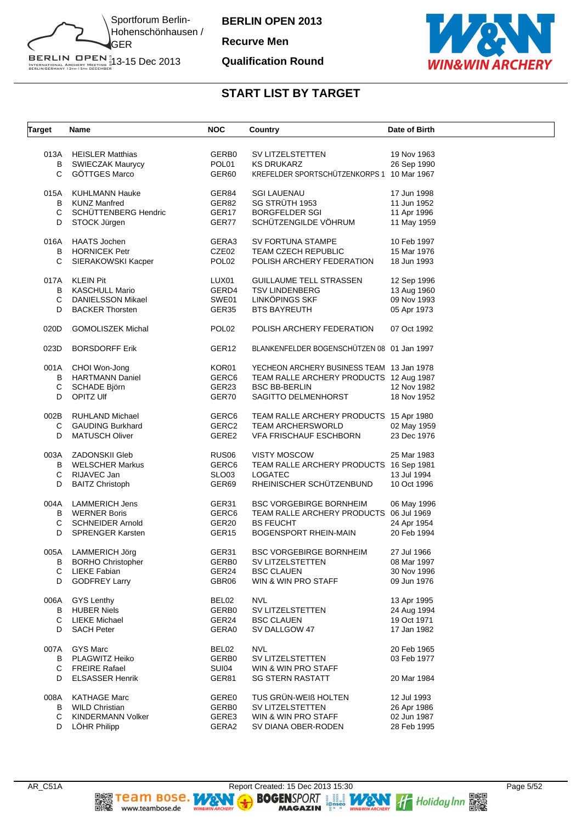

**Recurve Men**

#### **Qualification Round**



| <b>Target</b> | Name                       | <b>NOC</b>        | Country                                    | Date of Birth |
|---------------|----------------------------|-------------------|--------------------------------------------|---------------|
|               | 013A HEISLER Matthias      | GERB0             | SV LITZELSTETTEN                           | 19 Nov 1963   |
| В             | <b>SWIECZAK Maurycy</b>    | POL01             | <b>KS DRUKARZ</b>                          | 26 Sep 1990   |
|               | <b>GÖTTGES Marco</b>       |                   |                                            |               |
| C             |                            | GER60             | KREFELDER SPORTSCHUTZENKORPS 1 10 Mar 1967 |               |
| 015A          | KUHLMANN Hauke             | GER84             | SGI LAUENAU                                | 17 Jun 1998   |
| В             | <b>KUNZ Manfred</b>        | GER82             | SG STRÜTH 1953                             | 11 Jun 1952   |
| С             | SCHÜTTENBERG Hendric       | GER17             | <b>BORGFELDER SGI</b>                      | 11 Apr 1996   |
| D             | STOCK Jürgen               | GER77             | SCHÜTZENGILDE VÖHRUM                       | 11 May 1959   |
|               |                            |                   |                                            |               |
| 016A          | <b>HAATS Jochen</b>        | GERA3             | SV FORTUNA STAMPE                          | 10 Feb 1997   |
| В             | <b>HORNICEK Petr</b>       | CZE02             | TEAM CZECH REPUBLIC                        | 15 Mar 1976   |
| С             | SIERAKOWSKI Kacper         | POL <sub>02</sub> | POLISH ARCHERY FEDERATION                  | 18 Jun 1993   |
| 017A          | KLEIN Pit                  | LUX01             |                                            |               |
|               |                            |                   | GUILLAUME TELL STRASSEN                    | 12 Sep 1996   |
| В             | KASCHULL Mario             | GERD4             | <b>TSV LINDENBERG</b>                      | 13 Aug 1960   |
| С             | DANIELSSON Mikael          | SWE01             | LINKÖPINGS SKF                             | 09 Nov 1993   |
| D             | <b>BACKER Thorsten</b>     | GER35             | <b>BTS BAYREUTH</b>                        | 05 Apr 1973   |
| 020D          | <b>GOMOLISZEK Michal</b>   | POL <sub>02</sub> | POLISH ARCHERY FEDERATION                  | 07 Oct 1992   |
|               |                            |                   |                                            |               |
| 023D          | <b>BORSDORFF Erik</b>      | GER <sub>12</sub> | BLANKENFELDER BOGENSCHÜTZEN 08 01 Jan 1997 |               |
|               |                            |                   |                                            |               |
|               | 001A CHOI Won-Jong         | KOR01             | YECHEON ARCHERY BUSINESS TEAM 13 Jan 1978  |               |
| B             | HARTMANN Daniel            | GERC <sub>6</sub> | TEAM RALLE ARCHERY PRODUCTS 12 Aug 1987    |               |
| С             | SCHADE Björn               | GER23             | <b>BSC BB-BERLIN</b>                       | 12 Nov 1982   |
| D             | OPITZ Ulf                  | GER70             | SAGITTO DELMENHORST                        | 18 Nov 1952   |
| 002B          | <b>RUHLAND Michael</b>     | GERC6             | TEAM RALLE ARCHERY PRODUCTS 15 Apr 1980    |               |
| С             | <b>GAUDING Burkhard</b>    | GERC2             | <b>TEAM ARCHERSWORLD</b>                   | 02 May 1959   |
| D             | <b>MATUSCH Oliver</b>      | GERE2             | VFA FRISCHAUF ESCHBORN                     | 23 Dec 1976   |
|               |                            |                   |                                            |               |
| 003A          | ZADONSKII Gleb             | RUS <sub>06</sub> | <b>VISTY MOSCOW</b>                        | 25 Mar 1983   |
| B             | <b>WELSCHER Markus</b>     | GERC6             | TEAM RALLE ARCHERY PRODUCTS 16 Sep 1981    |               |
| С             | RIJAVEC Jan                | SLO <sub>03</sub> | <b>LOGATEC</b>                             | 13 Jul 1994   |
| D             | <b>BAITZ Christoph</b>     | GER69             | RHEINISCHER SCHÜTZENBUND                   | 10 Oct 1996   |
|               |                            |                   |                                            |               |
|               | 004A LAMMERICH Jens        | GER31             | <b>BSC VORGEBIRGE BORNHEIM</b>             | 06 May 1996   |
| В             | <b>WERNER Boris</b>        | GERC6             | TEAM RALLE ARCHERY PRODUCTS 06 Jul 1969    |               |
| С             | <b>SCHNEIDER Arnold</b>    | GER20             | <b>BS FEUCHT</b>                           | 24 Apr 1954   |
| D             | <b>SPRENGER Karsten</b>    | GER <sub>15</sub> | <b>BOGENSPORT RHEIN-MAIN</b>               | 20 Feb 1994   |
|               | 005A LAMMERICH Jörg        | GER31             | <b>BSC VORGEBIRGE BORNHEIM</b>             | 27 Jul 1966   |
|               | <b>B</b> BORHO Christopher | GERB0             | SV LITZELSTETTEN                           | 08 Mar 1997   |
| С             | <b>LIEKE Fabian</b>        | GER24             | <b>BSC CLAUEN</b>                          | 30 Nov 1996   |
| D             |                            |                   | WIN & WIN PRO STAFF                        |               |
|               | <b>GODFREY Larry</b>       | GBR06             |                                            | 09 Jun 1976   |
| 006A          | GYS Lenthy                 | BEL02             | <b>NVL</b>                                 | 13 Apr 1995   |
| В             | <b>HUBER Niels</b>         | GERB0             | SV LITZELSTETTEN                           | 24 Aug 1994   |
| С             | <b>LIEKE Michael</b>       | GER24             | <b>BSC CLAUEN</b>                          | 19 Oct 1971   |
| D             | <b>SACH Peter</b>          | GERA0             | SV DALLGOW 47                              | 17 Jan 1982   |
|               |                            |                   |                                            |               |
| 007A          | <b>GYS Marc</b>            | BEL02             | <b>NVL</b>                                 | 20 Feb 1965   |
| В             | PLAGWITZ Heiko             | GERB0             | SV LITZELSTETTEN                           | 03 Feb 1977   |
| С             | <b>FREIRE Rafael</b>       | <b>SUI04</b>      | WIN & WIN PRO STAFF                        |               |
| D             | <b>ELSASSER Henrik</b>     | GER81             | <b>SG STERN RASTATT</b>                    | 20 Mar 1984   |
| 008A          | <b>KATHAGE Marc</b>        | <b>GERE0</b>      | TUS GRÜN-WEIß HOLTEN                       | 12 Jul 1993   |
|               | <b>WILD Christian</b>      | GERB0             | SV LITZELSTETTEN                           |               |
| В             |                            |                   |                                            | 26 Apr 1986   |
| С             | KINDERMANN Volker          | GERE3             | WIN & WIN PRO STAFF                        | 02 Jun 1987   |
| D             | LÖHR Philipp               | GERA2             | SV DIANA OBER-RODEN                        | 28 Feb 1995   |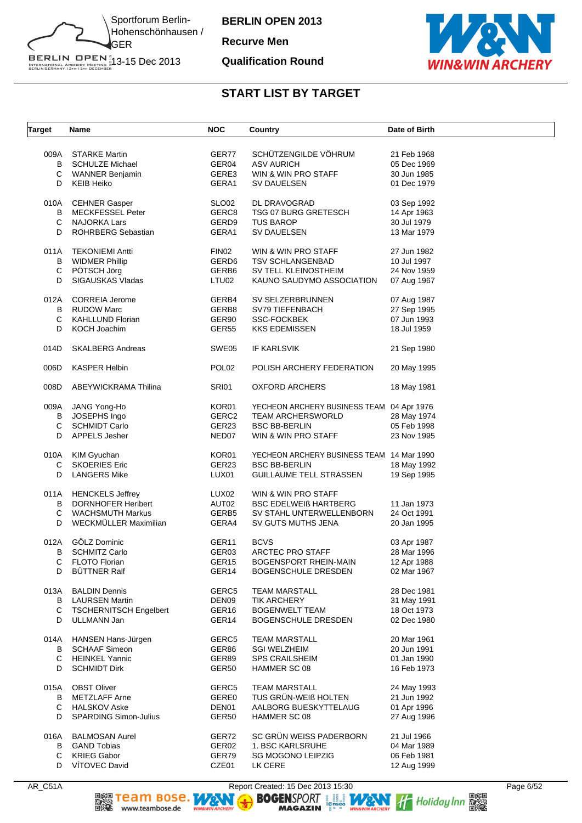

**Recurve Men**

#### **Qualification Round**



### **START LIST BY TARGET**

| <b>Target</b> | <b>Name</b>                   | <b>NOC</b>        | Country                                   | Date of Birth |
|---------------|-------------------------------|-------------------|-------------------------------------------|---------------|
|               | 009A STARKE Martin            | GER77             | SCHÜTZENGILDE VÖHRUM                      | 21 Feb 1968   |
| В             | <b>SCHULZE Michael</b>        | GER04             | <b>ASV AURICH</b>                         | 05 Dec 1969   |
| С             | WANNER Benjamin               | GERE3             | WIN & WIN PRO STAFF                       | 30 Jun 1985   |
| D             | <b>KEIB Heiko</b>             | GERA1             | SV DAUELSEN                               | 01 Dec 1979   |
| 010A          | <b>CEHNER Gasper</b>          | SLO <sub>02</sub> | DL DRAVOGRAD                              | 03 Sep 1992   |
| В             | <b>MECKFESSEL Peter</b>       | GERC8             | TSG 07 BURG GRETESCH                      | 14 Apr 1963   |
| С             | <b>NAJORKA Lars</b>           | GERD9             | <b>TUS BAROP</b>                          | 30 Jul 1979   |
| D             | <b>ROHRBERG Sebastian</b>     | GERA1             | <b>SV DAUELSEN</b>                        | 13 Mar 1979   |
| 011A          | <b>TEKONIEMI Antti</b>        | FIN02             | WIN & WIN PRO STAFF                       | 27 Jun 1982   |
| В             | <b>WIDMER Phillip</b>         | GERD <sub>6</sub> | <b>TSV SCHLANGENBAD</b>                   | 10 Jul 1997   |
| C             | PÖTSCH Jörg                   | GERB <sub>6</sub> | SV TELL KLEINOSTHEIM                      | 24 Nov 1959   |
| D             | SIGAUSKAS Vladas              | LTU02             | KAUNO SAUDYMO ASSOCIATION                 | 07 Aug 1967   |
| 012A          | <b>CORREIA Jerome</b>         | GERB4             | SV SELZERBRUNNEN                          | 07 Aug 1987   |
| B             | <b>RUDOW Marc</b>             | GERB8             | SV79 TIEFENBACH                           | 27 Sep 1995   |
| C             | <b>KAHLLUND Florian</b>       | GER90             | <b>SSC-FOCKBEK</b>                        | 07 Jun 1993   |
| D             | KOCH Joachim                  | GER55             | <b>KKS EDEMISSEN</b>                      | 18 Jul 1959   |
| 014D          | <b>SKALBERG Andreas</b>       | SWE05             | IF KARLSVIK                               | 21 Sep 1980   |
| 006D          | <b>KASPER Helbin</b>          | POL <sub>02</sub> | POLISH ARCHERY FEDERATION                 | 20 May 1995   |
| 008D          | ABEYWICKRAMA Thilina          | <b>SRI01</b>      | OXFORD ARCHERS                            | 18 May 1981   |
| 009A          | JANG Yong-Ho                  | KOR01             | YECHEON ARCHERY BUSINESS TEAM 04 Apr 1976 |               |
| В             | JOSEPHS Ingo                  | GERC2             | <b>TEAM ARCHERSWORLD</b>                  | 28 May 1974   |
| C             | <b>SCHMIDT Carlo</b>          | GER23             | <b>BSC BB-BERLIN</b>                      | 05 Feb 1998   |
| D             | APPELS Jesher                 | NED07             | WIN & WIN PRO STAFF                       | 23 Nov 1995   |
|               |                               |                   |                                           |               |
| 010A          | KIM Gyuchan                   | KOR01             | YECHEON ARCHERY BUSINESS TEAM 14 Mar 1990 |               |
| С             | <b>SKOERIES Eric</b>          | GER23             | <b>BSC BB-BERLIN</b>                      | 18 May 1992   |
| D             | <b>LANGERS Mike</b>           | LUX01             | <b>GUILLAUME TELL STRASSEN</b>            | 19 Sep 1995   |
| 011A          | <b>HENCKELS Jeffrey</b>       | LUX02             | WIN & WIN PRO STAFF                       |               |
| B             | <b>DORNHOFER Heribert</b>     | AUT02             | <b>BSC EDELWEIB HARTBERG</b>              | 11 Jan 1973   |
| C             | <b>WACHSMUTH Markus</b>       | GERB5             | SV STAHL UNTERWELLENBORN                  | 24 Oct 1991   |
| D             | WECKMÜLLER Maximilian         | GERA4             | SV GUTS MUTHS JENA                        | 20 Jan 1995   |
| 012A          | GÖLZ Dominic                  | GER <sub>11</sub> | <b>BCVS</b>                               | 03 Apr 1987   |
| B             | <b>SCHMITZ Carlo</b>          | GER03             | ARCTEC PRO STAFF                          | 28 Mar 1996   |
| С             | <b>FLOTO Florian</b>          | GER <sub>15</sub> | <b>BOGENSPORT RHEIN-MAIN</b>              | 12 Apr 1988   |
| D             | <b>BÜTTNER Ralf</b>           | GER14             | BOGENSCHULE DRESDEN                       | 02 Mar 1967   |
| 013A          | <b>BALDIN Dennis</b>          | GERC5             | <b>TEAM MARSTALL</b>                      | 28 Dec 1981   |
| B             | <b>LAURSEN Martin</b>         | DEN09             | <b>TIK ARCHERY</b>                        | 31 May 1991   |
| С             | <b>TSCHERNITSCH Engelbert</b> | GER <sub>16</sub> | <b>BOGENWELT TEAM</b>                     | 18 Oct 1973   |
| D             | ULLMANN Jan                   | GER <sub>14</sub> | <b>BOGENSCHULE DRESDEN</b>                | 02 Dec 1980   |
| 014A          | HANSEN Hans-Jürgen            | GERC5             | <b>TEAM MARSTALL</b>                      | 20 Mar 1961   |
| B             | <b>SCHAAF Simeon</b>          | GER86             | <b>SGI WELZHEIM</b>                       | 20 Jun 1991   |
| C             | <b>HEINKEL Yannic</b>         | GER89             | <b>SPS CRAILSHEIM</b>                     | 01 Jan 1990   |
| D             | <b>SCHMIDT Dirk</b>           | GER50             | HAMMER SC 08                              | 16 Feb 1973   |
| 015A          | <b>OBST Oliver</b>            | GERC5             | <b>TEAM MARSTALL</b>                      | 24 May 1993   |
| В             | <b>METZLAFF Arne</b>          | GERE0             | TUS GRÜN-WEIß HOLTEN                      | 21 Jun 1992   |
| C             | <b>HALSKOV Aske</b>           | DEN01             | AALBORG BUESKYTTELAUG                     | 01 Apr 1996   |
| D             | <b>SPARDING Simon-Julius</b>  | GER50             | HAMMER SC 08                              | 27 Aug 1996   |
| 016A          | <b>BALMOSAN Aurel</b>         | GER72             | SC GRÜN WEISS PADERBORN                   | 21 Jul 1966   |
| В             | <b>GAND Tobias</b>            | GER02             | 1. BSC KARLSRUHE                          | 04 Mar 1989   |
| С             | <b>KRIEG Gabor</b>            | GER79             | <b>SG MOGONO LEIPZIG</b>                  | 06 Feb 1981   |
| D             | VÍTOVEC David                 | CZE01             | LK CERE                                   | 12 Aug 1999   |
|               |                               |                   |                                           |               |

AR\_C51A Report Created: 15 Dec 2013 15:30 Page 6/52<br>Report Created: 15 Dec 2013 15:30 Page 6/52<br>BOGENSPORT Report Created: 15 Dec 2013 15:30<br>MAGAZIN Report Created: 15 Dec 2013 15:30<br>Hagazin Report Created: 15 Dec 2013 15: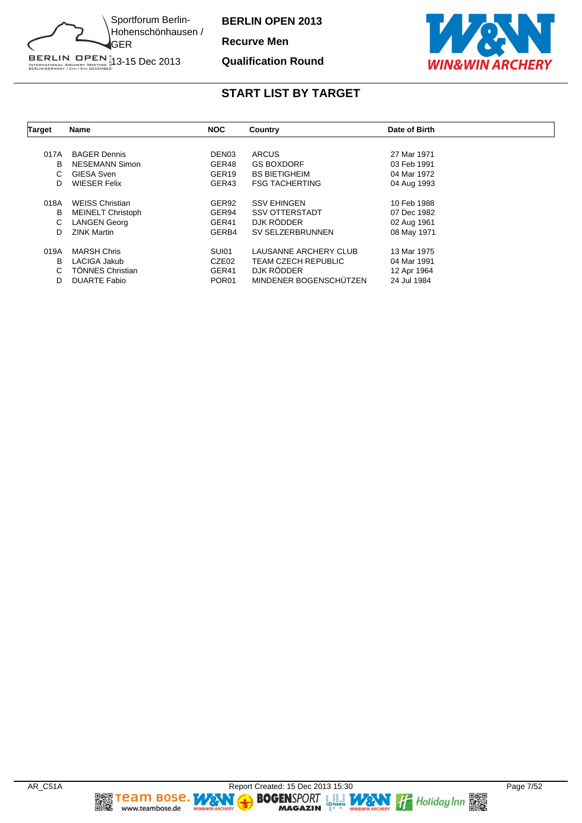

**Recurve Men**

#### **Qualification Round**



| <b>Target</b> | Name                     | <b>NOC</b>        | Country                    | Date of Birth |  |
|---------------|--------------------------|-------------------|----------------------------|---------------|--|
|               |                          |                   |                            |               |  |
| 017A          | <b>BAGER Dennis</b>      | DEN <sub>03</sub> | <b>ARCUS</b>               | 27 Mar 1971   |  |
| B             | <b>NESEMANN Simon</b>    | GER48             | <b>GS BOXDORF</b>          | 03 Feb 1991   |  |
| C.            | <b>GIESA Sven</b>        | GER <sub>19</sub> | <b>BS BIETIGHEIM</b>       | 04 Mar 1972   |  |
| D             | <b>WIESER Felix</b>      | GER43             | <b>FSG TACHERTING</b>      | 04 Aug 1993   |  |
| 018A          | <b>WEISS Christian</b>   | GER92             | <b>SSV EHINGEN</b>         | 10 Feb 1988   |  |
| В             | <b>MEINELT Christoph</b> | GER94             | <b>SSV OTTERSTADT</b>      | 07 Dec 1982   |  |
| C             | <b>LANGEN Georg</b>      | GER41             | DJK RÖDDER                 | 02 Aug 1961   |  |
| D             | <b>ZINK Martin</b>       | GERB4             | SV SELZERBRUNNEN           | 08 May 1971   |  |
| 019A          | <b>MARSH Chris</b>       | SUI01             | LAUSANNE ARCHERY CLUB      | 13 Mar 1975   |  |
| B             | LACIGA Jakub             | CZE02             | <b>TEAM CZECH REPUBLIC</b> | 04 Mar 1991   |  |
| C.            | <b>TÖNNES Christian</b>  | GER41             | DJK RÖDDER                 | 12 Apr 1964   |  |
| D             | <b>DUARTE Fabio</b>      | POR <sub>01</sub> | MINDENER BOGENSCHÜTZEN     | 24 Jul 1984   |  |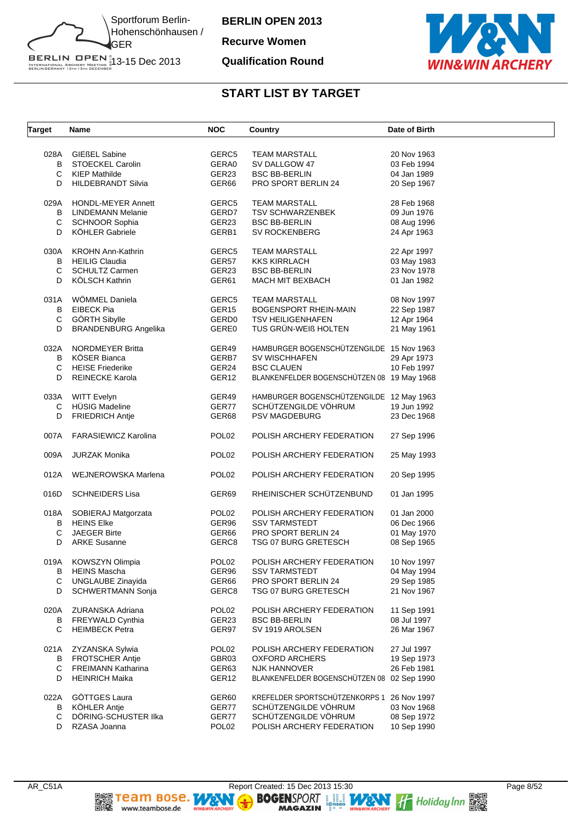

**Recurve Women**

#### **Qualification Round**



| <b>Target</b> | Name                        | <b>NOC</b>        | Country                                    | Date of Birth |
|---------------|-----------------------------|-------------------|--------------------------------------------|---------------|
| 028A          | <b>GIEßEL Sabine</b>        | GERC5             | <b>TEAM MARSTALL</b>                       | 20 Nov 1963   |
| B             | <b>STOECKEL Carolin</b>     | GERA0             | SV DALLGOW 47                              | 03 Feb 1994   |
| С             | <b>KIEP Mathilde</b>        | GER23             | <b>BSC BB-BERLIN</b>                       | 04 Jan 1989   |
|               | <b>HILDEBRANDT Silvia</b>   |                   | PRO SPORT BERLIN 24                        |               |
| D             |                             | GER66             |                                            | 20 Sep 1967   |
| 029A          | <b>HONDL-MEYER Annett</b>   | GERC5             | <b>TEAM MARSTALL</b>                       | 28 Feb 1968   |
| В             | LINDEMANN Melanie           | GERD7             | <b>TSV SCHWARZENBEK</b>                    | 09 Jun 1976   |
| С             | <b>SCHNOOR Sophia</b>       | GER23             | <b>BSC BB-BERLIN</b>                       | 08 Aug 1996   |
| D             | KÖHLER Gabriele             | GERB1             | <b>SV ROCKENBERG</b>                       | 24 Apr 1963   |
| 030A          | <b>KROHN Ann-Kathrin</b>    | GERC5             | <b>TEAM MARSTALL</b>                       | 22 Apr 1997   |
| В             | <b>HEILIG Claudia</b>       | GER57             | <b>KKS KIRRLACH</b>                        | 03 May 1983   |
| C             | <b>SCHULTZ Carmen</b>       | GER23             | <b>BSC BB-BERLIN</b>                       | 23 Nov 1978   |
| D             | KÖLSCH Kathrin              | GER61             | <b>MACH MIT BEXBACH</b>                    | 01 Jan 1982   |
|               |                             |                   |                                            |               |
| 031A          | WÖMMEL Daniela              | GERC5             | <b>TEAM MARSTALL</b>                       | 08 Nov 1997   |
| B             | <b>EIBECK Pia</b>           | GER <sub>15</sub> | <b>BOGENSPORT RHEIN-MAIN</b>               | 22 Sep 1987   |
| C             | GÖRTH Sibylle               | GERD <sub>0</sub> | <b>TSV HEILIGENHAFEN</b>                   | 12 Apr 1964   |
| D             | <b>BRANDENBURG Angelika</b> | GERE0             | TUS GRÜN-WEIß HOLTEN                       | 21 May 1961   |
|               |                             |                   |                                            |               |
| 032A          | <b>NORDMEYER Britta</b>     | GER49             | HAMBURGER BOGENSCHÜTZENGILDE 15 Nov 1963   |               |
| B             | <b>KÖSER Bianca</b>         | GERB7             | SV WISCHHAFEN                              | 29 Apr 1973   |
| C             | <b>HEISE Friederike</b>     | GER24             | <b>BSC CLAUEN</b>                          | 10 Feb 1997   |
| D             | <b>REINECKE Karola</b>      | GER12             | BLANKENFELDER BOGENSCHÜTZEN 08 19 May 1968 |               |
|               |                             |                   |                                            |               |
| 033A          | <b>WITT Evelyn</b>          | GER49             | HAMBURGER BOGENSCHÜTZENGILDE 12 May 1963   |               |
| C             | HÜSIG Madeline              | GER77             | SCHÜTZENGILDE VÖHRUM                       | 19 Jun 1992   |
| D             | <b>FRIEDRICH Antje</b>      | GER68             | <b>PSV MAGDEBURG</b>                       | 23 Dec 1968   |
| 007A          | <b>FARASIEWICZ Karolina</b> | POL <sub>02</sub> | POLISH ARCHERY FEDERATION                  | 27 Sep 1996   |
| 009A          | <b>JURZAK Monika</b>        | POL <sub>02</sub> | POLISH ARCHERY FEDERATION                  | 25 May 1993   |
| 012A          | WEJNEROWSKA Marlena         | POL <sub>02</sub> | POLISH ARCHERY FEDERATION                  | 20 Sep 1995   |
| 016D          | <b>SCHNEIDERS Lisa</b>      | GER69             | RHEINISCHER SCHÜTZENBUND                   | 01 Jan 1995   |
| 018A          | SOBIERAJ Matgorzata         | POL <sub>02</sub> | POLISH ARCHERY FEDERATION                  | 01 Jan 2000   |
| B             | <b>HEINS Elke</b>           | GER96             | <b>SSV TARMSTEDT</b>                       | 06 Dec 1966   |
| С             | <b>JAEGER Birte</b>         | GER66             | PRO SPORT BERLIN 24                        | 01 May 1970   |
| D             | <b>ARKE Susanne</b>         | GERC8             | <b>TSG 07 BURG GRETESCH</b>                | 08 Sep 1965   |
|               |                             |                   |                                            |               |
| 019A          | KOWSZYN Olimpia             | POL02             | POLISH ARCHERY FEDERATION                  | 10 Nov 1997   |
| B             | <b>HEINS Mascha</b>         | GER96             | <b>SSV TARMSTEDT</b>                       | 04 May 1994   |
| С             | <b>UNGLAUBE Zinayida</b>    | GER66             | PRO SPORT BERLIN 24                        | 29 Sep 1985   |
| D             | <b>SCHWERTMANN Sonja</b>    | GERC8             | TSG 07 BURG GRETESCH                       | 21 Nov 1967   |
| 020A          | ZURANSKA Adriana            | POL <sub>02</sub> | POLISH ARCHERY FEDERATION                  | 11 Sep 1991   |
| В             | FREYWALD Cynthia            | GER23             | <b>BSC BB-BERLIN</b>                       | 08 Jul 1997   |
| С             | <b>HEIMBECK Petra</b>       | GER97             | SV 1919 AROLSEN                            | 26 Mar 1967   |
|               |                             |                   |                                            |               |
| 021A          | ZYZANSKA Sylwia             | POL <sub>02</sub> | POLISH ARCHERY FEDERATION                  | 27 Jul 1997   |
| B             | <b>FROTSCHER Antie</b>      | GBR03             | <b>OXFORD ARCHERS</b>                      | 19 Sep 1973   |
| С             | <b>FREIMANN Katharina</b>   | GER63             | NJK HANNOVER                               | 26 Feb 1981   |
| D             | <b>HEINRICH Maika</b>       | GER <sub>12</sub> | BLANKENFELDER BOGENSCHÜTZEN 08 02 Sep 1990 |               |
| 022A          | GÖTTGES Laura               | GER60             | KREFELDER SPORTSCHÜTZENKORPS 1             | 26 Nov 1997   |
| B             | KÖHLER Antje                | GER77             | SCHÜTZENGILDE VÖHRUM                       | 03 Nov 1968   |
| C             | DÖRING-SCHUSTER IIka        | GER77             | SCHUTZENGILDE VOHRUM                       | 08 Sep 1972   |
| D             | RZASA Joanna                | POL <sub>02</sub> | POLISH ARCHERY FEDERATION                  |               |
|               |                             |                   |                                            | 10 Sep 1990   |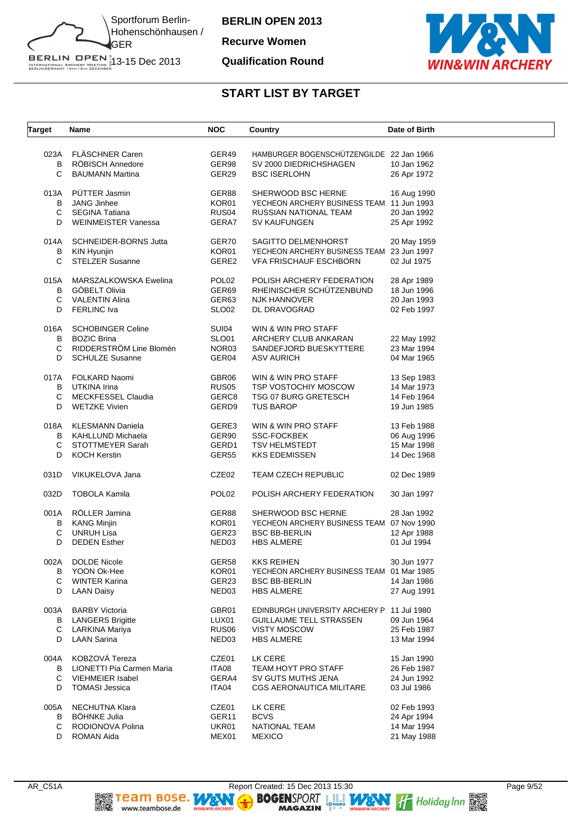

**Recurve Women**

#### **Qualification Round**



| <b>Target</b>       | Name                                                                                                | <b>NOC</b>                                               | Country                                                                                                                  | Date of Birth                                            |
|---------------------|-----------------------------------------------------------------------------------------------------|----------------------------------------------------------|--------------------------------------------------------------------------------------------------------------------------|----------------------------------------------------------|
| B<br>C              | 023A FLÄSCHNER Caren<br>RÖBISCH Annedore<br><b>BAUMANN Martina</b>                                  | GER49<br>GER98<br>GER29                                  | HAMBURGER BOGENSCHÜTZENGILDE 22 Jan 1966<br>SV 2000 DIEDRICHSHAGEN<br><b>BSC ISERLOHN</b>                                | 10 Jan 1962<br>26 Apr 1972                               |
| 013A<br>B<br>C<br>D | PÜTTER Jasmin<br><b>JANG Jinhee</b><br>SEGINA Tatiana<br><b>WEINMEISTER Vanessa</b>                 | GER88<br>KOR01<br>RUS04<br>GERA7                         | SHERWOOD BSC HERNE<br>YECHEON ARCHERY BUSINESS TEAM 11 Jun 1993<br>RUSSIAN NATIONAL TEAM<br>SV KAUFUNGEN                 | 16 Aug 1990<br>20 Jan 1992<br>25 Apr 1992                |
| B<br>C.             | 014A SCHNEIDER-BORNS Jutta<br>KIN Hyunjin<br><b>STELZER Susanne</b>                                 | GER70<br>KOR01<br>GERE2                                  | SAGITTO DELMENHORST<br>YECHEON ARCHERY BUSINESS TEAM 23 Jun 1997<br><b>VFA FRISCHAUF ESCHBORN</b>                        | 20 May 1959<br>02 Jul 1975                               |
| B<br>D              | 015A MARSZALKOWSKA Ewelina<br>GÖBELT Olivia<br>C VALENTIN Alina<br><b>FERLINC Iva</b>               | POL <sub>02</sub><br>GER69<br>GER63<br>SLO <sub>02</sub> | POLISH ARCHERY FEDERATION<br>RHEINISCHER SCHÜTZENBUND<br>NJK HANNOVER<br>DL DRAVOGRAD                                    | 28 Apr 1989<br>18 Jun 1996<br>20 Jan 1993<br>02 Feb 1997 |
| 016A<br>B<br>C<br>D | <b>SCHOBINGER Celine</b><br><b>BOZIC Brina</b><br>RIDDERSTRÖM Line Blomén<br><b>SCHULZE Susanne</b> | <b>SUI04</b><br>SLO01<br>NOR03<br>GER04                  | WIN & WIN PRO STAFF<br>ARCHERY CLUB ANKARAN<br>SANDEFJORD BUESKYTTERE<br><b>ASV AURICH</b>                               | 22 May 1992<br>23 Mar 1994<br>04 Mar 1965                |
| B<br>С<br>D         | 017A FOLKARD Naomi<br>UTKINA Irina<br><b>MECKFESSEL Claudia</b><br>WETZKE Vivien                    | GBR06<br>RUS <sub>05</sub><br>GERC8<br>GERD9             | WIN & WIN PRO STAFF<br>TSP VOSTOCHIY MOSCOW<br><b>TSG 07 BURG GRETESCH</b><br><b>TUS BAROP</b>                           | 13 Sep 1983<br>14 Mar 1973<br>14 Feb 1964<br>19 Jun 1985 |
| 018A<br>В<br>С<br>D | KLESMANN Daniela<br>KAHLLUND Michaela<br>STOTTMEYER Sarah<br><b>KOCH Kerstin</b>                    | GERE3<br>GER90<br>GERD1<br><b>GER55</b>                  | WIN & WIN PRO STAFF<br><b>SSC-FOCKBEK</b><br><b>TSV HELMSTEDT</b><br><b>KKS EDEMISSEN</b>                                | 13 Feb 1988<br>06 Aug 1996<br>15 Mar 1998<br>14 Dec 1968 |
| 031D                | VIKUKELOVA Jana                                                                                     | CZE02                                                    | TEAM CZECH REPUBLIC                                                                                                      | 02 Dec 1989                                              |
| 032D                | <b>TOBOLA Kamila</b>                                                                                | POL <sub>02</sub>                                        | POLISH ARCHERY FEDERATION                                                                                                | 30 Jan 1997                                              |
| 001A<br>С<br>D      | RÖLLER Jamina<br><b>B</b> KANG Minjin<br><b>UNRUH Lisa</b><br><b>DEDEN Esther</b>                   | GER88<br>KOR01<br>GER23<br>NED <sub>03</sub>             | SHERWOOD BSC HERNE<br>YECHEON ARCHERY BUSINESS TEAM 07 Nov 1990<br><b>BSC BB-BERLIN</b><br><b>HBS ALMERE</b>             | 28 Jan 1992<br>12 Apr 1988<br>01 Jul 1994                |
| 002A<br>B<br>C<br>D | <b>DOLDE Nicole</b><br>YOON Ok-Hee<br><b>WINTER Karina</b><br><b>LAAN Daisy</b>                     | GER58<br>KOR01<br>GER23<br>NED <sub>03</sub>             | <b>KKS REIHEN</b><br>YECHEON ARCHERY BUSINESS TEAM 01 Mar 1985<br><b>BSC BB-BERLIN</b><br><b>HBS ALMERE</b>              | 30 Jun 1977<br>14 Jan 1986<br>27 Aug 1991                |
| 003A<br>B<br>С<br>D | <b>BARBY Victoria</b><br><b>LANGERS Brigitte</b><br>LARKINA Mariya<br><b>LAAN Sarina</b>            | GBR01<br>LUX01<br>RUS <sub>06</sub><br>NED <sub>03</sub> | EDINBURGH UNIVERSITY ARCHERY P 11 Jul 1980<br><b>GUILLAUME TELL STRASSEN</b><br><b>VISTY MOSCOW</b><br><b>HBS ALMERE</b> | 09 Jun 1964<br>25 Feb 1987<br>13 Mar 1994                |
| 004A<br>B<br>С<br>D | KOBZOVÁ Tereza<br>LIONETTI Pia Carmen Maria<br>VIEHMEIER Isabel<br><b>TOMASI Jessica</b>            | CZE01<br>ITA08<br>GERA4<br>ITA04                         | LK CERE<br>TEAM HOYT PRO STAFF<br>SV GUTS MUTHS JENA<br>CGS AERONAUTICA MILITARE                                         | 15 Jan 1990<br>26 Feb 1987<br>24 Jun 1992<br>03 Jul 1986 |
| 005A<br>B<br>С<br>D | NECHUTNA Klara<br><b>BÖHNKE Julia</b><br>RODIONOVA Polina<br><b>ROMAN Aida</b>                      | CZE01<br>GER <sub>11</sub><br>UKR01<br>MEX01             | LK CERE<br><b>BCVS</b><br>NATIONAL TEAM<br><b>MEXICO</b>                                                                 | 02 Feb 1993<br>24 Apr 1994<br>14 Mar 1994<br>21 May 1988 |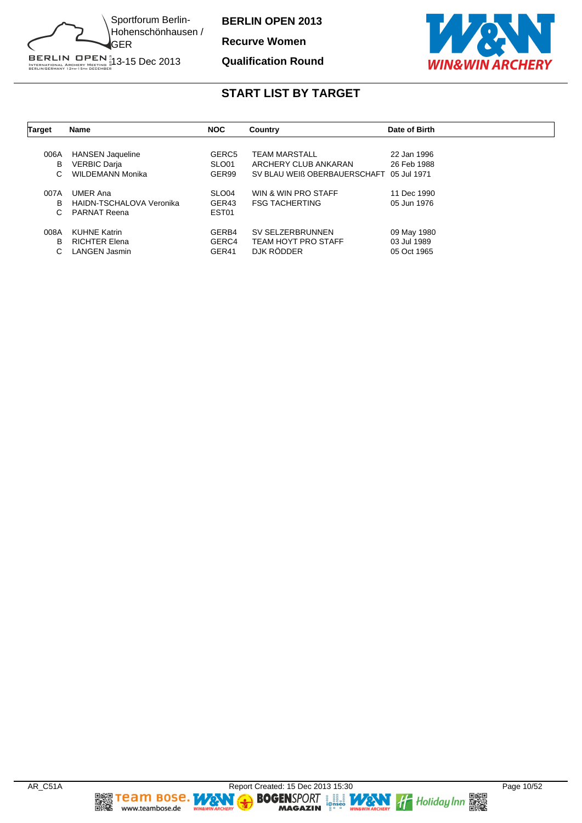

**Recurve Women**

#### **Qualification Round**



| <b>Target</b> | Name                     | <b>NOC</b>        | Country                                  | Date of Birth |
|---------------|--------------------------|-------------------|------------------------------------------|---------------|
|               |                          |                   |                                          |               |
| 006A          | <b>HANSEN Jaqueline</b>  | GERC <sub>5</sub> | TEAM MARSTALL                            | 22 Jan 1996   |
| в             | <b>VERBIC Darja</b>      | SLO01             | ARCHERY CLUB ANKARAN                     | 26 Feb 1988   |
| C.            | <b>WILDEMANN Monika</b>  | GER99             | SV BLAU WEIß OBERBAUERSCHAFT 05 Jul 1971 |               |
| 007A          | <b>UMER Ana</b>          | SLO <sub>04</sub> | WIN & WIN PRO STAFF                      | 11 Dec 1990   |
| B             | HAIDN-TSCHALOVA Veronika | GER43             | <b>FSG TACHERTING</b>                    | 05 Jun 1976   |
| C.            | <b>PARNAT Reena</b>      | EST <sub>01</sub> |                                          |               |
| 008A          | <b>KUHNE Katrin</b>      | GERB4             | SV SELZERBRUNNEN                         | 09 May 1980   |
| B             | <b>RICHTER Elena</b>     | GERC4             | <b>TEAM HOYT PRO STAFF</b>               | 03 Jul 1989   |
| C.            | LANGEN Jasmin            | GER41             | DJK RÖDDER                               | 05 Oct 1965   |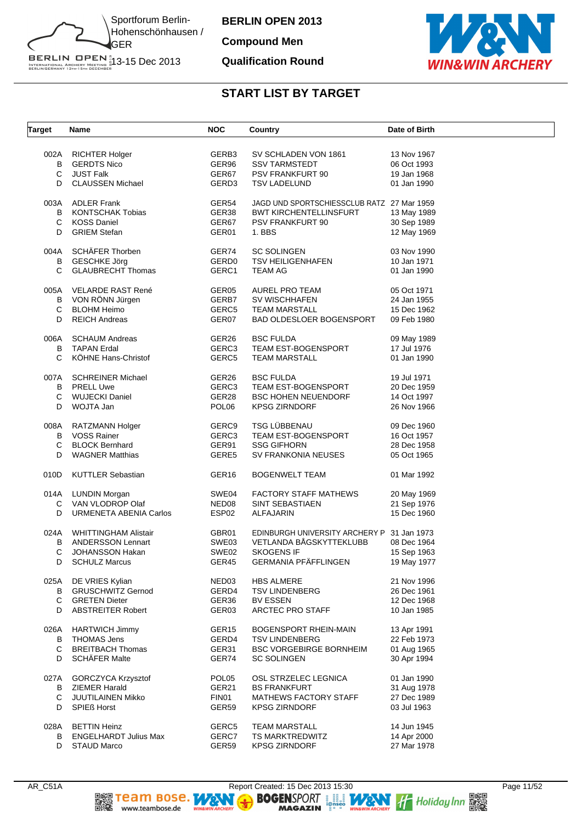

**Compound Men**

#### **Qualification Round**



| <b>Target</b> | Name                         | <b>NOC</b>        | Country                                    | Date of Birth |
|---------------|------------------------------|-------------------|--------------------------------------------|---------------|
| 002A          | <b>RICHTER Holger</b>        | GERB3             | SV SCHLADEN VON 1861                       | 13 Nov 1967   |
| B             | <b>GERDTS Nico</b>           | GER96             | <b>SSV TARMSTEDT</b>                       | 06 Oct 1993   |
| C             | <b>JUST Falk</b>             | GER67             | PSV FRANKFURT 90                           | 19 Jan 1968   |
| D             | <b>CLAUSSEN Michael</b>      | GERD3             | <b>TSV LADELUND</b>                        | 01 Jan 1990   |
| 003A          | <b>ADLER Frank</b>           | GER54             | JAGD UND SPORTSCHIESSCLUB RATZ 27 Mar 1959 |               |
| B             | <b>KONTSCHAK Tobias</b>      | GER38             | <b>BWT KIRCHENTELLINSFURT</b>              | 13 May 1989   |
| С             | <b>KOSS Daniel</b>           | GER67             | <b>PSV FRANKFURT 90</b>                    | 30 Sep 1989   |
| D             | <b>GRIEM Stefan</b>          | GER01             | 1. BBS                                     | 12 May 1969   |
| 004A          | SCHÄFER Thorben              | GER74             | <b>SC SOLINGEN</b>                         | 03 Nov 1990   |
| В             | <b>GESCHKE Jörg</b>          | GERD <sub>0</sub> | <b>TSV HEILIGENHAFEN</b>                   | 10 Jan 1971   |
| C             | <b>GLAUBRECHT Thomas</b>     | GERC1             | <b>TEAM AG</b>                             | 01 Jan 1990   |
| 005A          | VELARDE RAST René            | GER05             | AUREL PRO TEAM                             | 05 Oct 1971   |
|               | B VON RÖNN Jürgen            | GERB7             | SV WISCHHAFEN                              | 24 Jan 1955   |
| C             | <b>BLOHM Heimo</b>           | GERC5             | <b>TEAM MARSTALL</b>                       | 15 Dec 1962   |
| D             | <b>REICH Andreas</b>         | GER07             | BAD OLDESLOER BOGENSPORT                   | 09 Feb 1980   |
| 006A          | <b>SCHAUM Andreas</b>        | GER26             | <b>BSC FULDA</b>                           | 09 May 1989   |
| B             | <b>TAPAN Erdal</b>           | GERC3             | <b>TEAM EST-BOGENSPORT</b>                 | 17 Jul 1976   |
| C             | KÖHNE Hans-Christof          | GERC5             | <b>TEAM MARSTALL</b>                       | 01 Jan 1990   |
| 007A          | <b>SCHREINER Michael</b>     | GER26             | <b>BSC FULDA</b>                           | 19 Jul 1971   |
|               | <b>B</b> PRELL Uwe           | GERC3             | <b>TEAM EST-BOGENSPORT</b>                 | 20 Dec 1959   |
| С             | <b>WUJECKI Daniel</b>        | GER28             | <b>BSC HOHEN NEUENDORF</b>                 | 14 Oct 1997   |
| D             | WOJTA Jan                    | POL <sub>06</sub> | <b>KPSG ZIRNDORF</b>                       | 26 Nov 1966   |
| 008A          | RATZMANN Holger              | GERC9             | TSG LÜBBENAU                               | 09 Dec 1960   |
| B             | <b>VOSS Rainer</b>           | GERC3             | <b>TEAM EST-BOGENSPORT</b>                 | 16 Oct 1957   |
| С             | <b>BLOCK Bernhard</b>        | GER91             | <b>SSG GIFHORN</b>                         | 28 Dec 1958   |
| D             | <b>WAGNER Matthias</b>       | GERE5             | SV FRANKONIA NEUSES                        | 05 Oct 1965   |
| 010D          | <b>KUTTLER Sebastian</b>     | GER <sub>16</sub> | <b>BOGENWELT TEAM</b>                      | 01 Mar 1992   |
|               | 014A LUNDIN Morgan           | SWE04             | <b>FACTORY STAFF MATHEWS</b>               | 20 May 1969   |
| C             | VAN VLODROP Olaf             | NED <sub>08</sub> | <b>SINT SEBASTIAEN</b>                     | 21 Sep 1976   |
| D             | URMENETA ABENIA Carlos       | ESP <sub>02</sub> | ALFAJARIN                                  | 15 Dec 1960   |
| 024A          | <b>WHITTINGHAM Alistair</b>  | GBR01             | EDINBURGH UNIVERSITY ARCHERY P 31 Jan 1973 |               |
| B             | <b>ANDERSSON Lennart</b>     | SWE03             | VETLANDA BÅGSKYTTEKLUBB                    | 08 Dec 1964   |
| C             | <b>JOHANSSON Hakan</b>       | SWE02             | <b>SKOGENS IF</b>                          | 15 Sep 1963   |
| D             | <b>SCHULZ Marcus</b>         | GER45             | GERMANIA PFÄFFLINGEN                       | 19 May 1977   |
| 025A          | DE VRIES Kylian              | NED <sub>03</sub> | <b>HBS ALMERE</b>                          | 21 Nov 1996   |
| B             | <b>GRUSCHWITZ Gernod</b>     | GERD4             | <b>TSV LINDENBERG</b>                      | 26 Dec 1961   |
| C             | <b>GRETEN Dieter</b>         | GER36             | <b>BV ESSEN</b>                            | 12 Dec 1968   |
| D             | <b>ABSTREITER Robert</b>     | GER03             | ARCTEC PRO STAFF                           | 10 Jan 1985   |
| 026A          | <b>HARTWICH Jimmy</b>        | GER <sub>15</sub> | <b>BOGENSPORT RHEIN-MAIN</b>               | 13 Apr 1991   |
| B             | <b>THOMAS Jens</b>           | GERD4             | <b>TSV LINDENBERG</b>                      | 22 Feb 1973   |
| С             | <b>BREITBACH Thomas</b>      | GER31             | <b>BSC VORGEBIRGE BORNHEIM</b>             | 01 Aug 1965   |
| D             | <b>SCHÄFER Malte</b>         | GER74             | <b>SC SOLINGEN</b>                         | 30 Apr 1994   |
| 027A          | GORCZYCA Krzysztof           | POL <sub>05</sub> | OSL STRZELEC LEGNICA                       | 01 Jan 1990   |
| В             | <b>ZIEMER Harald</b>         | GER21             | <b>BS FRANKFURT</b>                        | 31 Aug 1978   |
| С             | JUUTILAINEN Mikko            | FIN01             | <b>MATHEWS FACTORY STAFF</b>               | 27 Dec 1989   |
| D             | <b>SPIEß Horst</b>           | GER59             | <b>KPSG ZIRNDORF</b>                       | 03 Jul 1963   |
| 028A          | <b>BETTIN Heinz</b>          | GERC5             | <b>TEAM MARSTALL</b>                       | 14 Jun 1945   |
| В             | <b>ENGELHARDT Julius Max</b> | GERC7             | TS MARKTREDWITZ                            | 14 Apr 2000   |
| D             | STAUD Marco                  | GER59             | <b>KPSG ZIRNDORF</b>                       | 27 Mar 1978   |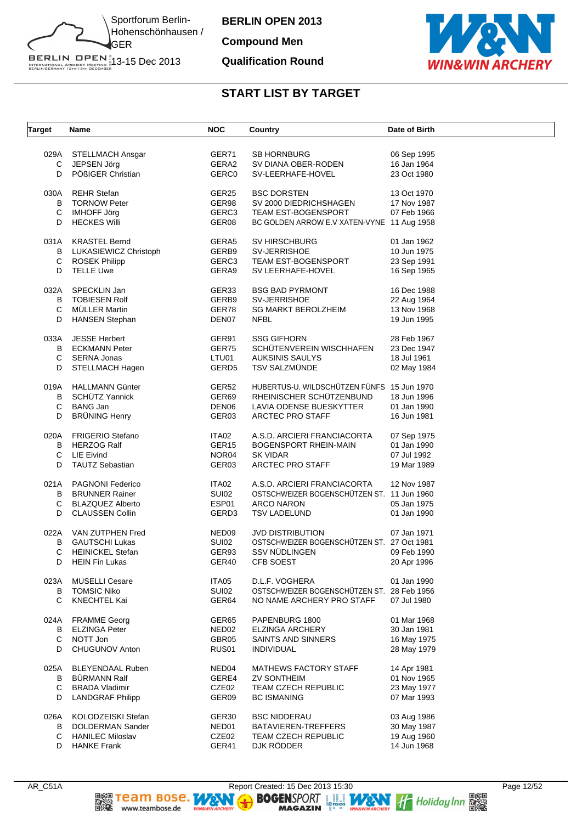

**Compound Men**

#### **Qualification Round**



| Target              | Name                                                                                           | <b>NOC</b>                       | Country                                                                                                               | Date of Birth                             |
|---------------------|------------------------------------------------------------------------------------------------|----------------------------------|-----------------------------------------------------------------------------------------------------------------------|-------------------------------------------|
| 029A                | <b>STELLMACH Ansgar</b>                                                                        | GER71                            | SB HORNBURG                                                                                                           | 06 Sep 1995                               |
| С                   | JEPSEN Jörg                                                                                    | GERA2                            | SV DIANA OBER-RODEN                                                                                                   | 16 Jan 1964                               |
| D                   | PÖßIGER Christian                                                                              | <b>GERC0</b>                     | SV-LEERHAFE-HOVEL                                                                                                     | 23 Oct 1980                               |
| 030A<br>В<br>C<br>D | <b>REHR Stefan</b><br><b>TORNOW Peter</b><br><b>IMHOFF Jörg</b><br><b>HECKES Willi</b>         | GER25<br>GER98<br>GERC3<br>GER08 | <b>BSC DORSTEN</b><br>SV 2000 DIEDRICHSHAGEN<br>TEAM EST-BOGENSPORT<br>BC GOLDEN ARROW E.V XATEN-VYNE 11 Aug 1958     | 13 Oct 1970<br>17 Nov 1987<br>07 Feb 1966 |
| 031A                | <b>KRASTEL Bernd</b>                                                                           | GERA5                            | <b>SV HIRSCHBURG</b>                                                                                                  | 01 Jan 1962                               |
| В                   | LUKASIEWICZ Christoph                                                                          | GERB9                            | SV-JERRISHOE                                                                                                          | 10 Jun 1975                               |
| С                   | <b>ROSEK Philipp</b>                                                                           | GERC3                            | TEAM EST-BOGENSPORT                                                                                                   | 23 Sep 1991                               |
| D                   | <b>TELLE Uwe</b>                                                                               | GERA9                            | SV LEERHAFE-HOVEL                                                                                                     | 16 Sep 1965                               |
| 032A                | SPECKLIN Jan                                                                                   | GER33                            | <b>BSG BAD PYRMONT</b>                                                                                                | 16 Dec 1988                               |
| B                   | <b>TOBIESEN Rolf</b>                                                                           | GERB9                            | SV-JERRISHOE                                                                                                          | 22 Aug 1964                               |
| C                   | <b>MÜLLER Martin</b>                                                                           | GER78                            | <b>SG MARKT BEROLZHEIM</b>                                                                                            | 13 Nov 1968                               |
| D                   | <b>HANSEN Stephan</b>                                                                          | DEN07                            | <b>NFBL</b>                                                                                                           | 19 Jun 1995                               |
| 033A                | <b>JESSE Herbert</b>                                                                           | GER91                            | <b>SSG GIFHORN</b>                                                                                                    | 28 Feb 1967                               |
| В                   | <b>ECKMANN Peter</b>                                                                           | GER75                            | SCHÜTENVEREIN WISCHHAFEN                                                                                              | 23 Dec 1947                               |
| С                   | <b>SERNA Jonas</b>                                                                             | LTU01                            | <b>AUKSINIS SAULYS</b>                                                                                                | 18 Jul 1961                               |
| D                   | STELLMACH Hagen                                                                                | GERD <sub>5</sub>                | <b>TSV SALZMÜNDE</b>                                                                                                  | 02 May 1984                               |
| 019A<br>В<br>C<br>D | <b>HALLMANN Günter</b><br>SCHÜTZ Yannick<br><b>BANG Jan</b><br><b>BRÜNING Henry</b>            | GER52<br>GER69<br>DEN06<br>GER03 | HUBERTUS-U. WILDSCHÜTZEN FÜNFS 15 Jun 1970<br>RHEINISCHER SCHÜTZENBUND<br>LAVIA ODENSE BUESKYTTER<br>ARCTEC PRO STAFF | 18 Jun 1996<br>01 Jan 1990<br>16 Jun 1981 |
| 020A                | <b>FRIGERIO Stefano</b>                                                                        | ITA02                            | A.S.D. ARCIERI FRANCIACORTA                                                                                           | 07 Sep 1975                               |
| В                   | <b>HERZOG Ralf</b>                                                                             | GER <sub>15</sub>                | BOGENSPORT RHEIN-MAIN                                                                                                 | 01 Jan 1990                               |
| С                   | <b>LIE Eivind</b>                                                                              | NOR04                            | <b>SK VIDAR</b>                                                                                                       | 07 Jul 1992                               |
| D                   | <b>TAUTZ Sebastian</b>                                                                         | GER03                            | ARCTEC PRO STAFF                                                                                                      | 19 Mar 1989                               |
| 021A<br>В<br>C<br>D | PAGNONI Federico<br><b>BRUNNER Rainer</b><br><b>BLAZQUEZ Alberto</b><br><b>CLAUSSEN Collin</b> | ITA02<br>SUI02<br>ESP01<br>GERD3 | A.S.D. ARCIERI FRANCIACORTA<br>OSTSCHWEIZER BOGENSCHUTZEN ST. 11 Jun 1960<br>ARCO NARON<br><b>TSV LADELUND</b>        | 12 Nov 1987<br>05 Jan 1975<br>01 Jan 1990 |
| 022A<br>в<br>С<br>D | VAN ZUTPHEN Fred<br><b>GAUTSCHI Lukas</b><br><b>HEINICKEL Stefan</b><br><b>HEIN Fin Lukas</b>  | NED09<br>SUI02<br>GER93<br>GER40 | <b>JVD DISTRIBUTION</b><br>OSTSCHWEIZER BOGENSCHUTZEN ST. 27 Oct 1981<br><b>SSV NUDLINGEN</b><br>CFB SOEST            | 07 Jan 1971<br>09 Feb 1990<br>20 Apr 1996 |
| 023A<br>В<br>C      | <b>MUSELLI Cesare</b><br><b>TOMSIC Niko</b><br><b>KNECHTEL Kai</b>                             | ITA05<br><b>SUI02</b><br>GER64   | D.L.F. VOGHERA<br>OSTSCHWEIZER BOGENSCHUTZEN ST. 28 Feb 1956<br>NO NAME ARCHERY PRO STAFF                             | 01 Jan 1990<br>07 Jul 1980                |
| 024A                | <b>FRAMME Georg</b>                                                                            | GER65                            | PAPENBURG 1800                                                                                                        | 01 Mar 1968                               |
| В                   | <b>ELZINGA Peter</b>                                                                           | NED <sub>02</sub>                | <b>ELZINGA ARCHERY</b>                                                                                                | 30 Jan 1981                               |
| C                   | NOTT Jon                                                                                       | GBR05                            | SAINTS AND SINNERS                                                                                                    | 16 May 1975                               |
| D                   | CHUGUNOV Anton                                                                                 | RUS01                            | <b>INDIVIDUAL</b>                                                                                                     | 28 May 1979                               |
| 025A                | <b>BLEYENDAAL Ruben</b>                                                                        | NED04                            | MATHEWS FACTORY STAFF                                                                                                 | 14 Apr 1981                               |
| В                   | <b>BÜRMANN Ralf</b>                                                                            | GERE4                            | ZV SONTHEIM                                                                                                           | 01 Nov 1965                               |
| C                   | <b>BRADA Vladimir</b>                                                                          | CZE02                            | TEAM CZECH REPUBLIC                                                                                                   | 23 May 1977                               |
| D                   | <b>LANDGRAF Philipp</b>                                                                        | GER09                            | <b>BC ISMANING</b>                                                                                                    | 07 Mar 1993                               |
| 026A                | KOLODZEISKI Stefan                                                                             | GER30                            | <b>BSC NIDDERAU</b>                                                                                                   | 03 Aug 1986                               |
| В                   | DOLDERMAN Sander                                                                               | NED01                            | BATAVIEREN-TREFFERS                                                                                                   | 30 May 1987                               |
| C                   | <b>HANILEC Miloslav</b>                                                                        | CZE02                            | TEAM CZECH REPUBLIC                                                                                                   | 19 Aug 1960                               |
| D                   | <b>HANKE Frank</b>                                                                             | GER41                            | DJK RÖDDER                                                                                                            | 14 Jun 1968                               |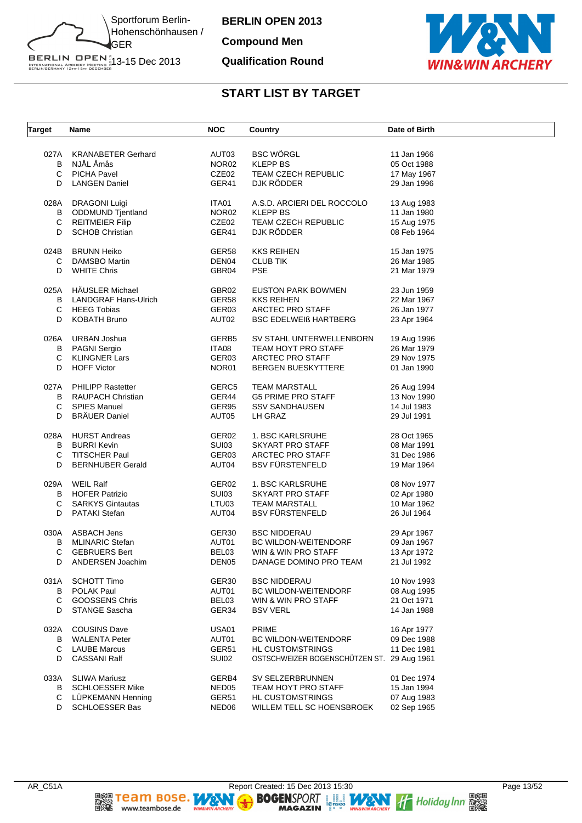

**Compound Men**

#### **Qualification Round**



| <b>Target</b> | Name                        | <b>NOC</b>        | Country                                    | Date of Birth |
|---------------|-----------------------------|-------------------|--------------------------------------------|---------------|
| 027A          | <b>KRANABETER Gerhard</b>   | AUT03             | <b>BSC WÖRGL</b>                           | 11 Jan 1966   |
| B             | NJÅL Åmås                   | NOR <sub>02</sub> | <b>KLEPP BS</b>                            | 05 Oct 1988   |
| С             | <b>PICHA Pavel</b>          | CZE02             | <b>TEAM CZECH REPUBLIC</b>                 | 17 May 1967   |
| D             | <b>LANGEN Daniel</b>        | GER41             | DJK RÖDDER                                 | 29 Jan 1996   |
|               |                             |                   |                                            |               |
| 028A          | <b>DRAGONI Luigi</b>        | ITA01             | A.S.D. ARCIERI DEL ROCCOLO                 | 13 Aug 1983   |
| B             | <b>ODDMUND Tjentland</b>    | NOR <sub>02</sub> | <b>KLEPP BS</b>                            | 11 Jan 1980   |
| C             | <b>REITMEIER Filip</b>      | CZE02             | TEAM CZECH REPUBLIC                        | 15 Aug 1975   |
| D             | <b>SCHOB Christian</b>      | GER41             | DJK RÖDDER                                 | 08 Feb 1964   |
| 024B          | <b>BRUNN Heiko</b>          | GER58             | <b>KKS REIHEN</b>                          | 15 Jan 1975   |
| C             | DAMSBO Martin               | DEN04             | <b>CLUB TIK</b>                            | 26 Mar 1985   |
|               |                             |                   |                                            |               |
| D             | <b>WHITE Chris</b>          | GBR04             | <b>PSE</b>                                 | 21 Mar 1979   |
| 025A          | <b>HÄUSLER Michael</b>      | GBR02             | <b>EUSTON PARK BOWMEN</b>                  | 23 Jun 1959   |
| B             | <b>LANDGRAF Hans-Ulrich</b> | GER58             | <b>KKS REIHEN</b>                          | 22 Mar 1967   |
| C             | <b>HEEG Tobias</b>          | GER03             | ARCTEC PRO STAFF                           | 26 Jan 1977   |
| D             | <b>KOBATH Bruno</b>         | AUT02             | <b>BSC EDELWEIS HARTBERG</b>               | 23 Apr 1964   |
|               |                             |                   |                                            |               |
| 026A          | URBAN Joshua                | GERB5             | SV STAHL UNTERWELLENBORN                   | 19 Aug 1996   |
|               | <b>B</b> PAGNI Sergio       | ITA08             | TEAM HOYT PRO STAFF                        | 26 Mar 1979   |
| C             | <b>KLINGNER Lars</b>        | GER03             | <b>ARCTEC PRO STAFF</b>                    | 29 Nov 1975   |
| D             | <b>HOFF Victor</b>          | NOR01             | <b>BERGEN BUESKYTTERE</b>                  | 01 Jan 1990   |
|               |                             |                   |                                            |               |
| 027A          | <b>PHILIPP Rastetter</b>    | GERC5             | <b>TEAM MARSTALL</b>                       | 26 Aug 1994   |
| В             | <b>RAUPACH Christian</b>    | GER44             | <b>G5 PRIME PRO STAFF</b>                  | 13 Nov 1990   |
| C             | <b>SPIES Manuel</b>         | GER95             | <b>SSV SANDHAUSEN</b>                      | 14 Jul 1983   |
| D             | <b>BRÄUER Daniel</b>        | AUT05             | LH GRAZ                                    | 29 Jul 1991   |
|               |                             |                   |                                            |               |
| 028A          | <b>HURST Andreas</b>        | GER02             | 1. BSC KARLSRUHE                           | 28 Oct 1965   |
| B             | <b>BURRI Kevin</b>          | SUI03             | SKYART PRO STAFF                           | 08 Mar 1991   |
| C             | <b>TITSCHER Paul</b>        | GER03             | <b>ARCTEC PRO STAFF</b>                    | 31 Dec 1986   |
| D             | <b>BERNHUBER Gerald</b>     | AUT04             | <b>BSV FÜRSTENFELD</b>                     | 19 Mar 1964   |
| 029A          | WEIL Ralf                   | GER02             | 1. BSC KARLSRUHE                           | 08 Nov 1977   |
| B             | <b>HOFER Patrizio</b>       | SUI03             | SKYART PRO STAFF                           | 02 Apr 1980   |
| C             | <b>SARKYS Gintautas</b>     | LTU03             | <b>TEAM MARSTALL</b>                       | 10 Mar 1962   |
| D             | <b>PATAKI Stefan</b>        | AUT04             | <b>BSV FÜRSTENFELD</b>                     | 26 Jul 1964   |
|               |                             |                   |                                            |               |
| 030A          | <b>ASBACH Jens</b>          | GER30             | <b>BSC NIDDERAU</b>                        | 29 Apr 1967   |
| В             | <b>MLINARIC Stefan</b>      | AUT01             | <b>BC WILDON-WEITENDORF</b>                | 09 Jan 1967   |
| С             | <b>GEBRUERS Bert</b>        | BEL03             | WIN & WIN PRO STAFF                        | 13 Apr 1972   |
| D             | ANDERSEN Joachim            | DEN <sub>05</sub> | DANAGE DOMINO PRO TEAM                     | 21 Jul 1992   |
|               | <b>SCHOTT Timo</b>          |                   |                                            | 10 Nov 1993   |
| 031A          |                             | GER <sub>30</sub> | <b>BSC NIDDERAU</b>                        |               |
| В             | <b>POLAK Paul</b>           | AUT01             | <b>BC WILDON-WEITENDORF</b>                | 08 Aug 1995   |
| C             | <b>GOOSSENS Chris</b>       | BEL03             | WIN & WIN PRO STAFF                        | 21 Oct 1971   |
| D             | STANGE Sascha               | GER34             | <b>BSV VERL</b>                            | 14 Jan 1988   |
| 032A          | <b>COUSINS Dave</b>         | <b>USA01</b>      | PRIME                                      | 16 Apr 1977   |
| B             | <b>WALENTA Peter</b>        | AUT01             | <b>BC WILDON-WEITENDORF</b>                | 09 Dec 1988   |
| C             | LAUBE Marcus                | GER51             | HL CUSTOMSTRINGS                           | 11 Dec 1981   |
| D             | <b>CASSANI Ralf</b>         | <b>SUI02</b>      | OSTSCHWEIZER BOGENSCHÜTZEN ST. 29 Aug 1961 |               |
|               |                             |                   |                                            |               |
| 033A          | SLIWA Mariusz               | GERB4             | SV SELZERBRUNNEN                           | 01 Dec 1974   |
| B             | <b>SCHLOESSER Mike</b>      | NED <sub>05</sub> | TEAM HOYT PRO STAFF                        | 15 Jan 1994   |
| С             | LUPKEMANN Henning           | GER51             | HL CUSTOMSTRINGS                           | 07 Aug 1983   |
|               | D SCHLOESSER Bas            | NED <sub>06</sub> | WILLEM TELL SC HOENSBROEK                  | 02 Sep 1965   |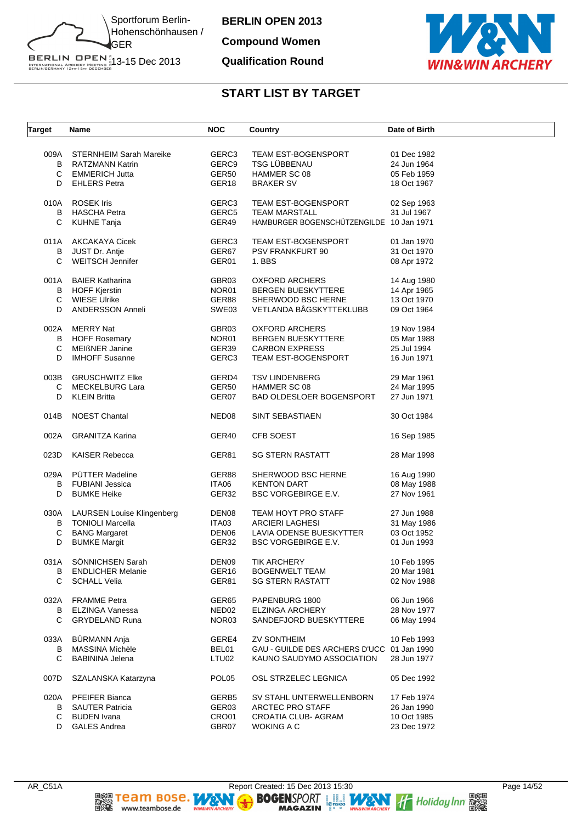

**Compound Women**

#### **Qualification Round**



| Target | Name                            | <b>NOC</b>        | Country                                    | Date of Birth |
|--------|---------------------------------|-------------------|--------------------------------------------|---------------|
|        |                                 |                   |                                            |               |
|        | 009A STERNHEIM Sarah Mareike    | GERC3             | TEAM EST-BOGENSPORT                        | 01 Dec 1982   |
| B      | RATZMANN Katrin                 | GERC9             | TSG LÜBBENAU                               | 24 Jun 1964   |
| С      | EMMERICH Jutta                  | GER50             | HAMMER SC 08                               | 05 Feb 1959   |
| D      | <b>EHLERS Petra</b>             | GER18             | <b>BRAKER SV</b>                           | 18 Oct 1967   |
| 010A   | <b>ROSEK Iris</b>               | GERC3             | TEAM EST-BOGENSPORT                        | 02 Sep 1963   |
| B      | HASCHA Petra                    | GERC5             | <b>TEAM MARSTALL</b>                       | 31 Jul 1967   |
| C      | <b>KUHNE Tanja</b>              | GER49             | HAMBURGER BOGENSCHÜTZENGILDE 10 Jan 1971   |               |
|        |                                 |                   |                                            |               |
|        | 011A AKCAKAYA Cicek             | GERC3             | TEAM EST-BOGENSPORT                        | 01 Jan 1970   |
| В      | JUST Dr. Antje                  | GER67             | PSV FRANKFURT 90                           | 31 Oct 1970   |
| C      | <b>WEITSCH Jennifer</b>         | GER01             | 1. BBS                                     | 08 Apr 1972   |
| 001A   | <b>BAIER Katharina</b>          | GBR03             | <b>OXFORD ARCHERS</b>                      | 14 Aug 1980   |
|        | <b>B</b> HOFF Kjerstin          | NOR01             | <b>BERGEN BUESKYTTERE</b>                  | 14 Apr 1965   |
| С      | WIESE Ulrike                    | GER88             | SHERWOOD BSC HERNE                         | 13 Oct 1970   |
| D      | <b>ANDERSSON Anneli</b>         | SWE03             | VETLANDA BÅGSKYTTEKLUBB                    | 09 Oct 1964   |
|        |                                 |                   |                                            |               |
| 002A   | MERRY Nat                       | GBR03             | <b>OXFORD ARCHERS</b>                      | 19 Nov 1984   |
|        | <b>B</b> HOFF Rosemary          | NOR01             | BERGEN BUESKYTTERE                         | 05 Mar 1988   |
| C      | <b>MEIßNER Janine</b>           | GER39             | <b>CARBON EXPRESS</b>                      | 25 Jul 1994   |
| D      | <b>IMHOFF Susanne</b>           | GERC3             | TEAM EST-BOGENSPORT                        | 16 Jun 1971   |
|        | 003B GRUSCHWITZ Elke            | GERD4             | <b>TSV LINDENBERG</b>                      | 29 Mar 1961   |
| С      | <b>MECKELBURG Lara</b>          | GER50             | HAMMER SC 08                               | 24 Mar 1995   |
| D      | <b>KLEIN Britta</b>             | GER07             | <b>BAD OLDESLOER BOGENSPORT</b>            | 27 Jun 1971   |
|        |                                 |                   |                                            |               |
| 014B   | <b>NOEST Chantal</b>            | NED <sub>08</sub> | SINT SEBASTIAEN                            | 30 Oct 1984   |
| 002A   | <b>GRANITZA Karina</b>          | GER40             | CFB SOEST                                  | 16 Sep 1985   |
| 023D   | <b>KAISER Rebecca</b>           | GER81             | <b>SG STERN RASTATT</b>                    | 28 Mar 1998   |
|        | PÜTTER Madeline                 |                   |                                            |               |
| 029A   |                                 | GER88             | SHERWOOD BSC HERNE                         | 16 Aug 1990   |
| B      | FUBIANI Jessica                 | ITA06             | <b>KENTON DART</b>                         | 08 May 1988   |
| D      | <b>BUMKE Heike</b>              | GER32             | <b>BSC VORGEBIRGE E.V.</b>                 | 27 Nov 1961   |
|        | 030A LAURSEN Louise Klingenberg | DEN <sub>08</sub> | TEAM HOYT PRO STAFF                        | 27 Jun 1988   |
|        | <b>B</b> TONIOLI Marcella       | ITA03             | <b>ARCIERI LAGHESI</b>                     | 31 May 1986   |
| С      | <b>BANG Margaret</b>            | DEN06             | LAVIA ODENSE BUESKYTTER                    | 03 Oct 1952   |
| D      | <b>BUMKE Margit</b>             | GER32             | <b>BSC VORGEBIRGE E.V.</b>                 | 01 Jun 1993   |
| 031A   | SÖNNICHSEN Sarah                | DEN09             | <b>TIK ARCHERY</b>                         | 10 Feb 1995   |
| B      | <b>ENDLICHER Melanie</b>        | GER16             | <b>BOGENWELT TEAM</b>                      | 20 Mar 1981   |
| C      | <b>SCHALL Velia</b>             | GER81             | <b>SG STERN RASTATT</b>                    | 02 Nov 1988   |
|        |                                 |                   |                                            |               |
| 032A   | <b>FRAMME</b> Petra             | GER65             | PAPENBURG 1800                             | 06 Jun 1966   |
| B      | <b>ELZINGA Vanessa</b>          | NED <sub>02</sub> | <b>ELZINGA ARCHERY</b>                     | 28 Nov 1977   |
| C      | <b>GRYDELAND Runa</b>           | NOR <sub>03</sub> | SANDEFJORD BUESKYTTERE                     | 06 May 1994   |
| 033A   | BÜRMANN Anja                    | GERE4             | <b>ZV SONTHEIM</b>                         | 10 Feb 1993   |
| B      | MASSINA Michèle                 | BEL01             | GAU - GUILDE DES ARCHERS D'UCC 01 Jan 1990 |               |
| C      | <b>BABININA Jelena</b>          | LTU02             | KAUNO SAUDYMO ASSOCIATION                  | 28 Jun 1977   |
| 007D   | SZALANSKA Katarzyna             | POL <sub>05</sub> | OSL STRZELEC LEGNICA                       | 05 Dec 1992   |
| 020A   | PFEIFER Bianca                  | GERB5             | SV STAHL UNTERWELLENBORN                   | 17 Feb 1974   |
| B      | <b>SAUTER Patricia</b>          | GER03             | <b>ARCTEC PRO STAFF</b>                    | 26 Jan 1990   |
| С      | <b>BUDEN</b> Ivana              | CRO01             | CROATIA CLUB- AGRAM                        | 10 Oct 1985   |
| D      | <b>GALES Andrea</b>             | GBR07             | WOKING A C                                 | 23 Dec 1972   |
|        |                                 |                   |                                            |               |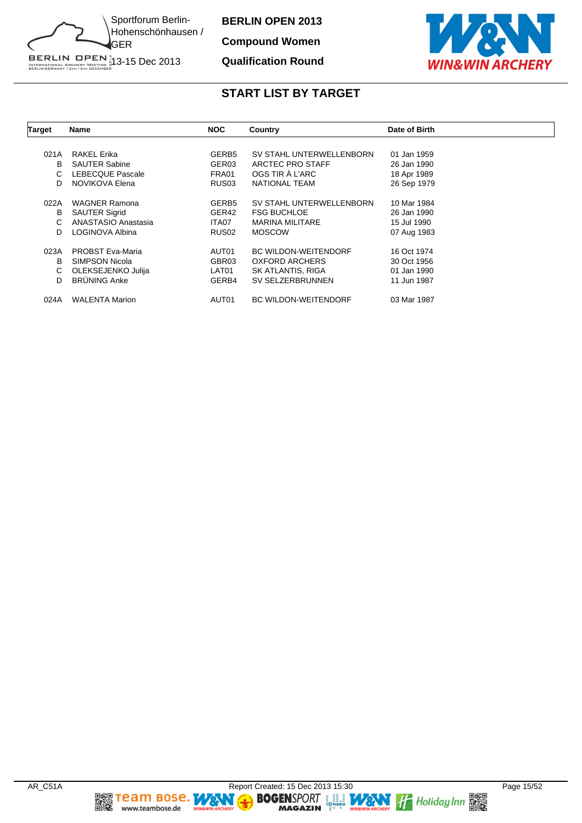

**Compound Women**

#### **Qualification Round**



| <b>Target</b> | Name                    | <b>NOC</b>        | Country                     | Date of Birth |
|---------------|-------------------------|-------------------|-----------------------------|---------------|
|               |                         |                   |                             |               |
| 021A          | RAKEL Erika             | GERB <sub>5</sub> | SV STAHL UNTERWELLENBORN    | 01 Jan 1959   |
| В             | <b>SAUTER Sabine</b>    | GER03             | ARCTEC PRO STAFF            | 26 Jan 1990   |
| C             | <b>LEBECQUE Pascale</b> | FRA01             | OGS TIR À L'ARC             | 18 Apr 1989   |
| D             | NOVIKOVA Elena          | RUS <sub>03</sub> | NATIONAL TEAM               | 26 Sep 1979   |
|               |                         |                   |                             |               |
| 022A          | <b>WAGNER Ramona</b>    | GERB <sub>5</sub> | SV STAHL UNTERWELLENBORN    | 10 Mar 1984   |
| В             | <b>SAUTER Sigrid</b>    | GER42             | <b>FSG BUCHLOE</b>          | 26 Jan 1990   |
| C             | ANASTASIO Anastasia     | ITA07             | <b>MARINA MILITARE</b>      | 15 Jul 1990   |
| D             | LOGINOVA Albina         | RUS <sub>02</sub> | <b>MOSCOW</b>               | 07 Aug 1983   |
| 023A          | <b>PROBST Eva-Maria</b> | AUT01             | <b>BC WILDON-WEITENDORF</b> | 16 Oct 1974   |
| В             | <b>SIMPSON Nicola</b>   | GBR03             | <b>OXFORD ARCHERS</b>       | 30 Oct 1956   |
| C             | OLEKSEJENKO Julija      | LAT01             | SK ATLANTIS, RIGA           | 01 Jan 1990   |
|               | <b>BRÜNING Anke</b>     |                   |                             |               |
| D             |                         | GERB4             | SV SELZERBRUNNEN            | 11 Jun 1987   |
| 024A          | <b>WALENTA Marion</b>   | AUT01             | <b>BC WILDON-WEITENDORF</b> | 03 Mar 1987   |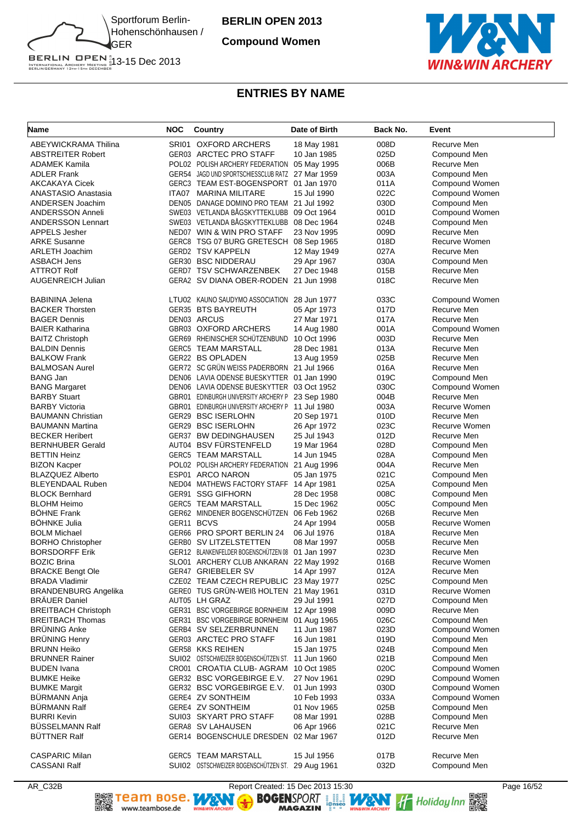

**Compound Women**



# **ENTRIES BY NAME**

| Name                        | NOC | Country                                          | Date of Birth | Back No. | Event          |
|-----------------------------|-----|--------------------------------------------------|---------------|----------|----------------|
| ABEYWICKRAMA Thilina        |     | SRI01 OXFORD ARCHERS                             | 18 May 1981   | 008D     | Recurve Men    |
| <b>ABSTREITER Robert</b>    |     | GER03 ARCTEC PRO STAFF                           | 10 Jan 1985   | 025D     | Compound Men   |
| ADAMEK Kamila               |     | POL02 POLISH ARCHERY FEDERATION                  | 05 May 1995   | 006B     | Recurve Men    |
| <b>ADLER Frank</b>          |     | GER54 JAGD UND SPORTSCHIESSCLUB RATZ 27 Mar 1959 |               | 003A     | Compound Men   |
| AKCAKAYA Cicek              |     | GERC3 TEAM EST-BOGENSPORT 01 Jan 1970            |               | 011A     | Compound Women |
| <b>ANASTASIO Anastasia</b>  |     | ITA07 MARINA MILITARE                            | 15 Jul 1990   | 022C     | Compound Women |
| ANDERSEN Joachim            |     | DEN05 DANAGE DOMINO PRO TEAM 21 Jul 1992         |               | 030D     | Compound Men   |
| <b>ANDERSSON Anneli</b>     |     | SWE03 VETLANDA BÅGSKYTTEKLUBB                    | 09 Oct 1964   | 001D     | Compound Women |
| <b>ANDERSSON Lennart</b>    |     | SWE03 VETLANDA BÅGSKYTTEKLUBB                    | 08 Dec 1964   | 024B     | Compound Men   |
| <b>APPELS Jesher</b>        |     | NED07 WIN & WIN PRO STAFF                        | 23 Nov 1995   | 009D     | Recurve Men    |
| <b>ARKE Susanne</b>         |     | GERC8 TSG 07 BURG GRETESCH 08 Sep 1965           |               | 018D     | Recurve Women  |
| <b>ARLETH Joachim</b>       |     | <b>GERD2 TSV KAPPELN</b>                         | 12 May 1949   | 027A     | Recurve Men    |
| <b>ASBACH Jens</b>          |     | GER30 BSC NIDDERAU                               | 29 Apr 1967   | 030A     | Compound Men   |
| <b>ATTROT Rolf</b>          |     | GERD7 TSV SCHWARZENBEK                           | 27 Dec 1948   | 015B     | Recurve Men    |
| <b>AUGENREICH Julian</b>    |     | GERA2 SV DIANA OBER-RODEN                        | 21 Jun 1998   | 018C     | Recurve Men    |
| <b>BABININA Jelena</b>      |     | LTU02 KAUNO SAUDYMO ASSOCIATION 28 Jun 1977      |               | 033C     | Compound Women |
| <b>BACKER Thorsten</b>      |     | <b>GER35 BTS BAYREUTH</b>                        | 05 Apr 1973   | 017D     | Recurve Men    |
| <b>BAGER Dennis</b>         |     | DEN03 ARCUS                                      | 27 Mar 1971   | 017A     | Recurve Men    |
| <b>BAIER Katharina</b>      |     | GBR03 OXFORD ARCHERS                             | 14 Aug 1980   | 001A     | Compound Women |
| <b>BAITZ Christoph</b>      |     | GER69 RHEINISCHER SCHUTZENBUND                   | 10 Oct 1996   | 003D     | Recurve Men    |
| <b>BALDIN Dennis</b>        |     | <b>GERC5 TEAM MARSTALL</b>                       | 28 Dec 1981   | 013A     | Recurve Men    |
| <b>BALKOW Frank</b>         |     | GER22 BS OPLADEN                                 | 13 Aug 1959   | 025B     | Recurve Men    |
| <b>BALMOSAN Aurel</b>       |     | GER72 SC GRÜN WEISS PADERBORN 21 Jul 1966        |               | 016A     | Recurve Men    |
| <b>BANG Jan</b>             |     | DEN06 LAVIA ODENSE BUESKYTTER 01 Jan 1990        |               | 019C     | Compound Men   |
| <b>BANG Margaret</b>        |     | DEN06 LAVIA ODENSE BUESKYTTER 03 Oct 1952        |               | 030C     | Compound Women |
| <b>BARBY Stuart</b>         |     | GBR01 EDINBURGH UNIVERSITY ARCHERY P 23 Sep 1980 |               | 004B     | Recurve Men    |
| <b>BARBY Victoria</b>       |     | GBR01 EDINBURGH UNIVERSITY ARCHERY P             | 11 Jul 1980   | 003A     | Recurve Women  |
| <b>BAUMANN Christian</b>    |     | GER29 BSC ISERLOHN                               | 20 Sep 1971   | 010D     | Recurve Men    |
| <b>BAUMANN Martina</b>      |     | GER29 BSC ISERLOHN                               | 26 Apr 1972   | 023C     | Recurve Women  |
| <b>BECKER Heribert</b>      |     | GER37 BW DEDINGHAUSEN                            | 25 Jul 1943   | 012D     | Recurve Men    |
| <b>BERNHUBER Gerald</b>     |     | AUT04 BSV FÜRSTENFELD                            | 19 Mar 1964   | 028D     | Compound Men   |
| <b>BETTIN Heinz</b>         |     | <b>GERC5 TEAM MARSTALL</b>                       | 14 Jun 1945   | 028A     | Compound Men   |
| <b>BIZON Kacper</b>         |     | POL02 POLISH ARCHERY FEDERATION                  | 21 Aug 1996   | 004A     | Recurve Men    |
| <b>BLAZQUEZ Alberto</b>     |     | ESP01 ARCO NARON                                 | 05 Jan 1975   | 021C     | Compound Men   |
| <b>BLEYENDAAL Ruben</b>     |     | NED04 MATHEWS FACTORY STAFF                      | 14 Apr 1981   | 025A     | Compound Men   |
| <b>BLOCK Bernhard</b>       |     | GER91 SSG GIFHORN                                | 28 Dec 1958   | 008C     | Compound Men   |
| <b>BLOHM Heimo</b>          |     | <b>GERC5 TEAM MARSTALL</b>                       | 15 Dec 1962   | 005C     | Compound Men   |
| <b>BOHNE Frank</b>          |     | GER62 MINDENER BOGENSCHUTZEN 06 Feb 1962         |               | 026B     | Recurve Men    |
| <b>BÖHNKE Julia</b>         |     | GER11 BCVS                                       | 24 Apr 1994   | 005B     | Recurve Women  |
| <b>BOLM Michael</b>         |     | GER66 PRO SPORT BERLIN 24                        | 06 Jul 1976   | 018A     | Recurve Men    |
| <b>BORHO Christopher</b>    |     | GERB0 SV LITZELSTETTEN                           | 08 Mar 1997   | 005B     | Recurve Men    |
| <b>BORSDORFF Erik</b>       |     | GER12 BLANKENFELDER BOGENSCHUTZEN 08             | 01 Jan 1997   | 023D     | Recurve Men    |
| <b>BOZIC Brina</b>          |     | SLO01 ARCHERY CLUB ANKARAN 22 May 1992           |               | 016B     | Recurve Women  |
| <b>BRACKE Bengt Ole</b>     |     | GER47 GRIEBELER SV                               | 14 Apr 1997   | 012A     | Recurve Men    |
| <b>BRADA Vladimir</b>       |     | CZE02 TEAM CZECH REPUBLIC 23 May 1977            |               | 025C     | Compound Men   |
| <b>BRANDENBURG Angelika</b> |     | GEREO TUS GRÜN-WEIß HOLTEN 21 May 1961           |               | 031D     | Recurve Women  |
| <b>BRÄUER Daniel</b>        |     | AUT05 LH GRAZ                                    | 29 Jul 1991   | 027D     | Compound Men   |
| <b>BREITBACH Christoph</b>  |     | GER31 BSC VORGEBIRGE BORNHEIM 12 Apr 1998        |               | 009D     | Recurve Men    |
| <b>BREITBACH Thomas</b>     |     | GER31 BSC VORGEBIRGE BORNHEIM                    | 01 Aug 1965   | 026C     | Compound Men   |
| <b>BRÜNING Anke</b>         |     | GERB4 SV SELZERBRUNNEN                           | 11 Jun 1987   | 023D     | Compound Women |
| <b>BRÜNING Henry</b>        |     | GER03 ARCTEC PRO STAFF                           | 16 Jun 1981   | 019D     | Compound Men   |
| <b>BRUNN Heiko</b>          |     | GER58 KKS REIHEN                                 | 15 Jan 1975   | 024B     | Compound Men   |
| <b>BRUNNER Rainer</b>       |     | SUI02 OSTSCHWEIZER BOGENSCHUTZEN ST. 11 Jun 1960 |               | 021B     | Compound Men   |
| <b>BUDEN</b> Ivana          |     | CRO01 CROATIA CLUB-AGRAM                         | 10 Oct 1985   | 020C     | Compound Women |
| <b>BUMKE Heike</b>          |     | GER32 BSC VORGEBIRGE E.V.                        |               | 029D     | Compound Women |
|                             |     |                                                  | 27 Nov 1961   |          |                |
| <b>BUMKE Margit</b>         |     | GER32 BSC VORGEBIRGE E.V.                        | 01 Jun 1993   | 030D     | Compound Women |
| BÜRMANN Anja                |     | GERE4 ZV SONTHEIM                                | 10 Feb 1993   | 033A     | Compound Women |
| <b>BURMANN Ralf</b>         |     | GERE4 ZV SONTHEIM                                | 01 Nov 1965   | 025B     | Compound Men   |
| <b>BURRI Kevin</b>          |     | SUI03 SKYART PRO STAFF                           | 08 Mar 1991   | 028B     | Compound Men   |
| <b>BÜSSELMANN Ralf</b>      |     | GERA8 SV LAHAUSEN                                | 06 Apr 1966   | 021C     | Recurve Men    |
| <b>BUTTNER Ralf</b>         |     | GER14 BOGENSCHULE DRESDEN                        | 02 Mar 1967   | 012D     | Recurve Men    |
| <b>CASPARIC Milan</b>       |     | <b>GERC5 TEAM MARSTALL</b>                       | 15 Jul 1956   | 017B     | Recurve Men    |
| <b>CASSANI Ralf</b>         |     | SUI02 OSTSCHWEIZER BOGENSCHÜTZEN ST. 29 Aug 1961 |               | 032D     | Compound Men   |

AR\_C32B<br> **AR\_C32B** Report Created: 15 Dec 2013 15:30<br> **REPORT REPORT REPORT REPORT REPORT PROPERTY**<br> **RAGAZIN** PROPERTY MAGAZIN PROPERTY AND THE HOLIDAY INTERNATIONAL PROPERTY OF PROPERTY AND REPORT TO PROPERTY AND THE PRO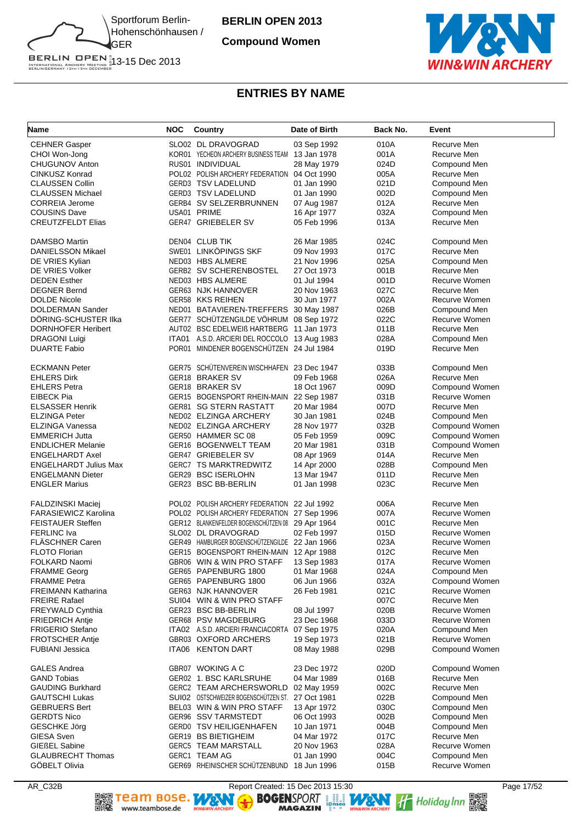

**Compound Women**



### **ENTRIES BY NAME**

| Name                         | <b>NOC</b> | Country                                          | Date of Birth              | Back No. | Event          |
|------------------------------|------------|--------------------------------------------------|----------------------------|----------|----------------|
| <b>CEHNER Gasper</b>         |            | SLO02 DL DRAVOGRAD                               | 03 Sep 1992                | 010A     | Recurve Men    |
| CHOI Won-Jong                |            | KOR01 YECHEON ARCHERY BUSINESS TEAM              | 13 Jan 1978                | 001A     | Recurve Men    |
| CHUGUNOV Anton               |            | RUS01 INDIVIDUAL                                 | 28 May 1979                | 024D     | Compound Men   |
| CINKUSZ Konrad               |            | POL02 POLISH ARCHERY FEDERATION 04 Oct 1990      |                            | 005A     | Recurve Men    |
| CLAUSSEN Collin              |            | GERD3 TSV LADELUND                               | 01 Jan 1990                | 021D     | Compound Men   |
| <b>CLAUSSEN Michael</b>      |            | GERD3 TSV LADELUND                               | 01 Jan 1990                | 002D     | Compound Men   |
| <b>CORREIA Jerome</b>        |            | GERB4 SV SELZERBRUNNEN                           | 07 Aug 1987                | 012A     | Recurve Men    |
| COUSINS Dave                 |            | USA01 PRIME                                      | 16 Apr 1977                | 032A     | Compound Men   |
| <b>CREUTZFELDT Elias</b>     |            | GER47 GRIEBELER SV                               | 05 Feb 1996                | 013A     | Recurve Men    |
|                              |            |                                                  |                            |          |                |
| <b>DAMSBO Martin</b>         |            | <b>DEN04 CLUB TIK</b>                            | 26 Mar 1985                | 024C     | Compound Men   |
| <b>DANIELSSON Mikael</b>     |            | SWE01 LINKÖPINGS SKF                             | 09 Nov 1993                | 017C     | Recurve Men    |
| DE VRIES Kylian              |            | NED03 HBS ALMERE                                 | 21 Nov 1996                | 025A     | Compound Men   |
| DE VRIES Volker              |            | <b>GERB2 SV SCHERENBOSTEL</b>                    | 27 Oct 1973                | 001B     | Recurve Men    |
| <b>DEDEN Esther</b>          |            | NED03 HBS ALMERE                                 | 01 Jul 1994                | 001D     | Recurve Women  |
| <b>DEGNER Bernd</b>          |            | GER63 NJK HANNOVER                               | 20 Nov 1963                | 027C     | Recurve Men    |
| <b>DOLDE Nicole</b>          |            | GER58 KKS REIHEN                                 | 30 Jun 1977                | 002A     | Recurve Women  |
| DOLDERMAN Sander             |            | NED01 BATAVIEREN-TREFFERS 30 May 1987            |                            | 026B     | Compound Men   |
| DORING-SCHUSTER IIka         |            | GER77 SCHÜTZENGILDE VÖHRUM 08 Sep 1972           |                            | 022C     | Recurve Women  |
| <b>DORNHOFER Heribert</b>    |            | AUT02 BSC EDELWEIß HARTBERG 11 Jan 1973          |                            | 011B     | Recurve Men    |
| <b>DRAGONI Luigi</b>         |            | ITA01 A.S.D. ARCIERI DEL ROCCOLO 13 Aug 1983     |                            | 028A     | Compound Men   |
| <b>DUARTE Fabio</b>          |            | POR01 MINDENER BOGENSCHÜTZEN 24 Jul 1984         |                            | 019D     | Recurve Men    |
|                              |            |                                                  |                            |          |                |
| <b>ECKMANN Peter</b>         |            | GER75 SCHÜTENVEREIN WISCHHAFEN 23 Dec 1947       |                            | 033B     | Compound Men   |
| <b>EHLERS Dirk</b>           |            | GER18 BRAKER SV                                  | 09 Feb 1968                | 026A     | Recurve Men    |
| <b>EHLERS Petra</b>          |            | GER18 BRAKER SV                                  | 18 Oct 1967                | 009D     | Compound Women |
| <b>EIBECK Pia</b>            |            | GER15 BOGENSPORT RHEIN-MAIN                      | 22 Sep 1987                | 031B     | Recurve Women  |
| <b>ELSASSER Henrik</b>       |            | GER81 SG STERN RASTATT                           | 20 Mar 1984                | 007D     | Recurve Men    |
| <b>ELZINGA Peter</b>         |            | NED02 ELZINGA ARCHERY                            | 30 Jan 1981                | 024B     | Compound Men   |
| ELZINGA Vanessa              |            | NED02 ELZINGA ARCHERY                            | 28 Nov 1977                | 032B     | Compound Women |
| <b>EMMERICH Jutta</b>        |            | GER50 HAMMER SC 08                               | 05 Feb 1959                | 009C     | Compound Women |
| <b>ENDLICHER Melanie</b>     |            | GER16 BOGENWELT TEAM                             | 20 Mar 1981                | 031B     | Compound Women |
| ENGELHARDT Axel              |            | GER47 GRIEBELER SV                               | 08 Apr 1969                | 014A     | Recurve Men    |
| <b>ENGELHARDT Julius Max</b> |            | GERC7 TS MARKTREDWITZ                            | 14 Apr 2000                | 028B     | Compound Men   |
| <b>ENGELMANN Dieter</b>      |            | GER29 BSC ISERLOHN                               | 13 Mar 1947                | 011D     | Recurve Men    |
| <b>ENGLER Marius</b>         |            | GER23 BSC BB-BERLIN                              | 01 Jan 1998                | 023C     | Recurve Men    |
| FALDZINSKI Maciej            |            | POL02 POLISH ARCHERY FEDERATION 22 Jul 1992      |                            | 006A     | Recurve Men    |
| FARASIEWICZ Karolina         |            | POL02 POLISH ARCHERY FEDERATION 27 Sep 1996      |                            | 007A     | Recurve Women  |
| <b>FEISTAUER Steffen</b>     |            | GER12 BLANKENFELDER BOGENSCHÜTZEN 08 29 Apr 1964 |                            | 001C     | Recurve Men    |
| <b>FERLINC Iva</b>           |            | SLO02 DL DRAVOGRAD                               | 02 Feb 1997                | 015D     | Recurve Women  |
| FLÄSCHNER Caren              |            | GER49 HAMBURGER BOGENSCHÜTZENGILDE 22 Jan 1966   |                            | 023A     | Recurve Women  |
| <b>FLOTO Florian</b>         |            | GER15 BOGENSPORT RHEIN-MAIN 12 Apr 1988          |                            | 012C     | Recurve Men    |
| FOLKARD Naomi                |            | GBR06 WIN & WIN PRO STAFF                        | 13 Sep 1983                | 017A     | Recurve Women  |
| <b>FRAMME Georg</b>          |            | GER65 PAPENBURG 1800                             | 01 Mar 1968                | 024A     | Compound Men   |
| <b>FRAMME Petra</b>          |            | GER65 PAPENBURG 1800                             | 06 Jun 1966                | 032A     | Compound Women |
| FREIMANN Katharina           |            | GER63 NJK HANNOVER                               | 26 Feb 1981                | 021C     | Recurve Women  |
| FREIRE Rafael                |            | SUI04 WIN & WIN PRO STAFF                        |                            | 007C     | Recurve Men    |
| FREYWALD Cynthia             |            | GER23 BSC BB-BERLIN                              | 08 Jul 1997                | 020B     | Recurve Women  |
|                              |            | GER68 PSV MAGDEBURG                              |                            | 033D     | Recurve Women  |
| <b>FRIEDRICH Antie</b>       |            |                                                  | 23 Dec 1968<br>07 Sep 1975 | 020A     |                |
| <b>FRIGERIO Stefano</b>      |            | ITA02 A.S.D. ARCIERI FRANCIACORTA                |                            |          | Compound Men   |
| <b>FROTSCHER Antie</b>       |            | GBR03 OXFORD ARCHERS                             | 19 Sep 1973                | 021B     | Recurve Women  |
| <b>FUBIANI Jessica</b>       |            | ITA06 KENTON DART                                | 08 May 1988                | 029B     | Compound Women |
| <b>GALES Andrea</b>          |            | GBR07 WOKING A C                                 | 23 Dec 1972                | 020D     | Compound Women |
| <b>GAND Tobias</b>           |            | GER02 1. BSC KARLSRUHE                           | 04 Mar 1989                | 016B     | Recurve Men    |
| <b>GAUDING Burkhard</b>      |            | GERC2 TEAM ARCHERSWORLD                          | 02 May 1959                | 002C     | Recurve Men    |
| GAUTSCHI Lukas               |            | SUIO2 OSTSCHWEIZER BOGENSCHÜTZEN ST.             | 27 Oct 1981                | 022B     | Compound Men   |
| <b>GEBRUERS Bert</b>         |            | BEL03 WIN & WIN PRO STAFF                        | 13 Apr 1972                | 030C     | Compound Men   |
| GERDTS Nico                  |            | GER96 SSV TARMSTEDT                              | 06 Oct 1993                | 002B     | Compound Men   |
| GESCHKE Jörg                 |            | GERD0 TSV HEILIGENHAFEN                          | 10 Jan 1971                | 004B     | Compound Men   |
| GIESA Sven                   |            | GER19 BS BIETIGHEIM                              | 04 Mar 1972                | 017C     | Recurve Men    |
| <b>GIEßEL Sabine</b>         |            | GERC5 TEAM MARSTALL                              | 20 Nov 1963                | 028A     | Recurve Women  |
| <b>GLAUBRECHT Thomas</b>     |            | GERC1 TEAM AG                                    | 01 Jan 1990                | 004C     | Compound Men   |
| GÖBELT Olivia                |            | GER69 RHEINISCHER SCHÜTZENBUND 18 Jun 1996       |                            | 015B     | Recurve Women  |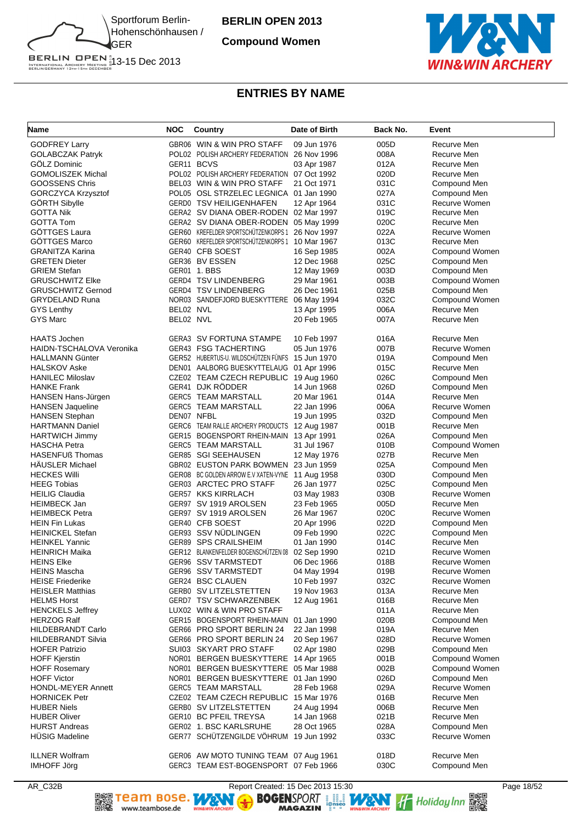

**Compound Women**



### **ENTRIES BY NAME**

| Name                                           | <b>NOC</b> | Country                                          | Date of Birth              | Back No.     | Event                        |
|------------------------------------------------|------------|--------------------------------------------------|----------------------------|--------------|------------------------------|
| <b>GODFREY Larry</b>                           |            | GBR06 WIN & WIN PRO STAFF                        | 09 Jun 1976                | 005D         | Recurve Men                  |
| <b>GOLABCZAK Patryk</b>                        |            | POL02 POLISH ARCHERY FEDERATION 26 Nov 1996      |                            | 008A         | Recurve Men                  |
| <b>GOLZ Dominic</b>                            |            | GER11 BCVS                                       | 03 Apr 1987                | 012A         | Recurve Men                  |
| <b>GOMOLISZEK Michal</b>                       |            | POL02 POLISH ARCHERY FEDERATION 07 Oct 1992      |                            | 020D         | Recurve Men                  |
| <b>GOOSSENS Chris</b>                          |            | BEL03 WIN & WIN PRO STAFF                        | 21 Oct 1971                | 031C         | Compound Men                 |
| GORCZYCA Krzysztof                             |            | POL05 OSL STRZELEC LEGNICA 01 Jan 1990           |                            | 027A         | Compound Men                 |
| <b>GÖRTH Sibylle</b>                           |            | <b>GERD0 TSV HEILIGENHAFEN</b>                   | 12 Apr 1964                | 031C         | Recurve Women                |
| GOTTA Nik                                      |            | GERA2 SV DIANA OBER-RODEN 02 Mar 1997            |                            | 019C         | Recurve Men                  |
| <b>GOTTA Tom</b>                               |            | GERA2 SV DIANA OBER-RODEN 05 May 1999            |                            | 020C         | Recurve Men                  |
| <b>GOTTGES Laura</b>                           |            | GER60 KREFELDER SPORTSCHÜTZENKORPS 1             | 26 Nov 1997                | 022A         | Recurve Women                |
| <b>GOTTGES Marco</b>                           |            | GER60 KREFELDER SPORTSCHÜTZENKORPS 1             | 10 Mar 1967                | 013C         | Recurve Men                  |
| <b>GRANITZA Karina</b>                         |            | GER40 CFB SOEST                                  | 16 Sep 1985                | 002A         | Compound Women               |
| <b>GRETEN Dieter</b>                           |            | GER36 BV ESSEN                                   | 12 Dec 1968                | 025C         | Compound Men                 |
| <b>GRIEM Stefan</b>                            |            | GER01 1. BBS                                     | 12 May 1969                | 003D         | Compound Men                 |
| <b>GRUSCHWITZ Elke</b>                         |            | GERD4 TSV LINDENBERG                             | 29 Mar 1961                | 003B         | Compound Women               |
| <b>GRUSCHWITZ Gernod</b>                       |            | GERD4 TSV LINDENBERG                             | 26 Dec 1961                | 025B         | Compound Men                 |
| <b>GRYDELAND Runa</b>                          |            | NOR03 SANDEFJORD BUESKYTTERE                     | 06 May 1994                | 032C         | Compound Women               |
| <b>GYS Lenthy</b>                              | BEL02 NVL  |                                                  | 13 Apr 1995                | 006A         | Recurve Men                  |
| <b>GYS Marc</b>                                | BEL02 NVL  |                                                  | 20 Feb 1965                | 007A         | Recurve Men                  |
| <b>HAATS Jochen</b>                            |            | <b>GERA3 SV FORTUNA STAMPE</b>                   | 10 Feb 1997                | 016A         | Recurve Men                  |
| <b>HAIDN-TSCHALOVA Veronika</b>                |            | <b>GER43 FSG TACHERTING</b>                      | 05 Jun 1976                | 007B         | Recurve Women                |
| HALLMANN Günter                                |            | GER52 HUBERTUS-U. WILDSCHÜTZEN FÜNFS 15 Jun 1970 |                            | 019A         | Compound Men                 |
| <b>HALSKOV Aske</b>                            |            | DEN01 AALBORG BUESKYTTELAUG 01 Apr 1996          |                            | 015C         | Recurve Men                  |
| <b>HANILEC Miloslav</b>                        |            | CZE02 TEAM CZECH REPUBLIC 19 Aug 1960            |                            | 026C         | Compound Men                 |
| <b>HANKE Frank</b>                             |            | GER41 DJK RÖDDER                                 | 14 Jun 1968                | 026D         | Compound Men                 |
| HANSEN Hans-Jürgen                             |            | <b>GERC5 TEAM MARSTALL</b>                       | 20 Mar 1961                | 014A         | Recurve Men                  |
| <b>HANSEN Jaqueline</b>                        |            | GERC5 TEAM MARSTALL                              | 22 Jan 1996                | 006A         | Recurve Women                |
| <b>HANSEN Stephan</b>                          |            | DEN07 NFBL                                       | 19 Jun 1995                | 032D         | Compound Men                 |
| <b>HARTMANN Daniel</b>                         |            | GERC6 TEAM RALLE ARCHERY PRODUCTS                | 12 Aug 1987                | 001B         | Recurve Men                  |
| <b>HARTWICH Jimmy</b>                          |            | GER15 BOGENSPORT RHEIN-MAIN                      | 13 Apr 1991                | 026A         | Compound Men                 |
| <b>HASCHA Petra</b>                            |            | <b>GERC5 TEAM MARSTALL</b>                       | 31 Jul 1967                | 010B         | Compound Women               |
| <b>HASENFUß Thomas</b>                         |            | GER85 SGI SEEHAUSEN                              | 12 May 1976                | 027B         | Recurve Men                  |
| <b>HAUSLER Michael</b>                         |            | GBR02 EUSTON PARK BOWMEN                         | 23 Jun 1959                | 025A         | Compound Men                 |
| <b>HECKES Willi</b>                            |            | GER08 BC GOLDEN ARROW E.V XATEN-VYNE             | 11 Aug 1958                | 030D         | Compound Men                 |
| <b>HEEG Tobias</b>                             |            | GER03 ARCTEC PRO STAFF                           | 26 Jan 1977                | 025C         | Compound Men                 |
| <b>HEILIG Claudia</b>                          |            | GER57 KKS KIRRLACH                               | 03 May 1983<br>23 Feb 1965 | 030B         | Recurve Women                |
| <b>HEIMBECK Jan</b>                            |            | GER97 SV 1919 AROLSEN<br>GER97 SV 1919 AROLSEN   |                            | 005D<br>020C | Recurve Men<br>Recurve Women |
| <b>HEIMBECK Petra</b><br><b>HEIN Fin Lukas</b> |            | GER40 CFB SOEST                                  | 26 Mar 1967<br>20 Apr 1996 | 022D         | Compound Men                 |
| <b>HEINICKEL Stefan</b>                        |            | GER93 SSV NÜDLINGEN                              | 09 Feb 1990                | 022C         | Compound Men                 |
| <b>HEINKEL Yannic</b>                          |            | GER89 SPS CRAILSHEIM                             | 01 Jan 1990                | 014C         | Recurve Men                  |
| <b>HEINRICH Maika</b>                          |            | GER12 BLANKENFELDER BOGENSCHÜTZEN 08             | 02 Sep 1990                | 021D         | Recurve Women                |
| <b>HEINS Elke</b>                              |            | <b>GER96 SSV TARMSTEDT</b>                       | 06 Dec 1966                | 018B         | Recurve Women                |
| <b>HEINS Mascha</b>                            |            | GER96 SSV TARMSTEDT                              | 04 May 1994                | 019B         | Recurve Women                |
| <b>HEISE Friederike</b>                        |            | GER24 BSC CLAUEN                                 | 10 Feb 1997                | 032C         | Recurve Women                |
| <b>HEISLER Matthias</b>                        |            | GERBO SV LITZELSTETTEN                           | 19 Nov 1963                | 013A         | Recurve Men                  |
| <b>HELMS Horst</b>                             |            | GERD7 TSV SCHWARZENBEK                           | 12 Aug 1961                | 016B         | Recurve Men                  |
| <b>HENCKELS Jeffrey</b>                        |            | LUX02 WIN & WIN PRO STAFF                        |                            | 011A         | Recurve Men                  |
| <b>HERZOG Ralf</b>                             |            | GER15 BOGENSPORT RHEIN-MAIN 01 Jan 1990          |                            | 020B         | Compound Men                 |
| <b>HILDEBRANDT Carlo</b>                       |            | GER66 PRO SPORT BERLIN 24                        | 22 Jan 1998                | 019A         | Recurve Men                  |
| <b>HILDEBRANDT Silvia</b>                      |            | GER66 PRO SPORT BERLIN 24                        | 20 Sep 1967                | 028D         | Recurve Women                |
| <b>HOFER Patrizio</b>                          |            | SUI03 SKYART PRO STAFF                           | 02 Apr 1980                | 029B         | Compound Men                 |
| <b>HOFF Kjerstin</b>                           |            | NOR01 BERGEN BUESKYTTERE 14 Apr 1965             |                            | 001B         | Compound Women               |
| <b>HOFF Rosemary</b>                           |            | NOR01 BERGEN BUESKYTTERE 05 Mar 1988             |                            | 002B         | Compound Women               |
| <b>HOFF Victor</b>                             |            | NOR01 BERGEN BUESKYTTERE 01 Jan 1990             |                            | 026D         | Compound Men                 |
| <b>HONDL-MEYER Annett</b>                      |            | <b>GERC5 TEAM MARSTALL</b>                       | 28 Feb 1968                | 029A         | Recurve Women                |
| <b>HORNICEK Petr</b>                           |            | CZE02 TEAM CZECH REPUBLIC 15 Mar 1976            |                            | 016B         | Recurve Men                  |
| <b>HUBER Niels</b>                             |            | GERB0 SV LITZELSTETTEN                           | 24 Aug 1994                | 006B         | Recurve Men                  |
| <b>HUBER Oliver</b>                            |            | GER10 BC PFEIL TREYSA                            | 14 Jan 1968                | 021B         | Recurve Men                  |
| <b>HURST Andreas</b>                           |            | GER02 1. BSC KARLSRUHE                           | 28 Oct 1965                | 028A         | Compound Men                 |
| <b>HUSIG Madeline</b>                          |            | GER77 SCHUTZENGILDE VOHRUM 19 Jun 1992           |                            | 033C         | Recurve Women                |
| <b>ILLNER Wolfram</b>                          |            | GER06 AW MOTO TUNING TEAM 07 Aug 1961            |                            | 018D         | Recurve Men                  |
| <b>IMHOFF Jörg</b>                             |            | GERC3 TEAM EST-BOGENSPORT 07 Feb 1966            |                            | 030C         | Compound Men                 |

AR\_C32B<br> **AR\_C32B** Report Created: 15 Dec 2013 15:30<br> **ARAL PROSE REPORT REPORT REPORT REPORT REPORT** Holiday Inn **REPORT**<br> **ARGAZIN** PROSE MAGAZIN **PROPORT REPORT** Holiday Inn **REPORT**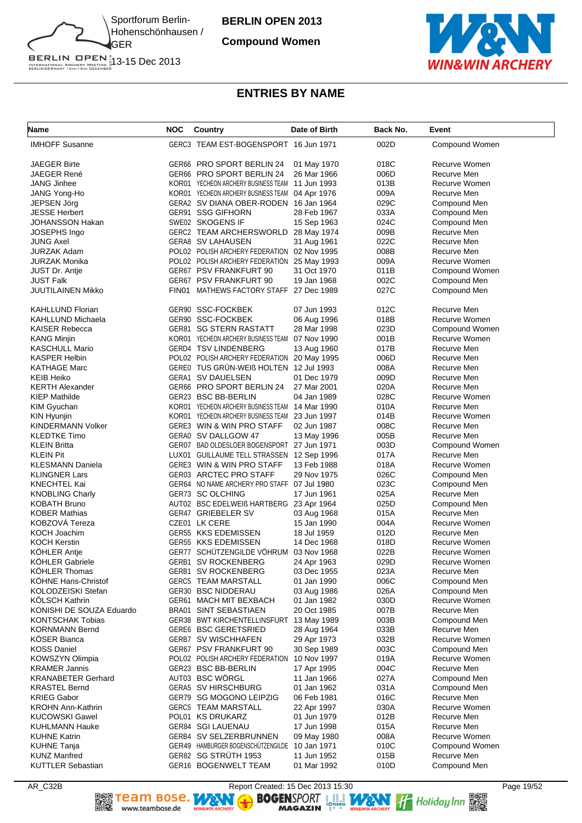

**Compound Women**



BERLIN OPEN 1<br>INTERNATIONAL ARCHERY MEETING 13-15 Dec 2013<br>BERLINGERMANY 13TH-15TH DECEMBER

## **ENTRIES BY NAME**

| Name                                         | <b>NOC</b> | Country                                                               | Date of Birth              | Back No.     | Event                        |
|----------------------------------------------|------------|-----------------------------------------------------------------------|----------------------------|--------------|------------------------------|
| <b>IMHOFF Susanne</b>                        |            | GERC3 TEAM EST-BOGENSPORT 16 Jun 1971                                 |                            | 002D         | Compound Women               |
| <b>JAEGER Birte</b>                          |            | GER66 PRO SPORT BERLIN 24                                             | 01 May 1970                | 018C         | Recurve Women                |
| <b>JAEGER René</b>                           |            | GER66 PRO SPORT BERLIN 24                                             | 26 Mar 1966                | 006D         | Recurve Men                  |
| <b>JANG Jinhee</b>                           |            | KOR01 YECHEON ARCHERY BUSINESS TEAM                                   | 11 Jun 1993                | 013B         | Recurve Women                |
| JANG Yong-Ho                                 |            | KOR01 YECHEON ARCHERY BUSINESS TEAM                                   | 04 Apr 1976                | 009A         | Recurve Men                  |
| JEPSEN Jörg                                  |            | GERA2 SV DIANA OBER-RODEN 16 Jan 1964                                 |                            | 029C         | Compound Men                 |
| <b>JESSE Herbert</b>                         |            | GER91 SSG GIFHORN                                                     | 28 Feb 1967                | 033A         | Compound Men                 |
| JOHANSSON Hakan                              |            | SWE02 SKOGENS IF                                                      | 15 Sep 1963                | 024C         | Compound Men                 |
| <b>JOSEPHS Ingo</b>                          |            | GERC2 TEAM ARCHERSWORLD 28 May 1974                                   |                            | 009B         | Recurve Men                  |
| JUNG Axel                                    |            | GERA8 SV LAHAUSEN                                                     | 31 Aug 1961                | 022C         | Recurve Men                  |
| JURZAK Adam                                  |            | POL02 POLISH ARCHERY FEDERATION 02 Nov 1995                           |                            | 008B         | Recurve Men                  |
| JURZAK Monika                                |            | POL02 POLISH ARCHERY FEDERATION                                       | 25 May 1993                | 009A         | Recurve Women                |
| JUST Dr. Antje                               |            | GER67 PSV FRANKFURT 90                                                | 31 Oct 1970                | 011B         | Compound Women               |
| <b>JUST Falk</b>                             |            | GER67 PSV FRANKFURT 90                                                | 19 Jan 1968                | 002C         | Compound Men                 |
| <b>JUUTILAINEN Mikko</b>                     | FIN01      | MATHEWS FACTORY STAFF 27 Dec 1989                                     |                            | 027C         | Compound Men                 |
| <b>KAHLLUND Florian</b>                      |            | GER90 SSC-FOCKBEK                                                     | 07 Jun 1993                | 012C         | Recurve Men                  |
| <b>KAHLLUND Michaela</b>                     |            | GER90 SSC-FOCKBEK                                                     | 06 Aug 1996                | 018B         | Recurve Women                |
| <b>KAISER Rebecca</b>                        |            | GER81 SG STERN RASTATT                                                | 28 Mar 1998                | 023D         | Compound Women               |
| <b>KANG Minjin</b>                           |            | KOR01 YECHEON ARCHERY BUSINESS TEAM                                   | 07 Nov 1990                | 001B         | Recurve Women                |
| <b>KASCHULL Mario</b>                        |            | GERD4 TSV LINDENBERG                                                  | 13 Aug 1960                | 017B         | Recurve Men                  |
| <b>KASPER Helbin</b>                         |            | POL02 POLISH ARCHERY FEDERATION                                       | 20 May 1995                | 006D         | Recurve Men                  |
| <b>KATHAGE Marc</b>                          |            | GEREO TUS GRÜN-WEIß HOLTEN 12 Jul 1993                                |                            | 008A         | Recurve Men                  |
| <b>KEIB Heiko</b>                            |            | GERA1 SV DAUELSEN                                                     | 01 Dec 1979                | 009D         | Recurve Men                  |
| <b>KERTH Alexander</b>                       |            | GER66 PRO SPORT BERLIN 24                                             | 27 Mar 2001                | 020A         | Recurve Men                  |
| <b>KIEP Mathilde</b>                         |            | GER23 BSC BB-BERLIN                                                   | 04 Jan 1989                | 028C         | Recurve Women                |
| <b>KIM Gyuchan</b>                           |            | KOR01 YECHEON ARCHERY BUSINESS TEAM 14 Mar 1990                       |                            | 010A         | Recurve Men                  |
| KIN Hyunjin                                  |            | KOR01 YECHEON ARCHERY BUSINESS TEAM 23 Jun 1997                       |                            | 014B         | Recurve Women                |
| KINDERMANN Volker                            |            | GERE3 WIN & WIN PRO STAFF                                             | 02 Jun 1987                | 008C         | Recurve Men                  |
| <b>KLEDTKE Timo</b>                          |            | GERA0 SV DALLGOW 47                                                   | 13 May 1996                | 005B         | Recurve Men                  |
| <b>KLEIN Britta</b>                          |            | GER07 BAD OLDESLOER BOGENSPORT 27 Jun 1971                            |                            | 003D         | Compound Women               |
| <b>KLEIN Pit</b>                             |            | LUX01 GUILLAUME TELL STRASSEN 12 Sep 1996                             |                            | 017A         | Recurve Men                  |
| <b>KLESMANN Daniela</b>                      |            | GERE3 WIN & WIN PRO STAFF                                             | 13 Feb 1988                | 018A         | Recurve Women                |
| <b>KLINGNER Lars</b><br>KNECHTEL Kai         |            | GER03 ARCTEC PRO STAFF<br>GER64 NO NAME ARCHERY PRO STAFF 07 Jul 1980 | 29 Nov 1975                | 026C<br>023C | Compound Men<br>Compound Men |
| <b>KNOBLING Charly</b>                       |            | GER73 SC OLCHING                                                      | 17 Jun 1961                | 025A         | Recurve Men                  |
| <b>KOBATH Bruno</b>                          |            | AUT02 BSC EDELWEIß HARTBERG 23 Apr 1964                               |                            | 025D         | Compound Men                 |
| <b>KOBER Mathias</b>                         |            | GER47 GRIEBELER SV                                                    | 03 Aug 1968                | 015A         | Recurve Men                  |
| KOBZOVA Tereza                               |            | CZE01 LK CERE                                                         | 15 Jan 1990                | 004A         | Recurve Women                |
| KOCH Joachim                                 |            | GER55 KKS EDEMISSEN                                                   | 18 Jul 1959                | 012D         | Recurve Men                  |
| <b>KOCH Kerstin</b>                          |            | GER55 KKS EDEMISSEN                                                   | 14 Dec 1968                | 018D         | Recurve Women                |
| KOHLER Antje                                 |            | GER77 SCHÜTZENGILDE VÖHRUM 03 Nov 1968                                |                            | 022B         | Recurve Women                |
| KÖHLER Gabriele                              |            | GERB1 SV ROCKENBERG                                                   | 24 Apr 1963                | 029D         | Recurve Women                |
| <b>KOHLER Thomas</b>                         |            | GERB1 SV ROCKENBERG                                                   | 03 Dec 1955                | 023A         | Recurve Men                  |
| KÖHNE Hans-Christof                          |            | <b>GERC5 TEAM MARSTALL</b>                                            | 01 Jan 1990                | 006C         | Compound Men                 |
| KOLODZEISKI Stefan                           |            | GER30 BSC NIDDERAU                                                    | 03 Aug 1986                | 026A         | Compound Men                 |
| <b>KOLSCH Kathrin</b>                        |            | GER61 MACH MIT BEXBACH                                                | 01 Jan 1982                | 030D         | Recurve Women                |
| KONISHI DE SOUZA Eduardo                     |            | BRA01 SINT SEBASTIAEN                                                 | 20 Oct 1985                | 007B         | Recurve Men                  |
| <b>KONTSCHAK Tobias</b>                      |            | GER38 BWT KIRCHENTELLINSFURT                                          | 13 May 1989                | 003B         | Compound Men                 |
| <b>KORNMANN Bernd</b>                        |            | GERE6 BSC GERETSRIED                                                  | 28 Aug 1964                | 033B         | Recurve Men                  |
| <b>KOSER Bianca</b>                          |            | GERB7 SV WISCHHAFEN                                                   | 29 Apr 1973                | 032B         | Recurve Women                |
| <b>KOSS Daniel</b>                           |            | GER67 PSV FRANKFURT 90                                                | 30 Sep 1989                | 003C         | Compound Men                 |
| KOWSZYN Olimpia                              |            | POL02 POLISH ARCHERY FEDERATION                                       | 10 Nov 1997                | 019A         | Recurve Women                |
| <b>KRAMER Jannis</b>                         |            | GER23 BSC BB-BERLIN                                                   | 17 Apr 1995                | 004C         | Recurve Men                  |
| <b>KRANABETER Gerhard</b>                    |            | AUT03 BSC WÖRGL                                                       | 11 Jan 1966                | 027A         | Compound Men                 |
| <b>KRASTEL Bernd</b>                         |            | GERA5 SV HIRSCHBURG                                                   | 01 Jan 1962                | 031A         | Compound Men                 |
| <b>KRIEG Gabor</b>                           |            | GER79 SG MOGONO LEIPZIG                                               | 06 Feb 1981                | 016C         | Recurve Men                  |
| <b>KROHN Ann-Kathrin</b>                     |            | GERC5 TEAM MARSTALL                                                   | 22 Apr 1997                | 030A         | Recurve Women                |
| <b>KUCOWSKI Gawel</b>                        |            | POL01 KS DRUKARZ<br>GER84 SGI LAUENAU                                 | 01 Jun 1979                | 012B         | Recurve Men<br>Recurve Men   |
| <b>KUHLMANN Hauke</b><br><b>KUHNE Katrin</b> |            | GERB4 SV SELZERBRUNNEN                                                | 17 Jun 1998<br>09 May 1980 | 015A<br>008A | Recurve Women                |
| <b>KUHNE Tanja</b>                           |            | GER49 HAMBURGER BOGENSCHUTZENGILDE                                    | 10 Jan 1971                | 010C         | Compound Women               |
| <b>KUNZ Manfred</b>                          |            | GER82 SG STRÜTH 1953                                                  | 11 Jun 1952                | 015B         | Recurve Men                  |
| <b>KUTTLER Sebastian</b>                     |            | GER16 BOGENWELT TEAM                                                  | 01 Mar 1992                | 010D         | Compound Men                 |
|                                              |            |                                                                       |                            |              |                              |

AR\_C32B<br> **AR\_C32B** Report Created: 15 Dec 2013 15:30<br> **ARAL PROSE REPORT REPORT REPORT REPORT REPORT** Holiday Inn **REPORT**<br> **ARGAZIN** PROSE MAGAZIN **PROPORT REPORT** Holiday Inn **REPORT**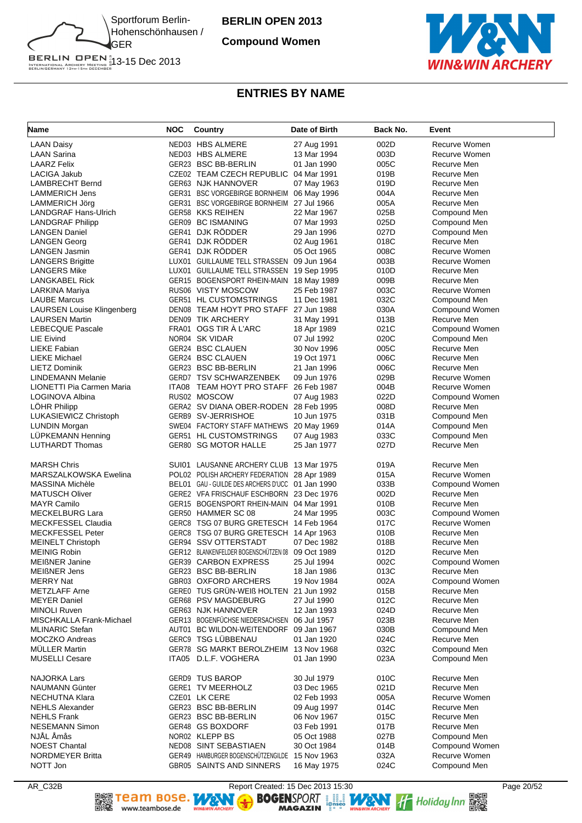

**Compound Women**



BERLIN OPEN 1<br>INTERNATIONAL ARCHERY MEETING 13-15 Dec 2013<br>BERLINGERMANY 13TH-15TH DECEMBER

# **ENTRIES BY NAME**

| Name                              | <b>NOC</b> | Country                                          | Date of Birth | Back No. | Event          |
|-----------------------------------|------------|--------------------------------------------------|---------------|----------|----------------|
| <b>LAAN Daisy</b>                 |            | NED03 HBS ALMERE                                 | 27 Aug 1991   | 002D     | Recurve Women  |
| <b>LAAN Sarina</b>                |            | NED03 HBS ALMERE                                 | 13 Mar 1994   | 003D     | Recurve Women  |
| <b>LAARZ Felix</b>                |            | GER23 BSC BB-BERLIN                              | 01 Jan 1990   | 005C     | Recurve Men    |
| LACIGA Jakub                      |            | CZE02 TEAM CZECH REPUBLIC                        | 04 Mar 1991   | 019B     | Recurve Men    |
| <b>LAMBRECHT Bernd</b>            |            | GER63 NJK HANNOVER                               | 07 May 1963   | 019D     | Recurve Men    |
| LAMMERICH Jens                    |            | GER31 BSC VORGEBIRGE BORNHEIM 06 May 1996        |               | 004A     | Recurve Men    |
| LAMMERICH Jörg                    |            | GER31 BSC VORGEBIRGE BORNHEIM 27 Jul 1966        |               | 005A     | Recurve Men    |
| <b>LANDGRAF Hans-Ulrich</b>       |            | GER58 KKS REIHEN                                 | 22 Mar 1967   | 025B     | Compound Men   |
| <b>LANDGRAF Philipp</b>           |            | GER09 BC ISMANING                                | 07 Mar 1993   | 025D     | Compound Men   |
| <b>LANGEN Daniel</b>              |            | GER41 DJK RODDER                                 | 29 Jan 1996   | 027D     | Compound Men   |
| <b>LANGEN Georg</b>               |            | GER41 DJK RÖDDER                                 | 02 Aug 1961   | 018C     | Recurve Men    |
| LANGEN Jasmin                     |            | GER41 DJK RÖDDER                                 | 05 Oct 1965   | 008C     | Recurve Women  |
| <b>LANGERS Brigitte</b>           |            | LUX01 GUILLAUME TELL STRASSEN 09 Jun 1964        |               | 003B     | Recurve Women  |
| <b>LANGERS Mike</b>               |            | LUX01 GUILLAUME TELL STRASSEN 19 Sep 1995        |               | 010D     | Recurve Men    |
| <b>LANGKABEL Rick</b>             |            | GER15 BOGENSPORT RHEIN-MAIN 18 May 1989          |               | 009B     | Recurve Men    |
| LARKINA Mariya                    |            | RUS06 VISTY MOSCOW                               | 25 Feb 1987   | 003C     | Recurve Women  |
| <b>LAUBE Marcus</b>               |            | <b>GER51 HL CUSTOMSTRINGS</b>                    | 11 Dec 1981   | 032C     | Compound Men   |
| <b>LAURSEN Louise Klingenberg</b> |            | DEN08 TEAM HOYT PRO STAFF 27 Jun 1988            |               | 030A     | Compound Women |
| <b>LAURSEN Martin</b>             |            | DEN09 TIK ARCHERY                                | 31 May 1991   | 013B     | Recurve Men    |
| <b>LEBECQUE Pascale</b>           |            | FRA01 OGS TIR À L'ARC                            | 18 Apr 1989   | 021C     | Compound Women |
| LIE Eivind                        |            | NOR04 SK VIDAR                                   | 07 Jul 1992   | 020C     | Compound Men   |
| <b>LIEKE Fabian</b>               |            | GER24 BSC CLAUEN                                 | 30 Nov 1996   | 005C     | Recurve Men    |
| LIEKE Michael                     |            | GER24 BSC CLAUEN                                 | 19 Oct 1971   | 006C     | Recurve Men    |
| <b>LIETZ Dominik</b>              |            | GER23 BSC BB-BERLIN                              | 21 Jan 1996   | 006C     | Recurve Men    |
| <b>LINDEMANN Melanie</b>          |            | <b>GERD7 TSV SCHWARZENBEK</b>                    | 09 Jun 1976   | 029B     | Recurve Women  |
| LIONETTI Pia Carmen Maria         |            | ITA08 TEAM HOYT PRO STAFF 26 Feb 1987            |               | 004B     | Recurve Women  |
| LOGINOVA Albina                   |            | RUS02 MOSCOW                                     | 07 Aug 1983   | 022D     | Compound Women |
| LÖHR Philipp                      |            | GERA2 SV DIANA OBER-RODEN 28 Feb 1995            |               | 008D     | Recurve Men    |
| LUKASIEWICZ Christoph             |            | GERB9 SV-JERRISHOE                               | 10 Jun 1975   | 031B     | Compound Men   |
| <b>LUNDIN Morgan</b>              |            | SWE04 FACTORY STAFF MATHEWS 20 May 1969          |               | 014A     | Compound Men   |
| LÜPKEMANN Henning                 |            | GER51 HL CUSTOMSTRINGS                           | 07 Aug 1983   | 033C     | Compound Men   |
| <b>LUTHARDT Thomas</b>            |            | GER80 SG MOTOR HALLE                             | 25 Jan 1977   | 027D     | Recurve Men    |
| <b>MARSH Chris</b>                |            | SUI01 LAUSANNE ARCHERY CLUB 13 Mar 1975          |               | 019A     | Recurve Men    |
| MARSZALKOWSKA Ewelina             |            | POL02 POLISH ARCHERY FEDERATION 28 Apr 1989      |               | 015A     | Recurve Women  |
| MASSINA Michèle                   |            | BEL01 GAU - GUILDE DES ARCHERS D'UCC 01 Jan 1990 |               | 033B     | Compound Women |
| <b>MATUSCH Oliver</b>             |            | GERE2 VFA FRISCHAUF ESCHBORN 23 Dec 1976         |               | 002D     | Recurve Men    |
| <b>MAYR Camilo</b>                |            | GER15 BOGENSPORT RHEIN-MAIN 04 Mar 1991          |               | 010B     | Recurve Men    |
| <b>MECKELBURG Lara</b>            |            | GER50 HAMMER SC 08                               | 24 Mar 1995   | 003C     | Compound Women |
| <b>MECKFESSEL Claudia</b>         |            | GERC8 TSG 07 BURG GRETESCH 14 Feb 1964           |               | 017C     | Recurve Women  |
| <b>MECKFESSEL Peter</b>           |            | GERC8 TSG 07 BURG GRETESCH 14 Apr 1963           |               | 010B     | Recurve Men    |
| <b>MEINELT Christoph</b>          |            | GER94 SSV OTTERSTADT                             | 07 Dec 1982   | 018B     | Recurve Men    |
| <b>MEINIG Robin</b>               |            | GER12 BLANKENFELDER BOGENSCHÜTZEN 08 09 Oct 1989 |               | 012D     | Recurve Men    |
| <b>MEIBNER Janine</b>             |            | <b>GER39 CARBON EXPRESS</b>                      | 25 Jul 1994   | 002C     | Compound Women |
| <b>MEIßNER Jens</b>               |            | GER23 BSC BB-BERLIN                              | 18 Jan 1986   | 013C     | Recurve Men    |
| <b>MERRY Nat</b>                  |            | GBR03 OXFORD ARCHERS                             | 19 Nov 1984   | 002A     | Compound Women |
| <b>METZLAFF Arne</b>              |            | GERE0 TUS GRÜN-WEIß HOLTEN                       | 21 Jun 1992   | 015B     | Recurve Men    |
| <b>MEYER Daniel</b>               |            | GER68 PSV MAGDEBURG                              | 27 Jul 1990   | 012C     | Recurve Men    |
| <b>MINOLI Ruven</b>               |            | GER63 NJK HANNOVER                               | 12 Jan 1993   | 024D     | Recurve Men    |
| MISCHKALLA Frank-Michael          |            | GER13 BOGENFÜCHSE NIEDERSACHSEN 06 Jul 1957      |               | 023B     | Recurve Men    |
| <b>MLINARIC Stefan</b>            |            | AUT01 BC WILDON-WEITENDORF 09 Jan 1967           |               | 030B     | Compound Men   |
| <b>MOCZKO Andreas</b>             |            | GERC9 TSG LÜBBENAU                               | 01 Jan 1920   | 024C     | Recurve Men    |
| <b>MULLER Martin</b>              |            | GER78 SG MARKT BEROLZHEIM 13 Nov 1968            |               | 032C     | Compound Men   |
| <b>MUSELLI Cesare</b>             |            | ITA05 D.L.F. VOGHERA                             | 01 Jan 1990   | 023A     | Compound Men   |
| <b>NAJORKA Lars</b>               |            | <b>GERD9 TUS BAROP</b>                           | 30 Jul 1979   | 010C     | Recurve Men    |
| <b>NAUMANN Günter</b>             |            | <b>GERE1 TV MEERHOLZ</b>                         | 03 Dec 1965   | 021D     | Recurve Men    |
| NECHUTNA Klara                    |            | CZE01 LK CERE                                    | 02 Feb 1993   | 005A     | Recurve Women  |
| <b>NEHLS Alexander</b>            |            | GER23 BSC BB-BERLIN                              | 09 Aug 1997   | 014C     | Recurve Men    |
| <b>NEHLS Frank</b>                |            | GER23 BSC BB-BERLIN                              | 06 Nov 1967   | 015C     | Recurve Men    |
| <b>NESEMANN Simon</b>             |            | GER48 GS BOXDORF                                 | 03 Feb 1991   | 017B     | Recurve Men    |
| NJAL Amås                         |            | NOR02 KLEPP BS                                   | 05 Oct 1988   | 027B     | Compound Men   |
| <b>NOEST Chantal</b>              |            | NED08 SINT SEBASTIAEN                            | 30 Oct 1984   | 014B     | Compound Women |
| <b>NORDMEYER Britta</b>           |            | GER49 HAMBURGER BOGENSCHÜTZENGILDE               | 15 Nov 1963   | 032A     | Recurve Women  |
| NOTT Jon                          |            | GBR05 SAINTS AND SINNERS                         | 16 May 1975   | 024C     | Compound Men   |

AR\_C32B<br> **AR\_C32B** Report Created: 15 Dec 2013 15:30<br> **ARAL REPORT REPORT REPORT REPORT REPORT ARGAZIN** THE Holiday Inn REPORT REPORT REPORT REPORT REPORT TO PAGE 20/52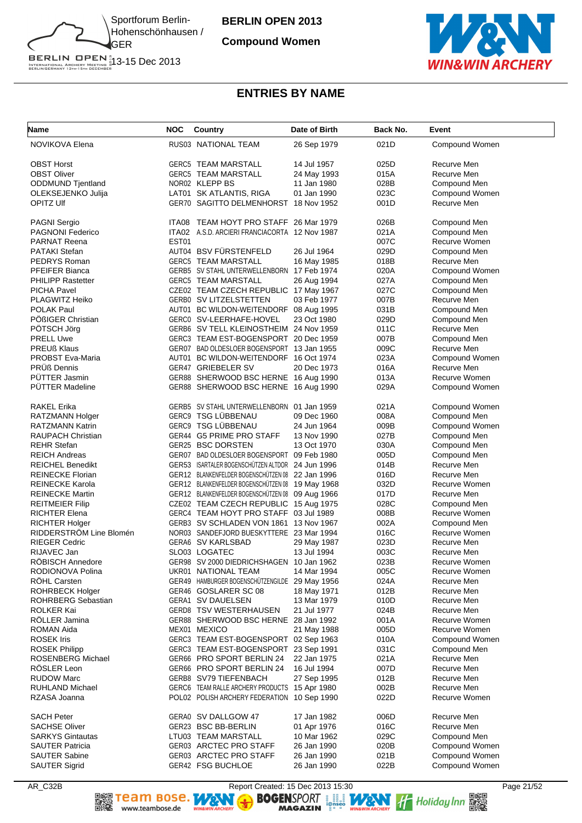

**Compound Women**



#### **ENTRIES BY NAME**

| <b>NOVIKOVA Elena</b><br>RUS03 NATIONAL TEAM<br>26 Sep 1979<br>021D<br>Compound Women<br>14 Jul 1957<br>025D<br>Recurve Men<br><b>OBST Horst</b><br><b>GERC5 TEAM MARSTALL</b><br>Recurve Men<br><b>OBST Oliver</b><br><b>GERC5 TEAM MARSTALL</b><br>015A<br>24 May 1993<br>NOR02 KLEPP BS<br>ODDMUND Tjentland<br>028B<br>Compound Men<br>11 Jan 1980<br>023C<br>OLEKSEJENKO Julija<br>LAT01 SK ATLANTIS, RIGA<br>01 Jan 1990<br>Compound Women<br>OPITZ UIf<br>GER70 SAGITTO DELMENHORST 18 Nov 1952<br>001D<br>Recurve Men<br><b>PAGNI Sergio</b><br>ITA08 TEAM HOYT PRO STAFF 26 Mar 1979<br>026B<br>Compound Men<br><b>PAGNONI Federico</b><br>ITA02 A.S.D. ARCIERI FRANCIACORTA 12 Nov 1987<br>021A<br>Compound Men<br>EST01<br>007C<br><b>PARNAT Reena</b><br>Recurve Women<br>AUT04 BSV FÜRSTENFELD<br><b>PATAKI Stefan</b><br>26 Jul 1964<br>029D<br>Compound Men<br>PEDRYS Roman<br><b>GERC5 TEAM MARSTALL</b><br>018B<br>Recurve Men<br>16 May 1985<br>PFEIFER Bianca<br>GERB5 SV STAHL UNTERWELLENBORN<br>17 Feb 1974<br>020A<br>Compound Women<br><b>PHILIPP Rastetter</b><br><b>GERC5 TEAM MARSTALL</b><br>26 Aug 1994<br>027A<br>Compound Men<br>CZE02 TEAM CZECH REPUBLIC 17 May 1967<br><b>PICHA Pavel</b><br>027C<br>Compound Men<br>PLAGWITZ Heiko<br>GERB0 SV LITZELSTETTEN<br>03 Feb 1977<br>007B<br>Recurve Men<br>POLAK Paul<br>AUT01 BC WILDON-WEITENDORF 08 Aug 1995<br>Compound Men<br>031B<br>POßIGER Christian<br>GERCO SV-LEERHAFE-HOVEL<br>23 Oct 1980<br>029D<br>Compound Men<br>PÖTSCH Jörg<br>GERB6 SV TELL KLEINOSTHEIM 24 Nov 1959<br>011C<br>Recurve Men<br><b>PRELL Uwe</b><br>GERC3 TEAM EST-BOGENSPORT 20 Dec 1959<br>007B<br>Compound Men<br>009C<br><b>PREUß Klaus</b><br>GER07 BAD OLDESLOER BOGENSPORT 13 Jan 1955<br>Recurve Men<br><b>PROBST Eva-Maria</b><br>AUT01 BC WILDON-WEITENDORF 16 Oct 1974<br>023A<br>Compound Women<br>PRÜß Dennis<br>GER47 GRIEBELER SV<br>Recurve Men<br>20 Dec 1973<br>016A<br>PÜTTER Jasmin<br>GER88 SHERWOOD BSC HERNE 16 Aug 1990<br>013A<br>Recurve Women<br><b>PÜTTER Madeline</b><br>GER88 SHERWOOD BSC HERNE 16 Aug 1990<br>029A<br>Compound Women<br><b>RAKEL Erika</b><br>GERB5 SV STAHL UNTERWELLENBORN 01 Jan 1959<br>021A<br>Compound Women<br>GERC9 TSG LÜBBENAU<br>09 Dec 1960<br>008A<br>Compound Men<br>RATZMANN Holger<br>GERC9 TSG LÜBBENAU<br><b>RATZMANN Katrin</b><br>24 Jun 1964<br>009B<br>Compound Women<br>GER44 G5 PRIME PRO STAFF<br><b>RAUPACH Christian</b><br>027B<br>Compound Men<br>13 Nov 1990<br><b>REHR Stefan</b><br>GER25 BSC DORSTEN<br>13 Oct 1970<br>030A<br>Compound Men<br><b>REICH Andreas</b><br>GER07 BAD OLDESLOER BOGENSPORT<br>09 Feb 1980<br>005D<br>Compound Men<br>GER53 ISARTALER BOGENSCHÜTZEN ALTDOR 24 Jun 1996<br>014B<br>Recurve Men<br><b>REICHEL Benedikt</b><br>GER12 BLANKENFELDER BOGENSCHÜTZEN 08 22 Jan 1996<br><b>REINECKE Florian</b><br>016D<br>Recurve Men<br>GER12 BLANKENFELDER BOGENSCHÜTZEN 08<br>032D<br>Recurve Women<br><b>REINECKE Karola</b><br>19 May 1968<br>GER12 BLANKENFELDER BOGENSCHÜTZEN 08 09 Aug 1966<br>017D<br>Recurve Men<br><b>REINECKE Martin</b><br>CZE02 TEAM CZECH REPUBLIC 15 Aug 1975<br>028C<br><b>REITMEIER Filip</b><br>Compound Men<br>GERC4 TEAM HOYT PRO STAFF 03 Jul 1989<br>008B<br>Recurve Women<br><b>RICHTER Elena</b><br>GERB3 SV SCHLADEN VON 1861 13 Nov 1967<br>002A<br>Compound Men<br><b>RICHTER Holger</b><br>RIDDERSTROM Line Blomén<br>Recurve Women<br>NOR03 SANDEFJORD BUESKYTTERE 23 Mar 1994<br>016C<br><b>RIEGER Cedric</b><br>GERA6 SV KARLSBAD<br>023D<br>Recurve Men<br>29 May 1987<br>RIJAVEC Jan<br>SLO03 LOGATEC<br>13 Jul 1994<br>003C<br>Recurve Men<br><b>ROBISCH Annedore</b><br>GER98 SV 2000 DIEDRICHSHAGEN 10 Jan 1962<br>023B<br>Recurve Women<br>RODIONOVA Polina<br>UKR01 NATIONAL TEAM<br>005C<br>Recurve Women<br>14 Mar 1994<br><b>ROHL Carsten</b><br>GER49 HAMBURGER BOGENSCHÜTZENGILDE 29 May 1956<br>024A<br>Recurve Men<br><b>ROHRBECK Holger</b><br>GER46 GOSLARER SC 08<br>18 May 1971<br>012B<br>Recurve Men<br>ROHRBERG Sebastian<br>GERA1 SV DAUELSEN<br>010D<br>Recurve Men<br>13 Mar 1979<br><b>ROLKER Kai</b><br><b>GERD8 TSV WESTERHAUSEN</b><br>21 Jul 1977<br>024B<br>Recurve Men<br>RÖLLER Jamina<br>GER88 SHERWOOD BSC HERNE 28 Jan 1992<br>Recurve Women<br>001A<br><b>ROMAN Aida</b><br>MEX01 MEXICO<br>005D<br>Recurve Women<br>21 May 1988<br><b>ROSEK Iris</b><br>GERC3 TEAM EST-BOGENSPORT 02 Sep 1963<br>Compound Women<br>010A<br><b>ROSEK Philipp</b><br>GERC3 TEAM EST-BOGENSPORT 23 Sep 1991<br>031C<br>Compound Men<br><b>ROSENBERG Michael</b><br>GER66 PRO SPORT BERLIN 24<br>22 Jan 1975<br>021A<br>Recurve Men<br>RÖSLER Leon<br>GER66 PRO SPORT BERLIN 24<br>007D<br>Recurve Men<br>16 Jul 1994<br><b>RUDOW Marc</b><br>GERB8 SV79 TIEFENBACH<br>012B<br>Recurve Men<br>27 Sep 1995<br>Recurve Men<br><b>RUHLAND Michael</b><br>GERC6 TEAM RALLE ARCHERY PRODUCTS 15 Apr 1980<br>002B<br>022D<br>Recurve Women<br>RZASA Joanna<br>POL02 POLISH ARCHERY FEDERATION 10 Sep 1990<br><b>SACH Peter</b><br>GERA0 SV DALLGOW 47<br>17 Jan 1982<br>Recurve Men<br>006D<br><b>SACHSE Oliver</b><br>GER23 BSC BB-BERLIN<br>01 Apr 1976<br>016C<br>Recurve Men<br><b>SARKYS Gintautas</b><br>LTU03 TEAM MARSTALL<br>029C<br>Compound Men<br>10 Mar 1962<br><b>SAUTER Patricia</b><br>GER03 ARCTEC PRO STAFF<br>26 Jan 1990<br>020B<br>Compound Women<br><b>SAUTER Sabine</b><br>GER03 ARCTEC PRO STAFF<br>Compound Women<br>26 Jan 1990<br>021B<br><b>SAUTER Sigrid</b><br>GER42 FSG BUCHLOE<br>26 Jan 1990<br>022B<br>Compound Women | <b>Name</b> | <b>NOC</b> | Country | Date of Birth | Back No. | Event |
|----------------------------------------------------------------------------------------------------------------------------------------------------------------------------------------------------------------------------------------------------------------------------------------------------------------------------------------------------------------------------------------------------------------------------------------------------------------------------------------------------------------------------------------------------------------------------------------------------------------------------------------------------------------------------------------------------------------------------------------------------------------------------------------------------------------------------------------------------------------------------------------------------------------------------------------------------------------------------------------------------------------------------------------------------------------------------------------------------------------------------------------------------------------------------------------------------------------------------------------------------------------------------------------------------------------------------------------------------------------------------------------------------------------------------------------------------------------------------------------------------------------------------------------------------------------------------------------------------------------------------------------------------------------------------------------------------------------------------------------------------------------------------------------------------------------------------------------------------------------------------------------------------------------------------------------------------------------------------------------------------------------------------------------------------------------------------------------------------------------------------------------------------------------------------------------------------------------------------------------------------------------------------------------------------------------------------------------------------------------------------------------------------------------------------------------------------------------------------------------------------------------------------------------------------------------------------------------------------------------------------------------------------------------------------------------------------------------------------------------------------------------------------------------------------------------------------------------------------------------------------------------------------------------------------------------------------------------------------------------------------------------------------------------------------------------------------------------------------------------------------------------------------------------------------------------------------------------------------------------------------------------------------------------------------------------------------------------------------------------------------------------------------------------------------------------------------------------------------------------------------------------------------------------------------------------------------------------------------------------------------------------------------------------------------------------------------------------------------------------------------------------------------------------------------------------------------------------------------------------------------------------------------------------------------------------------------------------------------------------------------------------------------------------------------------------------------------------------------------------------------------------------------------------------------------------------------------------------------------------------------------------------------------------------------------------------------------------------------------------------------------------------------------------------------------------------------------------------------------------------------------------------------------------------------------------------------------------------------------------------------------------------------------------------------------------------------------------------------------------------------------------------------------------------------------------------------------------------------------------------------------------------------------------------------------------------------------------------------------------------------------------------------------------------------------------------------------------------------------------------------------------------------------------------------------------------------------------------------------------------------------------------------------------------------------------------------------------------------------------------------------------------------------------------------------------------------------------------------------------------------------------------------------------------------------------------------------------|-------------|------------|---------|---------------|----------|-------|
|                                                                                                                                                                                                                                                                                                                                                                                                                                                                                                                                                                                                                                                                                                                                                                                                                                                                                                                                                                                                                                                                                                                                                                                                                                                                                                                                                                                                                                                                                                                                                                                                                                                                                                                                                                                                                                                                                                                                                                                                                                                                                                                                                                                                                                                                                                                                                                                                                                                                                                                                                                                                                                                                                                                                                                                                                                                                                                                                                                                                                                                                                                                                                                                                                                                                                                                                                                                                                                                                                                                                                                                                                                                                                                                                                                                                                                                                                                                                                                                                                                                                                                                                                                                                                                                                                                                                                                                                                                                                                                                                                                                                                                                                                                                                                                                                                                                                                                                                                                                                                                                                                                                                                                                                                                                                                                                                                                                                                                                                                                                                                                                        |             |            |         |               |          |       |
|                                                                                                                                                                                                                                                                                                                                                                                                                                                                                                                                                                                                                                                                                                                                                                                                                                                                                                                                                                                                                                                                                                                                                                                                                                                                                                                                                                                                                                                                                                                                                                                                                                                                                                                                                                                                                                                                                                                                                                                                                                                                                                                                                                                                                                                                                                                                                                                                                                                                                                                                                                                                                                                                                                                                                                                                                                                                                                                                                                                                                                                                                                                                                                                                                                                                                                                                                                                                                                                                                                                                                                                                                                                                                                                                                                                                                                                                                                                                                                                                                                                                                                                                                                                                                                                                                                                                                                                                                                                                                                                                                                                                                                                                                                                                                                                                                                                                                                                                                                                                                                                                                                                                                                                                                                                                                                                                                                                                                                                                                                                                                                                        |             |            |         |               |          |       |
|                                                                                                                                                                                                                                                                                                                                                                                                                                                                                                                                                                                                                                                                                                                                                                                                                                                                                                                                                                                                                                                                                                                                                                                                                                                                                                                                                                                                                                                                                                                                                                                                                                                                                                                                                                                                                                                                                                                                                                                                                                                                                                                                                                                                                                                                                                                                                                                                                                                                                                                                                                                                                                                                                                                                                                                                                                                                                                                                                                                                                                                                                                                                                                                                                                                                                                                                                                                                                                                                                                                                                                                                                                                                                                                                                                                                                                                                                                                                                                                                                                                                                                                                                                                                                                                                                                                                                                                                                                                                                                                                                                                                                                                                                                                                                                                                                                                                                                                                                                                                                                                                                                                                                                                                                                                                                                                                                                                                                                                                                                                                                                                        |             |            |         |               |          |       |
|                                                                                                                                                                                                                                                                                                                                                                                                                                                                                                                                                                                                                                                                                                                                                                                                                                                                                                                                                                                                                                                                                                                                                                                                                                                                                                                                                                                                                                                                                                                                                                                                                                                                                                                                                                                                                                                                                                                                                                                                                                                                                                                                                                                                                                                                                                                                                                                                                                                                                                                                                                                                                                                                                                                                                                                                                                                                                                                                                                                                                                                                                                                                                                                                                                                                                                                                                                                                                                                                                                                                                                                                                                                                                                                                                                                                                                                                                                                                                                                                                                                                                                                                                                                                                                                                                                                                                                                                                                                                                                                                                                                                                                                                                                                                                                                                                                                                                                                                                                                                                                                                                                                                                                                                                                                                                                                                                                                                                                                                                                                                                                                        |             |            |         |               |          |       |
|                                                                                                                                                                                                                                                                                                                                                                                                                                                                                                                                                                                                                                                                                                                                                                                                                                                                                                                                                                                                                                                                                                                                                                                                                                                                                                                                                                                                                                                                                                                                                                                                                                                                                                                                                                                                                                                                                                                                                                                                                                                                                                                                                                                                                                                                                                                                                                                                                                                                                                                                                                                                                                                                                                                                                                                                                                                                                                                                                                                                                                                                                                                                                                                                                                                                                                                                                                                                                                                                                                                                                                                                                                                                                                                                                                                                                                                                                                                                                                                                                                                                                                                                                                                                                                                                                                                                                                                                                                                                                                                                                                                                                                                                                                                                                                                                                                                                                                                                                                                                                                                                                                                                                                                                                                                                                                                                                                                                                                                                                                                                                                                        |             |            |         |               |          |       |
|                                                                                                                                                                                                                                                                                                                                                                                                                                                                                                                                                                                                                                                                                                                                                                                                                                                                                                                                                                                                                                                                                                                                                                                                                                                                                                                                                                                                                                                                                                                                                                                                                                                                                                                                                                                                                                                                                                                                                                                                                                                                                                                                                                                                                                                                                                                                                                                                                                                                                                                                                                                                                                                                                                                                                                                                                                                                                                                                                                                                                                                                                                                                                                                                                                                                                                                                                                                                                                                                                                                                                                                                                                                                                                                                                                                                                                                                                                                                                                                                                                                                                                                                                                                                                                                                                                                                                                                                                                                                                                                                                                                                                                                                                                                                                                                                                                                                                                                                                                                                                                                                                                                                                                                                                                                                                                                                                                                                                                                                                                                                                                                        |             |            |         |               |          |       |
|                                                                                                                                                                                                                                                                                                                                                                                                                                                                                                                                                                                                                                                                                                                                                                                                                                                                                                                                                                                                                                                                                                                                                                                                                                                                                                                                                                                                                                                                                                                                                                                                                                                                                                                                                                                                                                                                                                                                                                                                                                                                                                                                                                                                                                                                                                                                                                                                                                                                                                                                                                                                                                                                                                                                                                                                                                                                                                                                                                                                                                                                                                                                                                                                                                                                                                                                                                                                                                                                                                                                                                                                                                                                                                                                                                                                                                                                                                                                                                                                                                                                                                                                                                                                                                                                                                                                                                                                                                                                                                                                                                                                                                                                                                                                                                                                                                                                                                                                                                                                                                                                                                                                                                                                                                                                                                                                                                                                                                                                                                                                                                                        |             |            |         |               |          |       |
|                                                                                                                                                                                                                                                                                                                                                                                                                                                                                                                                                                                                                                                                                                                                                                                                                                                                                                                                                                                                                                                                                                                                                                                                                                                                                                                                                                                                                                                                                                                                                                                                                                                                                                                                                                                                                                                                                                                                                                                                                                                                                                                                                                                                                                                                                                                                                                                                                                                                                                                                                                                                                                                                                                                                                                                                                                                                                                                                                                                                                                                                                                                                                                                                                                                                                                                                                                                                                                                                                                                                                                                                                                                                                                                                                                                                                                                                                                                                                                                                                                                                                                                                                                                                                                                                                                                                                                                                                                                                                                                                                                                                                                                                                                                                                                                                                                                                                                                                                                                                                                                                                                                                                                                                                                                                                                                                                                                                                                                                                                                                                                                        |             |            |         |               |          |       |
|                                                                                                                                                                                                                                                                                                                                                                                                                                                                                                                                                                                                                                                                                                                                                                                                                                                                                                                                                                                                                                                                                                                                                                                                                                                                                                                                                                                                                                                                                                                                                                                                                                                                                                                                                                                                                                                                                                                                                                                                                                                                                                                                                                                                                                                                                                                                                                                                                                                                                                                                                                                                                                                                                                                                                                                                                                                                                                                                                                                                                                                                                                                                                                                                                                                                                                                                                                                                                                                                                                                                                                                                                                                                                                                                                                                                                                                                                                                                                                                                                                                                                                                                                                                                                                                                                                                                                                                                                                                                                                                                                                                                                                                                                                                                                                                                                                                                                                                                                                                                                                                                                                                                                                                                                                                                                                                                                                                                                                                                                                                                                                                        |             |            |         |               |          |       |
|                                                                                                                                                                                                                                                                                                                                                                                                                                                                                                                                                                                                                                                                                                                                                                                                                                                                                                                                                                                                                                                                                                                                                                                                                                                                                                                                                                                                                                                                                                                                                                                                                                                                                                                                                                                                                                                                                                                                                                                                                                                                                                                                                                                                                                                                                                                                                                                                                                                                                                                                                                                                                                                                                                                                                                                                                                                                                                                                                                                                                                                                                                                                                                                                                                                                                                                                                                                                                                                                                                                                                                                                                                                                                                                                                                                                                                                                                                                                                                                                                                                                                                                                                                                                                                                                                                                                                                                                                                                                                                                                                                                                                                                                                                                                                                                                                                                                                                                                                                                                                                                                                                                                                                                                                                                                                                                                                                                                                                                                                                                                                                                        |             |            |         |               |          |       |
|                                                                                                                                                                                                                                                                                                                                                                                                                                                                                                                                                                                                                                                                                                                                                                                                                                                                                                                                                                                                                                                                                                                                                                                                                                                                                                                                                                                                                                                                                                                                                                                                                                                                                                                                                                                                                                                                                                                                                                                                                                                                                                                                                                                                                                                                                                                                                                                                                                                                                                                                                                                                                                                                                                                                                                                                                                                                                                                                                                                                                                                                                                                                                                                                                                                                                                                                                                                                                                                                                                                                                                                                                                                                                                                                                                                                                                                                                                                                                                                                                                                                                                                                                                                                                                                                                                                                                                                                                                                                                                                                                                                                                                                                                                                                                                                                                                                                                                                                                                                                                                                                                                                                                                                                                                                                                                                                                                                                                                                                                                                                                                                        |             |            |         |               |          |       |
|                                                                                                                                                                                                                                                                                                                                                                                                                                                                                                                                                                                                                                                                                                                                                                                                                                                                                                                                                                                                                                                                                                                                                                                                                                                                                                                                                                                                                                                                                                                                                                                                                                                                                                                                                                                                                                                                                                                                                                                                                                                                                                                                                                                                                                                                                                                                                                                                                                                                                                                                                                                                                                                                                                                                                                                                                                                                                                                                                                                                                                                                                                                                                                                                                                                                                                                                                                                                                                                                                                                                                                                                                                                                                                                                                                                                                                                                                                                                                                                                                                                                                                                                                                                                                                                                                                                                                                                                                                                                                                                                                                                                                                                                                                                                                                                                                                                                                                                                                                                                                                                                                                                                                                                                                                                                                                                                                                                                                                                                                                                                                                                        |             |            |         |               |          |       |
|                                                                                                                                                                                                                                                                                                                                                                                                                                                                                                                                                                                                                                                                                                                                                                                                                                                                                                                                                                                                                                                                                                                                                                                                                                                                                                                                                                                                                                                                                                                                                                                                                                                                                                                                                                                                                                                                                                                                                                                                                                                                                                                                                                                                                                                                                                                                                                                                                                                                                                                                                                                                                                                                                                                                                                                                                                                                                                                                                                                                                                                                                                                                                                                                                                                                                                                                                                                                                                                                                                                                                                                                                                                                                                                                                                                                                                                                                                                                                                                                                                                                                                                                                                                                                                                                                                                                                                                                                                                                                                                                                                                                                                                                                                                                                                                                                                                                                                                                                                                                                                                                                                                                                                                                                                                                                                                                                                                                                                                                                                                                                                                        |             |            |         |               |          |       |
|                                                                                                                                                                                                                                                                                                                                                                                                                                                                                                                                                                                                                                                                                                                                                                                                                                                                                                                                                                                                                                                                                                                                                                                                                                                                                                                                                                                                                                                                                                                                                                                                                                                                                                                                                                                                                                                                                                                                                                                                                                                                                                                                                                                                                                                                                                                                                                                                                                                                                                                                                                                                                                                                                                                                                                                                                                                                                                                                                                                                                                                                                                                                                                                                                                                                                                                                                                                                                                                                                                                                                                                                                                                                                                                                                                                                                                                                                                                                                                                                                                                                                                                                                                                                                                                                                                                                                                                                                                                                                                                                                                                                                                                                                                                                                                                                                                                                                                                                                                                                                                                                                                                                                                                                                                                                                                                                                                                                                                                                                                                                                                                        |             |            |         |               |          |       |
|                                                                                                                                                                                                                                                                                                                                                                                                                                                                                                                                                                                                                                                                                                                                                                                                                                                                                                                                                                                                                                                                                                                                                                                                                                                                                                                                                                                                                                                                                                                                                                                                                                                                                                                                                                                                                                                                                                                                                                                                                                                                                                                                                                                                                                                                                                                                                                                                                                                                                                                                                                                                                                                                                                                                                                                                                                                                                                                                                                                                                                                                                                                                                                                                                                                                                                                                                                                                                                                                                                                                                                                                                                                                                                                                                                                                                                                                                                                                                                                                                                                                                                                                                                                                                                                                                                                                                                                                                                                                                                                                                                                                                                                                                                                                                                                                                                                                                                                                                                                                                                                                                                                                                                                                                                                                                                                                                                                                                                                                                                                                                                                        |             |            |         |               |          |       |
|                                                                                                                                                                                                                                                                                                                                                                                                                                                                                                                                                                                                                                                                                                                                                                                                                                                                                                                                                                                                                                                                                                                                                                                                                                                                                                                                                                                                                                                                                                                                                                                                                                                                                                                                                                                                                                                                                                                                                                                                                                                                                                                                                                                                                                                                                                                                                                                                                                                                                                                                                                                                                                                                                                                                                                                                                                                                                                                                                                                                                                                                                                                                                                                                                                                                                                                                                                                                                                                                                                                                                                                                                                                                                                                                                                                                                                                                                                                                                                                                                                                                                                                                                                                                                                                                                                                                                                                                                                                                                                                                                                                                                                                                                                                                                                                                                                                                                                                                                                                                                                                                                                                                                                                                                                                                                                                                                                                                                                                                                                                                                                                        |             |            |         |               |          |       |
|                                                                                                                                                                                                                                                                                                                                                                                                                                                                                                                                                                                                                                                                                                                                                                                                                                                                                                                                                                                                                                                                                                                                                                                                                                                                                                                                                                                                                                                                                                                                                                                                                                                                                                                                                                                                                                                                                                                                                                                                                                                                                                                                                                                                                                                                                                                                                                                                                                                                                                                                                                                                                                                                                                                                                                                                                                                                                                                                                                                                                                                                                                                                                                                                                                                                                                                                                                                                                                                                                                                                                                                                                                                                                                                                                                                                                                                                                                                                                                                                                                                                                                                                                                                                                                                                                                                                                                                                                                                                                                                                                                                                                                                                                                                                                                                                                                                                                                                                                                                                                                                                                                                                                                                                                                                                                                                                                                                                                                                                                                                                                                                        |             |            |         |               |          |       |
|                                                                                                                                                                                                                                                                                                                                                                                                                                                                                                                                                                                                                                                                                                                                                                                                                                                                                                                                                                                                                                                                                                                                                                                                                                                                                                                                                                                                                                                                                                                                                                                                                                                                                                                                                                                                                                                                                                                                                                                                                                                                                                                                                                                                                                                                                                                                                                                                                                                                                                                                                                                                                                                                                                                                                                                                                                                                                                                                                                                                                                                                                                                                                                                                                                                                                                                                                                                                                                                                                                                                                                                                                                                                                                                                                                                                                                                                                                                                                                                                                                                                                                                                                                                                                                                                                                                                                                                                                                                                                                                                                                                                                                                                                                                                                                                                                                                                                                                                                                                                                                                                                                                                                                                                                                                                                                                                                                                                                                                                                                                                                                                        |             |            |         |               |          |       |
|                                                                                                                                                                                                                                                                                                                                                                                                                                                                                                                                                                                                                                                                                                                                                                                                                                                                                                                                                                                                                                                                                                                                                                                                                                                                                                                                                                                                                                                                                                                                                                                                                                                                                                                                                                                                                                                                                                                                                                                                                                                                                                                                                                                                                                                                                                                                                                                                                                                                                                                                                                                                                                                                                                                                                                                                                                                                                                                                                                                                                                                                                                                                                                                                                                                                                                                                                                                                                                                                                                                                                                                                                                                                                                                                                                                                                                                                                                                                                                                                                                                                                                                                                                                                                                                                                                                                                                                                                                                                                                                                                                                                                                                                                                                                                                                                                                                                                                                                                                                                                                                                                                                                                                                                                                                                                                                                                                                                                                                                                                                                                                                        |             |            |         |               |          |       |
|                                                                                                                                                                                                                                                                                                                                                                                                                                                                                                                                                                                                                                                                                                                                                                                                                                                                                                                                                                                                                                                                                                                                                                                                                                                                                                                                                                                                                                                                                                                                                                                                                                                                                                                                                                                                                                                                                                                                                                                                                                                                                                                                                                                                                                                                                                                                                                                                                                                                                                                                                                                                                                                                                                                                                                                                                                                                                                                                                                                                                                                                                                                                                                                                                                                                                                                                                                                                                                                                                                                                                                                                                                                                                                                                                                                                                                                                                                                                                                                                                                                                                                                                                                                                                                                                                                                                                                                                                                                                                                                                                                                                                                                                                                                                                                                                                                                                                                                                                                                                                                                                                                                                                                                                                                                                                                                                                                                                                                                                                                                                                                                        |             |            |         |               |          |       |
|                                                                                                                                                                                                                                                                                                                                                                                                                                                                                                                                                                                                                                                                                                                                                                                                                                                                                                                                                                                                                                                                                                                                                                                                                                                                                                                                                                                                                                                                                                                                                                                                                                                                                                                                                                                                                                                                                                                                                                                                                                                                                                                                                                                                                                                                                                                                                                                                                                                                                                                                                                                                                                                                                                                                                                                                                                                                                                                                                                                                                                                                                                                                                                                                                                                                                                                                                                                                                                                                                                                                                                                                                                                                                                                                                                                                                                                                                                                                                                                                                                                                                                                                                                                                                                                                                                                                                                                                                                                                                                                                                                                                                                                                                                                                                                                                                                                                                                                                                                                                                                                                                                                                                                                                                                                                                                                                                                                                                                                                                                                                                                                        |             |            |         |               |          |       |
|                                                                                                                                                                                                                                                                                                                                                                                                                                                                                                                                                                                                                                                                                                                                                                                                                                                                                                                                                                                                                                                                                                                                                                                                                                                                                                                                                                                                                                                                                                                                                                                                                                                                                                                                                                                                                                                                                                                                                                                                                                                                                                                                                                                                                                                                                                                                                                                                                                                                                                                                                                                                                                                                                                                                                                                                                                                                                                                                                                                                                                                                                                                                                                                                                                                                                                                                                                                                                                                                                                                                                                                                                                                                                                                                                                                                                                                                                                                                                                                                                                                                                                                                                                                                                                                                                                                                                                                                                                                                                                                                                                                                                                                                                                                                                                                                                                                                                                                                                                                                                                                                                                                                                                                                                                                                                                                                                                                                                                                                                                                                                                                        |             |            |         |               |          |       |
|                                                                                                                                                                                                                                                                                                                                                                                                                                                                                                                                                                                                                                                                                                                                                                                                                                                                                                                                                                                                                                                                                                                                                                                                                                                                                                                                                                                                                                                                                                                                                                                                                                                                                                                                                                                                                                                                                                                                                                                                                                                                                                                                                                                                                                                                                                                                                                                                                                                                                                                                                                                                                                                                                                                                                                                                                                                                                                                                                                                                                                                                                                                                                                                                                                                                                                                                                                                                                                                                                                                                                                                                                                                                                                                                                                                                                                                                                                                                                                                                                                                                                                                                                                                                                                                                                                                                                                                                                                                                                                                                                                                                                                                                                                                                                                                                                                                                                                                                                                                                                                                                                                                                                                                                                                                                                                                                                                                                                                                                                                                                                                                        |             |            |         |               |          |       |
|                                                                                                                                                                                                                                                                                                                                                                                                                                                                                                                                                                                                                                                                                                                                                                                                                                                                                                                                                                                                                                                                                                                                                                                                                                                                                                                                                                                                                                                                                                                                                                                                                                                                                                                                                                                                                                                                                                                                                                                                                                                                                                                                                                                                                                                                                                                                                                                                                                                                                                                                                                                                                                                                                                                                                                                                                                                                                                                                                                                                                                                                                                                                                                                                                                                                                                                                                                                                                                                                                                                                                                                                                                                                                                                                                                                                                                                                                                                                                                                                                                                                                                                                                                                                                                                                                                                                                                                                                                                                                                                                                                                                                                                                                                                                                                                                                                                                                                                                                                                                                                                                                                                                                                                                                                                                                                                                                                                                                                                                                                                                                                                        |             |            |         |               |          |       |
|                                                                                                                                                                                                                                                                                                                                                                                                                                                                                                                                                                                                                                                                                                                                                                                                                                                                                                                                                                                                                                                                                                                                                                                                                                                                                                                                                                                                                                                                                                                                                                                                                                                                                                                                                                                                                                                                                                                                                                                                                                                                                                                                                                                                                                                                                                                                                                                                                                                                                                                                                                                                                                                                                                                                                                                                                                                                                                                                                                                                                                                                                                                                                                                                                                                                                                                                                                                                                                                                                                                                                                                                                                                                                                                                                                                                                                                                                                                                                                                                                                                                                                                                                                                                                                                                                                                                                                                                                                                                                                                                                                                                                                                                                                                                                                                                                                                                                                                                                                                                                                                                                                                                                                                                                                                                                                                                                                                                                                                                                                                                                                                        |             |            |         |               |          |       |
|                                                                                                                                                                                                                                                                                                                                                                                                                                                                                                                                                                                                                                                                                                                                                                                                                                                                                                                                                                                                                                                                                                                                                                                                                                                                                                                                                                                                                                                                                                                                                                                                                                                                                                                                                                                                                                                                                                                                                                                                                                                                                                                                                                                                                                                                                                                                                                                                                                                                                                                                                                                                                                                                                                                                                                                                                                                                                                                                                                                                                                                                                                                                                                                                                                                                                                                                                                                                                                                                                                                                                                                                                                                                                                                                                                                                                                                                                                                                                                                                                                                                                                                                                                                                                                                                                                                                                                                                                                                                                                                                                                                                                                                                                                                                                                                                                                                                                                                                                                                                                                                                                                                                                                                                                                                                                                                                                                                                                                                                                                                                                                                        |             |            |         |               |          |       |
|                                                                                                                                                                                                                                                                                                                                                                                                                                                                                                                                                                                                                                                                                                                                                                                                                                                                                                                                                                                                                                                                                                                                                                                                                                                                                                                                                                                                                                                                                                                                                                                                                                                                                                                                                                                                                                                                                                                                                                                                                                                                                                                                                                                                                                                                                                                                                                                                                                                                                                                                                                                                                                                                                                                                                                                                                                                                                                                                                                                                                                                                                                                                                                                                                                                                                                                                                                                                                                                                                                                                                                                                                                                                                                                                                                                                                                                                                                                                                                                                                                                                                                                                                                                                                                                                                                                                                                                                                                                                                                                                                                                                                                                                                                                                                                                                                                                                                                                                                                                                                                                                                                                                                                                                                                                                                                                                                                                                                                                                                                                                                                                        |             |            |         |               |          |       |
|                                                                                                                                                                                                                                                                                                                                                                                                                                                                                                                                                                                                                                                                                                                                                                                                                                                                                                                                                                                                                                                                                                                                                                                                                                                                                                                                                                                                                                                                                                                                                                                                                                                                                                                                                                                                                                                                                                                                                                                                                                                                                                                                                                                                                                                                                                                                                                                                                                                                                                                                                                                                                                                                                                                                                                                                                                                                                                                                                                                                                                                                                                                                                                                                                                                                                                                                                                                                                                                                                                                                                                                                                                                                                                                                                                                                                                                                                                                                                                                                                                                                                                                                                                                                                                                                                                                                                                                                                                                                                                                                                                                                                                                                                                                                                                                                                                                                                                                                                                                                                                                                                                                                                                                                                                                                                                                                                                                                                                                                                                                                                                                        |             |            |         |               |          |       |
|                                                                                                                                                                                                                                                                                                                                                                                                                                                                                                                                                                                                                                                                                                                                                                                                                                                                                                                                                                                                                                                                                                                                                                                                                                                                                                                                                                                                                                                                                                                                                                                                                                                                                                                                                                                                                                                                                                                                                                                                                                                                                                                                                                                                                                                                                                                                                                                                                                                                                                                                                                                                                                                                                                                                                                                                                                                                                                                                                                                                                                                                                                                                                                                                                                                                                                                                                                                                                                                                                                                                                                                                                                                                                                                                                                                                                                                                                                                                                                                                                                                                                                                                                                                                                                                                                                                                                                                                                                                                                                                                                                                                                                                                                                                                                                                                                                                                                                                                                                                                                                                                                                                                                                                                                                                                                                                                                                                                                                                                                                                                                                                        |             |            |         |               |          |       |
|                                                                                                                                                                                                                                                                                                                                                                                                                                                                                                                                                                                                                                                                                                                                                                                                                                                                                                                                                                                                                                                                                                                                                                                                                                                                                                                                                                                                                                                                                                                                                                                                                                                                                                                                                                                                                                                                                                                                                                                                                                                                                                                                                                                                                                                                                                                                                                                                                                                                                                                                                                                                                                                                                                                                                                                                                                                                                                                                                                                                                                                                                                                                                                                                                                                                                                                                                                                                                                                                                                                                                                                                                                                                                                                                                                                                                                                                                                                                                                                                                                                                                                                                                                                                                                                                                                                                                                                                                                                                                                                                                                                                                                                                                                                                                                                                                                                                                                                                                                                                                                                                                                                                                                                                                                                                                                                                                                                                                                                                                                                                                                                        |             |            |         |               |          |       |
|                                                                                                                                                                                                                                                                                                                                                                                                                                                                                                                                                                                                                                                                                                                                                                                                                                                                                                                                                                                                                                                                                                                                                                                                                                                                                                                                                                                                                                                                                                                                                                                                                                                                                                                                                                                                                                                                                                                                                                                                                                                                                                                                                                                                                                                                                                                                                                                                                                                                                                                                                                                                                                                                                                                                                                                                                                                                                                                                                                                                                                                                                                                                                                                                                                                                                                                                                                                                                                                                                                                                                                                                                                                                                                                                                                                                                                                                                                                                                                                                                                                                                                                                                                                                                                                                                                                                                                                                                                                                                                                                                                                                                                                                                                                                                                                                                                                                                                                                                                                                                                                                                                                                                                                                                                                                                                                                                                                                                                                                                                                                                                                        |             |            |         |               |          |       |
|                                                                                                                                                                                                                                                                                                                                                                                                                                                                                                                                                                                                                                                                                                                                                                                                                                                                                                                                                                                                                                                                                                                                                                                                                                                                                                                                                                                                                                                                                                                                                                                                                                                                                                                                                                                                                                                                                                                                                                                                                                                                                                                                                                                                                                                                                                                                                                                                                                                                                                                                                                                                                                                                                                                                                                                                                                                                                                                                                                                                                                                                                                                                                                                                                                                                                                                                                                                                                                                                                                                                                                                                                                                                                                                                                                                                                                                                                                                                                                                                                                                                                                                                                                                                                                                                                                                                                                                                                                                                                                                                                                                                                                                                                                                                                                                                                                                                                                                                                                                                                                                                                                                                                                                                                                                                                                                                                                                                                                                                                                                                                                                        |             |            |         |               |          |       |
|                                                                                                                                                                                                                                                                                                                                                                                                                                                                                                                                                                                                                                                                                                                                                                                                                                                                                                                                                                                                                                                                                                                                                                                                                                                                                                                                                                                                                                                                                                                                                                                                                                                                                                                                                                                                                                                                                                                                                                                                                                                                                                                                                                                                                                                                                                                                                                                                                                                                                                                                                                                                                                                                                                                                                                                                                                                                                                                                                                                                                                                                                                                                                                                                                                                                                                                                                                                                                                                                                                                                                                                                                                                                                                                                                                                                                                                                                                                                                                                                                                                                                                                                                                                                                                                                                                                                                                                                                                                                                                                                                                                                                                                                                                                                                                                                                                                                                                                                                                                                                                                                                                                                                                                                                                                                                                                                                                                                                                                                                                                                                                                        |             |            |         |               |          |       |
|                                                                                                                                                                                                                                                                                                                                                                                                                                                                                                                                                                                                                                                                                                                                                                                                                                                                                                                                                                                                                                                                                                                                                                                                                                                                                                                                                                                                                                                                                                                                                                                                                                                                                                                                                                                                                                                                                                                                                                                                                                                                                                                                                                                                                                                                                                                                                                                                                                                                                                                                                                                                                                                                                                                                                                                                                                                                                                                                                                                                                                                                                                                                                                                                                                                                                                                                                                                                                                                                                                                                                                                                                                                                                                                                                                                                                                                                                                                                                                                                                                                                                                                                                                                                                                                                                                                                                                                                                                                                                                                                                                                                                                                                                                                                                                                                                                                                                                                                                                                                                                                                                                                                                                                                                                                                                                                                                                                                                                                                                                                                                                                        |             |            |         |               |          |       |
|                                                                                                                                                                                                                                                                                                                                                                                                                                                                                                                                                                                                                                                                                                                                                                                                                                                                                                                                                                                                                                                                                                                                                                                                                                                                                                                                                                                                                                                                                                                                                                                                                                                                                                                                                                                                                                                                                                                                                                                                                                                                                                                                                                                                                                                                                                                                                                                                                                                                                                                                                                                                                                                                                                                                                                                                                                                                                                                                                                                                                                                                                                                                                                                                                                                                                                                                                                                                                                                                                                                                                                                                                                                                                                                                                                                                                                                                                                                                                                                                                                                                                                                                                                                                                                                                                                                                                                                                                                                                                                                                                                                                                                                                                                                                                                                                                                                                                                                                                                                                                                                                                                                                                                                                                                                                                                                                                                                                                                                                                                                                                                                        |             |            |         |               |          |       |
|                                                                                                                                                                                                                                                                                                                                                                                                                                                                                                                                                                                                                                                                                                                                                                                                                                                                                                                                                                                                                                                                                                                                                                                                                                                                                                                                                                                                                                                                                                                                                                                                                                                                                                                                                                                                                                                                                                                                                                                                                                                                                                                                                                                                                                                                                                                                                                                                                                                                                                                                                                                                                                                                                                                                                                                                                                                                                                                                                                                                                                                                                                                                                                                                                                                                                                                                                                                                                                                                                                                                                                                                                                                                                                                                                                                                                                                                                                                                                                                                                                                                                                                                                                                                                                                                                                                                                                                                                                                                                                                                                                                                                                                                                                                                                                                                                                                                                                                                                                                                                                                                                                                                                                                                                                                                                                                                                                                                                                                                                                                                                                                        |             |            |         |               |          |       |
|                                                                                                                                                                                                                                                                                                                                                                                                                                                                                                                                                                                                                                                                                                                                                                                                                                                                                                                                                                                                                                                                                                                                                                                                                                                                                                                                                                                                                                                                                                                                                                                                                                                                                                                                                                                                                                                                                                                                                                                                                                                                                                                                                                                                                                                                                                                                                                                                                                                                                                                                                                                                                                                                                                                                                                                                                                                                                                                                                                                                                                                                                                                                                                                                                                                                                                                                                                                                                                                                                                                                                                                                                                                                                                                                                                                                                                                                                                                                                                                                                                                                                                                                                                                                                                                                                                                                                                                                                                                                                                                                                                                                                                                                                                                                                                                                                                                                                                                                                                                                                                                                                                                                                                                                                                                                                                                                                                                                                                                                                                                                                                                        |             |            |         |               |          |       |
|                                                                                                                                                                                                                                                                                                                                                                                                                                                                                                                                                                                                                                                                                                                                                                                                                                                                                                                                                                                                                                                                                                                                                                                                                                                                                                                                                                                                                                                                                                                                                                                                                                                                                                                                                                                                                                                                                                                                                                                                                                                                                                                                                                                                                                                                                                                                                                                                                                                                                                                                                                                                                                                                                                                                                                                                                                                                                                                                                                                                                                                                                                                                                                                                                                                                                                                                                                                                                                                                                                                                                                                                                                                                                                                                                                                                                                                                                                                                                                                                                                                                                                                                                                                                                                                                                                                                                                                                                                                                                                                                                                                                                                                                                                                                                                                                                                                                                                                                                                                                                                                                                                                                                                                                                                                                                                                                                                                                                                                                                                                                                                                        |             |            |         |               |          |       |
|                                                                                                                                                                                                                                                                                                                                                                                                                                                                                                                                                                                                                                                                                                                                                                                                                                                                                                                                                                                                                                                                                                                                                                                                                                                                                                                                                                                                                                                                                                                                                                                                                                                                                                                                                                                                                                                                                                                                                                                                                                                                                                                                                                                                                                                                                                                                                                                                                                                                                                                                                                                                                                                                                                                                                                                                                                                                                                                                                                                                                                                                                                                                                                                                                                                                                                                                                                                                                                                                                                                                                                                                                                                                                                                                                                                                                                                                                                                                                                                                                                                                                                                                                                                                                                                                                                                                                                                                                                                                                                                                                                                                                                                                                                                                                                                                                                                                                                                                                                                                                                                                                                                                                                                                                                                                                                                                                                                                                                                                                                                                                                                        |             |            |         |               |          |       |
|                                                                                                                                                                                                                                                                                                                                                                                                                                                                                                                                                                                                                                                                                                                                                                                                                                                                                                                                                                                                                                                                                                                                                                                                                                                                                                                                                                                                                                                                                                                                                                                                                                                                                                                                                                                                                                                                                                                                                                                                                                                                                                                                                                                                                                                                                                                                                                                                                                                                                                                                                                                                                                                                                                                                                                                                                                                                                                                                                                                                                                                                                                                                                                                                                                                                                                                                                                                                                                                                                                                                                                                                                                                                                                                                                                                                                                                                                                                                                                                                                                                                                                                                                                                                                                                                                                                                                                                                                                                                                                                                                                                                                                                                                                                                                                                                                                                                                                                                                                                                                                                                                                                                                                                                                                                                                                                                                                                                                                                                                                                                                                                        |             |            |         |               |          |       |
|                                                                                                                                                                                                                                                                                                                                                                                                                                                                                                                                                                                                                                                                                                                                                                                                                                                                                                                                                                                                                                                                                                                                                                                                                                                                                                                                                                                                                                                                                                                                                                                                                                                                                                                                                                                                                                                                                                                                                                                                                                                                                                                                                                                                                                                                                                                                                                                                                                                                                                                                                                                                                                                                                                                                                                                                                                                                                                                                                                                                                                                                                                                                                                                                                                                                                                                                                                                                                                                                                                                                                                                                                                                                                                                                                                                                                                                                                                                                                                                                                                                                                                                                                                                                                                                                                                                                                                                                                                                                                                                                                                                                                                                                                                                                                                                                                                                                                                                                                                                                                                                                                                                                                                                                                                                                                                                                                                                                                                                                                                                                                                                        |             |            |         |               |          |       |
|                                                                                                                                                                                                                                                                                                                                                                                                                                                                                                                                                                                                                                                                                                                                                                                                                                                                                                                                                                                                                                                                                                                                                                                                                                                                                                                                                                                                                                                                                                                                                                                                                                                                                                                                                                                                                                                                                                                                                                                                                                                                                                                                                                                                                                                                                                                                                                                                                                                                                                                                                                                                                                                                                                                                                                                                                                                                                                                                                                                                                                                                                                                                                                                                                                                                                                                                                                                                                                                                                                                                                                                                                                                                                                                                                                                                                                                                                                                                                                                                                                                                                                                                                                                                                                                                                                                                                                                                                                                                                                                                                                                                                                                                                                                                                                                                                                                                                                                                                                                                                                                                                                                                                                                                                                                                                                                                                                                                                                                                                                                                                                                        |             |            |         |               |          |       |
|                                                                                                                                                                                                                                                                                                                                                                                                                                                                                                                                                                                                                                                                                                                                                                                                                                                                                                                                                                                                                                                                                                                                                                                                                                                                                                                                                                                                                                                                                                                                                                                                                                                                                                                                                                                                                                                                                                                                                                                                                                                                                                                                                                                                                                                                                                                                                                                                                                                                                                                                                                                                                                                                                                                                                                                                                                                                                                                                                                                                                                                                                                                                                                                                                                                                                                                                                                                                                                                                                                                                                                                                                                                                                                                                                                                                                                                                                                                                                                                                                                                                                                                                                                                                                                                                                                                                                                                                                                                                                                                                                                                                                                                                                                                                                                                                                                                                                                                                                                                                                                                                                                                                                                                                                                                                                                                                                                                                                                                                                                                                                                                        |             |            |         |               |          |       |
|                                                                                                                                                                                                                                                                                                                                                                                                                                                                                                                                                                                                                                                                                                                                                                                                                                                                                                                                                                                                                                                                                                                                                                                                                                                                                                                                                                                                                                                                                                                                                                                                                                                                                                                                                                                                                                                                                                                                                                                                                                                                                                                                                                                                                                                                                                                                                                                                                                                                                                                                                                                                                                                                                                                                                                                                                                                                                                                                                                                                                                                                                                                                                                                                                                                                                                                                                                                                                                                                                                                                                                                                                                                                                                                                                                                                                                                                                                                                                                                                                                                                                                                                                                                                                                                                                                                                                                                                                                                                                                                                                                                                                                                                                                                                                                                                                                                                                                                                                                                                                                                                                                                                                                                                                                                                                                                                                                                                                                                                                                                                                                                        |             |            |         |               |          |       |
|                                                                                                                                                                                                                                                                                                                                                                                                                                                                                                                                                                                                                                                                                                                                                                                                                                                                                                                                                                                                                                                                                                                                                                                                                                                                                                                                                                                                                                                                                                                                                                                                                                                                                                                                                                                                                                                                                                                                                                                                                                                                                                                                                                                                                                                                                                                                                                                                                                                                                                                                                                                                                                                                                                                                                                                                                                                                                                                                                                                                                                                                                                                                                                                                                                                                                                                                                                                                                                                                                                                                                                                                                                                                                                                                                                                                                                                                                                                                                                                                                                                                                                                                                                                                                                                                                                                                                                                                                                                                                                                                                                                                                                                                                                                                                                                                                                                                                                                                                                                                                                                                                                                                                                                                                                                                                                                                                                                                                                                                                                                                                                                        |             |            |         |               |          |       |
|                                                                                                                                                                                                                                                                                                                                                                                                                                                                                                                                                                                                                                                                                                                                                                                                                                                                                                                                                                                                                                                                                                                                                                                                                                                                                                                                                                                                                                                                                                                                                                                                                                                                                                                                                                                                                                                                                                                                                                                                                                                                                                                                                                                                                                                                                                                                                                                                                                                                                                                                                                                                                                                                                                                                                                                                                                                                                                                                                                                                                                                                                                                                                                                                                                                                                                                                                                                                                                                                                                                                                                                                                                                                                                                                                                                                                                                                                                                                                                                                                                                                                                                                                                                                                                                                                                                                                                                                                                                                                                                                                                                                                                                                                                                                                                                                                                                                                                                                                                                                                                                                                                                                                                                                                                                                                                                                                                                                                                                                                                                                                                                        |             |            |         |               |          |       |
|                                                                                                                                                                                                                                                                                                                                                                                                                                                                                                                                                                                                                                                                                                                                                                                                                                                                                                                                                                                                                                                                                                                                                                                                                                                                                                                                                                                                                                                                                                                                                                                                                                                                                                                                                                                                                                                                                                                                                                                                                                                                                                                                                                                                                                                                                                                                                                                                                                                                                                                                                                                                                                                                                                                                                                                                                                                                                                                                                                                                                                                                                                                                                                                                                                                                                                                                                                                                                                                                                                                                                                                                                                                                                                                                                                                                                                                                                                                                                                                                                                                                                                                                                                                                                                                                                                                                                                                                                                                                                                                                                                                                                                                                                                                                                                                                                                                                                                                                                                                                                                                                                                                                                                                                                                                                                                                                                                                                                                                                                                                                                                                        |             |            |         |               |          |       |
|                                                                                                                                                                                                                                                                                                                                                                                                                                                                                                                                                                                                                                                                                                                                                                                                                                                                                                                                                                                                                                                                                                                                                                                                                                                                                                                                                                                                                                                                                                                                                                                                                                                                                                                                                                                                                                                                                                                                                                                                                                                                                                                                                                                                                                                                                                                                                                                                                                                                                                                                                                                                                                                                                                                                                                                                                                                                                                                                                                                                                                                                                                                                                                                                                                                                                                                                                                                                                                                                                                                                                                                                                                                                                                                                                                                                                                                                                                                                                                                                                                                                                                                                                                                                                                                                                                                                                                                                                                                                                                                                                                                                                                                                                                                                                                                                                                                                                                                                                                                                                                                                                                                                                                                                                                                                                                                                                                                                                                                                                                                                                                                        |             |            |         |               |          |       |
|                                                                                                                                                                                                                                                                                                                                                                                                                                                                                                                                                                                                                                                                                                                                                                                                                                                                                                                                                                                                                                                                                                                                                                                                                                                                                                                                                                                                                                                                                                                                                                                                                                                                                                                                                                                                                                                                                                                                                                                                                                                                                                                                                                                                                                                                                                                                                                                                                                                                                                                                                                                                                                                                                                                                                                                                                                                                                                                                                                                                                                                                                                                                                                                                                                                                                                                                                                                                                                                                                                                                                                                                                                                                                                                                                                                                                                                                                                                                                                                                                                                                                                                                                                                                                                                                                                                                                                                                                                                                                                                                                                                                                                                                                                                                                                                                                                                                                                                                                                                                                                                                                                                                                                                                                                                                                                                                                                                                                                                                                                                                                                                        |             |            |         |               |          |       |
|                                                                                                                                                                                                                                                                                                                                                                                                                                                                                                                                                                                                                                                                                                                                                                                                                                                                                                                                                                                                                                                                                                                                                                                                                                                                                                                                                                                                                                                                                                                                                                                                                                                                                                                                                                                                                                                                                                                                                                                                                                                                                                                                                                                                                                                                                                                                                                                                                                                                                                                                                                                                                                                                                                                                                                                                                                                                                                                                                                                                                                                                                                                                                                                                                                                                                                                                                                                                                                                                                                                                                                                                                                                                                                                                                                                                                                                                                                                                                                                                                                                                                                                                                                                                                                                                                                                                                                                                                                                                                                                                                                                                                                                                                                                                                                                                                                                                                                                                                                                                                                                                                                                                                                                                                                                                                                                                                                                                                                                                                                                                                                                        |             |            |         |               |          |       |
|                                                                                                                                                                                                                                                                                                                                                                                                                                                                                                                                                                                                                                                                                                                                                                                                                                                                                                                                                                                                                                                                                                                                                                                                                                                                                                                                                                                                                                                                                                                                                                                                                                                                                                                                                                                                                                                                                                                                                                                                                                                                                                                                                                                                                                                                                                                                                                                                                                                                                                                                                                                                                                                                                                                                                                                                                                                                                                                                                                                                                                                                                                                                                                                                                                                                                                                                                                                                                                                                                                                                                                                                                                                                                                                                                                                                                                                                                                                                                                                                                                                                                                                                                                                                                                                                                                                                                                                                                                                                                                                                                                                                                                                                                                                                                                                                                                                                                                                                                                                                                                                                                                                                                                                                                                                                                                                                                                                                                                                                                                                                                                                        |             |            |         |               |          |       |
|                                                                                                                                                                                                                                                                                                                                                                                                                                                                                                                                                                                                                                                                                                                                                                                                                                                                                                                                                                                                                                                                                                                                                                                                                                                                                                                                                                                                                                                                                                                                                                                                                                                                                                                                                                                                                                                                                                                                                                                                                                                                                                                                                                                                                                                                                                                                                                                                                                                                                                                                                                                                                                                                                                                                                                                                                                                                                                                                                                                                                                                                                                                                                                                                                                                                                                                                                                                                                                                                                                                                                                                                                                                                                                                                                                                                                                                                                                                                                                                                                                                                                                                                                                                                                                                                                                                                                                                                                                                                                                                                                                                                                                                                                                                                                                                                                                                                                                                                                                                                                                                                                                                                                                                                                                                                                                                                                                                                                                                                                                                                                                                        |             |            |         |               |          |       |
|                                                                                                                                                                                                                                                                                                                                                                                                                                                                                                                                                                                                                                                                                                                                                                                                                                                                                                                                                                                                                                                                                                                                                                                                                                                                                                                                                                                                                                                                                                                                                                                                                                                                                                                                                                                                                                                                                                                                                                                                                                                                                                                                                                                                                                                                                                                                                                                                                                                                                                                                                                                                                                                                                                                                                                                                                                                                                                                                                                                                                                                                                                                                                                                                                                                                                                                                                                                                                                                                                                                                                                                                                                                                                                                                                                                                                                                                                                                                                                                                                                                                                                                                                                                                                                                                                                                                                                                                                                                                                                                                                                                                                                                                                                                                                                                                                                                                                                                                                                                                                                                                                                                                                                                                                                                                                                                                                                                                                                                                                                                                                                                        |             |            |         |               |          |       |
|                                                                                                                                                                                                                                                                                                                                                                                                                                                                                                                                                                                                                                                                                                                                                                                                                                                                                                                                                                                                                                                                                                                                                                                                                                                                                                                                                                                                                                                                                                                                                                                                                                                                                                                                                                                                                                                                                                                                                                                                                                                                                                                                                                                                                                                                                                                                                                                                                                                                                                                                                                                                                                                                                                                                                                                                                                                                                                                                                                                                                                                                                                                                                                                                                                                                                                                                                                                                                                                                                                                                                                                                                                                                                                                                                                                                                                                                                                                                                                                                                                                                                                                                                                                                                                                                                                                                                                                                                                                                                                                                                                                                                                                                                                                                                                                                                                                                                                                                                                                                                                                                                                                                                                                                                                                                                                                                                                                                                                                                                                                                                                                        |             |            |         |               |          |       |
|                                                                                                                                                                                                                                                                                                                                                                                                                                                                                                                                                                                                                                                                                                                                                                                                                                                                                                                                                                                                                                                                                                                                                                                                                                                                                                                                                                                                                                                                                                                                                                                                                                                                                                                                                                                                                                                                                                                                                                                                                                                                                                                                                                                                                                                                                                                                                                                                                                                                                                                                                                                                                                                                                                                                                                                                                                                                                                                                                                                                                                                                                                                                                                                                                                                                                                                                                                                                                                                                                                                                                                                                                                                                                                                                                                                                                                                                                                                                                                                                                                                                                                                                                                                                                                                                                                                                                                                                                                                                                                                                                                                                                                                                                                                                                                                                                                                                                                                                                                                                                                                                                                                                                                                                                                                                                                                                                                                                                                                                                                                                                                                        |             |            |         |               |          |       |
|                                                                                                                                                                                                                                                                                                                                                                                                                                                                                                                                                                                                                                                                                                                                                                                                                                                                                                                                                                                                                                                                                                                                                                                                                                                                                                                                                                                                                                                                                                                                                                                                                                                                                                                                                                                                                                                                                                                                                                                                                                                                                                                                                                                                                                                                                                                                                                                                                                                                                                                                                                                                                                                                                                                                                                                                                                                                                                                                                                                                                                                                                                                                                                                                                                                                                                                                                                                                                                                                                                                                                                                                                                                                                                                                                                                                                                                                                                                                                                                                                                                                                                                                                                                                                                                                                                                                                                                                                                                                                                                                                                                                                                                                                                                                                                                                                                                                                                                                                                                                                                                                                                                                                                                                                                                                                                                                                                                                                                                                                                                                                                                        |             |            |         |               |          |       |
|                                                                                                                                                                                                                                                                                                                                                                                                                                                                                                                                                                                                                                                                                                                                                                                                                                                                                                                                                                                                                                                                                                                                                                                                                                                                                                                                                                                                                                                                                                                                                                                                                                                                                                                                                                                                                                                                                                                                                                                                                                                                                                                                                                                                                                                                                                                                                                                                                                                                                                                                                                                                                                                                                                                                                                                                                                                                                                                                                                                                                                                                                                                                                                                                                                                                                                                                                                                                                                                                                                                                                                                                                                                                                                                                                                                                                                                                                                                                                                                                                                                                                                                                                                                                                                                                                                                                                                                                                                                                                                                                                                                                                                                                                                                                                                                                                                                                                                                                                                                                                                                                                                                                                                                                                                                                                                                                                                                                                                                                                                                                                                                        |             |            |         |               |          |       |
|                                                                                                                                                                                                                                                                                                                                                                                                                                                                                                                                                                                                                                                                                                                                                                                                                                                                                                                                                                                                                                                                                                                                                                                                                                                                                                                                                                                                                                                                                                                                                                                                                                                                                                                                                                                                                                                                                                                                                                                                                                                                                                                                                                                                                                                                                                                                                                                                                                                                                                                                                                                                                                                                                                                                                                                                                                                                                                                                                                                                                                                                                                                                                                                                                                                                                                                                                                                                                                                                                                                                                                                                                                                                                                                                                                                                                                                                                                                                                                                                                                                                                                                                                                                                                                                                                                                                                                                                                                                                                                                                                                                                                                                                                                                                                                                                                                                                                                                                                                                                                                                                                                                                                                                                                                                                                                                                                                                                                                                                                                                                                                                        |             |            |         |               |          |       |
|                                                                                                                                                                                                                                                                                                                                                                                                                                                                                                                                                                                                                                                                                                                                                                                                                                                                                                                                                                                                                                                                                                                                                                                                                                                                                                                                                                                                                                                                                                                                                                                                                                                                                                                                                                                                                                                                                                                                                                                                                                                                                                                                                                                                                                                                                                                                                                                                                                                                                                                                                                                                                                                                                                                                                                                                                                                                                                                                                                                                                                                                                                                                                                                                                                                                                                                                                                                                                                                                                                                                                                                                                                                                                                                                                                                                                                                                                                                                                                                                                                                                                                                                                                                                                                                                                                                                                                                                                                                                                                                                                                                                                                                                                                                                                                                                                                                                                                                                                                                                                                                                                                                                                                                                                                                                                                                                                                                                                                                                                                                                                                                        |             |            |         |               |          |       |
|                                                                                                                                                                                                                                                                                                                                                                                                                                                                                                                                                                                                                                                                                                                                                                                                                                                                                                                                                                                                                                                                                                                                                                                                                                                                                                                                                                                                                                                                                                                                                                                                                                                                                                                                                                                                                                                                                                                                                                                                                                                                                                                                                                                                                                                                                                                                                                                                                                                                                                                                                                                                                                                                                                                                                                                                                                                                                                                                                                                                                                                                                                                                                                                                                                                                                                                                                                                                                                                                                                                                                                                                                                                                                                                                                                                                                                                                                                                                                                                                                                                                                                                                                                                                                                                                                                                                                                                                                                                                                                                                                                                                                                                                                                                                                                                                                                                                                                                                                                                                                                                                                                                                                                                                                                                                                                                                                                                                                                                                                                                                                                                        |             |            |         |               |          |       |
|                                                                                                                                                                                                                                                                                                                                                                                                                                                                                                                                                                                                                                                                                                                                                                                                                                                                                                                                                                                                                                                                                                                                                                                                                                                                                                                                                                                                                                                                                                                                                                                                                                                                                                                                                                                                                                                                                                                                                                                                                                                                                                                                                                                                                                                                                                                                                                                                                                                                                                                                                                                                                                                                                                                                                                                                                                                                                                                                                                                                                                                                                                                                                                                                                                                                                                                                                                                                                                                                                                                                                                                                                                                                                                                                                                                                                                                                                                                                                                                                                                                                                                                                                                                                                                                                                                                                                                                                                                                                                                                                                                                                                                                                                                                                                                                                                                                                                                                                                                                                                                                                                                                                                                                                                                                                                                                                                                                                                                                                                                                                                                                        |             |            |         |               |          |       |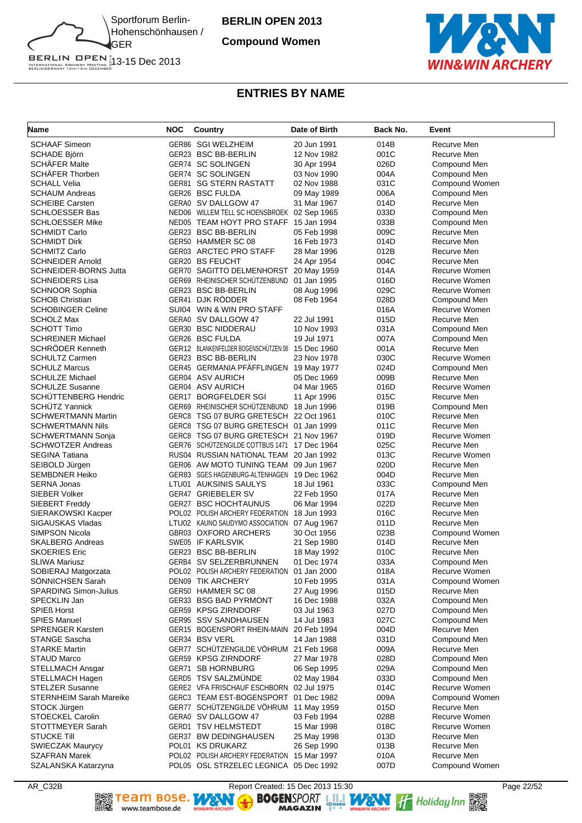

**Compound Women**



# **ENTRIES BY NAME**

| Name                                            | <b>NOC</b> | Country                                                  | Date of Birth              | Back No.     | Event                         |
|-------------------------------------------------|------------|----------------------------------------------------------|----------------------------|--------------|-------------------------------|
| <b>SCHAAF Simeon</b>                            |            | GER86 SGI WELZHEIM                                       | 20 Jun 1991                | 014B         | Recurve Men                   |
| <b>SCHADE Björn</b>                             |            | GER23 BSC BB-BERLIN                                      | 12 Nov 1982                | 001C         | Recurve Men                   |
| <b>SCHÄFER Malte</b>                            |            | GER74 SC SOLINGEN                                        | 30 Apr 1994                | 026D         | Compound Men                  |
| <b>SCHÄFER Thorben</b>                          |            | GER74 SC SOLINGEN                                        | 03 Nov 1990                | 004A         | Compound Men                  |
| <b>SCHALL Velia</b>                             |            | <b>GER81 SG STERN RASTATT</b>                            | 02 Nov 1988                | 031C         | Compound Women                |
| <b>SCHAUM Andreas</b>                           |            | GER26 BSC FULDA                                          | 09 May 1989                | 006A         | Compound Men                  |
| <b>SCHEIBE Carsten</b>                          |            | GERA0 SV DALLGOW 47                                      | 31 Mar 1967                | 014D         | Recurve Men                   |
| <b>SCHLOESSER Bas</b>                           |            | NED06 WILLEM TELL SC HOENSBROEK 02 Sep 1965              |                            | 033D         | Compound Men                  |
| <b>SCHLOESSER Mike</b>                          |            | NED05 TEAM HOYT PRO STAFF                                | 15 Jan 1994                | 033B         | Compound Men                  |
| <b>SCHMIDT Carlo</b>                            |            | GER23 BSC BB-BERLIN                                      | 05 Feb 1998                | 009C         | Recurve Men                   |
| <b>SCHMIDT Dirk</b>                             |            | GER50 HAMMER SC 08                                       | 16 Feb 1973                | 014D         | Recurve Men                   |
| <b>SCHMITZ Carlo</b>                            |            | GER03 ARCTEC PRO STAFF                                   | 28 Mar 1996                | 012B         | Recurve Men                   |
| <b>SCHNEIDER Arnold</b>                         |            | <b>GER20 BS FEUCHT</b>                                   | 24 Apr 1954                | 004C         | Recurve Men                   |
| <b>SCHNEIDER-BORNS Jutta</b>                    |            | GER70 SAGITTO DELMENHORST                                | 20 May 1959                | 014A         | Recurve Women                 |
| <b>SCHNEIDERS Lisa</b>                          |            | GER69 RHEINISCHER SCHUTZENBUND                           | 01 Jan 1995                | 016D         | Recurve Women                 |
| <b>SCHNOOR Sophia</b><br><b>SCHOB Christian</b> |            | GER23 BSC BB-BERLIN<br>GER41 DJK RÖDDER                  | 08 Aug 1996<br>08 Feb 1964 | 029C<br>028D | Recurve Women                 |
|                                                 |            | SUI04 WIN & WIN PRO STAFF                                |                            |              | Compound Men<br>Recurve Women |
| <b>SCHOBINGER Celine</b><br><b>SCHOLZ Max</b>   |            | GERA0 SV DALLGOW 47                                      | 22 Jul 1991                | 016A<br>015D | Recurve Men                   |
| <b>SCHOTT Timo</b>                              |            | <b>GER30 BSC NIDDERAU</b>                                | 10 Nov 1993                | 031A         |                               |
| <b>SCHREINER Michael</b>                        |            | GER26 BSC FULDA                                          | 19 Jul 1971                | 007A         | Compound Men<br>Compound Men  |
| <b>SCHRODER Kenneth</b>                         |            | GER12 BLANKENFELDER BOGENSCHÜTZEN 08                     | 15 Dec 1960                | 001A         | Recurve Men                   |
| <b>SCHULTZ Carmen</b>                           |            | GER23 BSC BB-BERLIN                                      | 23 Nov 1978                | 030C         | Recurve Women                 |
| <b>SCHULZ Marcus</b>                            |            | GER45 GERMANIA PFÄFFLINGEN 19 May 1977                   |                            | 024D         | Compound Men                  |
| <b>SCHULZE Michael</b>                          |            | GER04 ASV AURICH                                         | 05 Dec 1969                | 009B         | Recurve Men                   |
| <b>SCHULZE Susanne</b>                          |            | GER04 ASV AURICH                                         | 04 Mar 1965                | 016D         | Recurve Women                 |
| SCHÜTTENBERG Hendric                            |            | GER17 BORGFELDER SGI                                     | 11 Apr 1996                | 015C         | Recurve Men                   |
| <b>SCHUTZ Yannick</b>                           |            | GER69 RHEINISCHER SCHÜTZENBUND                           | 18 Jun 1996                | 019B         | Compound Men                  |
| <b>SCHWERTMANN Martin</b>                       |            | GERC8 TSG 07 BURG GRETESCH 22 Oct 1961                   |                            | 010C         | Recurve Men                   |
| <b>SCHWERTMANN Nils</b>                         |            | GERC8 TSG 07 BURG GRETESCH 01 Jan 1999                   |                            | 011C         | Recurve Men                   |
| <b>SCHWERTMANN Sonja</b>                        |            | GERC8 TSG 07 BURG GRETESCH 21 Nov 1967                   |                            | 019D         | Recurve Women                 |
| <b>SCHWOTZER Andreas</b>                        |            | GER76 SCHÜTZENGILDE COTTBUS 1471 17 Dec 1964             |                            | 025C         | Recurve Men                   |
| <b>SEGINA Tatiana</b>                           |            | RUS04 RUSSIAN NATIONAL TEAM 20 Jan 1992                  |                            | 013C         | Recurve Women                 |
| SEIBOLD Jürgen                                  |            | GER06 AW MOTO TUNING TEAM 09 Jun 1967                    |                            | 020D         | Recurve Men                   |
| <b>SEMBDNER Heiko</b>                           |            | GER83 SGES HAGENBURG-ALTENHAGEN 19 Dec 1962              |                            | 004D         | Recurve Men                   |
| <b>SERNA Jonas</b>                              |            | LTU01 AUKSINIS SAULYS                                    | 18 Jul 1961                | 033C         | Compound Men                  |
| SIEBER Volker                                   |            | GER47 GRIEBELER SV                                       | 22 Feb 1950                | 017A         | Recurve Men                   |
| SIEBERT Freddy                                  |            | <b>GER27 BSC HOCHTAUNUS</b>                              | 06 Mar 1994                | 022D         | Recurve Men                   |
| SIERAKOWSKI Kacper                              |            | POL02 POLISH ARCHERY FEDERATION                          | 18 Jun 1993                | 016C         | Recurve Men                   |
| <b>SIGAUSKAS Vladas</b>                         |            | LTU02 KAUNO SAUDYMO ASSOCIATION                          | 07 Aug 1967                | 011D         | Recurve Men                   |
| SIMPSON Nicola                                  |            | GBR03 OXFORD ARCHERS                                     | 30 Oct 1956                | 023B         | Compound Women                |
| <b>SKALBERG Andreas</b>                         |            | SWE05 IF KARLSVIK                                        | 21 Sep 1980                | 014D         | Recurve Men                   |
| <b>SKOERIES Eric</b>                            |            | GER23 BSC BB-BERLIN                                      | 18 May 1992                | 010C         | Recurve Men                   |
| <b>SLIWA Mariusz</b>                            |            | GERB4 SV SELZERBRUNNEN                                   | 01 Dec 1974                | 033A         | Compound Men                  |
| SOBIERAJ Matgorzata                             |            | POL02 POLISH ARCHERY FEDERATION                          | 01 Jan 2000                | 018A         | Recurve Women                 |
| <b>SONNICHSEN Sarah</b>                         |            | DEN09 TIK ARCHERY                                        | 10 Feb 1995                | 031A         | Compound Women                |
| SPARDING Simon-Julius                           |            | GER50 HAMMER SC 08                                       | 27 Aug 1996                | 015D         | Recurve Men                   |
| SPECKLIN Jan                                    |            | GER33 BSG BAD PYRMONT                                    | 16 Dec 1988                | 032A         | Compound Men                  |
| <b>SPIEß Horst</b>                              |            | GER59 KPSG ZIRNDORF                                      | 03 Jul 1963                | 027D         | Compound Men                  |
| <b>SPIES Manuel</b>                             |            | GER95 SSV SANDHAUSEN                                     | 14 Jul 1983                | 027C         | Compound Men                  |
| <b>SPRENGER Karsten</b>                         |            | GER15 BOGENSPORT RHEIN-MAIN                              | 20 Feb 1994                | 004D         | Recurve Men                   |
| STANGE Sascha                                   |            | GER34 BSV VERL<br>GER77 SCHÜTZENGILDE VÖHRUM 21 Feb 1968 | 14 Jan 1988                | 031D         | Compound Men                  |
| <b>STARKE Martin</b>                            |            |                                                          |                            | 009A         | Recurve Men                   |
| <b>STAUD Marco</b>                              |            | GER59 KPSG ZIRNDORF<br>GER71 SB HORNBURG                 | 27 Mar 1978                | 028D<br>029A | Compound Men<br>Compound Men  |
| STELLMACH Ansgar<br>STELLMACH Hagen             |            | GERD5 TSV SALZMÜNDE                                      | 06 Sep 1995<br>02 May 1984 | 033D         | Compound Men                  |
| <b>STELZER Susanne</b>                          |            | GERE2 VFA FRISCHAUF ESCHBORN 02 Jul 1975                 |                            | 014C         | Recurve Women                 |
| STERNHEIM Sarah Mareike                         |            | GERC3 TEAM EST-BOGENSPORT                                | 01 Dec 1982                | 009A         | Compound Women                |
| STOCK Jürgen                                    |            | GER77 SCHÜTZENGILDE VÖHRUM 11 May 1959                   |                            | 015D         | Recurve Men                   |
| STOECKEL Carolin                                |            | GERA0 SV DALLGOW 47                                      | 03 Feb 1994                | 028B         | Recurve Women                 |
| STOTTMEYER Sarah                                |            | GERD1 TSV HELMSTEDT                                      | 15 Mar 1998                | 018C         | Recurve Women                 |
| <b>STUCKE Till</b>                              |            | GER37 BW DEDINGHAUSEN                                    | 25 May 1998                | 013D         | Recurve Men                   |
| <b>SWIECZAK Maurycy</b>                         |            | POL01 KS DRUKARZ                                         | 26 Sep 1990                | 013B         | Recurve Men                   |
| <b>SZAFRAN Marek</b>                            |            | POL02 POLISH ARCHERY FEDERATION 15 Mar 1997              |                            | 010A         | Recurve Men                   |
| SZALANSKA Katarzyna                             |            | POL05 OSL STRZELEC LEGNICA 05 Dec 1992                   |                            | 007D         | Compound Women                |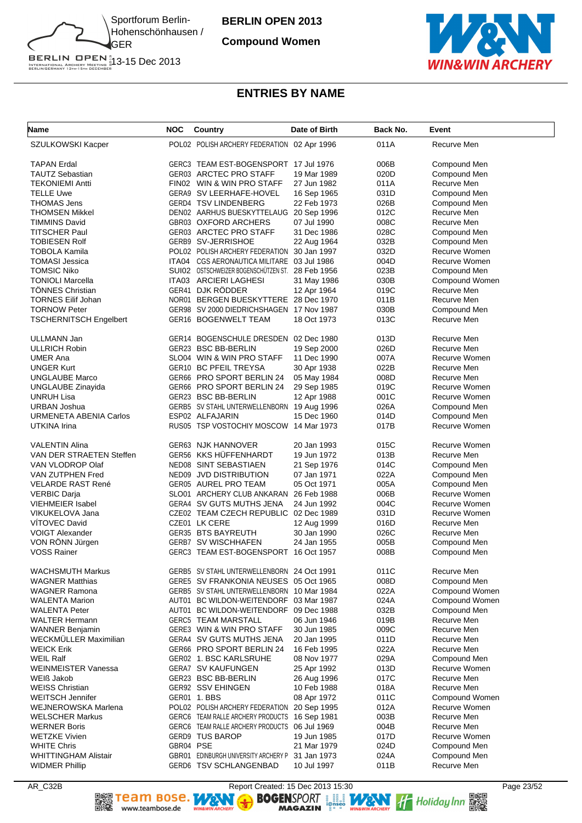

**Compound Women**



# **ENTRIES BY NAME**

| <b>Name</b>                   | <b>NOC</b> | Country                                          | Date of Birth | Back No. | Event          |
|-------------------------------|------------|--------------------------------------------------|---------------|----------|----------------|
| SZULKOWSKI Kacper             |            | POL02 POLISH ARCHERY FEDERATION 02 Apr 1996      |               | 011A     | Recurve Men    |
| <b>TAPAN Erdal</b>            |            | GERC3 TEAM EST-BOGENSPORT 17 Jul 1976            |               | 006B     | Compound Men   |
| <b>TAUTZ Sebastian</b>        |            | GER03 ARCTEC PRO STAFF                           | 19 Mar 1989   | 020D     | Compound Men   |
| <b>TEKONIEMI Antti</b>        |            | FIN02 WIN & WIN PRO STAFF                        | 27 Jun 1982   | 011A     | Recurve Men    |
| <b>TELLE Uwe</b>              |            | GERA9 SV LEERHAFE-HOVEL                          | 16 Sep 1965   | 031D     | Compound Men   |
| <b>THOMAS Jens</b>            |            | GERD4 TSV LINDENBERG                             | 22 Feb 1973   | 026B     | Compound Men   |
| THOMSEN Mikkel                |            | DEN02 AARHUS BUESKYTTELAUG                       | 20 Sep 1996   | 012C     | Recurve Men    |
| <b>TIMMINS David</b>          |            | GBR03 OXFORD ARCHERS                             | 07 Jul 1990   | 008C     | Recurve Men    |
| <b>TITSCHER Paul</b>          |            | GER03 ARCTEC PRO STAFF                           | 31 Dec 1986   | 028C     | Compound Men   |
| <b>TOBIESEN Rolf</b>          |            | GERB9 SV-JERRISHOE                               | 22 Aug 1964   | 032B     | Compound Men   |
| TOBOLA Kamila                 |            | POL02 POLISH ARCHERY FEDERATION                  | 30 Jan 1997   | 032D     | Recurve Women  |
| TOMASI Jessica                |            | ITA04 CGS AERONAUTICA MILITARE 03 Jul 1986       |               | 004D     | Recurve Women  |
| <b>TOMSIC Niko</b>            |            | SUI02 OSTSCHWEIZER BOGENSCHÜTZEN ST. 28 Feb 1956 |               | 023B     | Compound Men   |
| <b>TONIOLI Marcella</b>       |            | ITA03 ARCIERI LAGHESI                            | 31 May 1986   | 030B     | Compound Women |
| <b>TONNES Christian</b>       |            | GER41 DJK RÖDDER                                 | 12 Apr 1964   | 019C     | Recurve Men    |
| <b>TORNES Eilif Johan</b>     |            | NOR01 BERGEN BUESKYTTERE 28 Dec 1970             |               | 011B     | Recurve Men    |
| <b>TORNOW Peter</b>           |            | GER98 SV 2000 DIEDRICHSHAGEN                     | 17 Nov 1987   | 030B     | Compound Men   |
| <b>TSCHERNITSCH Engelbert</b> |            | GER16 BOGENWELT TEAM                             | 18 Oct 1973   | 013C     | Recurve Men    |
| <b>ULLMANN Jan</b>            |            | GER14 BOGENSCHULE DRESDEN 02 Dec 1980            |               | 013D     | Recurve Men    |
| <b>ULLRICH Robin</b>          |            | GER23 BSC BB-BERLIN                              | 19 Sep 2000   | 026D     | Recurve Men    |
| <b>UMER Ana</b>               |            | SLO04 WIN & WIN PRO STAFF                        | 11 Dec 1990   | 007A     | Recurve Women  |
| <b>UNGER Kurt</b>             |            | GER10 BC PFEIL TREYSA                            | 30 Apr 1938   | 022B     | Recurve Men    |
| <b>UNGLAUBE Marco</b>         |            | GER66 PRO SPORT BERLIN 24                        | 05 May 1984   | 008D     | Recurve Men    |
| <b>UNGLAUBE Zinayida</b>      |            | GER66 PRO SPORT BERLIN 24                        | 29 Sep 1985   | 019C     | Recurve Women  |
| <b>UNRUH Lisa</b>             |            | GER23 BSC BB-BERLIN                              | 12 Apr 1988   | 001C     | Recurve Women  |
| URBAN Joshua                  |            | GERB5 SV STAHL UNTERWELLENBORN 19 Aug 1996       |               | 026A     | Compound Men   |
| <b>URMENETA ABENIA Carlos</b> |            | ESP02 ALFAJARIN                                  | 15 Dec 1960   | 014D     | Compound Men   |
| UTKINA Irina                  |            | RUS05 TSP VOSTOCHIY MOSCOW 14 Mar 1973           |               | 017B     | Recurve Women  |
| <b>VALENTIN Alina</b>         |            | GER63 NJK HANNOVER                               | 20 Jan 1993   | 015C     | Recurve Women  |
| VAN DER STRAETEN Steffen      |            | GER56 KKS HÜFFENHARDT                            | 19 Jun 1972   | 013B     | Recurve Men    |
| VAN VLODROP Olaf              |            | NED08 SINT SEBASTIAEN                            | 21 Sep 1976   | 014C     | Compound Men   |
| VAN ZUTPHEN Fred              |            | NED09 JVD DISTRIBUTION                           | 07 Jan 1971   | 022A     | Compound Men   |
| VELARDE RAST René             |            | GER05 AUREL PRO TEAM                             | 05 Oct 1971   | 005A     | Compound Men   |
| <b>VERBIC Darja</b>           |            | SLO01 ARCHERY CLUB ANKARAN                       | 26 Feb 1988   | 006B     | Recurve Women  |
| <b>VIEHMEIER Isabel</b>       |            | GERA4 SV GUTS MUTHS JENA                         | 24 Jun 1992   | 004C     | Recurve Women  |
| VIKUKELOVA Jana               |            | CZE02 TEAM CZECH REPUBLIC 02 Dec 1989            |               | 031D     | Recurve Women  |
| <b>VITOVEC David</b>          |            | CZE01 LK CERE                                    | 12 Aug 1999   | 016D     | Recurve Men    |
| <b>VOIGT Alexander</b>        |            | GER35 BTS BAYREUTH                               | 30 Jan 1990   | 026C     | Recurve Men    |
| VON RÖNN Jürgen               |            | <b>GERB7 SV WISCHHAFEN</b>                       | 24 Jan 1955   | 005B     | Compound Men   |
| <b>VOSS Rainer</b>            |            | GERC3 TEAM EST-BOGENSPORT 16 Oct 1957            |               | 008B     | Compound Men   |
| <b>WACHSMUTH Markus</b>       |            | GERB5 SV STAHL UNTERWELLENBORN 24 Oct 1991       |               | 011C     | Recurve Men    |
| <b>WAGNER Matthias</b>        |            | GERE5 SV FRANKONIA NEUSES 05 Oct 1965            |               | 008D     | Compound Men   |
| <b>WAGNER Ramona</b>          |            | GERB5 SV STAHL UNTERWELLENBORN 10 Mar 1984       |               | 022A     | Compound Women |
| <b>WALENTA Marion</b>         |            | AUT01 BC WILDON-WEITENDORF 03 Mar 1987           |               | 024A     | Compound Women |
| <b>WALENTA Peter</b>          |            | AUT01 BC WILDON-WEITENDORF 09 Dec 1988           |               | 032B     | Compound Men   |
| <b>WALTER Hermann</b>         |            | <b>GERC5 TEAM MARSTALL</b>                       | 06 Jun 1946   | 019B     | Recurve Men    |
| <b>WANNER Benjamin</b>        |            | GERE3 WIN & WIN PRO STAFF                        | 30 Jun 1985   | 009C     | Recurve Men    |
| <b>WECKMULLER Maximilian</b>  |            | GERA4 SV GUTS MUTHS JENA                         | 20 Jan 1995   | 011D     | Recurve Men    |
| <b>WEICK Erik</b>             |            | GER66 PRO SPORT BERLIN 24                        | 16 Feb 1995   | 022A     | Recurve Men    |
| <b>WEIL Ralf</b>              |            | GER02 1. BSC KARLSRUHE                           | 08 Nov 1977   | 029A     | Compound Men   |
| <b>WEINMEISTER Vanessa</b>    |            | <b>GERA7 SV KAUFUNGEN</b>                        | 25 Apr 1992   | 013D     | Recurve Women  |
| WEIß Jakob                    |            | GER23 BSC BB-BERLIN                              | 26 Aug 1996   | 017C     | Recurve Men    |
| <b>WEISS Christian</b>        |            | GER92 SSV EHINGEN                                | 10 Feb 1988   | 018A     | Recurve Men    |
| <b>WEITSCH Jennifer</b>       |            | GER01 1. BBS                                     | 08 Apr 1972   | 011C     | Compound Women |
| WEJNEROWSKA Marlena           |            | POL02 POLISH ARCHERY FEDERATION 20 Sep 1995      |               | 012A     | Recurve Women  |
| <b>WELSCHER Markus</b>        |            | GERC6 TEAM RALLE ARCHERY PRODUCTS 16 Sep 1981    |               | 003B     | Recurve Men    |
| <b>WERNER Boris</b>           |            | GERC6 TEAM RALLE ARCHERY PRODUCTS 06 Jul 1969    |               | 004B     | Recurve Men    |
| <b>WETZKE Vivien</b>          |            | GERD9 TUS BAROP                                  | 19 Jun 1985   | 017D     | Recurve Women  |
| <b>WHITE Chris</b>            | GBR04 PSE  |                                                  | 21 Mar 1979   | 024D     | Compound Men   |
| WHITTINGHAM Alistair          |            | GBR01 EDINBURGH UNIVERSITY ARCHERY P             | 31 Jan 1973   | 024A     | Compound Men   |
| <b>WIDMER Phillip</b>         |            | GERD6 TSV SCHLANGENBAD                           | 10 Jul 1997   | 011B     | Recurve Men    |

▓

AR\_C32B<br> **AR\_C32B** Report Created: 15 Dec 2013 15:30<br> **ARGAZIN** POSE REPORT **ARGAZIN** AND THE Holiday Inn **BRIDGES** WINNER WAS WORKER WANTER TO BE SEEN TO BE WANTER TO BE SEEN TO BE SEEN TO BE SEEN TO BE SEEN TO BE SEEN TO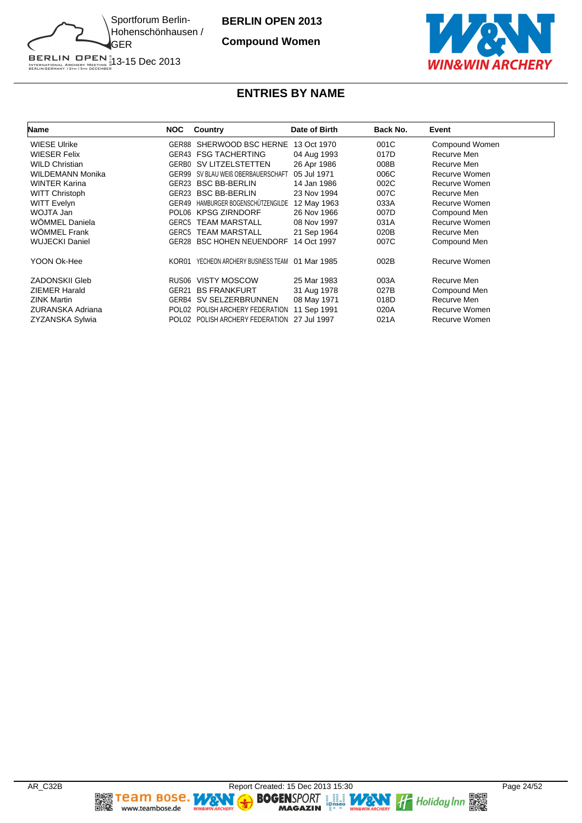

**Compound Women**



# **ENTRIES BY NAME**

| <b>Name</b>             | <b>NOC</b> | Country                            | Date of Birth | Back No. | Event          |
|-------------------------|------------|------------------------------------|---------------|----------|----------------|
| <b>WIESE Ulrike</b>     |            | GER88 SHERWOOD BSC HERNE           | 13 Oct 1970   | 001C     | Compound Women |
| WIESER Felix            |            | <b>GER43 FSG TACHERTING</b>        | 04 Aug 1993   | 017D     | Recurve Men    |
| <b>WILD Christian</b>   |            | <b>GERBO SV LITZELSTETTEN</b>      | 26 Apr 1986   | 008B     | Recurve Men    |
| WILDEMANN Monika        | GER99      | SV BLAU WEIß OBERBAUERSCHAFT       | 05 Jul 1971   | 006C     | Recurve Women  |
| WINTER Karina           |            | GER23 BSC BB-BERLIN                | 14 Jan 1986   | 002C     | Recurve Women  |
| <b>WITT Christoph</b>   | GER23      | <b>BSC BB-BERLIN</b>               | 23 Nov 1994   | 007C     | Recurve Men    |
| WITT Evelyn             |            | GER49 HAMBURGER BOGENSCHÜTZENGILDE | 12 May 1963   | 033A     | Recurve Women  |
| WOJTA Jan               |            | POL06 KPSG ZIRNDORF                | 26 Nov 1966   | 007D     | Compound Men   |
| WÖMMEL Daniela          | GERC5      | <b>TEAM MARSTALL</b>               | 08 Nov 1997   | 031A     | Recurve Women  |
| WÖMMEL Frank            | GERC5      | <b>TEAM MARSTALL</b>               | 21 Sep 1964   | 020B     | Recurve Men    |
| WUJECKI Daniel          |            | <b>GER28 BSC HOHEN NEUENDORF</b>   | 14 Oct 1997   | 007C     | Compound Men   |
| YOON Ok-Hee             | KOR01      | YECHEON ARCHERY BUSINESS TEAM      | 01 Mar 1985   | 002B     | Recurve Women  |
| <b>ZADONSKII Gleb</b>   |            | RUS06 VISTY MOSCOW                 | 25 Mar 1983   | 003A     | Recurve Men    |
| <b>ZIEMER Harald</b>    | GER21      | <b>BS FRANKFURT</b>                | 31 Aug 1978   | 027B     | Compound Men   |
| <b>ZINK Martin</b>      |            | GERB4 SV SELZERBRUNNEN             | 08 May 1971   | 018D     | Recurve Men    |
| <b>ZURANSKA Adriana</b> |            | POL02 POLISH ARCHERY FEDERATION    | 11 Sep 1991   | 020A     | Recurve Women  |
| ZYZANSKA Sylwia         |            | POL02 POLISH ARCHERY FEDERATION    | 27 Jul 1997   | 021A     | Recurve Women  |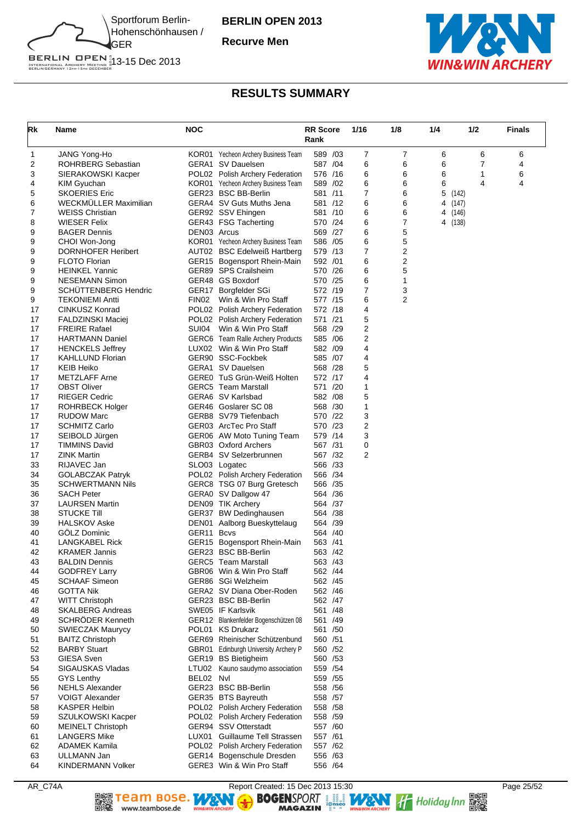

**Recurve Men**



BERLIN OPEN<sup>#</sup><br>INTERNATIONAL ARCHERY MEETING #13-15 Dec 2013<br>BERLINGERMANY 13th-15th december

# **RESULTS SUMMARY**

| Rk       | Name                                              | <b>NOC</b>             |                                                                        | <b>RR Score</b><br>Rank | 1/16   | 1/8            | 1/4     | 1/2   | <b>Finals</b> |
|----------|---------------------------------------------------|------------------------|------------------------------------------------------------------------|-------------------------|--------|----------------|---------|-------|---------------|
| 1        | JANG Yong-Ho                                      |                        | KOR01 Yecheon Archery Business Team                                    | 589 /03                 | 7      | 7              | 6       | 6     | 6             |
| 2        | ROHRBERG Sebastian                                |                        | GERA1 SV Dauelsen                                                      | 587 /04                 | 6      | 6              | 6       | 7     | 4             |
| 3        | SIERAKOWSKI Kacper                                |                        | POL02 Polish Archery Federation                                        | 576 /16                 | 6      | 6              | 6       | 1     | 6             |
| 4        | KIM Gyuchan                                       |                        | KOR01 Yecheon Archery Business Team                                    | 589 /02                 | 6      | 6              | 6       | 4     | 4             |
| 5        | <b>SKOERIES Eric</b>                              |                        | GER23 BSC BB-Berlin                                                    | 581 /11                 | 7      | 6              | 5       | (142) |               |
| 6        | <b>WECKMULLER Maximilian</b>                      |                        | GERA4 SV Guts Muths Jena                                               | 581 /12                 | 6      | 6              | 4 (147) |       |               |
| 7        | <b>WEISS Christian</b>                            |                        | GER92 SSV Ehingen                                                      | 581 /10                 | 6      | 6              | 4 (146) |       |               |
| 8        | <b>WIESER Felix</b>                               |                        | GER43 FSG Tacherting                                                   | 570 /24                 | 6      | 7              | 4 (138) |       |               |
| 9        | <b>BAGER Dennis</b>                               | DEN03 Arcus            |                                                                        | 569 /27                 | 6      | 5              |         |       |               |
| 9        | CHOI Won-Jong                                     |                        | KOR01 Yecheon Archery Business Team                                    | 586 /05                 | 6<br>7 | 5<br>2         |         |       |               |
| 9<br>9   | <b>DORNHOFER Heribert</b><br><b>FLOTO Florian</b> |                        | AUT02 BSC Edelweiß Hartberg<br>GER15 Bogensport Rhein-Main             | 579 /13<br>592 /01      | 6      | 2              |         |       |               |
| 9        | <b>HEINKEL Yannic</b>                             |                        | GER89 SPS Crailsheim                                                   | 570 /26                 | 6      | 5              |         |       |               |
| 9        | <b>NESEMANN Simon</b>                             |                        | GER48 GS Boxdorf                                                       | 570 /25                 | 6      | 1              |         |       |               |
| 9        | <b>SCHUTTENBERG Hendric</b>                       |                        | GER17 Borgfelder SGi                                                   | 572 /19                 | 7      | 3              |         |       |               |
| 9        | <b>TEKONIEMI Antti</b>                            | FIN02                  | Win & Win Pro Staff                                                    | 577 /15                 | 6      | $\overline{2}$ |         |       |               |
| 17       | CINKUSZ Konrad                                    |                        | POL02 Polish Archery Federation                                        | 572 /18                 | 4      |                |         |       |               |
| 17       | <b>FALDZINSKI Maciej</b>                          |                        | POL02 Polish Archery Federation                                        | 571 /21                 | 5      |                |         |       |               |
| 17       | <b>FREIRE Rafael</b>                              | SUI04                  | Win & Win Pro Staff                                                    | 568 /29                 | 2      |                |         |       |               |
| 17       | <b>HARTMANN Daniel</b>                            |                        | GERC6 Team Ralle Archery Products                                      | 585 /06                 | 2      |                |         |       |               |
| 17       | <b>HENCKELS Jeffrey</b>                           |                        | LUX02 Win & Win Pro Staff                                              | 582 /09                 | 4      |                |         |       |               |
| 17       | <b>KAHLLUND Florian</b>                           |                        | GER90 SSC-Fockbek                                                      | 585 /07                 | 4      |                |         |       |               |
| 17       | <b>KEIB Heiko</b>                                 |                        | GERA1 SV Dauelsen                                                      | 568 /28                 | 5      |                |         |       |               |
| 17       | <b>METZLAFF Arne</b>                              |                        | GEREO TuS Grün-Weiß Holten                                             | 572 /17                 | 4      |                |         |       |               |
| 17       | <b>OBST Oliver</b>                                |                        | <b>GERC5</b> Team Marstall                                             | 571 /20                 | 1      |                |         |       |               |
| 17       | <b>RIEGER Cedric</b>                              |                        | GERA6 SV Karlsbad                                                      | 582 / 08                | 5      |                |         |       |               |
| 17       | <b>ROHRBECK Holger</b>                            |                        | GER46 Goslarer SC 08                                                   | 568 /30                 | 1      |                |         |       |               |
| 17       | <b>RUDOW Marc</b>                                 |                        | GERB8 SV79 Tiefenbach                                                  | 570 /22                 | 3      |                |         |       |               |
| 17       | <b>SCHMITZ Carlo</b>                              |                        | GER03 ArcTec Pro Staff                                                 | 570 /23                 | 2      |                |         |       |               |
| 17       | SEIBOLD Jürgen                                    |                        | GER06 AW Moto Tuning Team                                              | 579 /14                 | 3      |                |         |       |               |
| 17<br>17 | <b>TIMMINS David</b><br><b>ZINK Martin</b>        |                        | GBR03 Oxford Archers<br>GERB4 SV Selzerbrunnen                         | 567 /31<br>567 /32      | 0<br>2 |                |         |       |               |
| 33       | RIJAVEC Jan                                       |                        | SLO03 Logatec                                                          | 566 /33                 |        |                |         |       |               |
| 34       | <b>GOLABCZAK Patryk</b>                           |                        | POL02 Polish Archery Federation                                        | 566 /34                 |        |                |         |       |               |
| 35       | <b>SCHWERTMANN Nils</b>                           |                        | GERC8 TSG 07 Burg Gretesch                                             | 566 /35                 |        |                |         |       |               |
| 36       | <b>SACH Peter</b>                                 |                        | GERA0 SV Dallgow 47                                                    | 564 /36                 |        |                |         |       |               |
| 37       | <b>LAURSEN Martin</b>                             |                        | DEN09 TIK Archery                                                      | 564 / 37                |        |                |         |       |               |
| 38       | <b>STUCKE Till</b>                                |                        | GER37 BW Dedinghausen                                                  | 564 /38                 |        |                |         |       |               |
| 39       | <b>HALSKOV Aske</b>                               |                        | DEN01 Aalborg Bueskyttelaug                                            | 564 / 39                |        |                |         |       |               |
| 40       | GÖLZ Dominic                                      | GER <sub>11</sub> Bcvs |                                                                        | 564 /40                 |        |                |         |       |               |
| 41       | <b>LANGKABEL Rick</b>                             |                        | GER15 Bogensport Rhein-Main                                            | 563 /41                 |        |                |         |       |               |
| 42       | <b>KRAMER Jannis</b>                              |                        | GER23 BSC BB-Berlin                                                    | 563 /42                 |        |                |         |       |               |
| 43       | <b>BALDIN Dennis</b>                              |                        | <b>GERC5</b> Team Marstall                                             | 563 /43                 |        |                |         |       |               |
| 44       | <b>GODFREY Larry</b>                              |                        | GBR06 Win & Win Pro Staff                                              | 562 /44                 |        |                |         |       |               |
| 45       | <b>SCHAAF Simeon</b>                              |                        | GER86 SGi Welzheim                                                     | 562 /45                 |        |                |         |       |               |
| 46       | <b>GOTTA Nik</b>                                  |                        | GERA2 SV Diana Ober-Roden                                              | 562 / 46                |        |                |         |       |               |
| 47       | <b>WITT Christoph</b>                             |                        | GER23 BSC BB-Berlin                                                    | 562 /47                 |        |                |         |       |               |
| 48       | <b>SKALBERG Andreas</b>                           |                        | SWE05 IF Karlsvik                                                      | 561 /48                 |        |                |         |       |               |
| 49       | SCHRÖDER Kenneth                                  |                        | GER12 Blankenfelder Bogenschützen 08                                   | 561 /49                 |        |                |         |       |               |
| 50       | <b>SWIECZAK Maurycy</b>                           |                        | POL01 KS Drukarz                                                       | 561 / 50                |        |                |         |       |               |
| 51<br>52 | <b>BAITZ Christoph</b><br><b>BARBY Stuart</b>     |                        | GER69 Rheinischer Schützenbund<br>GBR01 Edinburgh University Archery P | 560 /51<br>560 / 52     |        |                |         |       |               |
| 53       | <b>GIESA Sven</b>                                 |                        | GER19 BS Bietigheim                                                    | 560 / 53                |        |                |         |       |               |
| 54       | SIGAUSKAS Vladas                                  |                        | LTU02 Kauno saudymo association                                        | 559 / 54                |        |                |         |       |               |
| 55       | <b>GYS Lenthy</b>                                 | BEL02 Nvl              |                                                                        | 559 / 55                |        |                |         |       |               |
| 56       | <b>NEHLS Alexander</b>                            |                        | GER23 BSC BB-Berlin                                                    | 558 / 56                |        |                |         |       |               |
| 57       | <b>VOIGT Alexander</b>                            |                        | GER35 BTS Bayreuth                                                     | 558 /57                 |        |                |         |       |               |
| 58       | <b>KASPER Helbin</b>                              |                        | POL02 Polish Archery Federation                                        | 558 / 58                |        |                |         |       |               |
| 59       | SZULKOWSKI Kacper                                 |                        | POL02 Polish Archery Federation                                        | 558 /59                 |        |                |         |       |               |
| 60       | <b>MEINELT Christoph</b>                          |                        | GER94 SSV Otterstadt                                                   | 557 /60                 |        |                |         |       |               |
| 61       | <b>LANGERS Mike</b>                               |                        | LUX01 Guillaume Tell Strassen                                          | 557 /61                 |        |                |         |       |               |
| 62       | <b>ADAMEK Kamila</b>                              |                        | POL02 Polish Archery Federation                                        | 557 /62                 |        |                |         |       |               |
| 63       | ULLMANN Jan                                       |                        | GER14 Bogenschule Dresden                                              | 556 /63                 |        |                |         |       |               |
| 64       | <b>KINDERMANN Volker</b>                          |                        | GERE3 Win & Win Pro Staff                                              | 556 /64                 |        |                |         |       |               |

AR\_C74A Report Created: 15 Dec 2013 15:30 Page 25/52 Page 25/52<br>
Report Created: 15 Dec 2013 15:30 Page 25/52<br>
The magnetic must be the motor of the magnetic page of the must are the motor of the must be the must be the mu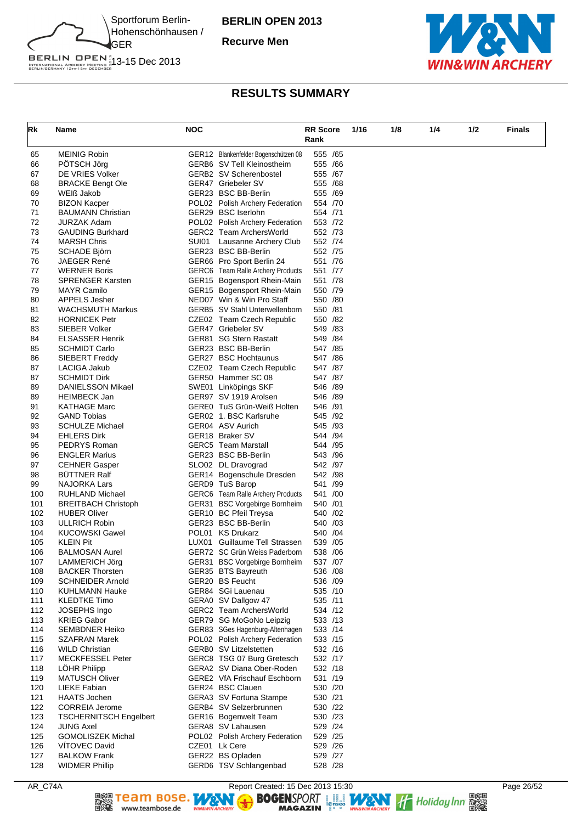

**Recurve Men**



# BERLIN OPEN 1<br>INTERNATIONAL ARCHERY MEETING 13-15 Dec 2013<br>BERLINGERMANY 13TH-15TH DECEMBER

| Rk         | Name                                            | <b>NOC</b> |                                                             | <b>RR Score</b>      |  | 1/16 | 1/8 | 1/4 | 1/2 | <b>Finals</b> |
|------------|-------------------------------------------------|------------|-------------------------------------------------------------|----------------------|--|------|-----|-----|-----|---------------|
|            |                                                 |            |                                                             | Rank                 |  |      |     |     |     |               |
| 65         | <b>MEINIG Robin</b>                             |            | GER12 Blankenfelder Bogenschützen 08                        | 555 /65              |  |      |     |     |     |               |
| 66         | PÖTSCH Jörg                                     |            | GERB6 SV Tell Kleinostheim                                  | 555 /66              |  |      |     |     |     |               |
| 67         | DE VRIES Volker                                 |            | GERB2 SV Scherenbostel                                      | 555 /67              |  |      |     |     |     |               |
| 68         | <b>BRACKE Bengt Ole</b>                         |            | GER47 Griebeler SV                                          | 555 /68              |  |      |     |     |     |               |
| 69         | WEIß Jakob                                      |            | GER23 BSC BB-Berlin                                         | 555 /69              |  |      |     |     |     |               |
| 70<br>71   | <b>BIZON Kacper</b><br><b>BAUMANN Christian</b> |            | POL02 Polish Archery Federation<br>GER29 BSC Iserlohn       | 554 /70<br>554 /71   |  |      |     |     |     |               |
| 72         | <b>JURZAK Adam</b>                              |            | POL02 Polish Archery Federation                             | 553 /72              |  |      |     |     |     |               |
| 73         | <b>GAUDING Burkhard</b>                         |            | GERC2 Team ArchersWorld                                     | 552 /73              |  |      |     |     |     |               |
| 74         | <b>MARSH Chris</b>                              |            | SUI01 Lausanne Archery Club                                 | 552 /74              |  |      |     |     |     |               |
| 75         | SCHADE Björn                                    |            | GER23 BSC BB-Berlin                                         | 552 /75              |  |      |     |     |     |               |
| 76         | <b>JAEGER René</b>                              |            | GER66 Pro Sport Berlin 24                                   | 551 /76              |  |      |     |     |     |               |
| 77         | <b>WERNER Boris</b>                             |            | GERC6 Team Ralle Archery Products                           | 551 /77              |  |      |     |     |     |               |
| 78         | <b>SPRENGER Karsten</b>                         |            | GER15 Bogensport Rhein-Main                                 | 551 /78              |  |      |     |     |     |               |
| 79         | <b>MAYR Camilo</b>                              |            | GER15 Bogensport Rhein-Main                                 | 550 /79              |  |      |     |     |     |               |
| 80<br>81   | <b>APPELS Jesher</b><br><b>WACHSMUTH Markus</b> |            | NED07 Win & Win Pro Staff<br>GERB5 SV Stahl Unterwellenborn | 550 /80<br>550 /81   |  |      |     |     |     |               |
| 82         | <b>HORNICEK Petr</b>                            |            | CZE02 Team Czech Republic                                   | 550 /82              |  |      |     |     |     |               |
| 83         | SIEBER Volker                                   |            | GER47 Griebeler SV                                          | 549 /83              |  |      |     |     |     |               |
| 84         | <b>ELSASSER Henrik</b>                          |            | GER81 SG Stern Rastatt                                      | 549 / 84             |  |      |     |     |     |               |
| 85         | <b>SCHMIDT Carlo</b>                            |            | GER23 BSC BB-Berlin                                         | 547 / 85             |  |      |     |     |     |               |
| 86         | SIEBERT Freddy                                  |            | GER27 BSC Hochtaunus                                        | 547 / 86             |  |      |     |     |     |               |
| 87         | LACIGA Jakub                                    |            | CZE02 Team Czech Republic                                   | 547 /87              |  |      |     |     |     |               |
| 87         | <b>SCHMIDT Dirk</b>                             |            | GER50 Hammer SC 08                                          | 547 /87              |  |      |     |     |     |               |
| 89         | DANIELSSON Mikael                               |            | SWE01 Linköpings SKF                                        | 546 /89              |  |      |     |     |     |               |
| 89         | <b>HEIMBECK Jan</b>                             |            | GER97 SV 1919 Arolsen                                       | 546 /89              |  |      |     |     |     |               |
| 91         | <b>KATHAGE Marc</b>                             |            | GERE0 TuS Grün-Weiß Holten                                  | 546 /91              |  |      |     |     |     |               |
| 92         | <b>GAND Tobias</b>                              |            | GER02 1. BSC Karlsruhe                                      | 545 /92              |  |      |     |     |     |               |
| 93<br>94   | <b>SCHULZE Michael</b><br><b>EHLERS Dirk</b>    |            | GER04 ASV Aurich<br>GER18 Braker SV                         | 545 /93<br>544 /94   |  |      |     |     |     |               |
| 95         | PEDRYS Roman                                    |            | <b>GERC5</b> Team Marstall                                  | 544 / 95             |  |      |     |     |     |               |
| 96         | <b>ENGLER Marius</b>                            |            | GER23 BSC BB-Berlin                                         | 543 / 96             |  |      |     |     |     |               |
| 97         | <b>CEHNER Gasper</b>                            |            | SLO02 DL Dravograd                                          | 542 /97              |  |      |     |     |     |               |
| 98         | <b>BUTTNER Ralf</b>                             |            | GER14 Bogenschule Dresden                                   | 542 /98              |  |      |     |     |     |               |
| 99         | NAJORKA Lars                                    |            | GERD9 TuS Barop                                             | 541 /99              |  |      |     |     |     |               |
| 100        | RUHLAND Michael                                 |            | GERC6 Team Ralle Archery Products                           | 541 /00              |  |      |     |     |     |               |
| 101        | <b>BREITBACH Christoph</b>                      |            | GER31 BSC Vorgebirge Bornheim                               | 540 /01              |  |      |     |     |     |               |
| 102        | <b>HUBER Oliver</b>                             |            | GER10 BC Pfeil Treysa                                       | 540 / 02             |  |      |     |     |     |               |
| 103        | <b>ULLRICH Robin</b><br><b>KUCOWSKI Gawel</b>   |            | GER23 BSC BB-Berlin<br>POL01 KS Drukarz                     | 540 / 03<br>540 / 04 |  |      |     |     |     |               |
| 104<br>105 | <b>KLEIN Pit</b>                                |            | LUX01 Guillaume Tell Strassen                               | 539 /05              |  |      |     |     |     |               |
| 106        | <b>BALMOSAN Aurel</b>                           |            | GER72 SC Grün Weiss Paderborn                               | 538 /06              |  |      |     |     |     |               |
| 107        | LAMMERICH Jörg                                  |            | GER31 BSC Vorgebirge Bornheim                               | 537 /07              |  |      |     |     |     |               |
| 108        | <b>BACKER Thorsten</b>                          |            | GER35 BTS Bayreuth                                          | 536 /08              |  |      |     |     |     |               |
| 109        | <b>SCHNEIDER Arnold</b>                         |            | GER20 BS Feucht                                             | 536 /09              |  |      |     |     |     |               |
| 110        | KUHLMANN Hauke                                  |            | GER84 SGi Lauenau                                           | 535 /10              |  |      |     |     |     |               |
| 111        | <b>KLEDTKE Timo</b>                             |            | GERA0 SV Dallgow 47                                         | 535 /11              |  |      |     |     |     |               |
| 112        | JOSEPHS Ingo                                    |            | GERC2 Team ArchersWorld                                     | 534 /12              |  |      |     |     |     |               |
| 113        | <b>KRIEG Gabor</b>                              |            | GER79 SG MoGoNo Leipzig                                     | 533 /13              |  |      |     |     |     |               |
| 114        | <b>SEMBDNER Heiko</b>                           |            | GER83 SGes Hagenburg-Altenhagen                             | 533 /14              |  |      |     |     |     |               |
| 115<br>116 | <b>SZAFRAN Marek</b><br><b>WILD Christian</b>   |            | POL02 Polish Archery Federation<br>GERB0 SV Litzelstetten   | 533 /15<br>532 /16   |  |      |     |     |     |               |
| 117        | <b>MECKFESSEL Peter</b>                         |            | GERC8 TSG 07 Burg Gretesch                                  | 532 /17              |  |      |     |     |     |               |
| 118        | LÖHR Philipp                                    |            | GERA2 SV Diana Ober-Roden                                   | 532 /18              |  |      |     |     |     |               |
| 119        | <b>MATUSCH Oliver</b>                           |            | GERE2 VfA Frischauf Eschborn                                | 531 /19              |  |      |     |     |     |               |
| 120        | <b>LIEKE Fabian</b>                             |            | GER24 BSC Clauen                                            | 530 /20              |  |      |     |     |     |               |
| 121        | <b>HAATS Jochen</b>                             |            | GERA3 SV Fortuna Stampe                                     | 530 /21              |  |      |     |     |     |               |
| 122        | <b>CORREIA Jerome</b>                           |            | GERB4 SV Selzerbrunnen                                      | 530 /22              |  |      |     |     |     |               |
| 123        | <b>TSCHERNITSCH Engelbert</b>                   |            | GER16 Bogenwelt Team                                        | 530 /23              |  |      |     |     |     |               |
| 124        | <b>JUNG Axel</b>                                |            | GERA8 SV Lahausen                                           | 529 /24              |  |      |     |     |     |               |
| 125        | <b>GOMOLISZEK Michal</b>                        |            | POL02 Polish Archery Federation                             | 529 /25              |  |      |     |     |     |               |
| 126        | VITOVEC David                                   |            | CZE01 Lk Cere                                               | 529 /26              |  |      |     |     |     |               |
| 127<br>128 | <b>BALKOW Frank</b><br><b>WIDMER Phillip</b>    |            | GER22 BS Opladen                                            | 529 /27<br>528 /28   |  |      |     |     |     |               |
|            |                                                 |            | GERD6 TSV Schlangenbad                                      |                      |  |      |     |     |     |               |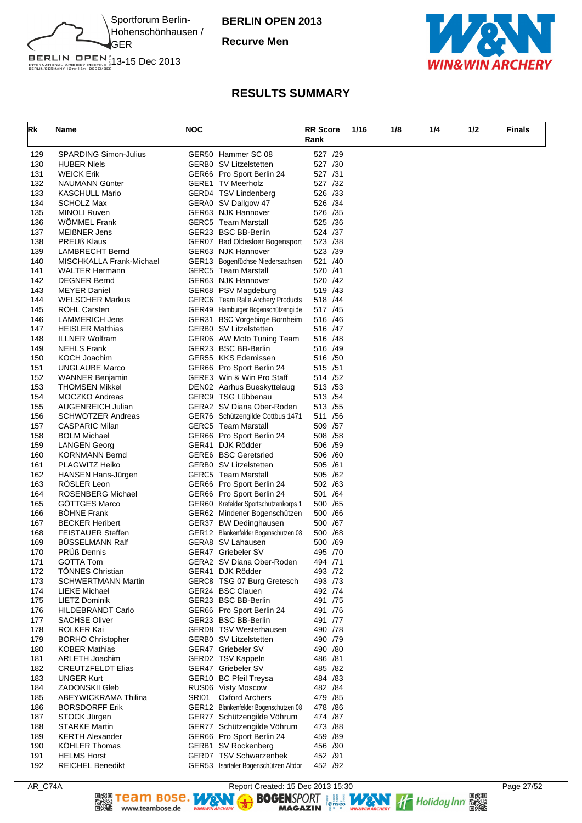

**Recurve Men**



| Rk         | Name                                          | <b>NOC</b> |                                                                     | <b>RR Score</b>      | 1/16 | 1/8 | 1/4 | 1/2 | <b>Finals</b> |
|------------|-----------------------------------------------|------------|---------------------------------------------------------------------|----------------------|------|-----|-----|-----|---------------|
|            |                                               |            |                                                                     | Rank                 |      |     |     |     |               |
| 129        | SPARDING Simon-Julius                         |            | GER50 Hammer SC 08                                                  | 527 /29              |      |     |     |     |               |
| 130        | <b>HUBER Niels</b>                            |            | GERB0 SV Litzelstetten                                              | 527 /30              |      |     |     |     |               |
| 131        | <b>WEICK Erik</b>                             |            | GER66 Pro Sport Berlin 24                                           | 527 /31              |      |     |     |     |               |
| 132        | NAUMANN Günter                                |            | <b>GERE1 TV Meerholz</b>                                            | 527 /32              |      |     |     |     |               |
| 133        | <b>KASCHULL Mario</b>                         |            | GERD4 TSV Lindenberg                                                | 526 /33              |      |     |     |     |               |
| 134        | <b>SCHOLZ Max</b>                             |            | GERA0 SV Dallgow 47                                                 | 526 /34              |      |     |     |     |               |
| 135        | <b>MINOLI Ruven</b>                           |            | GER63 NJK Hannover                                                  | 526 /35              |      |     |     |     |               |
| 136        | <b>WOMMEL Frank</b>                           |            | <b>GERC5</b> Team Marstall                                          | 525 /36              |      |     |     |     |               |
| 137        | <b>MEIßNER Jens</b>                           |            | GER23 BSC BB-Berlin                                                 | 524 /37              |      |     |     |     |               |
| 138        | <b>PREUß Klaus</b>                            |            | GER07 Bad Oldesloer Bogensport                                      | 523 /38              |      |     |     |     |               |
| 139        | LAMBRECHT Bernd                               |            | GER63 NJK Hannover                                                  | 523 /39              |      |     |     |     |               |
| 140        | MISCHKALLA Frank-Michael                      |            | GER13 Bogenfüchse Niedersachsen                                     | 521 /40              |      |     |     |     |               |
| 141        | <b>WALTER Hermann</b>                         |            | <b>GERC5</b> Team Marstall                                          | 520 /41              |      |     |     |     |               |
| 142        | <b>DEGNER Bernd</b>                           |            | GER63 NJK Hannover                                                  | 520 / 42             |      |     |     |     |               |
| 143        | MEYER Daniel                                  |            | GER68 PSV Magdeburg                                                 | 519 / 43             |      |     |     |     |               |
| 144        | <b>WELSCHER Markus</b>                        |            | GERC6 Team Ralle Archery Products                                   | 518 /44              |      |     |     |     |               |
| 145<br>146 | RÖHL Carsten<br>LAMMERICH Jens                |            | GER49 Hamburger Bogenschützengilde<br>GER31 BSC Vorgebirge Bornheim | 517 / 45<br>516 / 46 |      |     |     |     |               |
| 147        | <b>HEISLER Matthias</b>                       |            | GERB0 SV Litzelstetten                                              | 516 /47              |      |     |     |     |               |
| 148        | <b>ILLNER Wolfram</b>                         |            | GER06 AW Moto Tuning Team                                           | 516 /48              |      |     |     |     |               |
| 149        | <b>NEHLS Frank</b>                            |            | GER23 BSC BB-Berlin                                                 | 516 /49              |      |     |     |     |               |
| 150        | <b>KOCH Joachim</b>                           |            | GER55 KKS Edemissen                                                 | 516 /50              |      |     |     |     |               |
| 151        | <b>UNGLAUBE Marco</b>                         |            | GER66 Pro Sport Berlin 24                                           | 515 /51              |      |     |     |     |               |
| 152        | <b>WANNER Benjamin</b>                        |            | GERE3 Win & Win Pro Staff                                           | 514 / 52             |      |     |     |     |               |
| 153        | <b>THOMSEN Mikkel</b>                         |            | DEN02 Aarhus Bueskyttelaug                                          | 513 / 53             |      |     |     |     |               |
| 154        | MOCZKO Andreas                                |            | GERC9 TSG Lübbenau                                                  | 513 / 54             |      |     |     |     |               |
| 155        | AUGENREICH Julian                             |            | GERA2 SV Diana Ober-Roden                                           | 513 / 55             |      |     |     |     |               |
| 156        | SCHWOTZER Andreas                             |            | GER76 Schützengilde Cottbus 1471                                    | 511 / 56             |      |     |     |     |               |
| 157        | <b>CASPARIC Milan</b>                         |            | <b>GERC5</b> Team Marstall                                          | 509 / 57             |      |     |     |     |               |
| 158        | <b>BOLM Michael</b>                           |            | GER66 Pro Sport Berlin 24                                           | 508 / 58             |      |     |     |     |               |
| 159        | LANGEN Georg                                  |            | GER41 DJK Rödder                                                    | 506 / 59             |      |     |     |     |               |
| 160        | <b>KORNMANN Bernd</b>                         |            | <b>GERE6 BSC Geretsried</b>                                         | 506 /60              |      |     |     |     |               |
| 161        | PLAGWITZ Heiko                                |            | GERB0 SV Litzelstetten                                              | 505 /61              |      |     |     |     |               |
| 162        | HANSEN Hans-Jürgen                            |            | <b>GERC5</b> Team Marstall                                          | 505 / 62             |      |     |     |     |               |
| 163        | RÖSLER Leon                                   |            | GER66 Pro Sport Berlin 24                                           | 502 /63              |      |     |     |     |               |
| 164<br>165 | ROSENBERG Michael<br><b>GOTTGES Marco</b>     |            | GER66 Pro Sport Berlin 24<br>GER60 Krefelder Sportschützenkorps 1   | 501 /64              |      |     |     |     |               |
| 166        | <b>BOHNE Frank</b>                            |            | GER62 Mindener Bogenschützen                                        | 500 / 65<br>500 / 66 |      |     |     |     |               |
| 167        | <b>BECKER Heribert</b>                        |            | GER37 BW Dedinghausen                                               | 500 /67              |      |     |     |     |               |
| 168        | <b>FEISTAUER Steffen</b>                      |            | GER12 Blankenfelder Bogenschützen 08                                | 500 / 68             |      |     |     |     |               |
| 169        | <b>BUSSELMANN Ralf</b>                        |            | GERA8 SV Lahausen                                                   | 500 /69              |      |     |     |     |               |
| 170        | <b>PRUß Dennis</b>                            |            | GER47 Griebeler SV                                                  | 495 /70              |      |     |     |     |               |
| 171        | <b>GOTTA Tom</b>                              |            | GERA2 SV Diana Ober-Roden                                           | 494 /71              |      |     |     |     |               |
| 172        | <b>TÖNNES Christian</b>                       |            | GER41 DJK Rödder                                                    | 493 /72              |      |     |     |     |               |
| 173        | <b>SCHWERTMANN Martin</b>                     |            | GERC8 TSG 07 Burg Gretesch                                          | 493 /73              |      |     |     |     |               |
| 174        | LIEKE Michael                                 |            | GER24 BSC Clauen                                                    | 492 /74              |      |     |     |     |               |
| 175        | <b>LIETZ Dominik</b>                          |            | GER23 BSC BB-Berlin                                                 | 491 /75              |      |     |     |     |               |
| 176        | <b>HILDEBRANDT Carlo</b>                      |            | GER66 Pro Sport Berlin 24                                           | 491 /76              |      |     |     |     |               |
| 177        | <b>SACHSE Oliver</b>                          |            | GER23 BSC BB-Berlin                                                 | 491 /77              |      |     |     |     |               |
| 178        | ROLKER Kai                                    |            | GERD8 TSV Westerhausen                                              | 490 /78              |      |     |     |     |               |
| 179        | <b>BORHO Christopher</b>                      |            | GERB0 SV Litzelstetten                                              | 490 /79              |      |     |     |     |               |
| 180        | <b>KOBER Mathias</b>                          |            | GER47 Griebeler SV                                                  | 490 /80              |      |     |     |     |               |
| 181        | <b>ARLETH Joachim</b>                         |            | GERD2 TSV Kappeln                                                   | 486 /81              |      |     |     |     |               |
| 182        | <b>CREUTZFELDT Elias</b>                      |            | GER47 Griebeler SV                                                  | 485 /82              |      |     |     |     |               |
| 183        | <b>UNGER Kurt</b>                             |            | GER10 BC Pfeil Treysa                                               | 484 / 83             |      |     |     |     |               |
| 184<br>185 | <b>ZADONSKII Gleb</b>                         | SRI01      | RUS06 Visty Moscow<br><b>Oxford Archers</b>                         | 482 / 84<br>479 / 85 |      |     |     |     |               |
| 186        | ABEYWICKRAMA Thilina<br><b>BORSDORFF Erik</b> |            | GER12 Blankenfelder Bogenschützen 08                                | 478 / 86             |      |     |     |     |               |
| 187        | STOCK Jürgen                                  |            | GER77 Schützengilde Vöhrum                                          | 474 /87              |      |     |     |     |               |
| 188        | <b>STARKE Martin</b>                          |            | GER77 Schützengilde Vöhrum                                          | 473 /88              |      |     |     |     |               |
| 189        | <b>KERTH Alexander</b>                        |            | GER66 Pro Sport Berlin 24                                           | 459 /89              |      |     |     |     |               |
| 190        | <b>KÖHLER Thomas</b>                          |            | GERB1 SV Rockenberg                                                 | 456 /90              |      |     |     |     |               |
| 191        | <b>HELMS Horst</b>                            |            | GERD7 TSV Schwarzenbek                                              | 452 /91              |      |     |     |     |               |
| 192        | <b>REICHEL Benedikt</b>                       |            | GER53 Isartaler Bogenschützen Altdor                                | 452 /92              |      |     |     |     |               |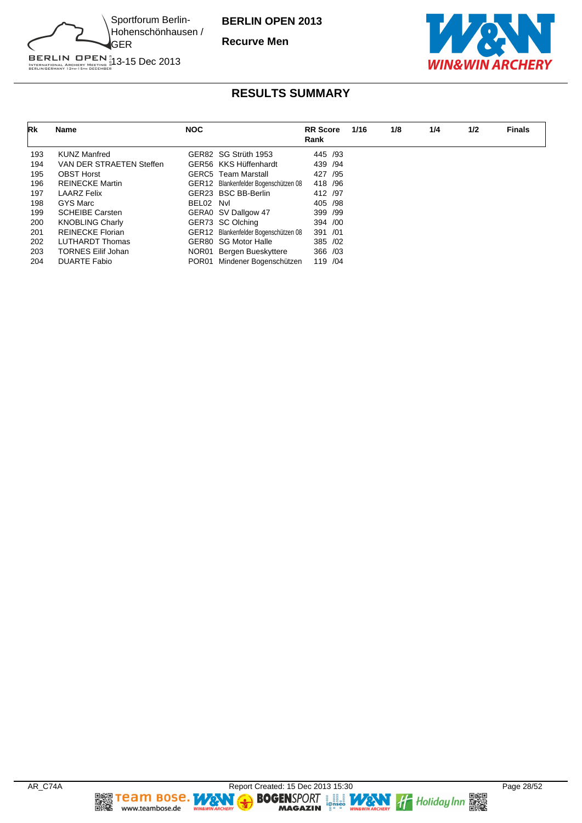

**Recurve Men**



| Rk  | Name                      | <b>NOC</b> |                                      | <b>RR</b> Score<br>Rank | 1/16 | 1/8 | 1/4 | 1/2 | <b>Finals</b> |
|-----|---------------------------|------------|--------------------------------------|-------------------------|------|-----|-----|-----|---------------|
| 193 | <b>KUNZ Manfred</b>       |            | GER82 SG Strüth 1953                 | 445 /93                 |      |     |     |     |               |
| 194 | VAN DER STRAETEN Steffen  |            | GER56 KKS Hüffenhardt                | 439 / 94                |      |     |     |     |               |
| 195 | <b>OBST Horst</b>         |            | <b>GERC5</b> Team Marstall           | 427 / 95                |      |     |     |     |               |
| 196 | <b>REINECKE Martin</b>    |            | GER12 Blankenfelder Bogenschützen 08 | 418 / 96                |      |     |     |     |               |
| 197 | <b>LAARZ Felix</b>        |            | GER23 BSC BB-Berlin                  | 412 /97                 |      |     |     |     |               |
| 198 | GYS Marc                  | BEL02 Nvl  |                                      | 405 / 98                |      |     |     |     |               |
| 199 | <b>SCHEIBE Carsten</b>    |            | GERA0 SV Dallgow 47                  | 399 /99                 |      |     |     |     |               |
| 200 | <b>KNOBLING Charly</b>    |            | GER73 SC Olching                     | 394 /00                 |      |     |     |     |               |
| 201 | <b>REINECKE Florian</b>   |            | GER12 Blankenfelder Bogenschützen 08 | 391 /01                 |      |     |     |     |               |
| 202 | <b>LUTHARDT Thomas</b>    |            | GER80 SG Motor Halle                 | 385 / 02                |      |     |     |     |               |
| 203 | <b>TORNES Eilif Johan</b> |            | NOR01 Bergen Bueskyttere             | 366 /03                 |      |     |     |     |               |
| 204 | <b>DUARTE Fabio</b>       |            | POR01 Mindener Bogenschützen         | 119 / 04                |      |     |     |     |               |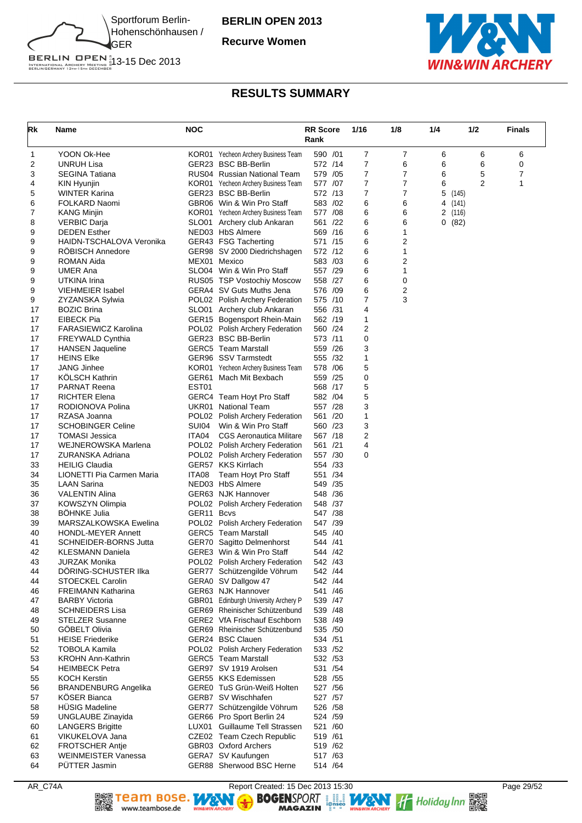

**Recurve Women**



# BERLIN OPEN<sup>#</sup><br>INTERNATIONAL ARCHERY MEETING #13-15 Dec 2013<br>BERLINGERMANY 13th-15th december

# **RESULTS SUMMARY**

| Rk       | Name                                             | <b>NOC</b> |                                                                    | <b>RR Score</b><br>Rank | 1/16   | 1/8    | 1/4     | 1/2            | <b>Finals</b> |
|----------|--------------------------------------------------|------------|--------------------------------------------------------------------|-------------------------|--------|--------|---------|----------------|---------------|
| 1        | YOON Ok-Hee                                      |            | KOR01 Yecheon Archery Business Team                                | 590 /01                 | 7      | 7      | 6       | 6              | 6             |
| 2        | <b>UNRUH Lisa</b>                                |            | GER23 BSC BB-Berlin                                                | 572 /14                 | 7      | 6      | 6       | 6              | 0             |
| 3        | <b>SEGINA Tatiana</b>                            |            | RUS04 Russian National Team                                        | 579 / 05                | 7      | 7      | 6       | 5              | 7             |
| 4        | KIN Hyunjin                                      |            | KOR01 Yecheon Archery Business Team                                | 577 /07                 | 7      | 7      | 6       | $\overline{2}$ | 1             |
| 5        | <b>WINTER Karina</b>                             |            | GER23 BSC BB-Berlin                                                | 572 /13                 | 7      | 7      | 5       | (145)          |               |
| 6        | FOLKARD Naomi                                    |            | GBR06 Win & Win Pro Staff                                          | 583 /02                 | 6      | 6      | 4       | (141)          |               |
| 7        | <b>KANG Minjin</b>                               |            | KOR01 Yecheon Archery Business Team                                | 577 /08                 | 6      | 6      | 2 (116) |                |               |
| 8        | <b>VERBIC Darja</b><br><b>DEDEN Esther</b>       |            | SLO01 Archery club Ankaran<br>NED03 HbS Almere                     | 561 /22                 | 6<br>6 | 6<br>1 | 0(82)   |                |               |
| 9<br>9   | HAIDN-TSCHALOVA Veronika                         |            | GER43 FSG Tacherting                                               | 569 /16<br>571 /15      | 6      | 2      |         |                |               |
| 9        | <b>RÖBISCH Annedore</b>                          |            | GER98 SV 2000 Diedrichshagen                                       | 572 /12                 | 6      | 1      |         |                |               |
| 9        | <b>ROMAN Aida</b>                                |            | MEX01 Mexico                                                       | 583 /03                 | 6      | 2      |         |                |               |
| 9        | <b>UMER Ana</b>                                  |            | SLO04 Win & Win Pro Staff                                          | 557 /29                 | 6      | 1      |         |                |               |
| 9        | UTKINA Irina                                     |            | RUS05 TSP Vostochiy Moscow                                         | 558 /27                 | 6      | 0      |         |                |               |
| 9        | <b>VIEHMEIER Isabel</b>                          |            | GERA4 SV Guts Muths Jena                                           | 576 /09                 | 6      | 2      |         |                |               |
| 9        | ZYZANSKA Sylwia                                  |            | POL02 Polish Archery Federation                                    | 575 /10                 | 7      | 3      |         |                |               |
| 17       | <b>BOZIC Brina</b>                               |            | SLO01 Archery club Ankaran                                         | 556 /31                 | 4      |        |         |                |               |
| 17       | EIBECK Pia                                       |            | GER15 Bogensport Rhein-Main                                        | 562 /19                 | 1      |        |         |                |               |
| 17       | <b>FARASIEWICZ Karolina</b>                      |            | POL02 Polish Archery Federation                                    | 560 /24                 | 2      |        |         |                |               |
| 17       | <b>FREYWALD Cynthia</b>                          |            | GER23 BSC BB-Berlin                                                | 573 /11                 | 0      |        |         |                |               |
| 17       | <b>HANSEN Jaqueline</b>                          |            | <b>GERC5</b> Team Marstall                                         | 559 /26                 | 3      |        |         |                |               |
| 17       | <b>HEINS Elke</b>                                |            | GER96 SSV Tarmstedt                                                | 555 /32                 | 1      |        |         |                |               |
| 17       | <b>JANG Jinhee</b>                               |            | KOR01 Yecheon Archery Business Team                                | 578 /06                 | 5      |        |         |                |               |
| 17       | KÖLSCH Kathrin                                   |            | GER61 Mach Mit Bexbach                                             | 559 /25                 | 0      |        |         |                |               |
| 17       | <b>PARNAT Reena</b>                              | EST01      |                                                                    | 568 /17                 | 5      |        |         |                |               |
| 17       | <b>RICHTER Elena</b>                             |            | GERC4 Team Hoyt Pro Staff                                          | 582 /04                 | 5      |        |         |                |               |
| 17       | RODIONOVA Polina                                 |            | UKR01 National Team                                                | 557 /28                 | 3      |        |         |                |               |
| 17       | RZASA Joanna                                     |            | POL02 Polish Archery Federation                                    | 561 /20                 | 1      |        |         |                |               |
| 17       | <b>SCHOBINGER Celine</b>                         | SUI04      | Win & Win Pro Staff                                                | 560 /23<br>567 /18      | 3<br>2 |        |         |                |               |
| 17<br>17 | <b>TOMASI Jessica</b><br>WEJNEROWSKA Marlena     | ITA04      | <b>CGS Aeronautica Militare</b><br>POL02 Polish Archery Federation | 561 /21                 | 4      |        |         |                |               |
| 17       | ZURANSKA Adriana                                 |            | POL02 Polish Archery Federation                                    | 557 /30                 | 0      |        |         |                |               |
| 33       | <b>HEILIG Claudia</b>                            |            | GER57 KKS Kirrlach                                                 | 554 /33                 |        |        |         |                |               |
| 34       | LIONETTI Pia Carmen Maria                        | ITA08      | Team Hoyt Pro Staff                                                | 551 /34                 |        |        |         |                |               |
| 35       | <b>LAAN Sarina</b>                               |            | NED03 HbS Almere                                                   | 549 / 35                |        |        |         |                |               |
| 36       | <b>VALENTIN Alina</b>                            |            | GER63 NJK Hannover                                                 | 548 / 36                |        |        |         |                |               |
| 37       | KOWSZYN Olimpia                                  |            | POL02 Polish Archery Federation                                    | 548 /37                 |        |        |         |                |               |
| 38       | <b>BOHNKE Julia</b>                              | GER11      | <b>Bcvs</b>                                                        | 547 /38                 |        |        |         |                |               |
| 39       | MARSZALKOWSKA Ewelina                            |            | POL02 Polish Archery Federation                                    | 547 /39                 |        |        |         |                |               |
| 40       | <b>HONDL-MEYER Annett</b>                        |            | <b>GERC5</b> Team Marstall                                         | 545 /40                 |        |        |         |                |               |
| 41       | <b>SCHNEIDER-BORNS Jutta</b>                     |            | GER70 Sagitto Delmenhorst                                          | 544 /41                 |        |        |         |                |               |
| 42       | <b>KLESMANN Daniela</b>                          |            | GERE3 Win & Win Pro Staff                                          | 544 /42                 |        |        |         |                |               |
| 43       | JURZAK Monika                                    |            | POL02 Polish Archery Federation                                    | 542 /43                 |        |        |         |                |               |
| 44       | DÖRING-SCHUSTER IIka                             |            | GER77 Schützengilde Vöhrum                                         | 542 /44                 |        |        |         |                |               |
| 44       | <b>STOECKEL Carolin</b>                          |            | GERA0 SV Dallgow 47                                                | 542 /44                 |        |        |         |                |               |
| 46       | <b>FREIMANN Katharina</b>                        |            | GER63 NJK Hannover                                                 | 541 /46                 |        |        |         |                |               |
| 47       | <b>BARBY Victoria</b>                            |            | GBR01 Edinburgh University Archery P                               | 539 /47                 |        |        |         |                |               |
| 48       | <b>SCHNEIDERS Lisa</b><br><b>STELZER Susanne</b> |            | GER69 Rheinischer Schützenbund<br>GERE2 VfA Frischauf Eschborn     | 539 / 48                |        |        |         |                |               |
| 49<br>50 | GÖBELT Olivia                                    |            | GER69 Rheinischer Schützenbund                                     | 538 /49<br>535 /50      |        |        |         |                |               |
| 51       | <b>HEISE Friederike</b>                          |            | GER24 BSC Clauen                                                   | 534 / 51                |        |        |         |                |               |
| 52       | <b>TOBOLA Kamila</b>                             |            | POL02 Polish Archery Federation                                    | 533 /52                 |        |        |         |                |               |
| 53       | <b>KROHN Ann-Kathrin</b>                         |            | <b>GERC5</b> Team Marstall                                         | 532 / 53                |        |        |         |                |               |
| 54       | <b>HEIMBECK Petra</b>                            |            | GER97 SV 1919 Arolsen                                              | 531 /54                 |        |        |         |                |               |
| 55       | <b>KOCH Kerstin</b>                              |            | GER55 KKS Edemissen                                                | 528 / 55                |        |        |         |                |               |
| 56       | <b>BRANDENBURG Angelika</b>                      |            | GERE0 TuS Grün-Weiß Holten                                         | 527 / 56                |        |        |         |                |               |
| 57       | <b>KÖSER Bianca</b>                              |            | GERB7 SV Wischhafen                                                | 527 /57                 |        |        |         |                |               |
| 58       | <b>HÜSIG Madeline</b>                            |            | GER77 Schützengilde Vöhrum                                         | 526 / 58                |        |        |         |                |               |
| 59       | UNGLAUBE Zinayida                                |            | GER66 Pro Sport Berlin 24                                          | 524 /59                 |        |        |         |                |               |
| 60       | <b>LANGERS Brigitte</b>                          |            | LUX01 Guillaume Tell Strassen                                      | 521 /60                 |        |        |         |                |               |
| 61       | VIKUKELOVA Jana                                  |            | CZE02 Team Czech Republic                                          | 519 /61                 |        |        |         |                |               |
| 62       | <b>FROTSCHER Antie</b>                           |            | GBR03 Oxford Archers                                               | 519 /62                 |        |        |         |                |               |
| 63       | <b>WEINMEISTER Vanessa</b>                       |            | GERA7 SV Kaufungen                                                 | 517 /63                 |        |        |         |                |               |
| 64       | PÜTTER Jasmin                                    |            | GER88 Sherwood BSC Herne                                           | 514 /64                 |        |        |         |                |               |

AR\_C74A Report Created: 15 Dec 2013 15:30 Page 29/52<br>
Report Created: 15 Dec 2013 15:30 Page 29/52<br>
Report Created: 15 Dec 2013 15:30<br>
MAGAZIN Page 29/52<br>
MAGAZIN Page 2013 ARCHERY AND REPORT TO HOLD FOR THE HOLD OF THE PO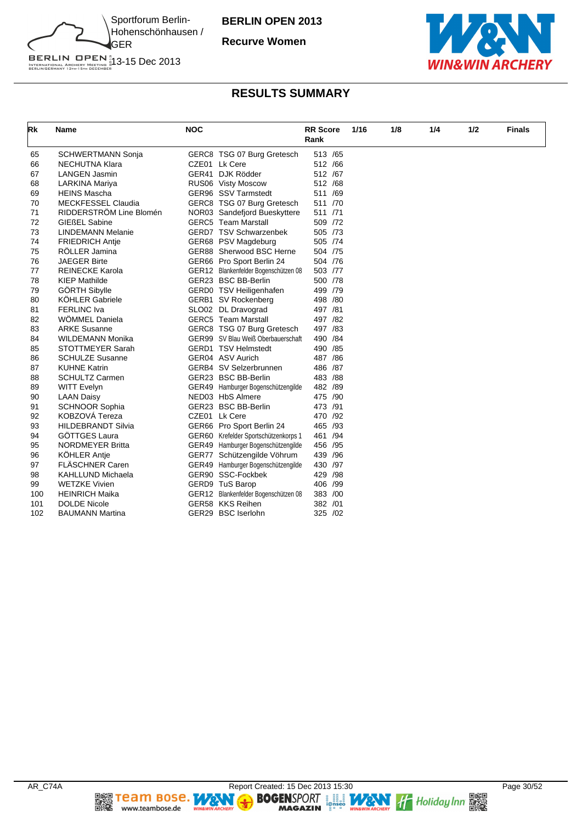

**Recurve Women**



# BERLIN OPEN 1<br>INTERNATIONAL ARCHERY MEETING 13-15 Dec 2013<br>BERLINGERMANY 13TH-15TH DECEMBER

| Rk  | Name                      | <b>NOC</b> |                                      | <b>RR</b> Score<br>Rank | 1/16 | 1/8 | 1/4 | 1/2 | <b>Finals</b> |
|-----|---------------------------|------------|--------------------------------------|-------------------------|------|-----|-----|-----|---------------|
| 65  | <b>SCHWERTMANN Sonja</b>  |            | GERC8 TSG 07 Burg Gretesch           | 513 /65                 |      |     |     |     |               |
| 66  | NECHUTNA Klara            |            | CZE01 Lk Cere                        | 512 /66                 |      |     |     |     |               |
| 67  | LANGEN Jasmin             |            | GER41 DJK Rödder                     | 512 /67                 |      |     |     |     |               |
| 68  | LARKINA Mariya            |            | RUS06 Visty Moscow                   | 512 /68                 |      |     |     |     |               |
| 69  | <b>HEINS Mascha</b>       |            | GER96 SSV Tarmstedt                  | 511 /69                 |      |     |     |     |               |
| 70  | <b>MECKFESSEL Claudia</b> |            | GERC8 TSG 07 Burg Gretesch           | 511 /70                 |      |     |     |     |               |
| 71  | RIDDERSTRÖM Line Blomén   |            | NOR03 Sandefjord Bueskyttere         | 511 /71                 |      |     |     |     |               |
| 72  | <b>GIEßEL Sabine</b>      |            | <b>GERC5</b> Team Marstall           | 509 /72                 |      |     |     |     |               |
| 73  | <b>LINDEMANN Melanie</b>  |            | GERD7 TSV Schwarzenbek               | 505 /73                 |      |     |     |     |               |
| 74  | <b>FRIEDRICH Antie</b>    |            | GER68 PSV Magdeburg                  | 505 /74                 |      |     |     |     |               |
| 75  | RÖLLER Jamina             |            | GER88 Sherwood BSC Herne             | 504 /75                 |      |     |     |     |               |
| 76  | <b>JAEGER Birte</b>       |            | GER66 Pro Sport Berlin 24            | 504 /76                 |      |     |     |     |               |
| 77  | <b>REINECKE Karola</b>    |            | GER12 Blankenfelder Bogenschützen 08 | 503 /77                 |      |     |     |     |               |
| 78  | <b>KIEP Mathilde</b>      |            | GER23 BSC BB-Berlin                  | 500 /78                 |      |     |     |     |               |
| 79  | <b>GÖRTH Sibylle</b>      |            | GERD0 TSV Heiligenhafen              | 499 /79                 |      |     |     |     |               |
| 80  | <b>KÖHLER Gabriele</b>    |            | GERB1 SV Rockenberg                  | 498 /80                 |      |     |     |     |               |
| 81  | <b>FERLINC Iva</b>        |            | SLO02 DL Dravograd                   | 497 /81                 |      |     |     |     |               |
| 82  | WÖMMEL Daniela            |            | <b>GERC5</b> Team Marstall           | 497 / 82                |      |     |     |     |               |
| 83  | <b>ARKE Susanne</b>       |            | GERC8 TSG 07 Burg Gretesch           | 497 /83                 |      |     |     |     |               |
| 84  | <b>WILDEMANN Monika</b>   |            | GER99 SV Blau Weiß Oberbauerschaft   | 490 / 84                |      |     |     |     |               |
| 85  | STOTTMEYER Sarah          |            | <b>GERD1 TSV Helmstedt</b>           | 490 / 85                |      |     |     |     |               |
| 86  | <b>SCHULZE Susanne</b>    |            | GER04 ASV Aurich                     | 487 / 86                |      |     |     |     |               |
| 87  | <b>KUHNE Katrin</b>       |            | GERB4 SV Selzerbrunnen               | 486 / 87                |      |     |     |     |               |
| 88  | <b>SCHULTZ Carmen</b>     |            | GER23 BSC BB-Berlin                  | 483 / 88                |      |     |     |     |               |
| 89  | <b>WITT Evelyn</b>        |            | GER49 Hamburger Bogenschützengilde   | 482 /89                 |      |     |     |     |               |
| 90  | <b>LAAN Daisy</b>         |            | NED03 HbS Almere                     | 475 /90                 |      |     |     |     |               |
| 91  | <b>SCHNOOR Sophia</b>     |            | GER23 BSC BB-Berlin                  | 473 /91                 |      |     |     |     |               |
| 92  | KOBZOVÁ Tereza            |            | CZE01 Lk Cere                        | 470 /92                 |      |     |     |     |               |
| 93  | <b>HILDEBRANDT Silvia</b> |            | GER66 Pro Sport Berlin 24            | 465 /93                 |      |     |     |     |               |
| 94  | GÖTTGES Laura             |            | GER60 Krefelder Sportschützenkorps 1 | 461 /94                 |      |     |     |     |               |
| 95  | <b>NORDMEYER Britta</b>   |            | GER49 Hamburger Bogenschützengilde   | 456 /95                 |      |     |     |     |               |
| 96  | <b>KÖHLER Antie</b>       |            | GER77 Schützengilde Vöhrum           | 439 / 96                |      |     |     |     |               |
| 97  | <b>FLÄSCHNER Caren</b>    |            | GER49 Hamburger Bogenschützengilde   | 430 /97                 |      |     |     |     |               |
| 98  | KAHLLUND Michaela         |            | GER90 SSC-Fockbek                    | 429 / 98                |      |     |     |     |               |
| 99  | <b>WETZKE Vivien</b>      |            | GERD9 TuS Barop                      | 406 /99                 |      |     |     |     |               |
| 100 | <b>HEINRICH Maika</b>     |            | GER12 Blankenfelder Bogenschützen 08 | 383 /00                 |      |     |     |     |               |
| 101 | <b>DOLDE Nicole</b>       |            | GER58 KKS Reihen                     | 382 /01                 |      |     |     |     |               |
| 102 | <b>BAUMANN Martina</b>    |            | GER29 BSC Iserlohn                   | 325 /02                 |      |     |     |     |               |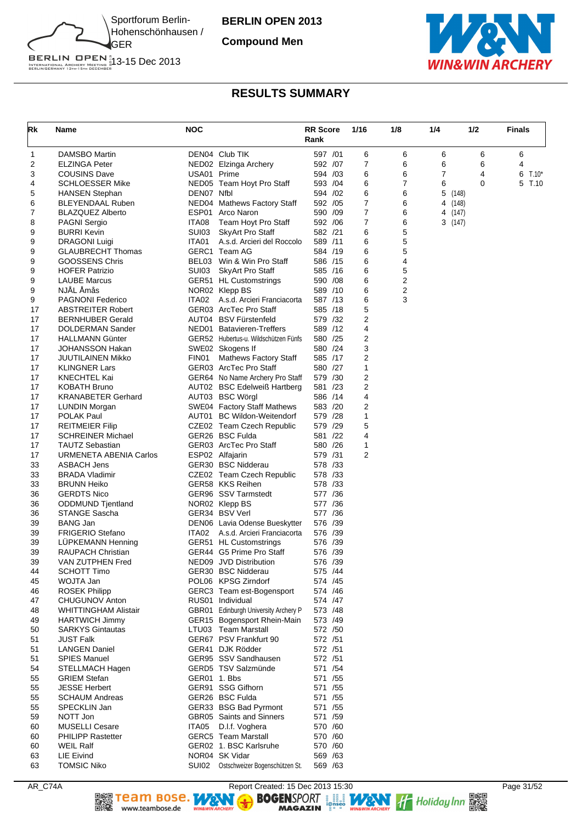

**Compound Men**



BERLIN OPEN<sup>#</sup><br>INTERNATIONAL ARCHERY MEETING #13-15 Dec 2013<br>BERLINGERMANY 13th-15th december

# **RESULTS SUMMARY**

| Rk       | <b>Name</b>                                 | <b>NOC</b>     |                                                          | <b>RR Score</b><br>Rank | 1/16   | 1/8    | 1/4 | 1/2               | <b>Finals</b> |
|----------|---------------------------------------------|----------------|----------------------------------------------------------|-------------------------|--------|--------|-----|-------------------|---------------|
| 1        | DAMSBO Martin                               |                | DEN04 Club TIK                                           | 597 /01                 | 6      | 6      | 6   | 6                 | 6             |
| 2        | <b>ELZINGA Peter</b>                        |                | NED02 Elzinga Archery                                    | 592 /07                 | 7      | 6      | 6   | 6                 | 4             |
| 3        | <b>COUSINS Dave</b>                         | USA01 Prime    |                                                          | 594 / 03                | 6      | 6      | 7   | 4                 | 6<br>$T.10*$  |
| 4        | <b>SCHLOESSER Mike</b>                      |                | NED05 Team Hoyt Pro Staff                                | 593 /04                 | 6      | 7      | 6   | $\mathbf 0$       | 5<br>T.10     |
| 5        | <b>HANSEN Stephan</b>                       | DEN07 Nfbl     |                                                          | 594 / 02                | 6      | 6      | 5   | (148)             |               |
| 6        | <b>BLEYENDAAL Ruben</b>                     |                | NED04 Mathews Factory Staff                              | 592 /05                 | 7<br>7 | 6      |     | 4 (148)           |               |
| 7<br>8   | <b>BLAZQUEZ Alberto</b><br>PAGNI Sergio     | ESP01<br>ITA08 | Arco Naron<br>Team Hoyt Pro Staff                        | 590 /09<br>592 / 06     | 7      | 6<br>6 |     | 4 (147)<br>3(147) |               |
| 9        | <b>BURRI Kevin</b>                          | SUI03          | <b>SkyArt Pro Staff</b>                                  | 582 /21                 | 6      | 5      |     |                   |               |
| 9        | <b>DRAGONI Luigi</b>                        | ITA01          | A.s.d. Arcieri del Roccolo                               | 589 /11                 | 6      | 5      |     |                   |               |
| 9        | <b>GLAUBRECHT Thomas</b>                    |                | GERC1 Team AG                                            | 584 /19                 | 6      | 5      |     |                   |               |
| 9        | <b>GOOSSENS Chris</b>                       |                | BEL03 Win & Win Pro Staff                                | 586 /15                 | 6      | 4      |     |                   |               |
| 9        | <b>HOFER Patrizio</b>                       | SUI03          | <b>SkyArt Pro Staff</b>                                  | 585 /16                 | 6      | 5      |     |                   |               |
| 9        | <b>LAUBE Marcus</b>                         |                | GER51 HL Customstrings                                   | 590 /08                 | 6      | 2      |     |                   |               |
| 9        | NJÅL Åmås                                   |                | NOR02 Klepp BS                                           | 589 /10                 | 6      | 2      |     |                   |               |
| 9        | <b>PAGNONI Federico</b>                     | ITA02          | A.s.d. Arcieri Franciacorta                              | 587 /13                 | 6      | 3      |     |                   |               |
| 17       | <b>ABSTREITER Robert</b>                    |                | GER03 ArcTec Pro Staff                                   | 585 /18                 | 5      |        |     |                   |               |
| 17       | <b>BERNHUBER Gerald</b>                     |                | AUT04 BSV Fürstenfeld                                    | 579 /32                 | 2      |        |     |                   |               |
| 17       | DOLDERMAN Sander                            |                | NED01 Batavieren-Treffers                                | 589 /12                 | 4      |        |     |                   |               |
| 17<br>17 | <b>HALLMANN Günter</b><br>JOHANSSON Hakan   |                | GER52 Hubertus-u. Wildschützen Fünfs<br>SWE02 Skogens If | 580 /25<br>580 /24      | 2<br>3 |        |     |                   |               |
| 17       | <b>JUUTILAINEN Mikko</b>                    | FIN01          | Mathews Factory Staff                                    | 585 /17                 | 2      |        |     |                   |               |
| 17       | <b>KLINGNER Lars</b>                        |                | GER03 ArcTec Pro Staff                                   | 580 /27                 | 1      |        |     |                   |               |
| 17       | KNECHTEL Kai                                |                | GER64 No Name Archery Pro Staff                          | 579 /30                 | 2      |        |     |                   |               |
| 17       | <b>KOBATH Bruno</b>                         |                | AUT02 BSC Edelweiß Hartberg                              | 581 /23                 | 2      |        |     |                   |               |
| 17       | <b>KRANABETER Gerhard</b>                   |                | AUT03 BSC Wörgl                                          | 586 /14                 | 4      |        |     |                   |               |
| 17       | <b>LUNDIN Morgan</b>                        |                | SWE04 Factory Staff Mathews                              | 583 /20                 | 2      |        |     |                   |               |
| 17       | <b>POLAK Paul</b>                           |                | AUT01 BC Wildon-Weitendorf                               | 579 /28                 | 1      |        |     |                   |               |
| 17       | <b>REITMEIER Filip</b>                      |                | CZE02 Team Czech Republic                                | 579 /29                 | 5      |        |     |                   |               |
| 17       | <b>SCHREINER Michael</b>                    |                | GER26 BSC Fulda                                          | 581 /22                 | 4      |        |     |                   |               |
| 17       | <b>TAUTZ Sebastian</b>                      |                | GER03 ArcTec Pro Staff                                   | 580 /26                 | 1      |        |     |                   |               |
| 17       | URMENETA ABENIA Carlos                      |                | ESP02 Alfajarin                                          | 579 /31                 | 2      |        |     |                   |               |
| 33       | ASBACH Jens                                 |                | GER30 BSC Nidderau                                       | 578 /33                 |        |        |     |                   |               |
| 33<br>33 | <b>BRADA Vladimir</b><br><b>BRUNN Heiko</b> |                | CZE02 Team Czech Republic<br>GER58 KKS Reihen            | 578 / 33<br>578 /33     |        |        |     |                   |               |
| 36       | <b>GERDTS Nico</b>                          |                | GER96 SSV Tarmstedt                                      | 577 /36                 |        |        |     |                   |               |
| 36       | <b>ODDMUND Tjentland</b>                    |                | NOR02 Klepp BS                                           | 577 /36                 |        |        |     |                   |               |
| 36       | STANGE Sascha                               |                | GER34 BSV Verl                                           | 577 /36                 |        |        |     |                   |               |
| 39       | <b>BANG Jan</b>                             |                | DEN06 Lavia Odense Bueskytter                            | 576 /39                 |        |        |     |                   |               |
| 39       | <b>FRIGERIO Stefano</b>                     | ITA02          | A.s.d. Arcieri Franciacorta                              | 576 /39                 |        |        |     |                   |               |
| 39       | <b>LUPKEMANN Henning</b>                    |                | GER51 HL Customstrings                                   | 576 /39                 |        |        |     |                   |               |
| 39       | <b>RAUPACH Christian</b>                    |                | GER44 G5 Prime Pro Staff                                 | 576 /39                 |        |        |     |                   |               |
| 39       | VAN ZUTPHEN Fred                            |                | NED09 JVD Distribution                                   | 576 /39                 |        |        |     |                   |               |
| 44       | <b>SCHOTT Timo</b>                          |                | GER30 BSC Nidderau                                       | 575 /44                 |        |        |     |                   |               |
| 45<br>46 | WOJTA Jan<br><b>ROSEK Philipp</b>           |                | POL06 KPSG Zirndorf<br>GERC3 Team est-Bogensport         | 574 /45<br>574 /46      |        |        |     |                   |               |
| 47       | <b>CHUGUNOV Anton</b>                       |                | RUS01 Individual                                         | 574 /47                 |        |        |     |                   |               |
| 48       | <b>WHITTINGHAM Alistair</b>                 |                | GBR01 Edinburgh University Archery P                     | 573 /48                 |        |        |     |                   |               |
| 49       | HARTWICH Jimmy                              |                | GER15 Bogensport Rhein-Main                              | 573 /49                 |        |        |     |                   |               |
| 50       | <b>SARKYS Gintautas</b>                     |                | LTU03 Team Marstall                                      | 572 /50                 |        |        |     |                   |               |
| 51       | <b>JUST Falk</b>                            |                | GER67 PSV Frankfurt 90                                   | 572 /51                 |        |        |     |                   |               |
| 51       | <b>LANGEN Daniel</b>                        |                | GER41 DJK Rödder                                         | 572 /51                 |        |        |     |                   |               |
| 51       | <b>SPIES Manuel</b>                         |                | GER95 SSV Sandhausen                                     | 572 /51                 |        |        |     |                   |               |
| 54       | STELLMACH Hagen                             |                | GERD5 TSV Salzmünde                                      | 571 / 54                |        |        |     |                   |               |
| 55       | <b>GRIEM Stefan</b>                         | GER01 1. Bbs   |                                                          | 571 / 55                |        |        |     |                   |               |
| 55       | <b>JESSE Herbert</b>                        |                | GER91 SSG Gifhorn                                        | 571 /55                 |        |        |     |                   |               |
| 55       | <b>SCHAUM Andreas</b>                       |                | GER26 BSC Fulda                                          | 571 / 55                |        |        |     |                   |               |
| 55<br>59 | SPECKLIN Jan<br>NOTT Jon                    |                | GER33 BSG Bad Pyrmont<br>GBR05 Saints and Sinners        | 571 /55<br>571 /59      |        |        |     |                   |               |
| 60       | <b>MUSELLI Cesare</b>                       | ITA05          | D.I.f. Voghera                                           | 570 /60                 |        |        |     |                   |               |
| 60       | <b>PHILIPP Rastetter</b>                    |                | <b>GERC5</b> Team Marstall                               | 570 /60                 |        |        |     |                   |               |
| 60       | <b>WEIL Ralf</b>                            |                | GER02 1. BSC Karlsruhe                                   | 570 /60                 |        |        |     |                   |               |
| 63       | <b>LIE Eivind</b>                           |                | NOR04 SK Vidar                                           | 569 / 63                |        |        |     |                   |               |
| 63       | <b>TOMSIC Niko</b>                          |                | SUI02 Ostschweizer Bogenschützen St.                     | 569 /63                 |        |        |     |                   |               |

AR\_C74A Report Created: 15 Dec 2013 15:30 Page 31/52 Page 31/52<br>
Report Created: 15 Dec 2013 15:30 Page 31/52<br>
The magnetic must be the motor of the magnetic page of the must are the motor of the must be magnetic must be t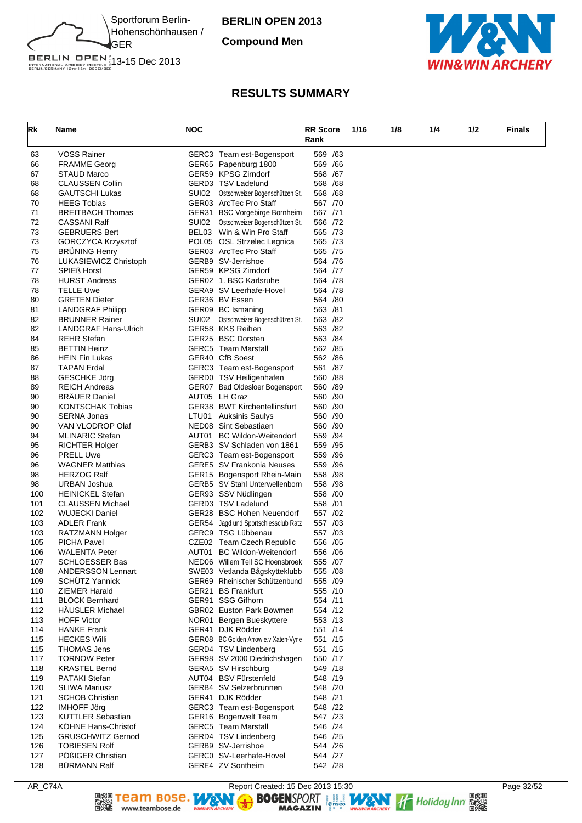

**Compound Men**



# BERLIN OPEN<sup>#</sup><br>INTERNATIONAL ARCHERY MEETING #13-15 Dec 2013<br>BERLINGERMANY 13th-15th december

| Rk         | Name                                                   | <b>NOC</b> |                                                                   | <b>RR Score</b>    | 1/16 | 1/8 | 1/4 | 1/2 | <b>Finals</b> |
|------------|--------------------------------------------------------|------------|-------------------------------------------------------------------|--------------------|------|-----|-----|-----|---------------|
|            |                                                        |            |                                                                   | Rank               |      |     |     |     |               |
| 63         | VOSS Rainer                                            |            | GERC3 Team est-Bogensport                                         | 569 /63            |      |     |     |     |               |
| 66         | <b>FRAMME Georg</b>                                    |            | GER65 Papenburg 1800                                              | 569 /66            |      |     |     |     |               |
| 67         | STAUD Marco                                            |            | GER59 KPSG Zirndorf                                               | 568 / 67           |      |     |     |     |               |
| 68         | <b>CLAUSSEN Collin</b>                                 |            | GERD3 TSV Ladelund                                                | 568 /68            |      |     |     |     |               |
| 68         | <b>GAUTSCHI Lukas</b>                                  | SUI02      | Ostschweizer Bogenschützen St.                                    | 568 /68            |      |     |     |     |               |
| 70         | <b>HEEG Tobias</b>                                     |            | GER03 ArcTec Pro Staff                                            | 567 /70            |      |     |     |     |               |
| 71         | <b>BREITBACH Thomas</b>                                |            | GER31 BSC Vorgebirge Bornheim                                     | 567 /71            |      |     |     |     |               |
| 72         | <b>CASSANI Ralf</b>                                    | SUI02      | Ostschweizer Bogenschützen St.                                    | 566 /72            |      |     |     |     |               |
| 73         | <b>GEBRUERS Bert</b>                                   |            | BEL03 Win & Win Pro Staff                                         | 565 /73            |      |     |     |     |               |
| 73         | <b>GORCZYCA Krzysztof</b>                              |            | POL05 OSL Strzelec Legnica                                        | 565 /73            |      |     |     |     |               |
| 75         | <b>BRÜNING Henry</b>                                   |            | GER03 ArcTec Pro Staff                                            | 565 /75            |      |     |     |     |               |
| 76         | LUKASIEWICZ Christoph                                  |            | GERB9 SV-Jerrishoe                                                | 564 /76            |      |     |     |     |               |
| 77         | <b>SPIEß Horst</b>                                     |            | GER59 KPSG Zirndorf                                               | 564 /77            |      |     |     |     |               |
| 78         | <b>HURST Andreas</b>                                   |            | GER02 1. BSC Karlsruhe                                            | 564 /78            |      |     |     |     |               |
| 78<br>80   | <b>TELLE Uwe</b><br><b>GRETEN Dieter</b>               |            | GERA9 SV Leerhafe-Hovel<br>GER36 BV Essen                         | 564 /78<br>564 /80 |      |     |     |     |               |
| 81         | <b>LANDGRAF Philipp</b>                                |            | GER09 BC Ismaning                                                 | 563 /81            |      |     |     |     |               |
| 82         | <b>BRUNNER Rainer</b>                                  | SUI02      | Ostschweizer Bogenschützen St.                                    | 563 /82            |      |     |     |     |               |
| 82         | LANDGRAF Hans-Ulrich                                   |            | GER58 KKS Reihen                                                  | 563 /82            |      |     |     |     |               |
| 84         | <b>REHR Stefan</b>                                     |            | GER25 BSC Dorsten                                                 | 563 / 84           |      |     |     |     |               |
| 85         | <b>BETTIN Heinz</b>                                    |            | <b>GERC5</b> Team Marstall                                        | 562 /85            |      |     |     |     |               |
| 86         | <b>HEIN Fin Lukas</b>                                  |            | GER40 CfB Soest                                                   | 562 / 86           |      |     |     |     |               |
| 87         | TAPAN Erdal                                            |            | GERC3 Team est-Bogensport                                         | 561 /87            |      |     |     |     |               |
| 88         | <b>GESCHKE Jörg</b>                                    |            | GERD0 TSV Heiligenhafen                                           | 560 /88            |      |     |     |     |               |
| 89         | <b>REICH Andreas</b>                                   |            | GER07 Bad Oldesloer Bogensport                                    | 560 /89            |      |     |     |     |               |
| 90         | <b>BRAUER Daniel</b>                                   |            | AUT05 LH Graz                                                     | 560 /90            |      |     |     |     |               |
| 90         | KONTSCHAK Tobias                                       |            | GER38 BWT Kirchentellinsfurt                                      | 560 /90            |      |     |     |     |               |
| 90         | <b>SERNA Jonas</b>                                     |            | LTU01 Auksinis Saulys                                             | 560 /90            |      |     |     |     |               |
| 90         | VAN VLODROP Olaf                                       |            | NED08 Sint Sebastiaen                                             | 560 /90            |      |     |     |     |               |
| 94         | <b>MLINARIC Stefan</b>                                 |            | AUT01 BC Wildon-Weitendorf                                        | 559 /94            |      |     |     |     |               |
| 95         | <b>RICHTER Holger</b>                                  |            | GERB3 SV Schladen von 1861                                        | 559 /95            |      |     |     |     |               |
| 96         | <b>PRELL Uwe</b>                                       |            | GERC3 Team est-Bogensport                                         | 559 / 96           |      |     |     |     |               |
| 96         | <b>WAGNER Matthias</b>                                 |            | GERE5 SV Frankonia Neuses                                         | 559 /96            |      |     |     |     |               |
| 98         | <b>HERZOG Ralf</b>                                     |            | GER15 Bogensport Rhein-Main                                       | 558 /98            |      |     |     |     |               |
| 98         | URBAN Joshua                                           |            | GERB5 SV Stahl Unterwellenborn                                    | 558 / 98           |      |     |     |     |               |
| 100        | <b>HEINICKEL Stefan</b>                                |            | GER93 SSV Nüdlingen<br>GERD3 TSV Ladelund                         | 558 /00            |      |     |     |     |               |
| 101<br>102 | <b>CLAUSSEN Michael</b>                                |            |                                                                   | 558 /01            |      |     |     |     |               |
| 103        | <b>WUJECKI Daniel</b><br><b>ADLER Frank</b>            |            | GER28 BSC Hohen Neuendorf<br>GER54 Jagd und Sportschiessclub Ratz | 557 /02<br>557 /03 |      |     |     |     |               |
| 103        | RATZMANN Holger                                        |            | GERC9 TSG Lübbenau                                                | 557 /03            |      |     |     |     |               |
| 105        | <b>PICHA Pavel</b>                                     |            | CZE02 Team Czech Republic                                         | 556 /05            |      |     |     |     |               |
| 106        | <b>WALENTA Peter</b>                                   |            | AUT01 BC Wildon-Weitendorf                                        | 556 / 06           |      |     |     |     |               |
| 107        | <b>SCHLOESSER Bas</b>                                  |            | NED06 Willem Tell SC Hoensbroek                                   | 555 /07            |      |     |     |     |               |
| 108        | <b>ANDERSSON Lennart</b>                               |            | SWE03 Vetlanda Bågskytteklubb                                     | 555 /08            |      |     |     |     |               |
| 109        | <b>SCHÜTZ Yannick</b>                                  |            | GER69 Rheinischer Schützenbund                                    | 555 /09            |      |     |     |     |               |
| 110        | ZIEMER Harald                                          |            | GER21 BS Frankfurt                                                | 555 /10            |      |     |     |     |               |
| 111        | <b>BLOCK Bernhard</b>                                  |            | GER91 SSG Gifhorn                                                 | 554 /11            |      |     |     |     |               |
| 112        | HÄUSLER Michael                                        |            | GBR02 Euston Park Bowmen                                          | 554 /12            |      |     |     |     |               |
| 113        | <b>HOFF Victor</b>                                     |            | NOR01 Bergen Bueskyttere                                          | 553 /13            |      |     |     |     |               |
| 114        | HANKE Frank                                            |            | GER41 DJK Rödder                                                  | 551 /14            |      |     |     |     |               |
| 115        | <b>HECKES Willi</b>                                    |            | GER08 BC Golden Arrow e.v Xaten-Vyne                              | 551 /15            |      |     |     |     |               |
| 115        | <b>THOMAS Jens</b>                                     |            | GERD4 TSV Lindenberg                                              | 551 /15            |      |     |     |     |               |
| 117        | <b>TORNOW Peter</b>                                    |            | GER98 SV 2000 Diedrichshagen                                      | 550 /17            |      |     |     |     |               |
| 118        | <b>KRASTEL Bernd</b>                                   |            | GERA5 SV Hirschburg                                               | 549 /18            |      |     |     |     |               |
| 119        | PATAKI Stefan                                          |            | AUT04 BSV Fürstenfeld                                             | 548 /19            |      |     |     |     |               |
| 120        | <b>SLIWA Mariusz</b>                                   |            | GERB4 SV Selzerbrunnen                                            | 548 /20            |      |     |     |     |               |
| 121        | <b>SCHOB Christian</b>                                 |            | GER41 DJK Rödder                                                  | 548 /21            |      |     |     |     |               |
| 122        | <b>IMHOFF Jörg</b>                                     |            | GERC3 Team est-Bogensport                                         | 548 /22            |      |     |     |     |               |
| 123        | <b>KUTTLER Sebastian</b>                               |            | GER16 Bogenwelt Team                                              | 547 /23            |      |     |     |     |               |
| 124<br>125 | <b>KOHNE Hans-Christof</b><br><b>GRUSCHWITZ Gernod</b> |            | <b>GERC5</b> Team Marstall<br>GERD4 TSV Lindenberg                | 546 /24<br>546 /25 |      |     |     |     |               |
| 126        | <b>TOBIESEN Rolf</b>                                   |            | GERB9 SV-Jerrishoe                                                | 544 /26            |      |     |     |     |               |
| 127        | POßIGER Christian                                      |            | GERC0 SV-Leerhafe-Hovel                                           | 544 /27            |      |     |     |     |               |
| 128        | <b>BÜRMANN Ralf</b>                                    |            | GERE4 ZV Sontheim                                                 | 542 /28            |      |     |     |     |               |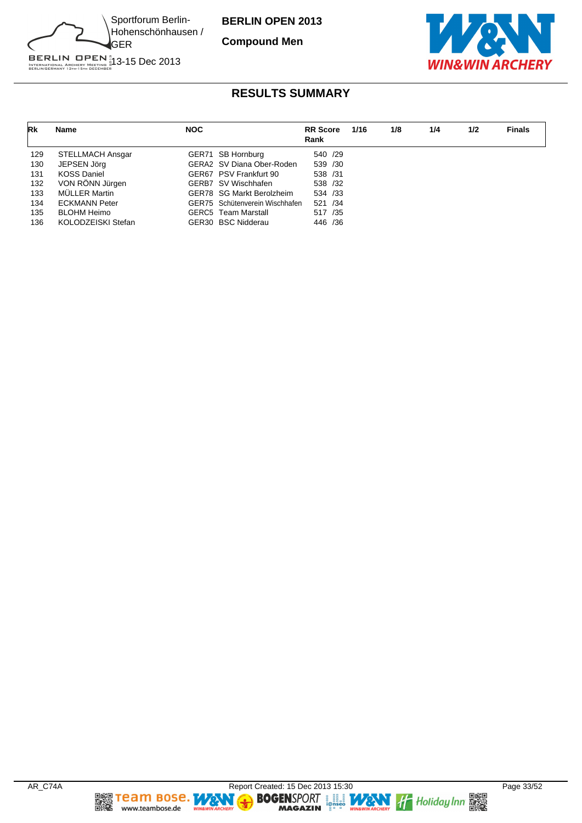

**Compound Men**



BERLIN OPEN 1<br>INTERNATIONAL ARCHERY MEETING 13-15 Dec 2013<br>BERLINGERMANY 13TH-15TH DECEMBER

| Rk  | <b>Name</b>          | <b>NOC</b> |                                | <b>RR</b> Score<br>Rank | 1/16 | 1/8 | 1/4 | 1/2 | <b>Finals</b> |
|-----|----------------------|------------|--------------------------------|-------------------------|------|-----|-----|-----|---------------|
| 129 | STELLMACH Ansgar     |            | GER71 SB Hornburg              | 540 /29                 |      |     |     |     |               |
| 130 | JEPSEN Jörg          |            | GERA2 SV Diana Ober-Roden      | 539 /30                 |      |     |     |     |               |
| 131 | <b>KOSS Daniel</b>   |            | GER67 PSV Frankfurt 90         | 538 /31                 |      |     |     |     |               |
| 132 | VON RÖNN Jürgen      |            | GERB7 SV Wischhafen            | 538 /32                 |      |     |     |     |               |
| 133 | MÜLLER Martin        |            | GER78 SG Markt Berolzheim      | 534 /33                 |      |     |     |     |               |
| 134 | <b>ECKMANN Peter</b> |            | GER75 Schütenverein Wischhafen | 521 /34                 |      |     |     |     |               |
| 135 | <b>BLOHM Heimo</b>   |            | <b>GERC5</b> Team Marstall     | 517 /35                 |      |     |     |     |               |
| 136 | KOLODZEISKI Stefan   |            | GER30 BSC Nidderau             | 446 /36                 |      |     |     |     |               |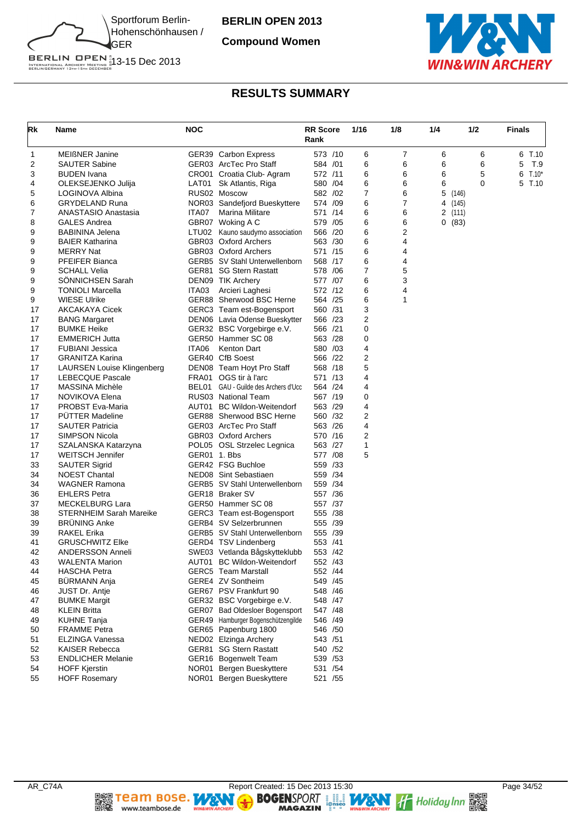

**Compound Women**



| Rk | Name                       | <b>NOC</b>   |                                       | <b>RR Score</b><br>Rank |          | 1/16 | 1/8 | 1/4 | 1/2     |   | <b>Finals</b> |
|----|----------------------------|--------------|---------------------------------------|-------------------------|----------|------|-----|-----|---------|---|---------------|
| 1  | <b>MEIßNER Janine</b>      |              | GER39 Carbon Express                  |                         | 573 /10  | 6    | 7   | 6   |         | 6 | 6 T.10        |
| 2  | <b>SAUTER Sabine</b>       |              | GER03 ArcTec Pro Staff                | 584 / 01                |          | 6    | 6   | 6   |         | 6 | 5<br>T.9      |
| 3  | <b>BUDEN</b> Ivana         |              | CRO01 Croatia Club-Agram              | 572 /11                 |          | 6    | 6   | 6   |         | 5 | 6<br>$T.10*$  |
| 4  | OLEKSEJENKO Julija         | LAT01        | Sk Atlantis, Riga                     | 580 /04                 |          | 6    | 6   | 6   |         | 0 | 5<br>T.10     |
| 5  | LOGINOVA Albina            |              | RUS02 Moscow                          | 582 / 02                |          | 7    | 6   | 5   | (146)   |   |               |
| 6  | <b>GRYDELAND Runa</b>      |              | NOR03 Sandefjord Bueskyttere          | 574 /09                 |          | 6    | 7   |     | 4 (145) |   |               |
| 7  | ANASTASIO Anastasia        | ITA07        | Marina Militare                       | 571 /14                 |          | 6    | 6   |     | 2(111)  |   |               |
| 8  | <b>GALES Andrea</b>        |              | GBR07 Woking A C                      | 579 / 05                |          | 6    | 6   |     | 0(83)   |   |               |
| 9  | <b>BABININA Jelena</b>     |              | LTU02 Kauno saudymo association       | 566 /20                 |          | 6    | 2   |     |         |   |               |
| 9  | <b>BAIER Katharina</b>     |              | GBR03 Oxford Archers                  | 563 /30                 |          | 6    | 4   |     |         |   |               |
| 9  | <b>MERRY Nat</b>           |              | GBR03 Oxford Archers                  | 571 /15                 |          | 6    | 4   |     |         |   |               |
| 9  | PFEIFER Bianca             |              | GERB5 SV Stahl Unterwellenborn        | 568 /17                 |          | 6    | 4   |     |         |   |               |
| 9  | <b>SCHALL Velia</b>        |              | GER81 SG Stern Rastatt                | 578 / 06                |          | 7    | 5   |     |         |   |               |
| 9  | SONNICHSEN Sarah           |              | DEN09 TIK Archery                     | 577 /07                 |          | 6    | 3   |     |         |   |               |
| 9  | <b>TONIOLI Marcella</b>    | ITA03        | Arcieri Laghesi                       | 572 /12                 |          | 6    | 4   |     |         |   |               |
| 9  | <b>WIESE Ulrike</b>        |              | GER88 Sherwood BSC Herne              | 564 /25                 |          | 6    | 1   |     |         |   |               |
| 17 | AKCAKAYA Cicek             |              | GERC3 Team est-Bogensport             | 560 /31                 |          | 3    |     |     |         |   |               |
| 17 | <b>BANG Margaret</b>       |              | DEN06 Lavia Odense Bueskytter         | 566 /23                 |          | 2    |     |     |         |   |               |
| 17 | <b>BUMKE Heike</b>         |              | GER32 BSC Vorgebirge e.V.             | 566 /21                 |          | 0    |     |     |         |   |               |
| 17 | <b>EMMERICH Jutta</b>      |              | GER50 Hammer SC 08                    | 563 /28                 |          | 0    |     |     |         |   |               |
| 17 | <b>FUBIANI Jessica</b>     | ITA06        | <b>Kenton Dart</b>                    | 580 /03                 |          | 4    |     |     |         |   |               |
| 17 | <b>GRANITZA Karina</b>     |              | GER40 CfB Soest                       | 566 /22                 |          | 2    |     |     |         |   |               |
| 17 | LAURSEN Louise Klingenberg |              | DEN08 Team Hoyt Pro Staff             | 568 /18                 |          | 5    |     |     |         |   |               |
| 17 | LEBECQUE Pascale           | FRA01        | OGS tir à l'arc                       | 571 /13                 |          | 4    |     |     |         |   |               |
| 17 | MASSINA Michèle            | BEL01        | GAU - Guilde des Archers d'Ucc        | 564 /24                 |          | 4    |     |     |         |   |               |
| 17 | NOVIKOVA Elena             |              | RUS03 National Team                   | 567 /19                 |          | 0    |     |     |         |   |               |
| 17 | PROBST Eva-Maria           | AUT01        | <b>BC Wildon-Weitendorf</b>           | 563 /29                 |          | 4    |     |     |         |   |               |
| 17 | <b>PUTTER Madeline</b>     |              | GER88 Sherwood BSC Herne              | 560 /32                 |          | 2    |     |     |         |   |               |
| 17 | <b>SAUTER Patricia</b>     |              | GER03 ArcTec Pro Staff                | 563 /26                 |          | 4    |     |     |         |   |               |
| 17 | SIMPSON Nicola             |              | GBR03 Oxford Archers                  | 570 /16                 |          | 2    |     |     |         |   |               |
| 17 | SZALANSKA Katarzyna        |              | POL05 OSL Strzelec Legnica            | 563 /27                 |          | 1    |     |     |         |   |               |
| 17 | <b>WEITSCH Jennifer</b>    | GER01 1. Bbs |                                       | 577 /08                 |          | 5    |     |     |         |   |               |
| 33 | <b>SAUTER Sigrid</b>       |              | GER42 FSG Buchloe                     | 559 /33                 |          |      |     |     |         |   |               |
| 34 | <b>NOEST Chantal</b>       |              | NED08 Sint Sebastiaen                 | 559 /34                 |          |      |     |     |         |   |               |
| 34 | WAGNER Ramona              |              | <b>GERB5</b> SV Stahl Unterwellenborn | 559 /34                 |          |      |     |     |         |   |               |
| 36 | <b>EHLERS Petra</b>        |              | GER18 Braker SV                       | 557 /36                 |          |      |     |     |         |   |               |
| 37 | <b>MECKELBURG Lara</b>     |              | GER50 Hammer SC 08                    | 557 /37                 |          |      |     |     |         |   |               |
| 38 | STERNHEIM Sarah Mareike    |              | GERC3 Team est-Bogensport             | 555 /38                 |          |      |     |     |         |   |               |
| 39 | <b>BRÜNING Anke</b>        |              | GERB4 SV Selzerbrunnen                | 555 /39                 |          |      |     |     |         |   |               |
| 39 | <b>RAKEL Erika</b>         |              | GERB5 SV Stahl Unterwellenborn        | 555 /39                 |          |      |     |     |         |   |               |
| 41 | <b>GRUSCHWITZ Elke</b>     |              | GERD4 TSV Lindenberg                  | 553 /41                 |          |      |     |     |         |   |               |
| 42 | <b>ANDERSSON Anneli</b>    |              | SWE03 Vetlanda Bågskytteklubb         | 553 /42                 |          |      |     |     |         |   |               |
| 43 | WALENTA Marion             |              | AUT01 BC Wildon-Weitendorf            | 552 / 43                |          |      |     |     |         |   |               |
| 44 | <b>HASCHA Petra</b>        |              | <b>GERC5</b> Team Marstall            | 552 /44                 |          |      |     |     |         |   |               |
| 45 | <b>BÜRMANN Anja</b>        |              | GERE4 ZV Sontheim                     | 549 / 45                |          |      |     |     |         |   |               |
| 46 | JUST Dr. Antje             |              | GER67 PSV Frankfurt 90                | 548 / 46                |          |      |     |     |         |   |               |
| 47 | <b>BUMKE Margit</b>        |              | GER32 BSC Vorgebirge e.V.             | 548 /47                 |          |      |     |     |         |   |               |
| 48 | <b>KLEIN Britta</b>        |              | GER07 Bad Oldesloer Bogensport        | 547 / 48                |          |      |     |     |         |   |               |
| 49 | <b>KUHNE Tanja</b>         |              | GER49 Hamburger Bogenschützengilde    | 546 /49                 |          |      |     |     |         |   |               |
| 50 | <b>FRAMME Petra</b>        |              | GER65 Papenburg 1800                  |                         | 546 / 50 |      |     |     |         |   |               |
| 51 | ELZINGA Vanessa            |              | NED02 Elzinga Archery                 | 543 / 51                |          |      |     |     |         |   |               |
| 52 | <b>KAISER Rebecca</b>      |              | GER81 SG Stern Rastatt                | 540 / 52                |          |      |     |     |         |   |               |
| 53 | <b>ENDLICHER Melanie</b>   |              | GER16 Bogenwelt Team                  | 539 /53                 |          |      |     |     |         |   |               |
| 54 | <b>HOFF Kjerstin</b>       | NOR01        | Bergen Bueskyttere                    |                         | 531 / 54 |      |     |     |         |   |               |
| 55 | <b>HOFF Rosemary</b>       |              | NOR01 Bergen Bueskyttere              | 521 / 55                |          |      |     |     |         |   |               |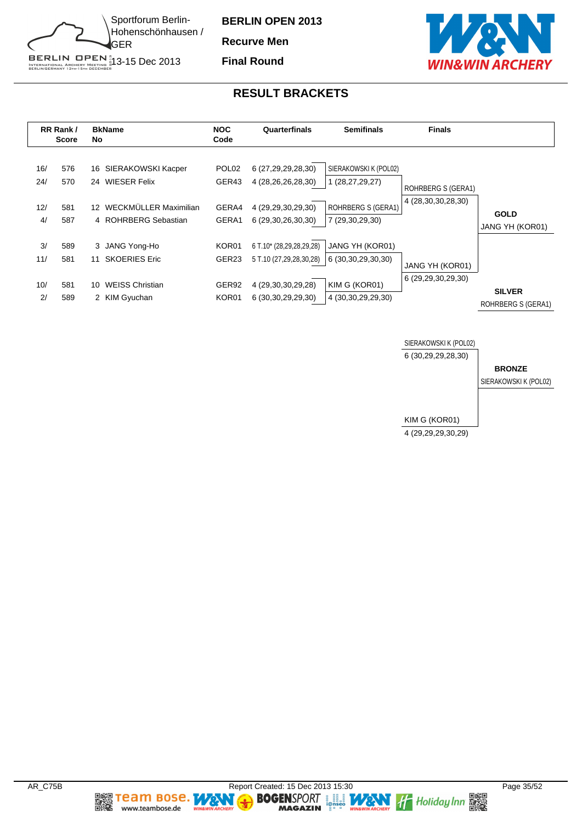

**Recurve Men**

**Final Round**



#### **RESULT BRACKETS**

|                         | RR Rank /<br><b>Score</b> | <b>BkName</b><br>No                                                                                              | <b>NOC</b><br>Code                           | Quarterfinals<br><b>Semifinals</b>                                                                      |                                                                                          | <b>Finals</b>                            |                                     |
|-------------------------|---------------------------|------------------------------------------------------------------------------------------------------------------|----------------------------------------------|---------------------------------------------------------------------------------------------------------|------------------------------------------------------------------------------------------|------------------------------------------|-------------------------------------|
| 16/<br>24/<br>12/<br>4/ | 576<br>570<br>581<br>587  | SIERAKOWSKI Kacper<br>16.<br>24 WIESER Felix<br>WECKMÜLLER Maximilian<br>12 <sup>°</sup><br>4 ROHRBERG Sebastian | POL <sub>02</sub><br>GER43<br>GERA4<br>GERA1 | 6 (27,29,29,28,30)<br>4 (28,26,26,28,30)<br>4 (29, 29, 30, 29, 30)<br>6 (29,30,26,30,30)                | SIERAKOWSKI K (POL02)<br>1 (28,27,29,27)<br><b>ROHRBERG S (GERA1)</b><br>7 (29,30,29,30) | ROHRBERG S (GERA1)<br>4 (28,30,30,28,30) | <b>GOLD</b><br>JANG YH (KOR01)      |
| 3/<br>11/<br>10/<br>2/  | 589<br>581<br>581<br>589  | 3 JANG Yong-Ho<br><b>SKOERIES Eric</b><br>11<br><b>WEISS Christian</b><br>10.<br>2 KIM Gyuchan                   | KOR01<br>GER <sub>23</sub><br>GER92<br>KOR01 | 6 T.10* (28,29,28,29,28)<br>5 T.10 (27,29,28,30,28)<br>4 (29, 30, 30, 29, 28)<br>6 (30, 30, 29, 29, 30) | JANG YH (KOR01)<br>6 (30,30,29,30,30)<br>KIM G (KOR01)<br>4 (30, 30, 29, 29, 30)         | JANG YH (KOR01)<br>6 (29,29,30,29,30)    | <b>SILVER</b><br>ROHRBERG S (GERA1) |



**DEEL TEAM BOSE.** 

www.teambose.de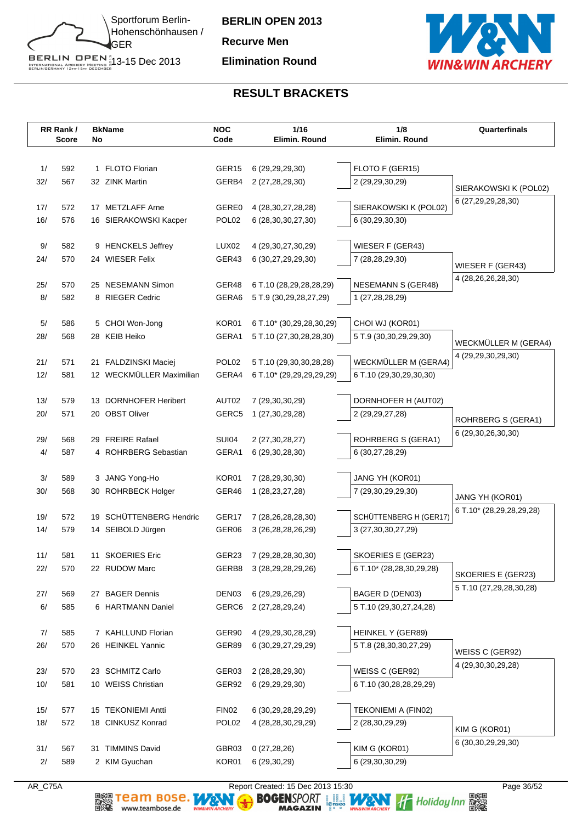

**BERLIN OPEN 2013 Recurve Men Elimination Round**



# **RESULT BRACKETS**

|           | RR Rank/<br><b>Score</b> | No | <b>BkName</b>             | <b>NOC</b><br>Code         | 1/16<br>Elimin. Round         | 1/8<br>Elimin. Round      | Quarterfinals            |
|-----------|--------------------------|----|---------------------------|----------------------------|-------------------------------|---------------------------|--------------------------|
|           |                          |    |                           |                            |                               |                           |                          |
| 1/        | 592                      |    | 1 FLOTO Florian           | GER <sub>15</sub>          | 6 (29, 29, 29, 30)            | FLOTO F (GER15)           |                          |
| 32/       | 567                      |    | 32 ZINK Martin            | GERB4                      | 2 (27,28,29,30)               | 2 (29,29,30,29)           |                          |
|           |                          |    |                           |                            |                               |                           | SIERAKOWSKI K (POL02)    |
| 17/       | 572                      |    | 17 METZLAFF Arne          | GERE0                      | 4 (28, 30, 27, 28, 28)        | SIERAKOWSKI K (POL02)     | 6 (27,29,29,28,30)       |
| 16/       | 576                      |    | 16 SIERAKOWSKI Kacper     | POL <sub>02</sub>          | 6 (28, 30, 30, 27, 30)        | 6 (30,29,30,30)           |                          |
|           |                          |    |                           |                            |                               |                           |                          |
| 9/        | 582                      |    | 9 HENCKELS Jeffrey        | LUX <sub>02</sub><br>GER43 | 4 (29, 30, 27, 30, 29)        | WIESER F (GER43)          |                          |
| 24/       | 570                      |    | 24 WIESER Felix           |                            | 6 (30,27,29,29,30)            | 7 (28,28,29,30)           | WIESER F (GER43)         |
| 25/       | 570                      |    | 25 NESEMANN Simon         | GER48                      | 6 T.10 (28,29,28,28,29)       | <b>NESEMANN S (GER48)</b> | 4 (28, 26, 26, 28, 30)   |
| 8/        | 582                      |    | 8 RIEGER Cedric           | GERA6                      | 5 T.9 (30,29,28,27,29)        | 1 (27,28,28,29)           |                          |
|           |                          |    |                           |                            |                               |                           |                          |
| 5/        | 586                      |    | 5 CHOI Won-Jong           | KOR01                      | 6 T.10* (30,29,28,30,29)      | CHOI WJ (KOR01)           |                          |
| 28/       | 568                      |    | 28 KEIB Heiko             | GERA1                      | 5 T.10 (27,30,28,28,30)       | 5 T.9 (30,30,29,29,30)    | WECKMÜLLER M (GERA4)     |
|           |                          |    |                           |                            |                               |                           | 4 (29,29,30,29,30)       |
| 21/       | 571                      |    | 21 FALDZINSKI Maciej      | POL <sub>02</sub>          | 5 T.10 (29,30,30,28,28)       | WECKMÜLLER M (GERA4)      |                          |
| 12/       | 581                      |    | 12 WECKMÜLLER Maximilian  | GERA4                      | 6 T.10* (29,29,29,29,29)      | 6 T.10 (29,30,29,30,30)   |                          |
| 13/       | 579                      | 13 | <b>DORNHOFER Heribert</b> | AUT02                      | 7 (29,30,30,29)               | DORNHOFER H (AUT02)       |                          |
| 20/       | 571                      |    | 20 OBST Oliver            | GERC5                      | 1 (27,30,29,28)               | 2 (29, 29, 27, 28)        |                          |
|           |                          |    |                           |                            |                               |                           | ROHRBERG S (GERA1)       |
| 29/       | 568                      |    | 29 FREIRE Rafael          | <b>SUI04</b>               | 2 (27, 30, 28, 27)            | ROHRBERG S (GERA1)        | 6 (29,30,26,30,30)       |
| 4/        | 587                      |    | 4 ROHRBERG Sebastian      | GERA1                      | 6 (29, 30, 28, 30)            | 6 (30,27,28,29)           |                          |
|           |                          |    |                           |                            |                               |                           |                          |
| 3/        | 589                      |    | 3 JANG Yong-Ho            | KOR01                      | 7 (28,29,30,30)               | JANG YH (KOR01)           |                          |
| 30/       | 568                      |    | 30 ROHRBECK Holger        | GER46                      | 1 (28, 23, 27, 28)            | 7 (29,30,29,29,30)        | JANG YH (KOR01)          |
| 19/       | 572                      | 19 | SCHÜTTENBERG Hendric      | GER17                      | 7 (28,26,28,28,30)            | SCHÜTTENBERG H (GER17)    | 6 T.10* (28,29,28,29,28) |
| 14/       | 579                      |    | 14 SEIBOLD Jürgen         | GER06                      | 3 (26, 28, 28, 26, 29)        | 3 (27, 30, 30, 27, 29)    |                          |
|           |                          |    |                           |                            |                               |                           |                          |
| 11/       | 581                      |    | 11 SKOERIES Eric          | GER23                      | 7 (29,28,28,30,30)            | SKOERIES E (GER23)        |                          |
| 22/       | 570                      |    | 22 RUDOW Marc             | GERB8                      | 3 (28, 29, 28, 29, 26)        | 6 T.10* (28,28,30,29,28)  | SKOERIES E (GER23)       |
|           |                          |    |                           |                            |                               |                           | 5 T.10 (27,29,28,30,28)  |
| 27/       | 569                      |    | 27 BAGER Dennis           | DEN03                      | 6 (29, 29, 26, 29)            | BAGER D (DEN03)           |                          |
| 6/        | 585                      |    | 6 HARTMANN Daniel         | GERC6                      | 2 (27,28,29,24)               | 5 T.10 (29,30,27,24,28)   |                          |
| 7/        | 585                      |    | 7 KAHLLUND Florian        | GER90                      | 4 (29,29,30,28,29)            | HEINKEL Y (GER89)         |                          |
| 26/       | 570                      |    | 26 HEINKEL Yannic         | GER89                      | 6 (30, 29, 27, 29, 29)        | 5 T.8 (28,30,30,27,29)    |                          |
|           |                          |    |                           |                            |                               |                           | WEISS C (GER92)          |
| 23/       | 570                      |    | 23 SCHMITZ Carlo          | GER03                      | 2 (28,28,29,30)               | WEISS C (GER92)           | 4 (29,30,30,29,28)       |
| 10/       | 581                      |    | 10 WEISS Christian        | GER92                      | 6 (29,29,29,30)               | 6 T.10 (30,28,28,29,29)   |                          |
|           |                          |    |                           |                            |                               |                           |                          |
| 15/       | 577                      |    | 15 TEKONIEMI Antti        | FIN <sub>02</sub>          | 6 (30, 29, 28, 29, 29)        | TEKONIEMI A (FIN02)       |                          |
| 18/       | 572                      |    | 18 CINKUSZ Konrad         | POL <sub>02</sub>          | 4 (28, 28, 30, 29, 29)        | 2 (28,30,29,29)           | KIM G (KOR01)            |
|           | 567                      |    | 31 TIMMINS David          | GBR03                      |                               | KIM G (KOR01)             | 6 (30, 30, 29, 29, 30)   |
| 31/<br>2/ | 589                      |    | 2 KIM Gyuchan             | KOR01                      | 0(27, 28, 26)<br>6 (29,30,29) | 6 (29,30,30,29)           |                          |
|           |                          |    |                           |                            |                               |                           |                          |

AR\_C75A Report Created: 15 Dec 2013 15:30 Page 36/52 Page 36/52<br>Report Created: 15 Dec 2013 15:30 Page 36/52<br>BOGENSPORT Is and the security of the page of the contraction of the page 36/52 MAGAZIN 1988 AMGAZIN 1988 Page<br>BO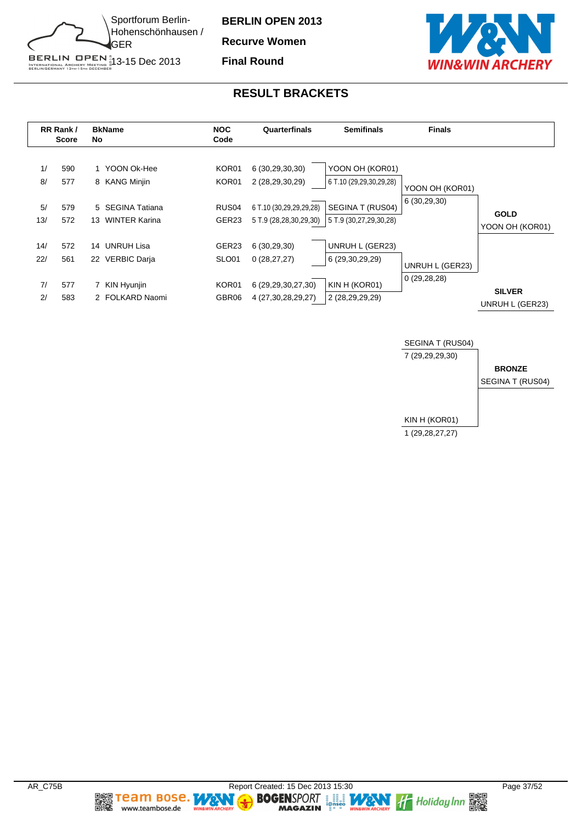

**Recurve Women**

**Final Round**



#### **RESULT BRACKETS**





**Team Bose.** 

www.teambose.de

麣

**TA** 

٧

**MAGAZIN**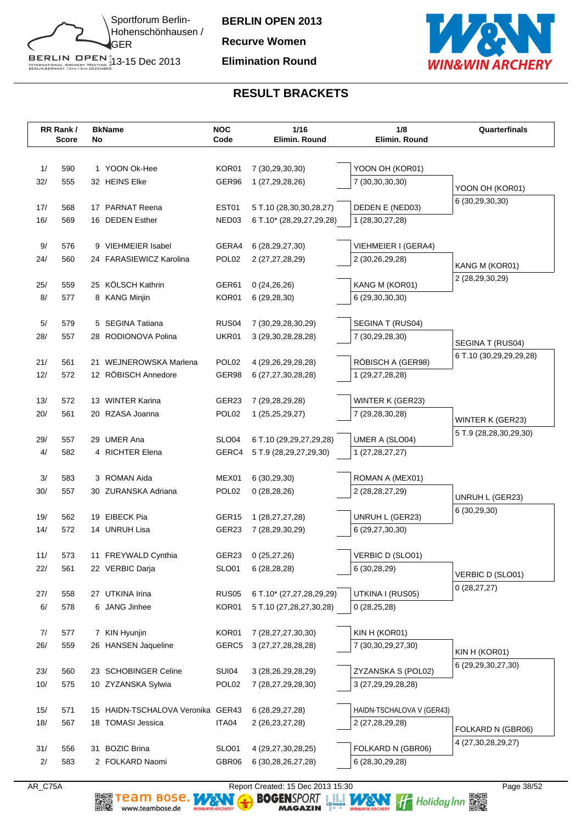

**BERLIN OPEN 2013 Recurve Women Elimination Round**



# **RESULT BRACKETS**

|           | RR Rank/<br><b>Score</b> | No | <b>BkName</b>                           | <b>NOC</b><br>Code         | 1/16<br>Elimin. Round                        | 1/8<br>Elimin. Round                    | Quarterfinals           |
|-----------|--------------------------|----|-----------------------------------------|----------------------------|----------------------------------------------|-----------------------------------------|-------------------------|
|           |                          |    |                                         |                            |                                              |                                         |                         |
| 1/        | 590                      |    | 1 YOON Ok-Hee                           | KOR01                      | 7 (30,29,30,30)                              | YOON OH (KOR01)                         |                         |
| 32/       | 555                      |    | 32 HEINS Elke                           | GER96                      | 1 (27,29,28,26)                              | 7 (30,30,30,30)                         | YOON OH (KOR01)         |
|           |                          |    |                                         |                            |                                              |                                         | 6 (30,29,30,30)         |
| 17/       | 568                      |    | 17 PARNAT Reena                         | EST01                      | 5 T.10 (28,30,30,28,27)                      | DEDEN E (NED03)                         |                         |
| 16/       | 569                      |    | 16 DEDEN Esther                         | NED03                      | 6 T.10* (28,29,27,29,28)                     | 1 (28, 30, 27, 28)                      |                         |
| 9/        | 576                      |    | 9 VIEHMEIER Isabel                      | GERA4                      | 6 (28, 29, 27, 30)                           | VIEHMEIER I (GERA4)                     |                         |
| 24/       | 560                      |    | 24 FARASIEWICZ Karolina                 | POL <sub>02</sub>          | 2 (27,27,28,29)                              | 2 (30,26,29,28)                         |                         |
|           |                          |    |                                         |                            |                                              |                                         | KANG M (KOR01)          |
| 25/       | 559                      |    | 25 KÖLSCH Kathrin                       | GER61                      | 0(24,26,26)                                  | KANG M (KOR01)                          | 2 (28,29,30,29)         |
| 8/        | 577                      |    | 8 KANG Minjin                           | KOR01                      | 6(29, 28, 30)                                | 6 (29,30,30,30)                         |                         |
|           |                          |    |                                         |                            |                                              |                                         |                         |
| 5/<br>28/ | 579<br>557               |    | 5 SEGINA Tatiana<br>28 RODIONOVA Polina | RUS <sub>04</sub><br>UKR01 | 7 (30,29,28,30,29)<br>3 (29, 30, 28, 28, 28) | SEGINA T (RUS04)<br>7 (30,29,28,30)     |                         |
|           |                          |    |                                         |                            |                                              |                                         | SEGINA T (RUS04)        |
| 21/       | 561                      |    | 21 WEJNEROWSKA Marlena                  | POL <sub>02</sub>          | 4 (29, 26, 29, 28, 28)                       | RÖBISCH A (GER98)                       | 6 T.10 (30,29,29,29,28) |
| 12/       | 572                      |    | 12 RÖBISCH Annedore                     | GER98                      | 6 (27,27,30,28,28)                           | 1 (29,27,28,28)                         |                         |
|           |                          |    |                                         |                            |                                              |                                         |                         |
| 13/       | 572                      |    | 13 WINTER Karina                        | GER23                      | 7 (29,28,29,28)                              | WINTER K (GER23)                        |                         |
| 20/       | 561                      |    | 20 RZASA Joanna                         | POL <sub>02</sub>          | 1 (25,25,29,27)                              | 7 (29,28,30,28)                         | WINTER K (GER23)        |
| 29/       | 557                      |    | 29 UMER Ana                             | SLO <sub>04</sub>          | 6 T.10 (29,29,27,29,28)                      | UMER A (SLO04)                          | 5 T.9 (28,28,30,29,30)  |
| 4/        | 582                      |    | 4 RICHTER Elena                         | GERC4                      | 5 T.9 (28,29,27,29,30)                       | 1 (27,28,27,27)                         |                         |
|           |                          |    |                                         |                            |                                              |                                         |                         |
| 3/        | 583                      |    | 3 ROMAN Aida                            | MEX01                      | 6(30, 29, 30)                                | ROMAN A (MEX01)                         |                         |
| 30/       | 557                      |    | 30 ZURANSKA Adriana                     | POL <sub>02</sub>          | 0(28, 28, 26)                                | 2 (28, 28, 27, 29)                      | UNRUH L (GER23)         |
|           |                          |    |                                         |                            |                                              |                                         | 6 (30,29,30)            |
| 19/       | 562                      |    | 19 EIBECK Pia                           | GER <sub>15</sub>          | 1 (28,27,27,28)                              | UNRUH L (GER23)                         |                         |
| 14/       | 572                      |    | 14 UNRUH Lisa                           | GER23                      | 7 (28,29,30,29)                              | 6 (29,27,30,30)                         |                         |
| 11/       | 573                      |    | 11 FREYWALD Cynthia                     | GER23                      | 0(25, 27, 26)                                | VERBIC D (SLO01)                        |                         |
| 22/       | 561                      |    | 22 VERBIC Darja                         | SLO01                      | 6(28, 28, 28)                                | 6 (30,28,29)                            |                         |
|           |                          |    |                                         |                            |                                              |                                         | VERBIC D (SLO01)        |
| 27/       | 558                      |    | 27 UTKINA Irina                         | <b>RUS05</b>               | 6 T.10* (27,27,28,29,29)                     | UTKINA I (RUS05)                        | 0(28, 27, 27)           |
| 6/        | 578                      |    | 6 JANG Jinhee                           | KOR01                      | 5 T.10 (27,28,27,30,28)                      | 0(28,25,28)                             |                         |
|           |                          |    |                                         |                            |                                              |                                         |                         |
| 7/        | 577                      |    | 7 KIN Hyunjin                           | KOR01                      | 7 (28,27,27,30,30)                           | KIN H (KOR01)                           |                         |
| 26/       | 559                      |    | 26 HANSEN Jaqueline                     | GERC5                      | 3 (27,27,28,28,28)                           | 7 (30, 30, 29, 27, 30)                  | KIN H (KOR01)           |
| 23/       | 560                      |    | 23 SCHOBINGER Celine                    | <b>SUI04</b>               | 3 (28, 26, 29, 28, 29)                       | ZYZANSKA S (POL02)                      | 6 (29,29,30,27,30)      |
| 10/       | 575                      |    | 10 ZYZANSKA Sylwia                      | POL02                      | 7 (28,27,29,28,30)                           | 3 (27,29,29,28,28)                      |                         |
|           |                          |    |                                         |                            |                                              |                                         |                         |
| 15/       | 571                      |    | 15 HAIDN-TSCHALOVA Veronika GER43       |                            | 6 (28, 29, 27, 28)                           | HAIDN-TSCHALOVA V (GER43)               |                         |
| 18/       | 567                      |    | 18 TOMASI Jessica                       | ITA04                      | 2 (26, 23, 27, 28)                           | 2 (27,28,29,28)                         | FOLKARD N (GBR06)       |
|           |                          |    |                                         |                            |                                              |                                         | 4 (27, 30, 28, 29, 27)  |
| 31/<br>2/ | 556<br>583               | 31 | <b>BOZIC Brina</b><br>2 FOLKARD Naomi   | <b>SLO01</b><br>GBR06      | 4 (29,27,30,28,25)<br>6 (30,28,26,27,28)     | FOLKARD N (GBR06)<br>6 (28, 30, 29, 28) |                         |
|           |                          |    |                                         |                            |                                              |                                         |                         |

AR\_C75A Report Created: 15 Dec 2013 15:30 Page 38/52 Page 38/52<br>Report Created: 15 Dec 2013 15:30 Page 38/52<br>BOGENSPORT Is and the security of the page of the security of the page 38/52 MAGAZIN 1988 AND THE Holiday Inn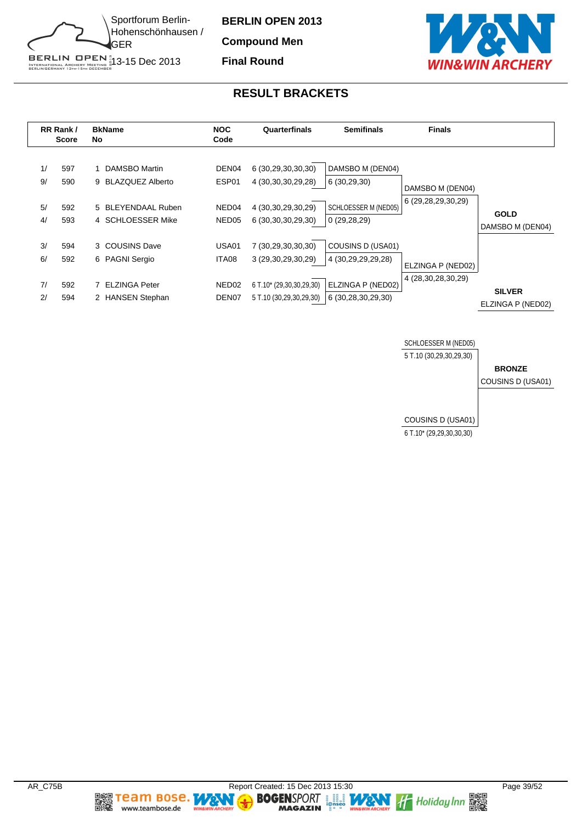

**Compound Men Final Round**



# **RESULT BRACKETS**

|          | RR Rank /<br><b>Score</b> | <b>BkName</b><br>No                      | <b>NOC</b><br>Code                     | Quarterfinals                                       | <b>Semifinals</b>                       | <b>Finals</b>      |                                    |
|----------|---------------------------|------------------------------------------|----------------------------------------|-----------------------------------------------------|-----------------------------------------|--------------------|------------------------------------|
| 1/<br>9/ | 597<br>590                | DAMSBO Martin<br>9 BLAZQUEZ Alberto      | DEN <sub>04</sub><br>ESP01             | 6 (30,29,30,30,30)<br>4 (30, 30, 30, 29, 28)        | DAMSBO M (DEN04)<br>6(30, 29, 30)       | DAMSBO M (DEN04)   |                                    |
| 5/<br>4/ | 592<br>593                | 5 BLEYENDAAL Ruben<br>4 SCHLOESSER Mike  | NED <sub>04</sub><br>NED <sub>05</sub> | 4 (30,30,29,30,29)<br>6 (30, 30, 30, 29, 30)        | SCHLOESSER M (NED05)<br>0(29, 28, 29)   | 6 (29,28,29,30,29) | <b>GOLD</b><br>DAMSBO M (DEN04)    |
| 3/<br>6/ | 594<br>592                | 3 COUSINS Dave<br>6 PAGNI Sergio         | USA01<br>ITA08                         | 7 (30,29,30,30,30)<br>3 (29,30,29,30,29)            | COUSINS D (USA01)<br>4 (30,29,29,29,28) | ELZINGA P (NED02)  |                                    |
| 7/<br>2/ | 592<br>594                | <b>ELZINGA Peter</b><br>2 HANSEN Stephan | NED <sub>02</sub><br>DEN <sub>07</sub> | 6 T.10* (29,30,30,29,30)<br>5 T.10 (30,29,30,29,30) | ELZINGA P (NED02)<br>6 (30,28,30,29,30) | 4 (28,30,28,30,29) | <b>SILVER</b><br>ELZINGA P (NED02) |



**DEEL TEAM BOSE.** 

www.teambose.de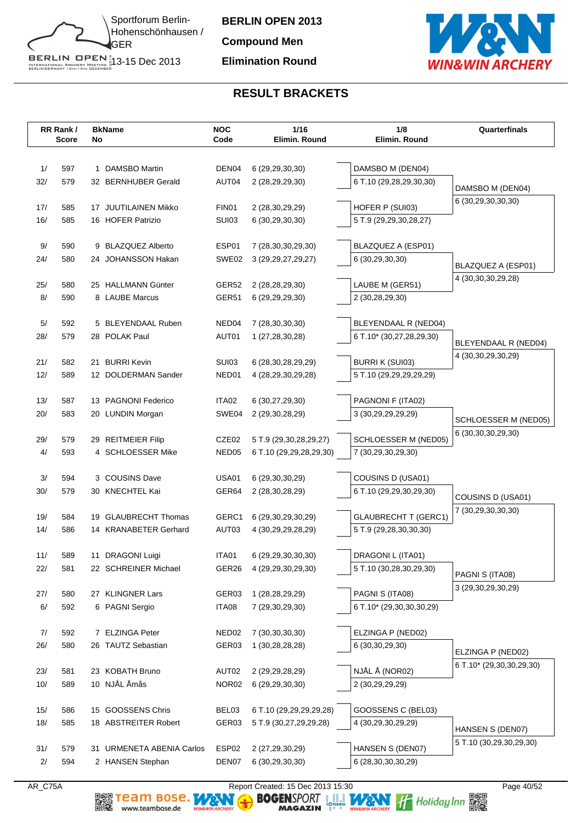

**BERLIN OPEN 2013 Compound Men Elimination Round**



# **RESULT BRACKETS**

|             | RR Rank/<br>Score | No | <b>BkName</b>                      | <b>NOC</b><br>Code | 1/16<br>Elimin. Round              | 1/8<br>Elimin. Round                        | Quarterfinals            |
|-------------|-------------------|----|------------------------------------|--------------------|------------------------------------|---------------------------------------------|--------------------------|
|             |                   |    |                                    |                    |                                    |                                             |                          |
| 1/          | 597               |    | 1 DAMSBO Martin                    | DEN04              | 6 (29, 29, 30, 30)                 | DAMSBO M (DEN04)                            |                          |
| 32/         | 579               |    | 32 BERNHUBER Gerald                | AUT04              | 2 (28,29,29,30)                    | 6 T.10 (29,28,29,30,30)                     | DAMSBO M (DEN04)         |
| 17/         | 585               |    | 17 JUUTILAINEN Mikko               | FIN01              | 2 (28,30,29,29)                    | HOFER P (SUI03)                             | 6 (30,29,30,30,30)       |
| 16/         | 585               |    | 16 HOFER Patrizio                  | <b>SUI03</b>       | 6 (30,29,30,30)                    | 5 T.9 (29,29,30,28,27)                      |                          |
|             |                   |    |                                    |                    |                                    |                                             |                          |
| 9/          | 590               |    | 9 BLAZQUEZ Alberto                 | ESP01              | 7 (28,30,30,29,30)                 | BLAZQUEZ A (ESP01)                          |                          |
| 24/         | 580               |    | 24 JOHANSSON Hakan                 | SWE02              | 3 (29, 29, 27, 29, 27)             | 6 (30,29,30,30)                             | BLAZQUEZ A (ESP01)       |
|             |                   |    |                                    |                    |                                    |                                             | 4 (30, 30, 30, 29, 28)   |
| 25/         | 580               |    | 25 HALLMANN Günter                 | GER52              | 2 (28,28,29,30)                    | LAUBE M (GER51)                             |                          |
| 8/          | 590               |    | 8 LAUBE Marcus                     | GER51              | 6 (29,29,29,30)                    | 2 (30,28,29,30)                             |                          |
| 5/          | 592               |    | 5 BLEYENDAAL Ruben                 | NED <sub>04</sub>  | 7 (28, 30, 30, 30)                 | BLEYENDAAL R (NED04)                        |                          |
| 28/         | 579               |    | 28 POLAK Paul                      | AUT01              | 1 (27,28,30,28)                    | 6 T.10* (30,27,28,29,30)                    |                          |
|             |                   |    |                                    |                    |                                    |                                             | BLEYENDAAL R (NED04)     |
| 21/         | 582               |    | 21 BURRI Kevin                     | <b>SUI03</b>       | 6 (28,30,28,29,29)                 | <b>BURRI K (SUI03)</b>                      | 4 (30, 30, 29, 30, 29)   |
| 12/         | 589               |    | 12 DOLDERMAN Sander                | NED01              | 4 (28, 29, 30, 29, 28)             | 5 T.10 (29,29,29,29,29)                     |                          |
| 13/         | 587               |    | 13 PAGNONI Federico                | ITA02              | 6 (30,27,29,30)                    | PAGNONI F (ITA02)                           |                          |
| 20/         | 583               |    | 20 LUNDIN Morgan                   | SWE04              | 2 (29,30,28,29)                    | 3 (30,29,29,29,29)                          |                          |
|             |                   |    |                                    |                    |                                    |                                             | SCHLOESSER M (NED05)     |
| 29/         | 579               |    | 29 REITMEIER Filip                 | CZE02              | 5 T.9 (29,30,28,29,27)             | SCHLOESSER M (NED05)                        | 6 (30, 30, 30, 29, 30)   |
| 4/          | 593               |    | 4 SCHLOESSER Mike                  | NED <sub>05</sub>  | 6 T.10 (29,29,28,29,30)            | 7 (30,29,30,29,30)                          |                          |
|             |                   |    |                                    |                    |                                    |                                             |                          |
| 3/          | 594               |    | 3 COUSINS Dave                     | <b>USA01</b>       | 6 (29, 30, 30, 29)                 | COUSINS D (USA01)                           |                          |
| 30/         | 579               |    | 30 KNECHTEL Kai                    | GER64              | 2 (28,30,28,29)                    | 6 T.10 (29,29,30,29,30)                     | COUSINS D (USA01)        |
| 19/         | 584               | 19 | <b>GLAUBRECHT Thomas</b>           | GERC1              | 6 (29,30,29,30,29)                 | <b>GLAUBRECHT T (GERC1)</b>                 | 7 (30,29,30,30,30)       |
| 14/         | 586               |    | 14 KRANABETER Gerhard              | AUT03              | 4 (30, 29, 29, 28, 29)             | 5 T.9 (29,28,30,30,30)                      |                          |
|             |                   |    |                                    |                    |                                    |                                             |                          |
| 11/         | 589               |    | 11 DRAGONI Luigi                   | ITA01              | 6 (29,29,30,30,30)                 | DRAGONI L (ITA01)                           |                          |
| 22/         | 581               |    | 22 SCHREINER Michael               | GER26              | 4 (29, 29, 30, 29, 30)             | 5 T.10 (30,28,30,29,30)                     | PAGNI S (ITA08)          |
|             |                   |    |                                    |                    |                                    |                                             | 3 (29,30,29,30,29)       |
| 27/<br>$6/$ | 580<br>592        |    | 27 KLINGNER Lars<br>6 PAGNI Sergio | GER03<br>ITA08     | 1 (28,28,29,29)<br>7 (29,30,29,30) | PAGNI S (ITA08)<br>6 T.10* (29,30,30,30,29) |                          |
|             |                   |    |                                    |                    |                                    |                                             |                          |
| 7/          | 592               |    | 7 ELZINGA Peter                    | NED <sub>02</sub>  | 7 (30, 30, 30, 30)                 | ELZINGA P (NED02)                           |                          |
| 26/         | 580               |    | 26 TAUTZ Sebastian                 | GER03              | 1 (30,28,28,28)                    | 6 (30, 30, 29, 30)                          | ELZINGA P (NED02)        |
|             |                   |    |                                    |                    |                                    |                                             | 6 T.10* (29,30,30,29,30) |
| 23/         | 581               |    | 23 KOBATH Bruno                    | AUT02              | 2 (29, 29, 28, 29)                 | NJÅLÅ (NOR02)                               |                          |
| 10/         | 589               |    | 10 NJÅL Åmås                       | NOR02              | 6 (29,29,30,30)                    | 2 (30,29,29,29)                             |                          |
| 15/         | 586               |    | 15 GOOSSENS Chris                  | BEL03              | 6 T.10 (29,29,29,29,28)            | GOOSSENS C (BEL03)                          |                          |
| 18/         | 585               |    | 18 ABSTREITER Robert               | GER03              | 5 T.9 (30,27,29,29,28)             | 4 (30,29,30,29,29)                          |                          |
|             |                   |    |                                    |                    |                                    |                                             | HANSEN S (DEN07)         |
| 31/         | 579               |    | 31 URMENETA ABENIA Carlos          | ESP02              | 2 (27,29,30,29)                    | HANSEN S (DEN07)                            | 5 T.10 (30,29,30,29,30)  |
| 2/          | 594               |    | 2 HANSEN Stephan                   | DEN07              | 6 (30,29,30,30)                    | 6 (28, 30, 30, 30, 29)                      |                          |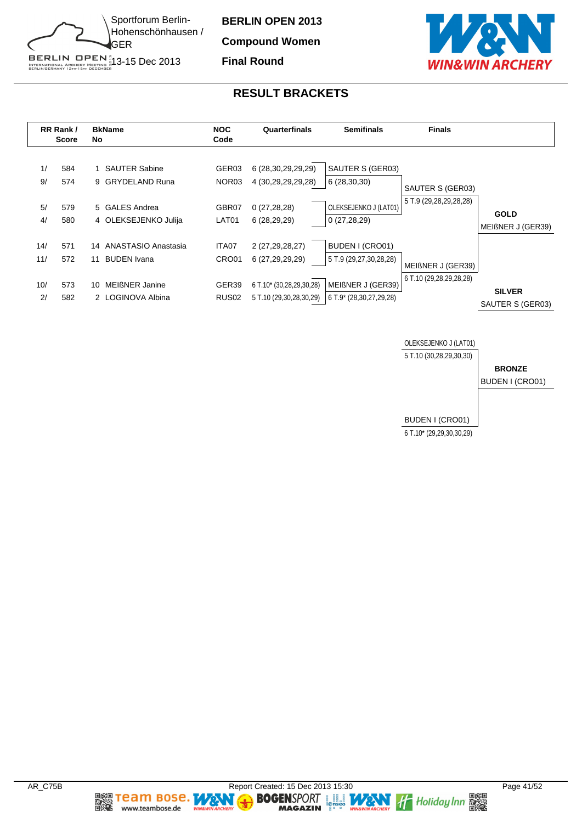

**Compound Women**

**Final Round**



#### **RESULT BRACKETS**





**Team Bose.** 

www.teambose.de

麣

**TA** 

٧

**MAGAZIN**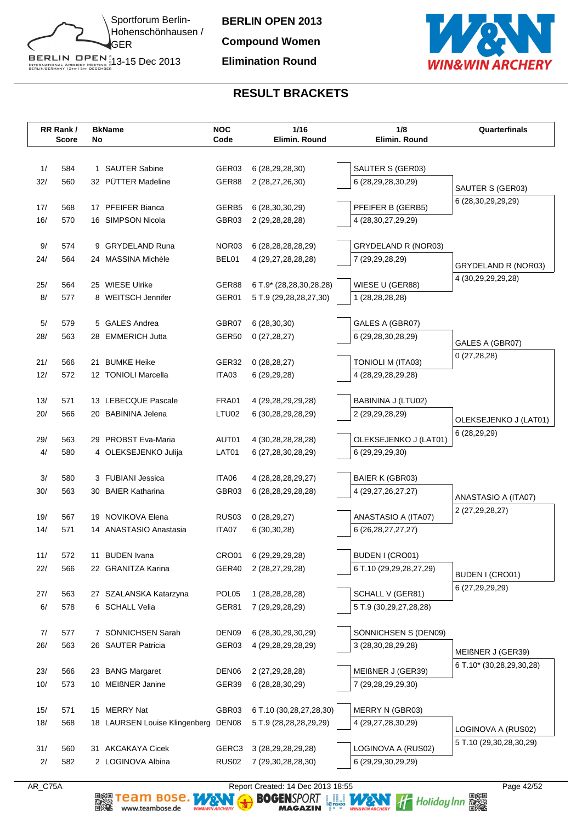

**BERLIN OPEN 2013 Compound Women Elimination Round**



# **RESULT BRACKETS**

|            | RR Rank/     |    | <b>BkName</b>                            | <b>NOC</b>        | 1/16                                         | 1/8                                   | Quarterfinals                                 |
|------------|--------------|----|------------------------------------------|-------------------|----------------------------------------------|---------------------------------------|-----------------------------------------------|
|            | <b>Score</b> | No |                                          | Code              | Elimin. Round                                | Elimin. Round                         |                                               |
|            |              |    |                                          |                   |                                              |                                       |                                               |
| 1/         | 584          |    | 1 SAUTER Sabine                          | GER03             | 6 (28, 29, 28, 30)                           | SAUTER S (GER03)                      |                                               |
| 32/        | 560          |    | 32 PÜTTER Madeline                       | GER88             | 2 (28,27,26,30)                              | 6 (28,29,28,30,29)                    | SAUTER S (GER03)                              |
|            |              |    |                                          |                   |                                              |                                       | 6 (28,30,29,29,29)                            |
| 17/        | 568          |    | 17 PFEIFER Bianca                        | GERB5             | 6 (28, 30, 30, 29)                           | PFEIFER B (GERB5)                     |                                               |
| 16/        | 570          |    | 16 SIMPSON Nicola                        | GBR03             | 2 (29, 28, 28, 28)                           | 4 (28, 30, 27, 29, 29)                |                                               |
| 9/         | 574          |    | 9 GRYDELAND Runa                         | NOR03             | 6 (28, 28, 28, 28, 29)                       | GRYDELAND R (NOR03)                   |                                               |
| 24/        | 564          |    | 24 MASSINA Michèle                       | BEL01             | 4 (29, 27, 28, 28, 28)                       | 7 (29,29,28,29)                       |                                               |
|            |              |    |                                          |                   |                                              |                                       | GRYDELAND R (NOR03)                           |
| 25/        | 564          |    | 25 WIESE Ulrike                          | GER88             | 6 T.9* (28,28,30,28,28)                      | WIESE U (GER88)                       | 4 (30, 29, 29, 29, 28)                        |
| 8/         | 577          |    | 8 WEITSCH Jennifer                       | GER01             | 5 T.9 (29,28,28,27,30)                       | 1 (28,28,28,28)                       |                                               |
|            |              |    |                                          |                   |                                              |                                       |                                               |
| 5/         | 579          |    | 5 GALES Andrea                           | GBR07             | 6(28, 30, 30)                                | GALES A (GBR07)                       |                                               |
| 28/        | 563          |    | 28 EMMERICH Jutta                        | GER50             | 0(27, 28, 27)                                | 6 (29,28,30,28,29)                    | GALES A (GBR07)                               |
|            |              |    |                                          |                   |                                              |                                       | 0(27, 28, 28)                                 |
| 21/        | 566          | 21 | <b>BUMKE Heike</b>                       | GER32             | 0(28, 28, 27)                                | TONIOLI M (ITA03)                     |                                               |
| 12/        | 572          |    | 12 TONIOLI Marcella                      | ITA03             | 6(29, 29, 28)                                | 4 (28, 29, 28, 29, 28)                |                                               |
|            |              |    | 13 LEBECQUE Pascale                      | FRA01             |                                              |                                       |                                               |
| 13/<br>20/ | 571<br>566   |    | 20 BABININA Jelena                       | LTU02             | 4 (29, 28, 29, 29, 28)<br>6 (30,28,29,28,29) | BABININA J (LTU02)<br>2 (29,29,28,29) |                                               |
|            |              |    |                                          |                   |                                              |                                       | OLEKSEJENKO J (LAT01)                         |
| 29/        | 563          |    | 29 PROBST Eva-Maria                      | AUT01             | 4 (30,28,28,28,28)                           | OLEKSEJENKO J (LAT01)                 | 6 (28,29,29)                                  |
| 4/         | 580          |    | 4 OLEKSEJENKO Julija                     | LAT01             | 6 (27,28,30,28,29)                           | 6 (29,29,29,30)                       |                                               |
|            |              |    |                                          |                   |                                              |                                       |                                               |
| 3/         | 580          |    | 3 FUBIANI Jessica                        | ITA06             | 4 (28, 28, 28, 29, 27)                       | BAIER K (GBR03)                       |                                               |
| 30/        | 563          |    | 30 BAIER Katharina                       | GBR03             | 6 (28, 28, 29, 28, 28)                       | 4 (29, 27, 26, 27, 27)                | ANASTASIO A (ITA07)                           |
|            |              |    |                                          |                   |                                              |                                       | 2 (27, 29, 28, 27)                            |
| 19/        | 567          |    | 19 NOVIKOVA Elena                        | <b>RUS03</b>      | 0(28, 29, 27)                                | ANASTASIO A (ITA07)                   |                                               |
| 14/        | 571          |    | 14 ANASTASIO Anastasia                   | ITA07             | 6(30,30,28)                                  | 6 (26, 28, 27, 27, 27)                |                                               |
|            |              |    |                                          |                   |                                              |                                       |                                               |
| 11/<br>22/ | 572<br>566   | 11 | <b>BUDEN</b> Ivana<br>22 GRANITZA Karina | CRO01<br>GER40    | 6 (29, 29, 29, 28)                           | BUDEN I (CRO01)                       |                                               |
|            |              |    |                                          |                   | 2 (28,27,29,28)                              | 6 T.10 (29,29,28,27,29)               | BUDEN I (CRO01)                               |
| 27/        | 563          |    | 27 SZALANSKA Katarzyna                   | POL <sub>05</sub> | 1 (28, 28, 28, 28)                           | SCHALL V (GER81)                      | 6 (27,29,29,29)                               |
| 6/         | 578          |    | 6 SCHALL Velia                           | GER81             | 7 (29, 29, 28, 29)                           | 5 T.9 (30,29,27,28,28)                |                                               |
|            |              |    |                                          |                   |                                              |                                       |                                               |
| 7/         | 577          |    | 7 SÖNNICHSEN Sarah                       | DEN <sub>09</sub> | 6 (28, 30, 29, 30, 29)                       | SÖNNICHSEN S (DEN09)                  |                                               |
| 26/        | 563          |    | 26 SAUTER Patricia                       | GER03             | 4 (29, 28, 29, 28, 29)                       | 3 (28, 30, 28, 29, 28)                |                                               |
|            |              |    |                                          |                   |                                              |                                       | MEIßNER J (GER39)<br>6 T.10* (30,28,29,30,28) |
| 23/        | 566          |    | 23 BANG Margaret                         | DEN <sub>06</sub> | 2 (27,29,28,28)                              | MEIßNER J (GER39)                     |                                               |
| 10/        | 573          |    | 10 MEIßNER Janine                        | GER39             | 6 (28, 28, 30, 29)                           | 7 (29,28,29,29,30)                    |                                               |
|            |              |    |                                          |                   |                                              |                                       |                                               |
| 15/        | 571          |    | 15 MERRY Nat                             | GBR03             | 6 T.10 (30,28,27,28,30)                      | MERRY N (GBR03)                       |                                               |
| 18/        | 568          |    | 18 LAURSEN Louise Klingenberg DEN08      |                   | 5 T.9 (28,28,28,29,29)                       | 4 (29,27,28,30,29)                    | LOGINOVA A (RUS02)                            |
| 31/        | 560          | 31 | <b>AKCAKAYA Cicek</b>                    | GERC3             | 3 (28, 29, 28, 29, 28)                       | LOGINOVA A (RUS02)                    | 5 T.10 (29,30,28,30,29)                       |
| 2/         | 582          |    | 2 LOGINOVA Albina                        | RUS <sub>02</sub> | 7 (29,30,28,28,30)                           | 6 (29,29,30,29,29)                    |                                               |
|            |              |    |                                          |                   |                                              |                                       |                                               |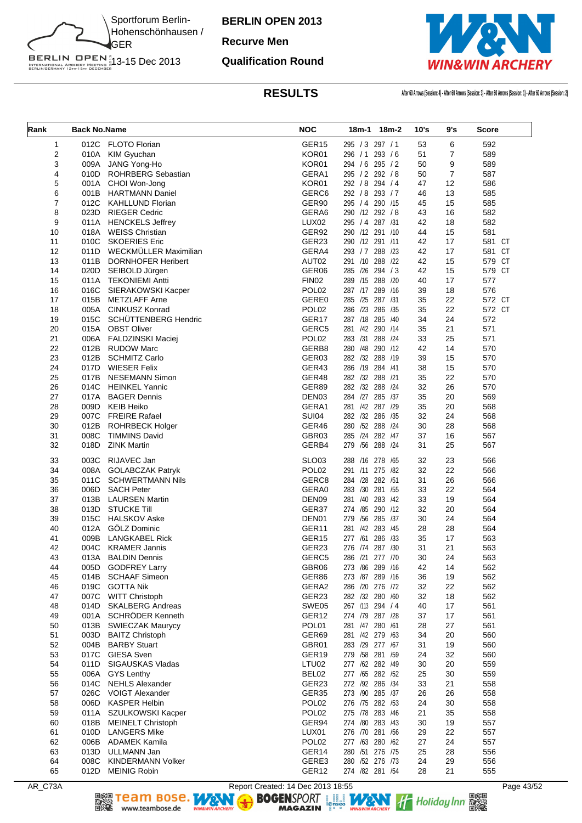

**Recurve Men**

#### **Qualification Round**



**RESULTS After 60 Arrows (Session: 4) - After 60 Arrows (Session: 3) - After 60 Arrows (Session: 1) - After 60 Arrows (Session: 2)**

| Rank     | <b>Back No.Name</b> |                                               | <b>NOC</b>                 | 18m-1 18m-2                              | 10's     | 9's            | Score      |
|----------|---------------------|-----------------------------------------------|----------------------------|------------------------------------------|----------|----------------|------------|
| 1        | 012C                | <b>FLOTO Florian</b>                          | GER <sub>15</sub>          | 295 / 3 297 / 1                          | 53       | 6              | 592        |
| 2        | 010A                | KIM Gyuchan                                   | KOR01                      | 293 / 6<br>296 / 1                       | 51       | 7              | 589        |
| 3        | 009A                | JANG Yong-Ho                                  | KOR01                      | 294 / 6 295 / 2                          | 50       | 9              | 589        |
| 4        |                     | 010D ROHRBERG Sebastian                       | GERA1                      | 295 / 2 292 / 8                          | 50       | $\overline{7}$ | 587        |
| 5        |                     | 001A CHOI Won-Jong                            | KOR01                      | 292 / 8 294 / 4                          | 47       | 12             | 586        |
| 6        | 001B                | <b>HARTMANN Daniel</b>                        | GERC <sub>6</sub>          | 292 / 8 293 / 7                          | 46       | 13             | 585        |
| 7        | 012C                | <b>KAHLLUND Florian</b>                       | GER90                      | 295 / 4 290 /15                          | 45       | 15             | 585        |
| 8        |                     | 023D RIEGER Cedric                            | GERA6                      | 290 /12 292 / 8                          | 43       | 16             | 582        |
| 9        | 011A                | <b>HENCKELS Jeffrey</b>                       | LUX <sub>02</sub>          | 295 / 4 287 /31                          | 42       | 18             | 582        |
| 10       | 018A                | <b>WEISS Christian</b>                        | GER92                      | 290 /12 291 /10                          | 44       | 15             | 581        |
| 11       | 010C                | <b>SKOERIES Eric</b>                          | GER23                      | 290 /12 291 /11                          | 42       | 17             | 581 CT     |
| 12       | 011D                | WECKMÜLLER Maximilian                         | GERA4                      | 293 / 7 288 / 23                         | 42       | 17             | 581 CT     |
| 13       | 011B                | <b>DORNHOFER Heribert</b>                     | AUT02                      | 291 /10<br>288<br>/22                    | 42       | 15             | 579 CT     |
| 14       |                     | 020D SEIBOLD Jürgen                           | GER06                      | 285 /26 294 / 3                          | 42       | 15             | 579 CT     |
| 15       | 011A                | <b>TEKONIEMI Antti</b>                        | <b>FIN02</b>               | 289 /15 288 /20                          | 40       | 17             | 577        |
| 16       | 016C                | SIERAKOWSKI Kacper                            | POL <sub>02</sub>          | 287 /17<br>289 /16                       | 39       | 18             | 576        |
| 17       | 015B                | <b>METZLAFF Arne</b>                          | GERE0                      | 285 /25 287 /31                          | 35       | 22             | 572 CT     |
| 18       | 005A                | <b>CINKUSZ Konrad</b>                         | POL <sub>02</sub>          | 286 /23 286 /35                          | 35       | 22             | 572 CT     |
| 19       | 015C                | <b>SCHUTTENBERG Hendric</b>                   | GER17                      | 287 /18<br>285 /40                       | 34       | 24             | 572        |
| 20       | 015A                | <b>OBST Oliver</b>                            | GERC5                      | 281 /42 290 /14                          | 35       | 21             | 571        |
| 21<br>22 | 006A                | FALDZINSKI Maciej                             | POL <sub>02</sub><br>GERB8 | 283 /31<br>288 /24<br>280 /48<br>290 /12 | 33       | 25<br>14       | 571        |
| 23       | 012B<br>012B        | <b>RUDOW Marc</b><br><b>SCHMITZ Carlo</b>     | GER03                      | 282 /32 288<br>/19                       | 42<br>39 | 15             | 570<br>570 |
| 24       | 017D                | <b>WIESER Felix</b>                           | GER43                      | 286 /19 284 /41                          | 38       | 15             | 570        |
| 25       | 017B                | <b>NESEMANN Simon</b>                         | GER48                      | 282 /32 288<br>/21                       | 35       | 22             | 570        |
| 26       | 014C                | <b>HEINKEL Yannic</b>                         | GER89                      | 282 /32 288<br>/24                       | 32       | 26             | 570        |
| 27       | 017A                | <b>BAGER Dennis</b>                           | DEN <sub>03</sub>          | 284 /27 285 /37                          | 35       | 20             | 569        |
| 28       | 009D                | <b>KEIB Heiko</b>                             | GERA1                      | 281 /42 287 /29                          | 35       | 20             | 568        |
| 29       | 007C                | <b>FREIRE Rafael</b>                          | SUI04                      | 282 /32 286 /35                          | 32       | 24             | 568        |
| 30       | 012B                | <b>ROHRBECK Holger</b>                        | GER46                      | 280 /52 288<br>/24                       | 30       | 28             | 568        |
| 31       | 008C                | <b>TIMMINS David</b>                          | GBR03                      | /24<br>282 /47<br>285                    | 37       | 16             | 567        |
| 32       | 018D                | <b>ZINK Martin</b>                            | GERB4                      | /56 288 /24<br>279                       | 31       | 25             | 567        |
| 33       | 003C                | RIJAVEC Jan                                   | <b>SLO03</b>               | 288<br>/16 278<br>/65                    | 32       | 23             | 566        |
| 34       | 008A                | <b>GOLABCZAK Patryk</b>                       | POL <sub>02</sub>          | 291 /11 275<br>/82                       | 32       | 22             | 566        |
| 35       | 011C                | <b>SCHWERTMANN Nils</b>                       | GERC8                      | 284 /28 282 /51                          | 31       | 26             | 566        |
| 36       | 006D                | <b>SACH Peter</b>                             | GERA0                      | 281<br>283 /30<br>/55                    | 33       | 22             | 564        |
| 37       | 013B                | <b>LAURSEN Martin</b>                         | DEN09                      | /40 283 /42<br>281                       | 33       | 19             | 564        |
| 38       | 013D                | <b>STUCKE Till</b>                            | GER37                      | 274 /85 290 /12                          | 32       | 20             | 564        |
| 39       | 015C                | <b>HALSKOV Aske</b>                           | DEN01                      | /56 285 /37<br>279                       | 30       | 24             | 564        |
| 40       | 012A<br>009B        | GÖLZ Dominic                                  | GER11<br>GER15             | 281 /42 283 /45<br>286 /33               | 28       | 28             | 564        |
| 41<br>42 | 004C                | <b>LANGKABEL Rick</b><br><b>KRAMER Jannis</b> | GER23                      | 277 /61<br>276 /74<br>287 /30            | 35<br>31 | 17<br>21       | 563<br>563 |
| 43       |                     | 013A BALDIN Dennis                            | GERC5                      | 286 /21 277 /70                          | 30       | 24             | 563        |
| 44       | 005D                | <b>GODFREY Larry</b>                          | GBR06                      | 273 /86 289 /16                          | 42       | 14             | 562        |
| 45       | 014B                | <b>SCHAAF Simeon</b>                          | GER86                      | 273 /87 289 /16                          | 36       | 19             | 562        |
| 46       | 019C                | <b>GOTTA Nik</b>                              | GERA2                      | 286 /20 276 /72                          | 32       | 22             | 562        |
| 47       | 007C                | <b>WITT Christoph</b>                         | GER23                      | 282 /32 280 /60                          | 32       | 18             | 562        |
| 48       | 014D                | <b>SKALBERG Andreas</b>                       | SWE05                      | 267 /113 294 / 4                         | 40       | 17             | 561        |
| 49       | 001A                | SCHRÖDER Kenneth                              | GER <sub>12</sub>          | 274 /79 287 /28                          | 37       | 17             | 561        |
| 50       | 013B                | <b>SWIECZAK Maurycy</b>                       | POL01                      | 281 /47 280 /61                          | 28       | 27             | 561        |
| 51       | 003D                | <b>BAITZ Christoph</b>                        | GER69                      | 281 /42 279 /63                          | 34       | 20             | 560        |
| 52       | 004B                | <b>BARBY Stuart</b>                           | GBR01                      | 283 /29 277 /67                          | 31       | 19             | 560        |
| 53       |                     | 017C GIESA Sven                               | GER19                      | 279 /58 281 /59                          | 24       | 32             | 560        |
| 54       | 011D                | SIGAUSKAS Vladas                              | LTU02                      | 277 /62 282 /49                          | 30       | 20             | 559        |
| 55       | 006A                | <b>GYS Lenthy</b>                             | BEL02                      | 277 /65 282 /52                          | 25       | 30             | 559        |
| 56       | 014C                | <b>NEHLS Alexander</b>                        | GER23                      | 272 /92 286 /34                          | 33       | 21             | 558        |
| 57       | 026C                | <b>VOIGT Alexander</b>                        | GER35                      | 273 /90 285 /37                          | 26       | 26             | 558        |
| 58       | 006D                | <b>KASPER Helbin</b>                          | POL <sub>02</sub>          | 276 /75 282 /53                          | 24       | 30             | 558        |
| 59       | 011A                | SZULKOWSKI Kacper                             | POL <sub>02</sub>          | 275 /78 283 /46                          | 21       | 35             | 558        |
| 60       | 018B                | <b>MEINELT Christoph</b>                      | GER94                      | 274 /80 283 /43                          | 30       | 19             | 557        |
| 61       | 010D                | <b>LANGERS Mike</b>                           | LUX01                      | 276 /70 281 /56                          | 29       | 22             | 557        |
| 62       | 006B                | <b>ADAMEK Kamila</b>                          | POL <sub>02</sub>          | 277 /63 280 /62                          | 27       | 24             | 557        |
| 63       | 013D                | ULLMANN Jan                                   | GER <sub>14</sub>          | 280 /51 276 /75                          | 25       | 28             | 556        |
| 64       | 008C                | <b>KINDERMANN Volker</b>                      | GERE3                      | 280 /52 276 /73                          | 24       | 29             | 556        |
| 65       | 012D                | <b>MEINIG Robin</b>                           | GER12                      | 274 /82 281 /54                          | 28       | 21             | 555        |

AR\_C73A Report Created: 14 Dec 2013 18:55 Page 43/52 Page 43/52<br>Report Created: 14 Dec 2013 18:55<br>BOGENSPORT Report Created: 14 Dec 2013 18:55<br>MAGAZIN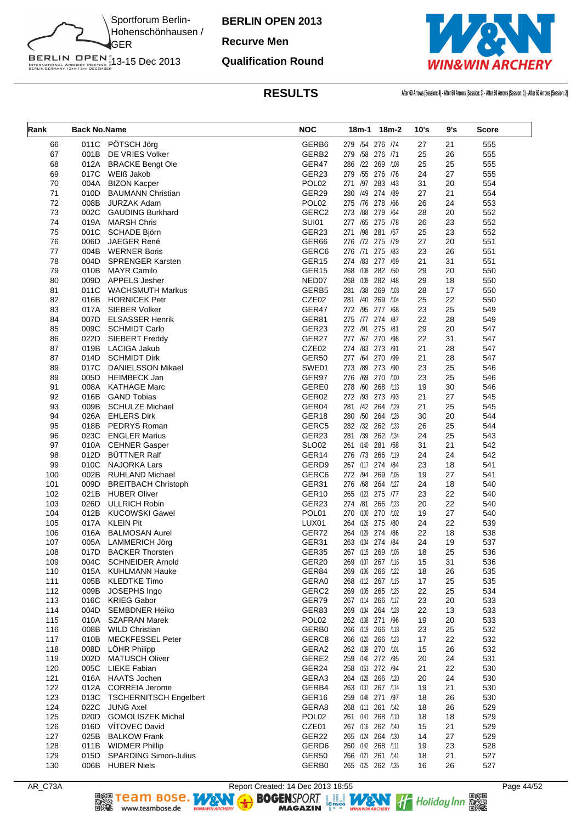

**Recurve Men**

#### **Qualification Round**



| Rank       | <b>Back No.Name</b> |                                               | <b>NOC</b>                 | 18m-1 18m-2                            | 10's     | 9's      | Score      |
|------------|---------------------|-----------------------------------------------|----------------------------|----------------------------------------|----------|----------|------------|
| 66         | 011C                | PÖTSCH Jörg                                   | GERB <sub>6</sub>          | 279 /54 276 /74                        | 27       | 21       | 555        |
| 67         | 001B                | DE VRIES Volker                               | GERB2                      | 279 /58 276 /71                        | 25       | 26       | 555        |
| 68         | 012A                | <b>BRACKE Bengt Ole</b>                       | GER47                      | 286 /22 269 /108                       | 25       | 25       | 555        |
| 69         | 017C                | WEIß Jakob                                    | GER23                      | 279 /55 276 /76                        | 24       | 27       | 555        |
| 70         | 004A                | <b>BIZON Kacper</b>                           | POL <sub>02</sub>          | 271 /97<br>283 /43                     | 31       | 20       | 554        |
| 71         | 010D                | <b>BAUMANN Christian</b>                      | GER29                      | 280 /49 274 /89                        | 27       | 21       | 554        |
| 72         | 008B                | <b>JURZAK Adam</b>                            | POL <sub>02</sub>          | 275 /76 278 /66                        | 26       | 24       | 553        |
| 73         | 002C                | <b>GAUDING Burkhard</b>                       | GERC <sub>2</sub>          | 273 /88 279 /64                        | 28       | 20       | 552        |
| 74         | 019A                | <b>MARSH Chris</b>                            | <b>SUI01</b>               | 277 /65 275 /78                        | 26       | 23       | 552        |
| 75         | 001C                | SCHADE Björn                                  | GER23                      | /98 281 /57<br>271                     | 25       | 23       | 552        |
| 76         | 006D                | JAEGER René                                   | GER66                      | 276 /72 275 /79                        | 27       | 20       | 551        |
| 77         | 004B                | <b>WERNER Boris</b>                           | GERC6<br>GER <sub>15</sub> | 276 /71 275 /83<br>274 /83 277 /69     | 23       | 26       | 551        |
| 78<br>79   | 004D<br>010B        | <b>SPRENGER Karsten</b><br><b>MAYR Camilo</b> | GER15                      | 268 /108 282 /50                       | 21<br>29 | 31<br>20 | 551<br>550 |
| 80         | 009D                | APPELS Jesher                                 | NED07                      | 268 /109 282 /48                       | 29       | 18       | 550        |
| 81         | 011C                | <b>WACHSMUTH Markus</b>                       | GERB5                      | 281 /38 269 /103                       | 28       | 17       | 550        |
| 82         | 016B                | <b>HORNICEK Petr</b>                          | CZE02                      | 281 /40 269 /104                       | 25       | 22       | 550        |
| 83         | 017A                | <b>SIEBER Volker</b>                          | GER47                      | 272 /95 277 /68                        | 23       | 25       | 549        |
| 84         | 007D                | <b>ELSASSER Henrik</b>                        | GER81                      | 275 /77 274 /87                        | 22       | 28       | 549        |
| 85         | 009C                | <b>SCHMIDT Carlo</b>                          | GER23                      | 272 /91 275 /81                        | 29       | 20       | 547        |
| 86         | 022D                | SIEBERT Freddy                                | GER27                      | 277 /67 270 /98                        | 22       | 31       | 547        |
| 87         | 019B                | LACIGA Jakub                                  | CZE02                      | 274 /83 273 /91                        | 21       | 28       | 547        |
| 87         | 014D                | <b>SCHMIDT Dirk</b>                           | <b>GER50</b>               | 277 /64 270 /99                        | 21       | 28       | 547        |
| 89         | 017C                | <b>DANIELSSON Mikael</b>                      | SWE01                      | 273 /89 273 /90                        | 23       | 25       | 546        |
| 89         | 005D                | <b>HEIMBECK Jan</b>                           | GER97                      | 276 /69 270 /100                       | 23       | 25       | 546        |
| 91         | 008A                | <b>KATHAGE Marc</b>                           | GERE0                      | 278 /60 268 /113                       | 19       | 30       | 546        |
| 92         | 016B                | <b>GAND Tobias</b>                            | GER02                      | 272 /93 273 /93                        | 21       | 27       | 545        |
| 93         | 009B                | <b>SCHULZE Michael</b>                        | GER04                      | 281 /42 264 /129                       | 21       | 25       | 545        |
| 94         | 026A                | <b>EHLERS Dirk</b>                            | GER18                      | 280 /50 264 /126                       | 30       | 20       | 544        |
| 95         | 018B                | PEDRYS Roman                                  | GERC5                      | 282 /32 262 /133                       | 26       | 25       | 544        |
| 96         | 023C                | <b>ENGLER Marius</b>                          | GER23                      | 281 /39 262 /134                       | 24       | 25       | 543        |
| 97         |                     | 010A CEHNER Gasper                            | <b>SLO02</b>               | 261 /140 281 /58                       | 31       | 21       | 542        |
| 98         | 012D                | <b>BÜTTNER Ralf</b>                           | GER14                      | 276 /73 266 /119                       | 24       | 24       | 542        |
| 99         | 010C                | <b>NAJORKA Lars</b>                           | GERD9                      | 267 /117 274 /84                       | 23       | 18       | 541        |
| 100        | 002B                | RUHLAND Michael                               | GERC6                      | 272 /94 269 /105                       | 19       | 27       | 541        |
| 101        | 009D                | <b>BREITBACH Christoph</b>                    | GER31<br>GER10             | 276 /68 264 /127<br>265 /123 275 /77   | 24<br>23 | 18<br>22 | 540        |
| 102<br>103 | 026D                | 021B HUBER Oliver<br><b>ULLRICH Robin</b>     | GER23                      | 274 /81 266 /123                       | 20       | 22       | 540<br>540 |
| 104        | 012B                | <b>KUCOWSKI Gawel</b>                         | POL01                      | 270 /100 270 /102                      | 19       | 27       | 540        |
| 105        | 017A                | <b>KLEIN Pit</b>                              | LUX01                      | 264 /126 275 /80                       | 24       | 22       | 539        |
| 106        | 016A                | <b>BALMOSAN Aurel</b>                         | GER72                      | 264 /129 274 /86                       | 22       | 18       | 538        |
| 107        |                     | 005A LAMMERICH Jörg                           | GER31                      | 263 /134 274 /84                       | 24       | 19       | 537        |
| 108        |                     | 017D BACKER Thorsten                          | GER35                      | 267 /115 269 /105                      | 18       | 25       | 536        |
| 109        |                     | 004C SCHNEIDER Arnold                         | GER20                      | 269 /107 267 /116                      | 15       | 31       | 536        |
| 110        | 015A                | <b>KUHLMANN Hauke</b>                         | GER84                      | 269 /106 266 /122                      | 18       | 26       | 535        |
| 111        | 005B                | <b>KLEDTKE Timo</b>                           | GERA0                      | 268 /112 267 /115                      | 17       | 25       | 535        |
| 112        | 009B                | JOSEPHS Ingo                                  | GERC2                      | 269 /105 265 /125                      | 22       | 25       | 534        |
| 113        | 016C                | <b>KRIEG Gabor</b>                            | GER79                      | 267 /114 266 /117                      | 23       | 20       | 533        |
| 114        | 004D                | <b>SEMBDNER Heiko</b>                         | GER83                      | 269 /104 264 /128                      | 22       | 13       | 533        |
| 115        | 010A                | <b>SZAFRAN Marek</b>                          | POL <sub>02</sub>          | 262 /138 271 /96                       | 19       | 20       | 533        |
| 116        | 008B                | <b>WILD Christian</b>                         | GERB0                      | 266 /119 266 /118                      | 23       | 25       | 532        |
| 117        | 010B                | <b>MECKFESSEL Peter</b>                       | GERC8                      | 266 /120 266 /123                      | 17       | 22       | 532        |
| 118        | 008D                | LÖHR Philipp                                  | GERA2                      | 262 /139 270 /101                      | 15       | 26       | 532        |
| 119        | 002D                | <b>MATUSCH Oliver</b>                         | GERE2                      | 259 /146 272 /95                       | 20       | 24       | 531        |
| 120        | 005C                | <b>LIEKE Fabian</b>                           | GER24                      | 258 /151 272 /94                       | 21       | 22       | 530        |
| 121<br>122 | 016A<br>012A        | <b>HAATS Jochen</b><br><b>CORREIA Jerome</b>  | GERA3<br>GERB4             | 264 /128 266 /120<br>263 /137 267 /114 | 20<br>19 | 24<br>21 | 530<br>530 |
| 123        | 013C                | <b>TSCHERNITSCH Engelbert</b>                 | GER16                      | 259 /148 271 /97                       | 18       | 26       | 530        |
| 124        | 022C                | <b>JUNG Axel</b>                              | GERA8                      | 268 /111 261 /142                      | 18       | 26       | 529        |
| 125        | 020D                | <b>GOMOLISZEK Michal</b>                      | POL <sub>02</sub>          | 261 /141 268 /110                      | 18       | 18       | 529        |
| 126        | 016D                | VITOVEC David                                 | CZE01                      | 267 /116 262 /140                      | 15       | 21       | 529        |
| 127        | 025B                | <b>BALKOW Frank</b>                           | GER22                      | 265 /124 264 /130                      | 14       | 27       | 529        |
| 128        |                     | 011B WIDMER Phillip                           | GERD <sub>6</sub>          | 260 /142 268 /111                      | 19       | 23       | 528        |
| 129        |                     | 015D SPARDING Simon-Julius                    | GER50                      | 266 /121 261 /141                      | 18       | 21       | 527        |
| 130        |                     | 006B HUBER Niels                              | GERB0                      | 265 /125 262 /135                      | 16       | 26       | 527        |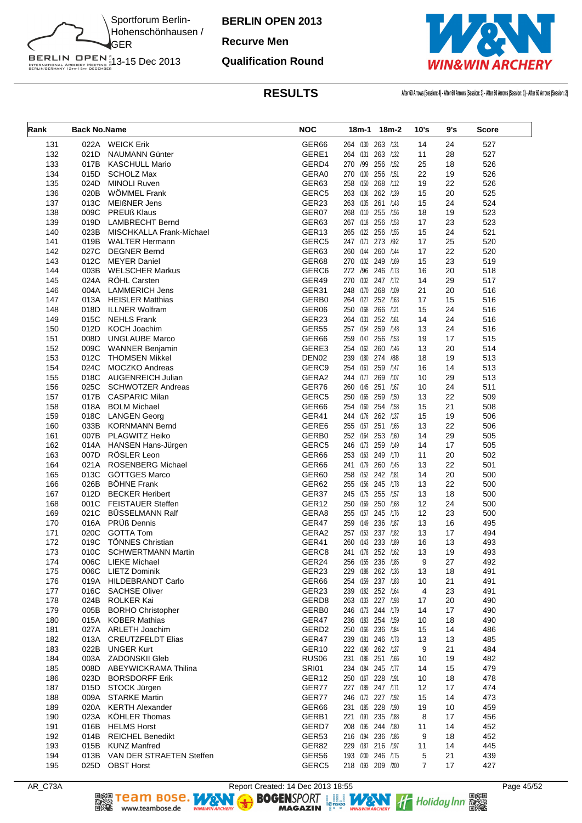

**Recurve Men**

#### **Qualification Round**



| Rank       | <b>Back No.Name</b> |                                                      | <b>NOC</b>                 | 18m-1                                  | 18m-2    | 10's     | 9's      | Score      |
|------------|---------------------|------------------------------------------------------|----------------------------|----------------------------------------|----------|----------|----------|------------|
| 131        |                     | 022A WEICK Erik                                      | GER <sub>66</sub>          | 264 /130 263 /131                      |          | 14       | 24       | 527        |
| 132        | 021D                | <b>NAUMANN Günter</b>                                | GERE1                      | 264 /131                               | 263 /132 | 11       | 28       | 527        |
| 133        | 017B                | <b>KASCHULL Mario</b>                                | GERD4                      | 270 /99 256 /152                       |          | 25       | 18       | 526        |
| 134        | 015D                | <b>SCHOLZ Max</b>                                    | GERA0                      | 270 /100 256 /151                      |          | 22       | 19       | 526        |
| 135        | 024D                | <b>MINOLI Ruven</b>                                  | GER63                      | 258 /150                               | 268 /112 | 19       | 22       | 526        |
| 136        | 020B                | <b>WOMMEL Frank</b>                                  | GERC5                      | 263 /136 262 /139                      |          | 15       | 20       | 525        |
| 137        | 013C                | <b>MEIßNER Jens</b>                                  | GER23                      | 263 /135 261 /143                      |          | 15       | 24       | 524        |
| 138        | 009C                | <b>PREUß Klaus</b>                                   | GER07                      | 268 /110 255 /156                      |          | 18       | 19       | 523        |
| 139        | 019D<br>023B        | <b>LAMBRECHT Bernd</b>                               | GER63<br>GER <sub>13</sub> | 267 /118 256 /153                      |          | 17       | 23       | 523<br>521 |
| 140<br>141 | 019B                | MISCHKALLA Frank-Michael<br><b>WALTER Hermann</b>    | GERC5                      | 265 /122 256 /155<br>247 /171 273 /92  |          | 15<br>17 | 24<br>25 | 520        |
| 142        | 027C                | <b>DEGNER Bernd</b>                                  | GER63                      | 260 /144 260 /144                      |          | 17       | 22       | 520        |
| 143        | 012C                | <b>MEYER Daniel</b>                                  | GER68                      | 270 /102 249 /169                      |          | 15       | 23       | 519        |
| 144        | 003B                | <b>WELSCHER Markus</b>                               | GERC6                      | 272 /96 246 /173                       |          | 16       | 20       | 518        |
| 145        | 024A                | RÖHL Carsten                                         | GER49                      | 270 /102 247 /172                      |          | 14       | 29       | 517        |
| 146        | 004A                | <b>LAMMERICH Jens</b>                                | GER31                      | 248 /170 268 /109                      |          | 21       | 20       | 516        |
| 147        | 013A                | <b>HEISLER Matthias</b>                              | GERB0                      | 264 /127 252 /163                      |          | 17       | 15       | 516        |
| 148        | 018D                | <b>ILLNER Wolfram</b>                                | GER06                      | 250 /168 266 /121                      |          | 15       | 24       | 516        |
| 149        | 015C                | <b>NEHLS Frank</b>                                   | GER23                      | 264 /131 252 /161                      |          | 14       | 24       | 516        |
| 150        | 012D                | <b>KOCH Joachim</b>                                  | GER55                      | 257 /154 259 /148                      |          | 13       | 24       | 516        |
| 151        | 008D                | <b>UNGLAUBE Marco</b>                                | GER66                      | 259 /147 256 /153                      |          | 19       | 17       | 515        |
| 152        | 009C                | <b>WANNER Benjamin</b>                               | GERE3                      | 254 /162 260 /146                      |          | 13       | 20       | 514        |
| 153        | 012C                | <b>THOMSEN Mikkel</b>                                | DEN <sub>02</sub>          | 239 /180 274 /88                       |          | 18       | 19       | 513        |
| 154        | 024C                | MOCZKO Andreas                                       | GERC <sub>9</sub>          | 254 /161 259 /147                      |          | 16       | 14       | 513        |
| 155<br>156 | 018C<br>025C        | <b>AUGENREICH Julian</b><br><b>SCHWOTZER Andreas</b> | GERA2<br>GER76             | 244 /177 269 /107<br>260 /145 251 /167 |          | 10<br>10 | 29<br>24 | 513<br>511 |
| 157        | 017B                | <b>CASPARIC Milan</b>                                | GERC5                      | 250 /165 259 /150                      |          | 13       | 22       | 509        |
| 158        | 018A                | <b>BOLM Michael</b>                                  | GER66                      | 254 /160                               | 254 /158 | 15       | 21       | 508        |
| 159        | 018C                | <b>LANGEN Georg</b>                                  | GER41                      | 244 /176 262 /137                      |          | 15       | 19       | 506        |
| 160        | 033B                | <b>KORNMANN Bernd</b>                                | GERE6                      | 255 /157 251 /165                      |          | 13       | 22       | 506        |
| 161        | 007B                | PLAGWITZ Heiko                                       | GERB0                      | 252 /164                               | 253 /160 | 14       | 29       | 505        |
| 162        |                     | 014A HANSEN Hans-Jürgen                              | GERC5                      | 246 /173 259 /149                      |          | 14       | 17       | 505        |
| 163        | 007D                | RÖSLER Leon                                          | GER66                      | 253 /163 249 /170                      |          | 11       | 20       | 502        |
| 164        | 021A                | <b>ROSENBERG Michael</b>                             | GER66                      | 241 /179 260 /145                      |          | 13       | 22       | 501        |
| 165        | 013C                | <b>GÖTTGES Marco</b>                                 | GER60                      | 258 /152 242 /181                      |          | 14       | 20       | 500        |
| 166        | 026B                | <b>BÖHNE Frank</b>                                   | GER62                      | 255 /156 245 /178                      |          | 13       | 22       | 500        |
| 167        |                     | 012D BECKER Heribert                                 | GER37                      | 245 /175 255 /157                      |          | 13       | 18       | 500        |
| 168        | 001C                | <b>FEISTAUER Steffen</b>                             | GER12                      | 250 /169 250 /168                      |          | 12       | 24       | 500        |
| 169        | 021C                | <b>BÜSSELMANN Ralf</b>                               | GERA8                      | 255 /157 245 /176                      |          | 12       | 23       | 500        |
| 170<br>171 | 016A<br>020C        | <b>PRÜß Dennis</b><br><b>GOTTA Tom</b>               | GER47<br>GERA2             | 259 /149 236 /187<br>257 /153 237 /182 |          | 13<br>13 | 16<br>17 | 495<br>494 |
| 172        | 019C                | TÖNNES Christian                                     | GER41                      | 260 /143 233 /189                      |          | 16       | 13       | 493        |
| 173        |                     | 010C SCHWERTMANN Martin                              | GERC8                      | 241 /178 252 /162                      |          | 13       | 19       | 493        |
| 174        |                     | 006C LIEKE Michael                                   | GER24                      | 256 /155 236 /185                      |          | 9        | 27       | 492        |
| 175        | 006C                | LIETZ Dominik                                        | GER23                      | 229 /188 262 /136                      |          | 13       | 18       | 491        |
| 176        | 019A                | <b>HILDEBRANDT Carlo</b>                             | GER66                      | 254 /159 237 /183                      |          | 10       | 21       | 491        |
| 177        | 016C                | <b>SACHSE Oliver</b>                                 | GER23                      | 239 /182 252 /164                      |          | 4        | 23       | 491        |
| 178        | 024B                | <b>ROLKER Kai</b>                                    | GERD <sub>8</sub>          | 263 /133 227 /193                      |          | 17       | 20       | 490        |
| 179        | 005B                | <b>BORHO Christopher</b>                             | GERB0                      | 246 /173 244 /179                      |          | 14       | 17       | 490        |
| 180        | 015A                | <b>KOBER Mathias</b>                                 | GER47                      | 236 /183 254 /159                      |          | 10       | 18       | 490        |
| 181        | 027A                | <b>ARLETH Joachim</b>                                | GERD2                      | 250 /166 236 /184                      |          | 15       | 14       | 486        |
| 182        | 013A                | <b>CREUTZFELDT Elias</b>                             | GER47                      | 239 /181 246 /173                      |          | 13       | 13       | 485        |
| 183        | 022B                | <b>UNGER Kurt</b>                                    | GER <sub>10</sub>          | 222 /190 262 /137                      |          | 9        | 21       | 484        |
| 184        | 003A                | <b>ZADONSKII Gleb</b>                                | <b>RUS06</b>               | 231 /186 251 /166                      |          | 10       | 19       | 482        |
| 185        | 008D                | ABEYWICKRAMA Thilina                                 | <b>SRI01</b>               | 234 /184 245 /177                      |          | 14       | 15       | 479        |
| 186<br>187 | 023D                | <b>BORSDORFF Erik</b><br>015D STOCK Jürgen           | GER <sub>12</sub><br>GER77 | 250 /167 228 /191<br>227 /189 247 /171 |          | 10<br>12 | 18<br>17 | 478<br>474 |
| 188        |                     | 009A STARKE Martin                                   | GER77                      | 246 /172 227 /192                      |          | 15       | 14       | 473        |
| 189        | 020A                | <b>KERTH Alexander</b>                               | GER66                      | 231 /185 228 /190                      |          | 19       | 10       | 459        |
| 190        | 023A                | <b>KÖHLER Thomas</b>                                 | GERB1                      | 221 /191 235 /188                      |          | 8        | 17       | 456        |
| 191        | 016B                | <b>HELMS Horst</b>                                   | GERD7                      | 208 /195 244 /180                      |          | 11       | 14       | 452        |
| 192        | 014B                | <b>REICHEL Benedikt</b>                              | GER53                      | 216 /194 236 /186                      |          | 9        | 18       | 452        |
| 193        |                     | 015B KUNZ Manfred                                    | GER82                      | 229 /187 216 /197                      |          | 11       | 14       | 445        |
| 194        |                     | 013B VAN DER STRAETEN Steffen                        | GER56                      | 193 /200 246 /175                      |          | 5        | 21       | 439        |
| 195        |                     | 025D OBST Horst                                      | GERC5                      | 218 /193 209 /200                      |          | 7        | 17       | 427        |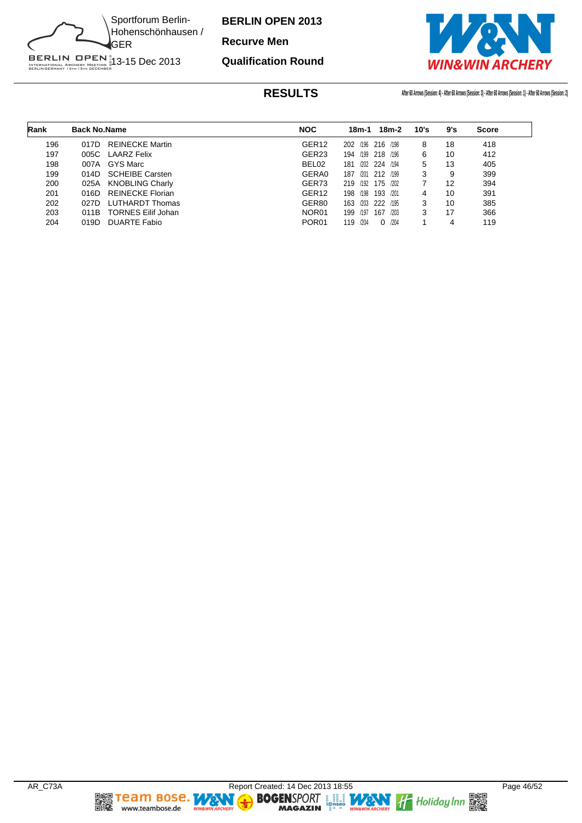

**Qualification Round**

**Recurve Men**



| Rank | <b>Back No.Name</b> |                           | <b>NOC</b>        | 18m-2<br>18m-1             | 10's | 9's | <b>Score</b> |
|------|---------------------|---------------------------|-------------------|----------------------------|------|-----|--------------|
| 196  | 017D                | <b>REINECKE Martin</b>    | GER <sub>12</sub> | 202 /196 216 /198          | 8    | 18  | 418          |
| 197  | 005C                | LAARZ Felix               | GER <sub>23</sub> | /199<br>218 /196<br>194    | 6    | 10  | 412          |
| 198  | 007A                | GYS Marc                  | BEL <sub>02</sub> | /202<br>224 /194<br>181    | 5    | 13  | 405          |
| 199  | 014D                | <b>SCHEIBE Carsten</b>    | GERA0             | 187<br>212 /199<br>/201    | 3    | 9   | 399          |
| 200  | 025A                | <b>KNOBLING Charly</b>    | GER73             | 219<br>175 /202<br>/192    |      | 12  | 394          |
| 201  | 016D                | <b>REINECKE Florian</b>   | GER <sub>12</sub> | /198<br>198<br>193<br>/201 | 4    | 10  | 391          |
| 202  | 027D                | <b>LUTHARDT Thomas</b>    | GER80             | /203<br>222<br>163<br>/195 | 3    | 10  | 385          |
| 203  | 011B                | <b>TORNES Eilif Johan</b> | NOR <sub>01</sub> | /197<br>199<br>167<br>/203 | 3    | 17  | 366          |
| 204  | 019D                | <b>DUARTE Fabio</b>       | POR <sub>01</sub> | 119<br>/204<br>/204<br>0   |      | 4   | 119          |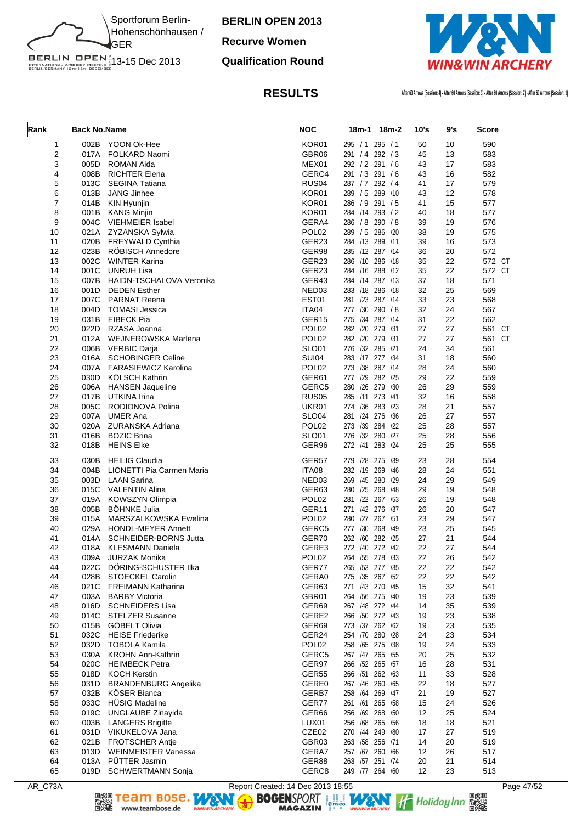

#### **Recurve Women**

#### **Qualification Round**



| Rank     | <b>Back No.Name</b> |                                        | <b>NOC</b>                 |                                      | 18m-1 18m-2 | 10's     | 9's      | <b>Score</b> |
|----------|---------------------|----------------------------------------|----------------------------|--------------------------------------|-------------|----------|----------|--------------|
| 1        |                     | 002B YOON Ok-Hee                       | KOR01                      | 295/1                                | 295 / 1     | 50       | 10       | 590          |
| 2        | 017A                | <b>FOLKARD Naomi</b>                   | GBR06                      | 291 / 4 292 / 3                      |             | 45       | 13       | 583          |
| 3        | 005D                | <b>ROMAN Aida</b>                      | MEX01                      | 292 / 2 291 / 6                      |             | 43       | 17       | 583          |
| 4        | 008B                | <b>RICHTER Elena</b>                   | GERC4                      | 291 / 3                              | 291/6       | 43       | 16       | 582          |
| 5        | 013C                | <b>SEGINA Tatiana</b>                  | RUS <sub>04</sub>          | 287 / 7 292 / 4                      |             | 41       | 17       | 579          |
| 6        | 013B                | JANG Jinhee                            | KOR01                      | 289 / 5 289 / 10                     |             | 43       | 12       | 578          |
| 7        | 014B                | KIN Hyunjin                            | KOR01                      | 286 / 9 291 / 5                      |             | 41       | 15       | 577          |
| 8        | 004C                | 001B KANG Minjin<br>VIEHMEIER Isabel   | KOR01<br>GERA4             | 284 /14 293 / 2<br>286 / 8 290 / 8   |             | 40       | 18<br>19 | 577          |
| 9<br>10  |                     | 021A ZYZANSKA Sylwia                   | POL <sub>02</sub>          | 289 / 5 286 / 20                     |             | 39<br>38 | 19       | 576<br>575   |
| 11       |                     | 020B FREYWALD Cynthia                  | GER23                      | 284 /13 289 /11                      |             | 39       | 16       | 573          |
| 12       | 023B                | <b>ROBISCH Annedore</b>                | GER98                      | 285 /12 287 /14                      |             | 36       | 20       | 572          |
| 13       | 002C                | <b>WINTER Karina</b>                   | GER23                      | 286 /10 286 /18                      |             | 35       | 22       | 572 CT       |
| 14       | 001C                | <b>UNRUH Lisa</b>                      | GER23                      | 284 /16 288 /12                      |             | 35       | 22       | 572 CT       |
| 15       |                     | 007B HAIDN-TSCHALOVA Veronika          | GER43                      | 284 /14 287 /13                      |             | 37       | 18       | 571          |
| 16       | 001D                | <b>DEDEN Esther</b>                    | NED03                      | 283 /18 286 /18                      |             | 32       | 25       | 569          |
| 17       | 007C                | <b>PARNAT Reena</b>                    | EST01                      | 281 /23 287 /14                      |             | 33       | 23       | 568          |
| 18       | 004D                | <b>TOMASI Jessica</b>                  | ITA04                      | 277 /30 290 / 8                      |             | 32       | 24       | 567          |
| 19       |                     | 031B EIBECK Pia                        | GER15                      | 275 /34 287 /14                      |             | 31       | 22       | 562          |
| 20       | 022D                | RZASA Joanna                           | POL <sub>02</sub>          | 282 /20 279 /31                      |             | 27       | 27       | 561 CT       |
| 21       | 012A                | WEJNEROWSKA Marlena                    | POL <sub>02</sub>          | 282 /20 279 /31                      |             | 27       | 27       | 561 CT       |
| 22       | 006B                | <b>VERBIC Darja</b>                    | <b>SLO01</b>               | 276 /32 285 /21                      |             | 24       | 34       | 561          |
| 23       | 016A                | <b>SCHOBINGER Celine</b>               | <b>SUI04</b>               | 283 /17 277 /34                      |             | 31       | 18       | 560          |
| 24       | 007A                | <b>FARASIEWICZ Karolina</b>            | POL <sub>02</sub>          | 273 /38 287 /14                      |             | 28       | 24       | 560          |
| 25       |                     | 030D KÖLSCH Kathrin                    | GER61                      | 277 /29 282 /25                      |             | 29       | 22       | 559          |
| 26       | 006A                | <b>HANSEN Jaqueline</b>                | GERC5                      | 280 /26 279 /30                      |             | 26       | 29       | 559          |
| 27       | 017B                | UTKINA Irina                           | <b>RUS05</b>               | 285 /11                              | 273 /41     | 32       | 16       | 558          |
| 28       | 005C                | RODIONOVA Polina                       | UKR01                      | 274 /36 283 /23                      |             | 28       | 21       | 557          |
| 29       | 007A                | <b>UMER Ana</b>                        | <b>SLO04</b>               | 281 /24 276 /36                      |             | 26       | 27       | 557          |
| 30       | 020A                | ZURANSKA Adriana                       | POL <sub>02</sub>          | 273 /39 284 /22                      |             | 25       | 28       | 557          |
| 31       | 016B                | <b>BOZIC Brina</b>                     | <b>SLO01</b>               | 276 /32 280 /27                      |             | 25       | 28       | 556          |
| 32       | 018B                | <b>HEINS Elke</b>                      | GER96                      | 272 /41 283 /24                      |             | 25       | 25       | 555          |
| 33       | 030B                | <b>HEILIG Claudia</b>                  | GER57                      | 279 /28 275 /39                      |             | 23       | 28       | 554          |
| 34       | 004B                | LIONETTI Pia Carmen Maria              | ITA08                      | 282 /19 269 /46                      |             | 28       | 24       | 551          |
| 35       | 003D                | <b>LAAN Sarina</b>                     | NED03                      | 269 /45 280 /29                      |             | 24       | 29       | 549          |
| 36       | 015C                | <b>VALENTIN Alina</b>                  | GER63                      | 280 /25 268 /48                      |             | 29       | 19       | 548          |
| 37       | 019A                | <b>KOWSZYN Olimpia</b>                 | POL <sub>02</sub>          | 281 /22 267 /53                      |             | 26       | 19       | 548          |
| 38       | 005B                | <b>BÖHNKE Julia</b>                    | GER11                      | 271 /42 276 /37                      |             | 26       | 20       | 547          |
| 39       | 015A                | <b>MARSZALKOWSKA Ewelina</b>           | POL <sub>02</sub>          | 280 /27 267 /51                      |             | 23       | 29       | 547          |
| 40       | 029A                | <b>HONDL-MEYER Annett</b>              | GERC5                      | 277 /30 268 /49                      |             | 23       | 25       | 545          |
| 41<br>42 | 014A                | <b>SCHNEIDER-BORNS Jutta</b>           | GER70                      | 262 /60 282 /25<br>272 /40 272 /42   |             | 27<br>22 | 21<br>27 | 544          |
|          |                     | 018A KLESMANN Daniela<br>JURZAK Monika | GERE3                      |                                      |             |          |          | 544          |
| 43<br>44 | 009A<br>022C        | DÖRING-SCHUSTER IIka                   | POL <sub>02</sub><br>GER77 | 264 / 55 278 / 33<br>265 /53 277 /35 |             | 22<br>22 | 26<br>22 | 542<br>542   |
| 44       | 028B                | <b>STOECKEL Carolin</b>                | GERA0                      | 275 /35 267 /52                      |             | 22       | 22       | 542          |
| 46       | 021C                | <b>FREIMANN Katharina</b>              | GER63                      | 271 /43 270 /45                      |             | 15       | 32       | 541          |
| 47       | 003A                | <b>BARBY Victoria</b>                  | GBR01                      | 264 /56 275 /40                      |             | 19       | 23       | 539          |
| 48       |                     | 016D SCHNEIDERS Lisa                   | GER69                      | 267 /48 272 /44                      |             | 14       | 35       | 539          |
| 49       | 014C                | <b>STELZER Susanne</b>                 | GERE2                      | 266 /50 272 /43                      |             | 19       | 23       | 538          |
| 50       | 015B                | GÖBELT Olivia                          | GER69                      | 273 /37 262 /62                      |             | 19       | 23       | 535          |
| 51       | 032C                | <b>HEISE Friederike</b>                | GER24                      | 254 /70 280 /28                      |             | 24       | 23       | 534          |
| 52       | 032D                | <b>TOBOLA Kamila</b>                   | POL <sub>02</sub>          | 258 /65 275 /38                      |             | 19       | 24       | 533          |
| 53       |                     | 030A KROHN Ann-Kathrin                 | GERC5                      | 267 /47 265 /55                      |             | 20       | 25       | 532          |
| 54       | 020C                | <b>HEIMBECK Petra</b>                  | GER97                      | 266 /52 265 /57                      |             | 16       | 28       | 531          |
| 55       | 018D                | <b>KOCH Kerstin</b>                    | GER55                      | 266 /51 262 /63                      |             | 11       | 33       | 528          |
| 56       | 031D                | <b>BRANDENBURG Angelika</b>            | GERE0                      | 267 /46 260 /65                      |             | 22       | 18       | 527          |
| 57       | 032B                | <b>KÖSER Bianca</b>                    | GERB7                      | 258 /64 269 /47                      |             | 21       | 19       | 527          |
| 58       | 033C                | HÜSIG Madeline                         | GER77                      | 261 /61 265 /58                      |             | 15       | 24       | 526          |
| 59       | 019C                | UNGLAUBE Zinayida                      | GER66                      | 256 /69 268 /50                      |             | 12       | 25       | 524          |
| 60       | 003B                | <b>LANGERS Brigitte</b>                | LUX01                      | 256 /68 265 /56                      |             | 18       | 18       | 521          |
| 61       |                     | 031D VIKUKELOVA Jana                   | CZE02                      | 270 /44 249 /80                      |             | 17       | 27       | 519          |
| 62       | 021B                | FROTSCHER Antje                        | GBR03                      | 263 /58 256 /71                      |             | 14       | 20       | 519          |
| 63       | 013D                | <b>WEINMEISTER Vanessa</b>             | GERA7                      | 257 /67 260 /66                      |             | 12       | 26       | 517          |
| 64       |                     | 013A PÜTTER Jasmin                     | GER88                      | 263 /57 251 /74                      |             | 20       | 21       | 514          |
| 65       |                     | 019D SCHWERTMANN Sonja                 | GERC8                      | 249 /77 264 /60                      |             | 12       | 23       | 513          |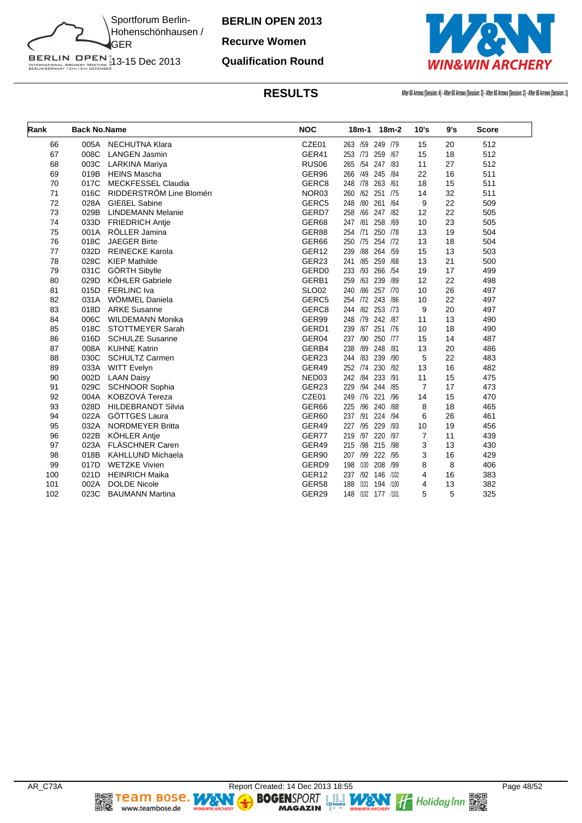

#### **Recurve Women**

#### **Qualification Round**



| Rank | <b>Back No.Name</b> |                           | <b>NOC</b>        | $18m-1$<br>$18m-2$        | 10's           | 9's | <b>Score</b> |
|------|---------------------|---------------------------|-------------------|---------------------------|----------------|-----|--------------|
| 66   | 005A                | <b>NECHUTNA Klara</b>     | CZE01             | 263 /59 249 /79           | 15             | 20  | 512          |
| 67   | 008C                | <b>LANGEN Jasmin</b>      | GER41             | 253 /73<br>259 /67        | 15             | 18  | 512          |
| 68   | 003C                | LARKINA Mariya            | RUS <sub>06</sub> | 265 /54 247 /83           | 11             | 27  | 512          |
| 69   | 019B                | <b>HEINS Mascha</b>       | GER96             | 266 /49 245 /84           | 22             | 16  | 511          |
| 70   | 017C                | <b>MECKFESSEL Claudia</b> | GERC8             | 248 78 263<br>/61         | 18             | 15  | 511          |
| 71   | 016C                | RIDDERSTRÖM Line Blomén   | NOR <sub>03</sub> | 260 /62<br>251<br>/75     | 14             | 32  | 511          |
| 72   | 028A                | <b>GIEßEL Sabine</b>      | GERC5             | 248<br>/80<br>261<br>/64  | 9              | 22  | 509          |
| 73   | 029B                | <b>LINDEMANN Melanie</b>  | GERD7             | /66<br>258<br>247 /82     | 12             | 22  | 505          |
| 74   | 033D                | <b>FRIEDRICH Antje</b>    | GER68             | 247 /81<br>258<br>/69     | 10             | 23  | 505          |
| 75   | 001A                | RÖLLER Jamina             | GER88             | /71<br>250 /78<br>254     | 13             | 19  | 504          |
| 76   | 018C                | <b>JAEGER Birte</b>       | GER66             | 250 /75 254 /72           | 13             | 18  | 504          |
| 77   | 032D                | <b>REINECKE Karola</b>    | GER <sub>12</sub> | /88<br>264 /59<br>239     | 15             | 13  | 503          |
| 78   | 028C                | <b>KIEP Mathilde</b>      | GER23             | /85 259<br>/68<br>241     | 13             | 21  | 500          |
| 79   | 031C                | GÖRTH Sibylle             | GERD <sub>0</sub> | /93<br>266<br>/54<br>233  | 19             | 17  | 499          |
| 80   | 029D                | <b>KÖHLER Gabriele</b>    | GERB1             | /63<br>239<br>/89<br>259  | 12             | 22  | 498          |
| 81   | 015D                | <b>FERLINC</b> Iva        | <b>SLO02</b>      | 240 /86<br>257 /70        | 10             | 26  | 497          |
| 82   | 031A                | WÖMMEL Daniela            | GERC5             | 254 /72<br>243<br>/86     | 10             | 22  | 497          |
| 83   | 018D                | <b>ARKE Susanne</b>       | GERC <sub>8</sub> | /82<br>253 /73<br>244     | 9              | 20  | 497          |
| 84   | 006C                | <b>WILDEMANN Monika</b>   | GER99             | /79<br>242 /87<br>248     | 11             | 13  | 490          |
| 85   | 018C                | STOTTMEYER Sarah          | GERD1             | /87 251 /76<br>239        | 10             | 18  | 490          |
| 86   | 016D                | <b>SCHULZE Susanne</b>    | GER04             | /90<br>250 /77<br>237     | 15             | 14  | 487          |
| 87   | 008A                | <b>KUHNE Katrin</b>       | GERB4             | /89 248 /81<br>238        | 13             | 20  | 486          |
| 88   | 030C                | <b>SCHULTZ Carmen</b>     | GER23             | 244 /83 239<br>/90        | 5              | 22  | 483          |
| 89   | 033A                | <b>WITT Evelyn</b>        | GER49             | 252 /74<br>230<br>/92     | 13             | 16  | 482          |
| 90   | 002D                | <b>LAAN Daisy</b>         | NED03             | 233 /91<br>242 /84        | 11             | 15  | 475          |
| 91   | 029C                | SCHNOOR Sophia            | GER23             | /94<br>244 /85<br>229     | $\overline{7}$ | 17  | 473          |
| 92   | 004A                | KOBZOVÁ Tereza            | CZE01             | /76<br>221<br>/96<br>249  | 14             | 15  | 470          |
| 93   | 028D                | <b>HILDEBRANDT Silvia</b> | GER66             | /96<br>240<br>/88<br>225  | 8              | 18  | 465          |
| 94   | 022A                | GÖTTGES Laura             | GER60             | /91<br>224 /94<br>237     | 6              | 26  | 461          |
| 95   | 032A                | <b>NORDMEYER Britta</b>   | GER49             | 229<br>/95<br>/93<br>227  | 10             | 19  | 456          |
| 96   | 022B                | KÖHLER Antje              | GER77             | 219 /97<br>220<br>/97     | $\overline{7}$ | 11  | 439          |
| 97   | 023A                | <b>FLÄSCHNER Caren</b>    | GER49             | /98 215 /98<br>215        | 3              | 13  | 430          |
| 98   | 018B                | <b>KAHLLUND Michaela</b>  | GER90             | /99<br>222<br>/95<br>207  | 3              | 16  | 429          |
| 99   | 017D                | <b>WETZKE Vivien</b>      | GERD9             | 208<br>198<br>/100<br>/99 | 8              | 8   | 406          |
| 100  | 021D                | <b>HEINRICH Maika</b>     | GER <sub>12</sub> | /92 146<br>237<br>/102    | 4              | 16  | 383          |
| 101  | 002A                | <b>DOLDE Nicole</b>       | GER58             | 188<br>/101<br>194 /100   | 4              | 13  | 382          |
| 102  | 023C                | <b>BAUMANN Martina</b>    | GER29             | 148 /102<br>177 /101      | 5              | 5   | 325          |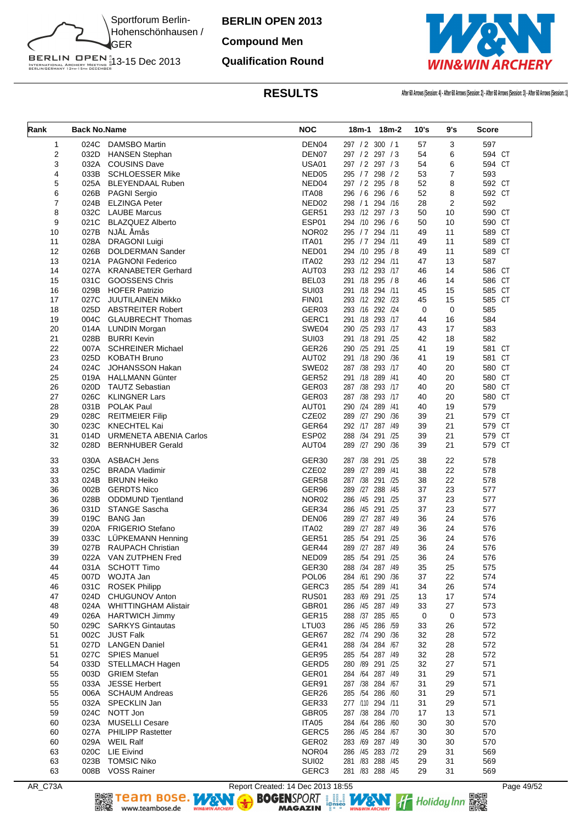

**BERLIN OPEN 2013 Compound Men**

# **Qualification Round**



**RESULTS After 60 Arrows (Session: 4) - After 60 Arrows (Session: 2) - After 60 Arrows (Session: 3) - After 60 Arrows (Session: 1)**

| Rank | <b>Back No.Name</b> |                               | <b>NOC</b>        |                  | 18m-1 18m-2 | 10's        | 9's            | <b>Score</b> |
|------|---------------------|-------------------------------|-------------------|------------------|-------------|-------------|----------------|--------------|
| 1    | 024C                | <b>DAMSBO Martin</b>          | DEN04             | 297 / 2 300 / 1  |             | 57          | 3              | 597          |
| 2    | 032D                | <b>HANSEN Stephan</b>         | DEN07             | 297 / 2 297 / 3  |             | 54          | 6              | 594 CT       |
| 3    | 032A                | <b>COUSINS Dave</b>           | <b>USA01</b>      | 297 / 2 297 / 3  |             | 54          | 6              | 594 CT       |
| 4    | 033B                | <b>SCHLOESSER Mike</b>        | NED <sub>05</sub> | 295 / 7 298 / 2  |             | 53          | 7              | 593          |
| 5    | 025A                | BLEYENDAAL Ruben              | NED04             | 297 / 2 295 / 8  |             | 52          | 8              | 592 CT       |
| 6    | 026B                | <b>PAGNI Sergio</b>           | ITA08             | 296 / 6 296 / 6  |             | 52          | 8              | 592 CT       |
| 7    | 024B                | <b>ELZINGA Peter</b>          | NED <sub>02</sub> | 298 / 1 294 / 16 |             | 28          | $\overline{2}$ | 592          |
| 8    | 032C                | <b>LAUBE Marcus</b>           | GER51             | 293 /12 297 / 3  |             | 50          | 10             | 590 CT       |
| 9    | 021C                | <b>BLAZQUEZ Alberto</b>       | ESP01             | 294 /10 296 / 6  |             | 50          | 10             | 590 CT       |
| 10   | 027B                | NJÅL Åmås                     | NOR <sub>02</sub> | 295 / 7 294 /11  |             | 49          | 11             | 589 CT       |
| 11   | 028A                | <b>DRAGONI Luigi</b>          | ITA01             | 295 / 7 294 /11  |             | 49          | 11             | 589 CT       |
| 12   | 026B                | DOLDERMAN Sander              | NED01             | 294 /10 295 /8   |             | 49          | 11             | 589 CT       |
| 13   | 021A                | <b>PAGNONI Federico</b>       | ITA02             | 293 /12 294 /11  |             | 47          | 13             | 587          |
| 14   | 027A                | <b>KRANABETER Gerhard</b>     | AUT03             | 293 /12 293 /17  |             | 46          | 14             | 586 CT       |
| 15   | 031C                | <b>GOOSSENS Chris</b>         | BEL03             | 291 /18 295 /8   |             | 46          | 14             | 586 CT       |
| 16   | 029B                | <b>HOFER Patrizio</b>         | <b>SUI03</b>      | 291 /18 294 /11  |             | 45          | 15             | 585 CT       |
| 17   | 027C                | JUUTILAINEN Mikko             | FIN01             | 293 /12 292 /23  |             | 45          | 15             | 585 CT       |
| 18   | 025D                | <b>ABSTREITER Robert</b>      | GER03             | 293 /16 292 /24  |             | $\mathbf 0$ | 0              | 585          |
| 19   | 004C                | <b>GLAUBRECHT Thomas</b>      | GERC1             | 291 /18 293 /17  |             | 44          | 16             | 584          |
| 20   | 014A                | <b>LUNDIN Morgan</b>          | SWE04             | 290 /25 293 /17  |             | 43          | 17             | 583          |
| 21   | 028B                | <b>BURRI Kevin</b>            | <b>SUI03</b>      | 291 /18 291 /25  |             | 42          | 18             | 582          |
| 22   | 007A                | <b>SCHREINER Michael</b>      | GER26             | 290 /25 291 /25  |             | 41          | 19             | 581 CT       |
| 23   | 025D                | <b>KOBATH Bruno</b>           | AUT02             | 291 /18 290 /36  |             | 41          | 19             | 581 CT       |
| 24   | 024C                | JOHANSSON Hakan               | SWE02             | 287 /38 293 /17  |             | 40          | 20             | 580 CT       |
| 25   | 019A                | <b>HALLMANN Günter</b>        | GER52             | 291 /18 289 /41  |             | 40          | 20             | 580 CT       |
| 26   | 020D                | <b>TAUTZ Sebastian</b>        | GER03             | 287 /38 293 /17  |             | 40          | 20             | 580 CT       |
| 27   | 026C                | <b>KLINGNER Lars</b>          | GER03             | 287 /38 293 /17  |             | 40          | 20             | 580 CT       |
| 28   | 031B                | POLAK Paul                    | AUT01             | 290 /24 289 /41  |             | 40          | 19             | 579          |
| 29   | 028C                | <b>REITMEIER Filip</b>        | CZE02             | 289 /27 290 /36  |             | 39          | 21             | 579 CT       |
| 30   | 023C                | <b>KNECHTEL Kai</b>           | GER64             | 292 /17 287 /49  |             | 39          | 21             | 579 CT       |
| 31   | 014D                | <b>URMENETA ABENIA Carlos</b> | ESP02             | 288 /34 291 /25  |             | 39          | 21             | 579 CT       |
| 32   | 028D                | <b>BERNHUBER Gerald</b>       | AUT04             | 289 /27          | 290 /36     | 39          | 21             | 579 CT       |
| 33   | 030A                | <b>ASBACH Jens</b>            | GER <sub>30</sub> | 287 /38 291 /25  |             | 38          | 22             | 578          |
| 33   | 025C                | <b>BRADA Vladimir</b>         | CZE02             | 289 /27 289 /41  |             | 38          | 22             | 578          |
| 33   | 024B                | <b>BRUNN Heiko</b>            | GER58             | 287 /38          | 291 /25     | 38          | 22             | 578          |
| 36   | 002B                | <b>GERDTS Nico</b>            | GER96             | 289 /27 288 /45  |             | 37          | 23             | 577          |
| 36   | 028B                | <b>ODDMUND Tjentland</b>      | NOR <sub>02</sub> | 286 /45 291 /25  |             | 37          | 23             | 577          |
| 36   | 031D                | STANGE Sascha                 | GER34             | 286 /45 291 /25  |             | 37          | 23             | 577          |
| 39   | 019C                | <b>BANG Jan</b>               | DEN06             | 289 /27 287 /49  |             | 36          | 24             | 576          |
| 39   | 020A                | <b>FRIGERIO Stefano</b>       | ITA02             | 289 /27 287 /49  |             | 36          | 24             | 576          |
| 39   | 033C                | LÜPKEMANN Henning             | GER51             | 285 /54 291 /25  |             | 36          | 24             | 576          |
| 39   | 027B                | <b>RAUPACH Christian</b>      | GER44             | 289 /27 287 /49  |             | 36          | 24             | 576          |
| 39   | 022A                | VAN ZUTPHEN Fred              | NED09             | 285 /54 291 /25  |             | 36          | 24             | 576          |
| 44   | 031A                | <b>SCHOTT Timo</b>            | GER30             | 288 /34 287 /49  |             | 35          | 25             | 575          |
| 45   | 007D                | WOJTA Jan                     | POL <sub>06</sub> | 284 /61 290 /36  |             | 37          | 22             | 574          |
| 46   | 031C                | <b>ROSEK Philipp</b>          | GERC3             | 285 /54 289 /41  |             | 34          | 26             | 574          |
| 47   | 024D                | CHUGUNOV Anton                | RUS01             | 283 /69 291 /25  |             | 13          | 17             | 574          |
| 48   | 024A                | <b>WHITTINGHAM Alistair</b>   | GBR01             | 286 /45 287 /49  |             | 33          | 27             | 573          |
| 49   | 026A                | <b>HARTWICH Jimmy</b>         | GER15             | 288 /37 285 /65  |             | 0           | 0              | 573          |
| 50   | 029C                | <b>SARKYS Gintautas</b>       | LTU03             | 286 /45 286 /59  |             | 33          | 26             | 572          |
| 51   | 002C                | <b>JUST Falk</b>              | GER67             | 282 /74 290 /36  |             | 32          | 28             | 572          |
| 51   | 027D                | <b>LANGEN Daniel</b>          | GER41             | 288 /34 284 /67  |             | 32          | 28             | 572          |
| 51   | 027C                | <b>SPIES Manuel</b>           | GER95             | 285 /54 287 /49  |             | 32          | 28             | 572          |
| 54   | 033D                | STELLMACH Hagen               | GERD5             | 280 /89 291 /25  |             | 32          | 27             | 571          |
| 55   | 003D                | <b>GRIEM Stefan</b>           | GER01             | 284 /64 287 /49  |             | 31          | 29             | 571          |
| 55   | 033A                | <b>JESSE Herbert</b>          | GER91             | 287 /38 284 /67  |             | 31          | 29             | 571          |
| 55   | 006A                | <b>SCHAUM Andreas</b>         | GER26             | 285 /54 286 /60  |             | 31          | 29             | 571          |
| 55   | 032A                | SPECKLIN Jan                  | GER33             | 277 /110 294 /11 |             | 31          | 29             | 571          |
| 59   | 024C                | NOTT Jon                      | GBR05             | 287 /38 284 /70  |             | 17          | 13             | 571          |
| 60   | 023A                | <b>MUSELLI Cesare</b>         | ITA05             | 284 /64 286 /60  |             | 30          | 30             | 570          |
| 60   | 027A                | <b>PHILIPP Rastetter</b>      | GERC5             | 286 /45 284 /67  |             | 30          | 30             | 570          |
| 60   | 029A                | <b>WEIL Ralf</b>              | GER02             | 283 /69 287 /49  |             | 30          | 30             | 570          |
| 63   | 020C                | <b>LIE Eivind</b>             | NOR04             | 286 /45 283 /72  |             | 29          | 31             | 569          |
| 63   | 023B                | <b>TOMSIC Niko</b>            | <b>SUI02</b>      | 281 /83 288 /45  |             | 29          | 31             | 569          |
| 63   |                     | 008B VOSS Rainer              | GERC3             | 281 /83 288 /45  |             | 29          | 31             | 569          |

AR\_C73A Report Created: 14 Dec 2013 18:55 Page 49/52<br>
Report Created: 14 Dec 2013 18:55<br>
RAGAZIN PRESSIONS PORT REPORT TO Holiday Inn REPORT TO THE REPORT OF THE REPORT OF THE REPORT OF THE REPORT OF THE REPORT OF THE REPO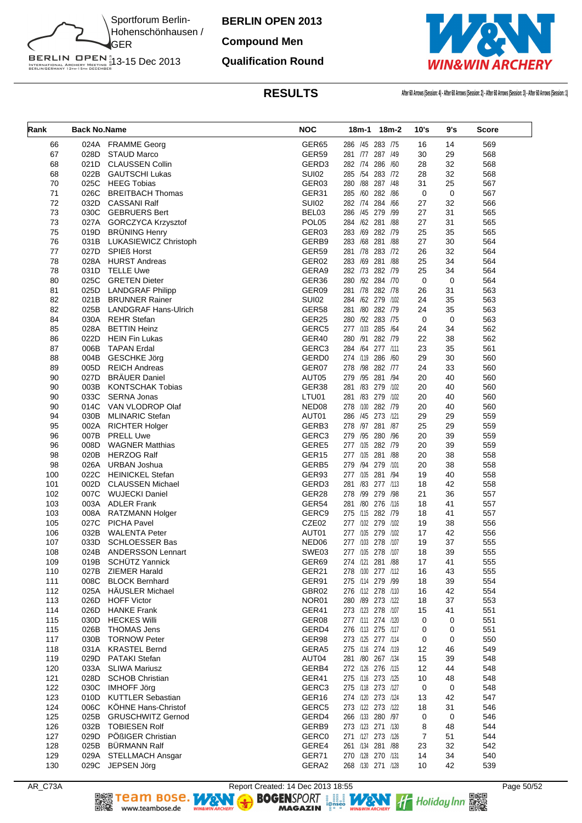

# **Compound Men**

#### **Qualification Round**



| Rank       | <b>Back No.Name</b> |                                                 | <b>NOC</b>                 |                                        | 18m-1 18m-2 | 10's     | 9's               | Score      |
|------------|---------------------|-------------------------------------------------|----------------------------|----------------------------------------|-------------|----------|-------------------|------------|
| 66         |                     | 024A FRAMME Georg                               | GER65                      | 286 /45 283 /75                        |             | 16       | 14                | 569        |
| 67         | 028D                | <b>STAUD Marco</b>                              | GER59                      | 281 /77 287 /49                        |             | 30       | 29                | 568        |
| 68         | 021D                | <b>CLAUSSEN Collin</b>                          | GERD3                      | 282 /74 286 /60                        |             | 28       | 32                | 568        |
| 68         | 022B                | <b>GAUTSCHI Lukas</b>                           | <b>SUI02</b>               | 285 /54 283 /72                        |             | 28       | 32                | 568        |
| 70         | 025C                | <b>HEEG Tobias</b>                              | GER03                      | 280 / 88 287 / 48                      |             | 31       | 25                | 567        |
| 71         | 026C                | <b>BREITBACH Thomas</b>                         | GER31                      | 285 /60 282 /86                        |             | 0        | 0                 | 567        |
| 72         | 032D                | <b>CASSANI Ralf</b>                             | <b>SUI02</b>               | 282 /74 284 /66                        |             | 27       | 32                | 566        |
| 73         | 030C                | <b>GEBRUERS Bert</b>                            | BEL03                      | 286 /45 279 /99                        |             | 27       | 31                | 565        |
| 73         | 027A                | <b>GORCZYCA Krzysztof</b>                       | POL <sub>05</sub>          | 284 /62 281 /88                        |             | 27       | 31                | 565        |
| 75         | 019D                | <b>BRÜNING Henry</b>                            | GER03                      | 283 /69 282 /79                        |             | 25       | 35                | 565        |
| 76         | 031B                | LUKASIEWICZ Christoph                           | GERB9                      | 283 /68 281 /88                        |             | 27       | 30                | 564        |
| 77         | 027D                | <b>SPIEß Horst</b>                              | GER59                      | 281 /78 283 /72                        |             | 26       | 32                | 564        |
| 78         | 028A                | <b>HURST Andreas</b>                            | GER02<br>GERA9             | 283 /69 281 /88<br>282 /73 282 /79     |             | 25       | 34                | 564        |
| 78<br>80   | 031D<br>025C        | <b>TELLE Uwe</b><br><b>GRETEN Dieter</b>        | GER36                      | 280 /92 284 /70                        |             | 25<br>0  | 34<br>$\mathbf 0$ | 564<br>564 |
| 81         | 025D                | <b>LANDGRAF Philipp</b>                         | GER09                      | 281 /78 282 /78                        |             | 26       | 31                | 563        |
| 82         | 021B                | <b>BRUNNER Rainer</b>                           | <b>SUI02</b>               | 284 /62 279 /102                       |             | 24       | 35                | 563        |
| 82         | 025B                | <b>LANDGRAF Hans-Ulrich</b>                     | GER58                      | 281 /80 282 /79                        |             | 24       | 35                | 563        |
| 84         | 030A                | <b>REHR Stefan</b>                              | GER25                      | 280 /92 283 /75                        |             | 0        | $\mathbf 0$       | 563        |
| 85         | 028A                | <b>BETTIN Heinz</b>                             | GERC5                      | 277 /103 285 /64                       |             | 24       | 34                | 562        |
| 86         | 022D                | <b>HEIN Fin Lukas</b>                           | GER40                      | 280 /91 282 /79                        |             | 22       | 38                | 562        |
| 87         | 006B                | <b>TAPAN Erdal</b>                              | GERC <sub>3</sub>          | 284 /64 277 /111                       |             | 23       | 35                | 561        |
| 88         | 004B                | <b>GESCHKE Jörg</b>                             | GERD <sub>0</sub>          | 274 /119 286 /60                       |             | 29       | 30                | 560        |
| 89         | 005D                | <b>REICH Andreas</b>                            | GER07                      | 278 /98 282 /77                        |             | 24       | 33                | 560        |
| 90         | 027D                | <b>BRÄUER Daniel</b>                            | AUT05                      | 279                                    | /95 281 /94 | 20       | 40                | 560        |
| 90         | 003B                | <b>KONTSCHAK Tobias</b>                         | GER38                      | 281 /83 279 /102                       |             | 20       | 40                | 560        |
| 90         | 033C                | <b>SERNA Jonas</b>                              | LTU01                      | 281 /83 279 /102                       |             | 20       | 40                | 560        |
| 90         | 014C                | VAN VLODROP Olaf                                | NED08                      | 278 /100 282 /79                       |             | 20       | 40                | 560        |
| 94         | 030B                | <b>MLINARIC Stefan</b>                          | AUT01                      | 286 /45 273 /121                       |             | 29       | 29                | 559        |
| 95         | 002A                | <b>RICHTER Holger</b>                           | GERB3                      | 278 /97 281 /87                        |             | 25       | 29                | 559        |
| 96<br>96   | 007B<br>008D        | <b>PRELL Uwe</b>                                | GERC <sub>3</sub><br>GERE5 | 279 /95 280 /96<br>277 /105 282 /79    |             | 20<br>20 | 39<br>39          | 559<br>559 |
| 98         | 020B                | <b>WAGNER Matthias</b><br><b>HERZOG Ralf</b>    | GER <sub>15</sub>          | 277 /105                               | 281 /88     | 20       | 38                | 558        |
| 98         | 026A                | <b>URBAN Joshua</b>                             | GERB5                      | 279 /94 279 /101                       |             | 20       | 38                | 558        |
| 100        | 022C                | <b>HEINICKEL Stefan</b>                         | GER93                      | 277 /105 281 /94                       |             | 19       | 40                | 558        |
| 101        | 002D                | <b>CLAUSSEN Michael</b>                         | GERD3                      | 281 /83 277 /113                       |             | 18       | 42                | 558        |
| 102        | 007C                | <b>WUJECKI Daniel</b>                           | GER28                      | 278 /99 279 /98                        |             | 21       | 36                | 557        |
| 103        | 003A                | <b>ADLER Frank</b>                              | GER54                      | 281 /80 276 /116                       |             | 18       | 41                | 557        |
| 103        | 008A                | RATZMANN Holger                                 | GERC9                      | 275 /115 282 /79                       |             | 18       | 41                | 557        |
| 105        | 027C                | <b>PICHA Pavel</b>                              | CZE02                      | 277 /102 279 /102                      |             | 19       | 38                | 556        |
| 106        | 032B                | <b>WALENTA Peter</b>                            | AUT01                      | 277 /105 279 /102                      |             | 17       | 42                | 556        |
| 107        | 033D                | <b>SCHLOESSER Bas</b>                           | NED <sub>06</sub>          | 277 /103 278 /107                      |             | 19       | 37                | 555        |
| 108        |                     | 024B ANDERSSON Lennart                          | SWE03                      | 277 /105 278 /107                      |             | 18       | 39                | 555        |
| 109        | 019B                | SCHÜTZ Yannick                                  | GER69                      | 274 /121 281 /88                       |             | 17       | 41                | 555        |
| 110        | 027B                | <b>ZIEMER Harald</b>                            | GER21                      | 278 /100 277 /112                      |             | 16       | 43                | 555        |
| 111<br>112 | 008C<br>025A        | <b>BLOCK Bernhard</b><br><b>HÄUSLER Michael</b> | GER91<br>GBR02             | 275 /114 279 /99                       |             | 18       | 39<br>42          | 554<br>554 |
| 113        | 026D                | <b>HOFF Victor</b>                              | NOR01                      | 276 /112 278 /110<br>280 /89 273 /122  |             | 16<br>18 | 37                | 553        |
| 114        | 026D                | <b>HANKE Frank</b>                              | GER41                      | 273 /123 278 /107                      |             | 15       | 41                | 551        |
| 115        | 030D                | <b>HECKES Willi</b>                             | GER08                      | 277 /111 274 /120                      |             | 0        | 0                 | 551        |
| 115        | 026B                | <b>THOMAS Jens</b>                              | GERD4                      | 276 /113 275 /117                      |             | 0        | 0                 | 551        |
| 117        | 030B                | <b>TORNOW Peter</b>                             | GER98                      | 273 /125 277 /114                      |             | 0        | 0                 | 550        |
| 118        | 031A                | <b>KRASTEL Bernd</b>                            | GERA5                      | 275 /116 274 /119                      |             | 12       | 46                | 549        |
| 119        | 029D                | PATAKI Stefan                                   | AUT04                      | 281 /80 267 /134                       |             | 15       | 39                | 548        |
| 120        | 033A                | <b>SLIWA Mariusz</b>                            | GERB4                      | 272 /126 276 /115                      |             | 12       | 44                | 548        |
| 121        | 028D                | <b>SCHOB Christian</b>                          | GER41                      | 275 /116 273 /125                      |             | 10       | 48                | 548        |
| 122        | 030C                | <b>IMHOFF Jörg</b>                              | GERC3                      | 275 /118 273 /127                      |             | 0        | 0                 | 548        |
| 123        | 010D                | <b>KUTTLER Sebastian</b>                        | GER <sub>16</sub>          | 274 /120 273 /124                      |             | 13       | 42                | 547        |
| 124        | 006C                | KÖHNE Hans-Christof                             | GERC5                      | 273 /122 273 /122                      |             | 18       | 31                | 546        |
| 125        | 025B                | <b>GRUSCHWITZ Gernod</b>                        | GERD4                      | 266 /133 280 /97                       |             | 0        | 0                 | 546        |
| 126        | 032B                | <b>TOBIESEN Rolf</b>                            | GERB9                      | 273 /123 271 /130                      |             | 8        | 48                | 544        |
| 127        | 029D                | PÖßIGER Christian                               | GERC0                      | 271 /127 273 /126                      |             | 7        | 51                | 544        |
| 128        | 025B                | <b>BÜRMANN Ralf</b>                             | GERE4                      | 261 /134 281 /88                       |             | 23       | 32                | 542        |
| 129<br>130 | 029A<br>029C        | STELLMACH Ansgar<br>JEPSEN Jörg                 | GER71<br>GERA2             | 270 /128 270 /131<br>268 /130 271 /128 |             | 14<br>10 | 34<br>42          | 540<br>539 |
|            |                     |                                                 |                            |                                        |             |          |                   |            |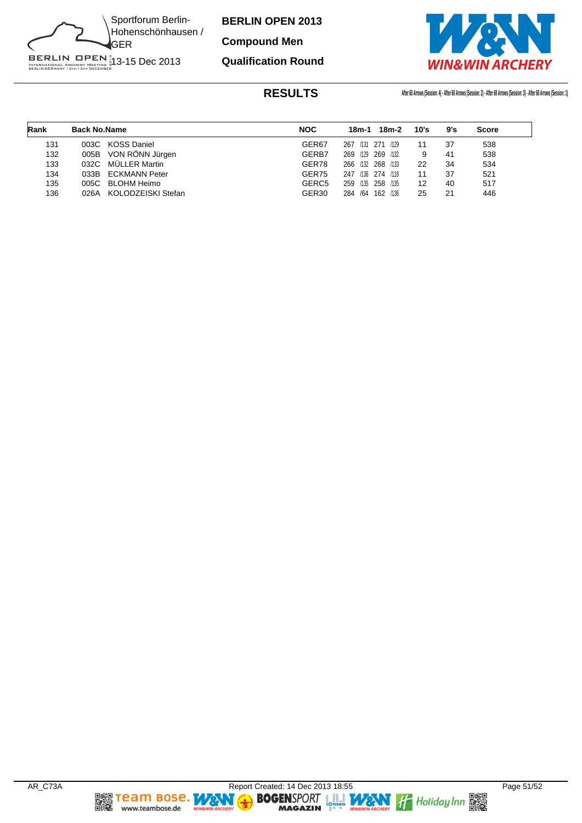

**Compound Men**

**Qualification Round**



| Rank | <b>Back No.Name</b> |                      | <b>NOC</b>        | 18m-2<br>18m-1       | 10's | 9's | <b>Score</b> |
|------|---------------------|----------------------|-------------------|----------------------|------|-----|--------------|
| 131  |                     | 003C KOSS Daniel     | GER67             | 267 /131 271<br>/129 | 11   | 37  | 538          |
| 132  |                     | 005B VON RÖNN Jürgen | GERB7             | 269 /129 269<br>/132 | 9    | 41  | 538          |
| 133  | 032C                | MÜLLER Martin        | GER78             | 266 /132 268 /133    | 22   | 34  | 534          |
| 134  |                     | 033B ECKMANN Peter   | GER75             | 247 /136 274 /118    | 11   | 37  | 521          |
| 135  |                     | 005C BLOHM Heimo     | GERC <sub>5</sub> | 259 /135 258<br>/135 | 12   | 40  | 517          |
| 136  | 026A                | KOLODZEISKI Stefan   | GER <sub>30</sub> | 284 /64<br>162 /136  | 25   | 21  | 446          |